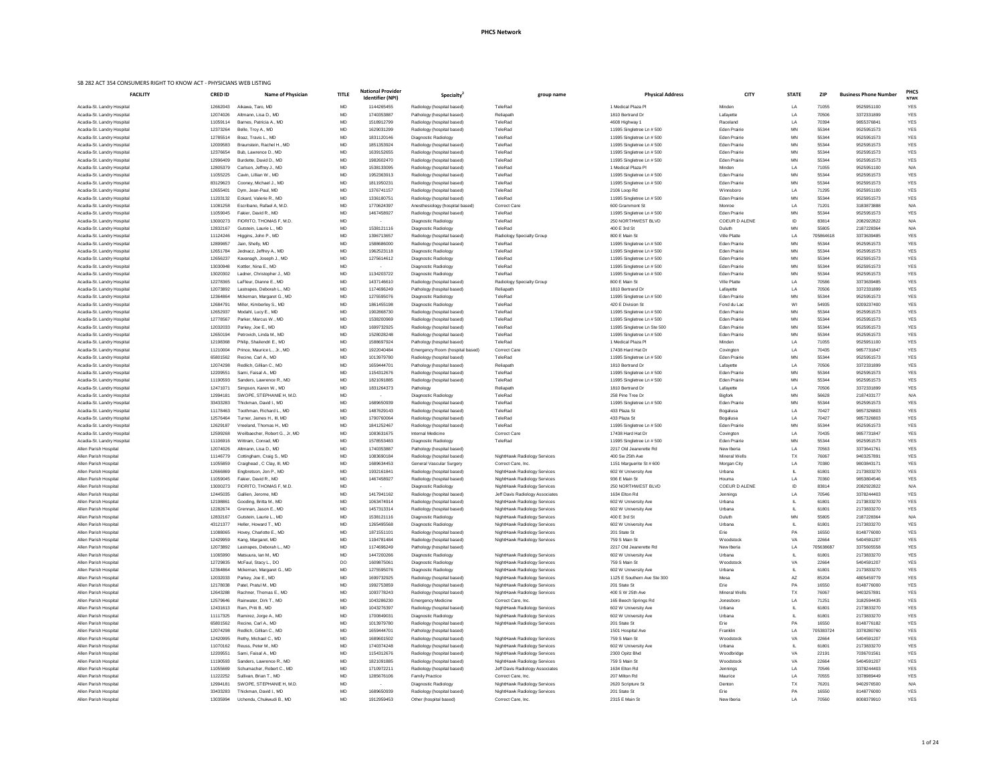1 of 24

| <b>FACILITY</b>                                          | <b>CRED ID</b>       | <b>Name of Physician</b>                               | <b>TITLE</b>           | <b>National Provider</b><br><b>Identifier (NPI)</b> | Specialty <sup>®</sup>                                   | group name                                                   | <b>Physical Address</b>                                | <b>CITY</b>                                | <b>STATE</b>           | <b>ZIP</b>     | <b>Business Phone Number</b> | PHC.<br><b>NTWK</b>      |
|----------------------------------------------------------|----------------------|--------------------------------------------------------|------------------------|-----------------------------------------------------|----------------------------------------------------------|--------------------------------------------------------------|--------------------------------------------------------|--------------------------------------------|------------------------|----------------|------------------------------|--------------------------|
| Acadia-St. Landry Hospital                               | 12662043             | Aikawa, Taro, MD                                       | <b>MD</b>              | 1144265455                                          | Radiology (hospital based)                               | TeleRad                                                      | 1 Medical Plaza Pl                                     | Minden                                     | LA                     | 71055          | 9525951100                   | <b>YES</b>               |
| Acadia-St. Landry Hospital                               | 12074026             | Altmann, Lisa D., MD                                   | <b>MD</b>              | 1740353887                                          | Pathology (hospital based)                               | Reliapath                                                    | 1810 Bertrand Dr                                       | Lafayette                                  | LA                     | 70506          | 3372331899                   | <b>YES</b>               |
| Acadia-St. Landry Hospital                               | 11059114             | Barnes, Patricia A., MD                                | <b>MD</b>              | 1518912799                                          | Radiology (hospital based)                               | TeleRad                                                      | 4608 Highway 1                                         | Raceland                                   | LA                     | 70394          | 9855376841                   | <b>YES</b>               |
| Acadia-St. Landry Hospital                               | 12373264             | Belle, Troy A., MD                                     | <b>MD</b>              | 1629031299                                          | Radiology (hospital based)                               | TeleRad                                                      | 11995 Singletree Ln # 500                              | <b>Eden Prairie</b>                        | <b>MN</b>              | 55344          | 9525951573                   | <b>YES</b>               |
| Acadia-St. Landry Hospital<br>Acadia-St. Landry Hospital | 12785514<br>12009583 | Boaz, Travis L., MD<br>Braunstein, Rachel H., MD       | <b>MD</b><br>MD        | 1831120146<br>1851353924                            | Diagnostic Radiology<br>Radiology (hospital based)       | TeleRad<br>TeleRad                                           | 11995 Singletree Ln # 500<br>11995 Singletree Ln # 500 | <b>Eden Prairie</b><br><b>Eden Prairie</b> | <b>MN</b><br><b>MN</b> | 55344<br>55344 | 9525951573<br>9525951573     | <b>YES</b><br><b>YES</b> |
| Acadia-St. Landry Hospital                               | 12376654             | Bub, Lawrence D., MD                                   | <b>MD</b>              | 1639152655                                          | Radiology (hospital based)                               | TeleRad                                                      | 11995 Singletree Ln # 500                              | <b>Eden Prairie</b>                        | <b>MN</b>              | 55344          | 9525951573                   | <b>YES</b>               |
| Acadia-St. Landry Hospital                               | 12996409             | Burdette, David D., MD                                 | <b>MD</b>              | 1982602470                                          | Radiology (hospital based)                               | TeleRad                                                      | 11995 Singletree Ln # 500                              | <b>Eden Prairie</b>                        | <b>MN</b>              | 55344          | 9525951573                   | <b>YES</b>               |
| Acadia-St. Landry Hospital                               | 12805379             | Carlson, Jeffrey J., MD                                | <b>MD</b>              | 1538133095                                          | Radiology (hospital based)                               | TeleRad                                                      | 1 Medical Plaza Pl                                     | Minden                                     | LA                     | 71055          | 9525951100                   | N/A                      |
| Acadia-St. Landry Hospital                               | 11055225             | Cavin, Lillian W., MD                                  | <b>MD</b>              | 1952363913                                          | Radiology (hospital based)                               | TeleRad                                                      | 11995 Singletree Ln # 500                              | <b>Eden Prairie</b>                        | <b>MN</b>              | 55344          | 9525951573                   | <b>YES</b>               |
| Acadia-St. Landry Hospital                               | 83129623             | Cooney, Michael J., MD                                 | <b>MD</b>              | 1811950231                                          | Radiology (hospital based)                               | TeleRad                                                      | 11995 Singletree Ln # 500                              | <b>Eden Prairie</b>                        | <b>MN</b>              | 55344          | 9525951573                   | <b>YES</b>               |
| Acadia-St. Landry Hospital                               | 12655401             | Dym, Jean-Paul, MD                                     | <b>MD</b>              | 1376741157                                          | Radiology (hospital based)                               | TeleRad                                                      | 2106 Loop Rd                                           | Winnsboro                                  | LA                     | 71295          | 9525951100                   | <b>YES</b>               |
| Acadia-St. Landry Hospital                               | 11203132             | Eckard, Valerie R., MD                                 | <b>MD</b>              | 1336180751                                          | Radiology (hospital based)                               | TeleRad                                                      | 11995 Singletree Ln # 500                              | <b>Eden Prairie</b>                        | <b>MN</b>              | 55344          | 9525951573                   | <b>YES</b>               |
| Acadia-St. Landry Hospital                               | 11081258             | Escribano, Rafael A, M.D.                              | <b>MD</b>              | 1770624397                                          | Anesthesiology (hospital based)                          | <b>Correct Care</b>                                          | 600 Grammont St                                        | Monroe                                     | LA                     | 71201          | 3183873888                   | N/A                      |
| Acadia-St. Landry Hospital<br>Acadia-St. Landry Hospital | 11059045<br>13000273 | Fakier, David R., MD<br>FIORITO, THOMAS F, M.D.        | <b>MD</b><br><b>MD</b> | 1467458927                                          | Radiology (hospital based)<br>Diagnostic Radiology       | TeleRad<br>TeleRad                                           | 11995 Singletree Ln # 500<br>250 NORTHWEST BLVD        | <b>Eden Prairie</b><br>COEUR D ALENE       | <b>MN</b><br>ID        | 55344<br>83814 | 9525951573<br>2082922822     | <b>YES</b><br>N/A        |
| Acadia-St. Landry Hospital                               | 12832167             | Gutstein, Laurie L., MD                                | MD                     | 1538121116                                          | Diagnostic Radiology                                     | TeleRad                                                      | 400 E 3rd St                                           | Duluth                                     | <b>MN</b>              | 55805          | 2187228364                   | N/A                      |
| Acadia-St. Landry Hospital                               | 11124246             | Higgins, John P., MD                                   | <b>MD</b>              | 1396713657                                          | Radiology (hospital based)                               | Radiology Specialty Group                                    | 800 E Main St                                          | <b>Ville Platte</b>                        | LA                     | 705864618      | 3373639485                   | <b>YES</b>               |
| Acadia-St. Landry Hospital                               | 12899857             | Jain, Shelly, MD                                       | <b>MD</b>              | 1588686000                                          | Radiology (hospital based)                               | TeleRad                                                      | 11995 Singletree Ln # 500                              | <b>Eden Prairie</b>                        | <b>MN</b>              | 55344          | 9525951573                   | <b>YES</b>               |
| Acadia-St. Landry Hospital                               | 12651784             | Jednacz, Jeffrey A., MD                                | <b>MD</b>              | 1962523118                                          | Diagnostic Radiology                                     | TeleRad                                                      | 11995 Singletree Ln # 500                              | <b>Eden Prairie</b>                        | <b>MN</b>              | 55344          | 9525951573                   | <b>YES</b>               |
| Acadia-St. Landry Hospital                               | 12656237             | Kavanagh, Joseph J., MD                                | <b>MD</b>              | 1275614612                                          | Diagnostic Radiology                                     | TeleRad                                                      | 11995 Singletree Ln # 500                              | <b>Eden Prairie</b>                        | <b>MN</b>              | 55344          | 9525951573                   | <b>YES</b>               |
| Acadia-St. Landry Hospital                               | 13030948             | Kottler, Nina E., MD                                   | <b>MD</b>              |                                                     | Diagnostic Radiology                                     | TeleRad                                                      | 11995 Singletree Ln # 500                              | <b>Eden Prairie</b>                        | <b>MN</b>              | 55344          | 9525951573                   | <b>YES</b>               |
| Acadia-St. Landry Hospital                               | 13020302             | Ladner, Christopher J., MD                             | <b>MD</b>              | 1134203722                                          | Diagnostic Radiology                                     | TeleRad                                                      | 11995 Singletree Ln # 500                              | <b>Eden Prairie</b>                        | <b>MN</b>              | 55344          | 9525951573                   | <b>YES</b>               |
| Acadia-St. Landry Hospital                               | 12278365             | LaFleur, Dianne E., MD                                 | <b>MD</b>              | 1437146610                                          | Radiology (hospital based)                               | Radiology Specialty Group                                    | 800 E Main St                                          | Ville Platte                               | LA                     | 70586          | 3373639485                   | <b>YES</b>               |
| Acadia-St. Landry Hospital<br>Acadia-St. Landry Hospital | 12073892<br>12364864 | Lastrapes, Deborah L., MD<br>Mckernan, Margaret G., MD | <b>MD</b><br><b>MD</b> | 1174696249<br>1275595076                            | Pathology (hospital based)<br>Diagnostic Radiology       | Reliapath<br>TeleRad                                         | 1810 Bertrand Dr<br>11995 Singletree Ln # 500          | Lafayette<br><b>Eden Prairie</b>           | LA<br><b>MN</b>        | 70506<br>55344 | 3372331899<br>9525951573     | <b>YES</b><br><b>YES</b> |
| Acadia-St. Landry Hospital                               | 12684791             | Miller, Kimberley S., MD                               | <b>MD</b>              | 1861455198                                          | Diagnostic Radiology                                     | TeleRad                                                      | 420 E Division St                                      | Fond du Lac                                | WI                     | 54935          | 9209237400                   | <b>YES</b>               |
| Acadia-St. Landry Hospital                               | 12652937             | Modahl, Lucy E., MD                                    | MD                     | 1902868730                                          | Radiology (hospital based)                               | TeleRad                                                      | 11995 Singletree Ln # 500                              | <b>Eden Prairie</b>                        | <b>MN</b>              | 55344          | 9525951573                   | <b>YES</b>               |
| Acadia-St. Landry Hospital                               | 12778567             | Parker, Marcus W., MD                                  | <b>MD</b>              | 1538200969                                          | Radiology (hospital based)                               | TeleRad                                                      | 11995 Singletree Ln # 500                              | <b>Eden Prairie</b>                        | <b>MN</b>              | 55344          | 9525951573                   | <b>YES</b>               |
| Acadia-St. Landry Hospital                               | 12032033             | Parkey, Joe E., MD                                     | <b>MD</b>              | 1699732925                                          | Radiology (hospital based)                               | TeleRad                                                      | 11995 Singletree Ln Ste 500                            | <b>Eden Prairie</b>                        | <b>MN</b>              | 55344          | 9525951573                   | <b>YES</b>               |
| Acadia-St. Landry Hospital                               | 12650194             | Petrovich, Linda M., MD                                | <b>MD</b>              | 1528028248                                          | Radiology (hospital based)                               | TeleRad                                                      | 11995 Singletree Ln # 500                              | <b>Eden Prairie</b>                        | MN                     | 55344          | 9525951573                   | <b>YES</b>               |
| Acadia-St. Landry Hospital                               | 12198368             | Philip, Shailendri E., MD                              | <b>MD</b>              | 1588697924                                          | Pathology (hospital based)                               | TeleRad                                                      | 1 Medical Plaza Pl                                     | Minden                                     | LA                     | 71055          | 9525951100                   | <b>YES</b>               |
| Acadia-St. Landry Hospital                               | 11210004             | Prince, Maurice L., Jr., MD                            | <b>MD</b>              | 1922040484                                          | Emergency Room (hospital based)                          | <b>Correct Care</b>                                          | 17438 Hard Hat Dr                                      | Covington                                  | LA                     | 70435          | 9857731847                   | <b>YES</b>               |
| Acadia-St. Landry Hospital                               | 65801562             | Recine, Carl A., MD                                    | <b>MD</b>              | 1013979780                                          | Radiology (hospital based)                               | TeleRad                                                      | 11995 Singletree Ln # 500                              | <b>Eden Prairie</b>                        | <b>MN</b>              | 55344          | 9525951573                   | <b>YES</b>               |
| Acadia-St. Landry Hospital<br>Acadia-St. Landry Hospital | 12074298<br>12209551 | Redlich, Gillian C., MD<br>Sami, Faisal A., MD         | MD<br><b>MD</b>        | 1659444701<br>1154312676                            | Pathology (hospital based)<br>Radiology (hospital based) | Reliapath<br>TeleRad                                         | 1810 Bertrand Dr<br>11995 Singletree Ln # 500          | Lafayette<br><b>Eden Prairie</b>           | LA<br><b>MN</b>        | 70506<br>55344 | 3372331899<br>9525951573     | <b>YES</b><br><b>YES</b> |
| Acadia-St. Landry Hospital                               | 11190593             | Sanders, Lawrence R., MD                               | <b>MD</b>              | 1821091885                                          | Radiology (hospital based)                               | TeleRad                                                      | 11995 Singletree Ln # 500                              | <b>Eden Prairie</b>                        | <b>MN</b>              | 55344          | 9525951573                   | <b>YES</b>               |
| Acadia-St. Landry Hospital                               | 12471071             | Simpson, Karen W., MD                                  | <b>MD</b>              | 1831264373                                          | Pathology                                                | Reliapath                                                    | 1810 Bertrand Dr                                       | Lafayette                                  | LA                     | 70506          | 3372331899                   | <b>YES</b>               |
| Acadia-St. Landry Hospital                               | 12994181             | SWOPE, STEPHANIE H, M.D.                               | <b>MD</b>              | $\sim$ $ \sim$                                      | Diagnostic Radiology                                     | TeleRad                                                      | 258 Pine Tree Dr                                       | Bigfork                                    | <b>MN</b>              | 56628          | 2187433177                   | N/A                      |
| Acadia-St. Landry Hospital                               | 33433283             | Thickman, David I., MD                                 | <b>MD</b>              | 1689650939                                          | Radiology (hospital based)                               | TeleRad                                                      | 11995 Singletree Ln # 500                              | <b>Eden Prairie</b>                        | <b>MN</b>              | 55344          | 9525951573                   | <b>YES</b>               |
| Acadia-St. Landry Hospital                               | 11178463             | Toothman, Richard L., MD                               | <b>MD</b>              | 1487629143                                          | Radiology (hospital based)                               | TeleRad                                                      | 433 Plaza St                                           | Bogalusa                                   | LA                     | 70427          | 9857326803                   | <b>YES</b>               |
| Acadia-St. Landry Hospital                               | 12576464             | Turner, James H., III, MD                              | <b>MD</b>              | 1790760064                                          | Radiology (hospital based)                               | TeleRad                                                      | 433 Plaza St                                           | Bogalusa                                   | LA                     | 70427          | 9857326803                   | <b>YES</b>               |
| Acadia-St. Landry Hospital                               | 12629187             | Vreeland, Thomas H., MD                                | <b>MD</b>              | 1841252467                                          | Radiology (hospital based)                               | TeleRad                                                      | 11995 Singletree Ln # 500                              | <b>Eden Prairie</b>                        | <b>MN</b>              | 55344          | 9525951573                   | <b>YES</b>               |
| Acadia-St. Landry Hospital                               | 12599268             | Weilbaecher, Robert G., Jr, MD                         | <b>MD</b>              | 1083631675                                          | Internal Medicine                                        | <b>Correct Care</b>                                          | 17438 Hard Hat Dr                                      | Covington                                  | LA                     | 70435          | 9857731847                   | <b>YES</b>               |
| Acadia-St. Landry Hospital<br>Allen Parish Hospital      | 11106916<br>12074026 | Wittram, Conrad, MD<br>Altmann, Lisa D., MD            | <b>MD</b><br>MD        | 1578553483<br>1740353887                            | Diagnostic Radiology<br>Pathology (hospital based)       | TeleRad                                                      | 11995 Singletree Ln # 500<br>2217 Old Jeanerette Rd    | <b>Eden Prairie</b><br>New Iberia          | <b>MN</b><br>LA        | 55344<br>70563 | 9525951573<br>3373641761     | <b>YES</b><br><b>YES</b> |
| Allen Parish Hospital                                    | 11146779             | Cottingham, Craig S., MD                               | <b>MD</b>              | 1083690184                                          | Radiology (hospital based)                               | NightHawk Radiology Services                                 | 400 Sw 25th Ave                                        | <b>Mineral Wells</b>                       | TX                     | 76067          | 9403257891                   | <b>YES</b>               |
| Allen Parish Hospital                                    | 11055859             | Craighead, C Clay, III, MD                             | <b>MD</b>              | 1689634453                                          | <b>General Vascular Surgery</b>                          | Correct Care, Inc.                                           | 1151 Marguerite St # 600                               | Morgan City                                | LA                     | 70380          | 9803843171                   | <b>YES</b>               |
| Allen Parish Hospital                                    | 12666869             | Engbretson, Jon P., MD                                 | <b>MD</b>              | 1932161841                                          | Radiology (hospital based)                               | NightHawk Radiology Services                                 | 602 W University Ave                                   | Urbana                                     |                        | 61801          | 2173833270                   | <b>YES</b>               |
| Allen Parish Hospital                                    | 11059045             | Fakier, David R., MD                                   | MD                     | 1467458927                                          | Radiology (hospital based)                               | NightHawk Radiology Services                                 | 936 E Main St                                          | Houma                                      | LA                     | 70360          | 9853804546                   | <b>YES</b>               |
| Allen Parish Hospital                                    | 13000273             | FIORITO, THOMAS F, M.D.                                | <b>MD</b>              | $\sim$                                              | Diagnostic Radiology                                     | NightHawk Radiology Services                                 | 250 NORTHWEST BLVD                                     | COEUR D ALENE                              | ID                     | 83814          | 2082922822                   | N/A                      |
| Allen Parish Hospital                                    | 12445035             | Gallien, Jerome, MD                                    | <b>MD</b>              | 1417941162                                          | Radiology (hospital based)                               | Jeff Davis Radiology Associates                              | 1634 Elton Rd                                          | Jennings                                   | LA                     | 70546          | 3378244403                   | <b>YES</b>               |
| Allen Parish Hospital                                    | 12198861             | Gooding, Britta M., MD                                 | <b>MD</b>              | 1063474914                                          | Radiology (hospital based)                               | NightHawk Radiology Services                                 | 602 W University Ave                                   | Urbana                                     |                        | 61801          | 2173833270                   | <b>YES</b>               |
| Allen Parish Hospital                                    | 12282674             | Grennan, Jason E., MD                                  | <b>MD</b>              | 1457313314                                          | Radiology (hospital based)                               | NightHawk Radiology Services                                 | 602 W University Ave                                   | Urbana                                     |                        | 61801          | 2173833270                   | <b>YES</b>               |
| Allen Parish Hospital<br>Allen Parish Hospital           | 12832167<br>43121377 | Gutstein, Laurie L., MD<br>Heller, Howard T., MD       | <b>MD</b><br><b>MD</b> | 1538121116<br>1265495568                            | Diagnostic Radiology<br>Diagnostic Radiology             | NightHawk Radiology Services<br>NightHawk Radiology Services | 400 E 3rd St<br>602 W University Ave                   | Duluth<br>Urbana                           | MN                     | 55805<br>61801 | 2187228364<br>2173833270     | N/A<br><b>YES</b>        |
| Allen Parish Hospital                                    | 11088065             | Hovey, Charlotte E., MD                                | <b>MD</b>              | 1871551101                                          | Radiology (hospital based)                               | NightHawk Radiology Services                                 | 201 State St                                           | Erie                                       | PA                     | 16550          | 8148776000                   | <b>YES</b>               |
| Allen Parish Hospital                                    | 12429959             | Kang, Margaret, MD                                     | <b>MD</b>              | 1194781484                                          | Radiology (hospital based)                               | NightHawk Radiology Services                                 | 759 S Main St                                          | Woodstock                                  | VA                     | 22664          | 5404591207                   | <b>YES</b>               |
| Allen Parish Hospital                                    | 12073892             | Lastrapes, Deborah L., MD                              | <b>MD</b>              | 1174696249                                          | Pathology (hospital based)                               |                                                              | 2217 Old Jeanerette Rd                                 | New Iberia                                 | LA                     | 705638687      | 3375605558                   | <b>YES</b>               |
| Allen Parish Hospital                                    | 11065990             | Matsuura, lan M., MD                                   | MD                     | 1447200266                                          | Diagnostic Radiology                                     | NightHawk Radiology Services                                 | 602 W University Ave                                   | Urbana                                     |                        | 61801          | 2173833270                   | <b>YES</b>               |
| Allen Parish Hospital                                    | 12729835             | McFaul, Stacy L., DO                                   | DO                     | 1609875061                                          | Diagnostic Radiology                                     | NightHawk Radiology Services                                 | 759 S Main St                                          | Woodstock                                  | VA                     | 22664          | 5404591207                   | <b>YES</b>               |
| Allen Parish Hospital                                    | 12364864             | Mckernan, Margaret G., MD                              | <b>MD</b>              | 1275595076                                          | Diagnostic Radiology                                     | NightHawk Radiology Services                                 | 602 W University Ave                                   | Urbana                                     |                        | 61801          | 2173833270                   | <b>YES</b>               |
| Allen Parish Hospital                                    | 12032033             | Parkey, Joe E., MD                                     | <b>MD</b>              | 1699732925                                          | Radiology (hospital based)                               | NightHawk Radiology Services                                 | 1125 E Southern Ave Ste 300                            | Mesa                                       | AZ                     | 85204          | 4805459779                   | <b>YES</b>               |
| Allen Parish Hospital                                    | 12178038             | Patel, Pratul M., MD                                   | <b>MD</b>              | 1992753859                                          | Radiology (hospital based)                               | NightHawk Radiology Services                                 | 201 State St                                           | Erie                                       | PA                     | 16550          | 8148776000                   | <b>YES</b>               |
| Allen Parish Hospital                                    | 12643288             | Rachner, Thomas E., MD                                 | <b>MD</b>              | 1093778243                                          | Radiology (hospital based)                               | NightHawk Radiology Services                                 | 400 S W 25th Ave                                       | <b>Mineral Wells</b>                       | <b>TX</b>              | 76067          | 9403257891                   | <b>YES</b>               |
| Allen Parish Hospital<br>Allen Parish Hospital           | 12579646<br>12431613 | Rainwater, Dirk T., MD<br>Ram, Priti B., MD            | <b>MD</b><br><b>MD</b> | 1043286230<br>1043276397                            | <b>Emergency Medicine</b><br>Radiology (hospital based)  | Correct Care, Inc.<br>NightHawk Radiology Services           | 165 Beech Springs Rd<br>602 W University Ave           | Jonesboro<br>Urbana                        | LA                     | 71251<br>61801 | 3182594435<br>2173833270     | <b>YES</b><br><b>YES</b> |
| Allen Parish Hospital                                    | 11117325             | Ramirez, Jorge A., MD                                  | <b>MD</b>              | 1700849031                                          | Diagnostic Radiology                                     | NightHawk Radiology Services                                 | 602 W University Ave                                   | Urbana                                     |                        | 61801          | 2173833270                   | <b>YES</b>               |
| Allen Parish Hospital                                    | 65801562             | Recine, Carl A., MD                                    | <b>MD</b>              | 1013979780                                          | Radiology (hospital based)                               | NightHawk Radiology Services                                 | 201 State St                                           | Erie                                       | PA                     | 16550          | 8148776182                   | <b>YES</b>               |
| Allen Parish Hospital                                    | 12074298             | Redlich, Gillian C., MD                                | <b>MD</b>              | 1659444701                                          | Pathology (hospital based)                               |                                                              | 1501 Hospital Ave                                      | Franklin                                   | LA                     | 705383724      | 3378280760                   | <b>YES</b>               |
| Allen Parish Hospital                                    | 12420995             | Rethy, Michael C., MD                                  | <b>MD</b>              | 1689601502                                          | Radiology (hospital based)                               | NightHawk Radiology Services                                 | 759 S Main St                                          | Woodstock                                  | VA                     | 22664          | 5404591207                   | <b>YES</b>               |
| Allen Parish Hospital                                    | 11070162             | Reuss, Peter M., MD                                    | <b>MD</b>              | 1740374248                                          | Radiology (hospital based)                               | NightHawk Radiology Services                                 | 602 W University Ave                                   | Urbana                                     |                        | 61801          | 2173833270                   | <b>YES</b>               |
| Allen Parish Hospital                                    | 12209551             | Sami, Faisal A., MD                                    | <b>MD</b>              | 1154312676                                          | Radiology (hospital based)                               | NightHawk Radiology Services                                 | 2300 Opitz Blvd                                        | Woodbridge                                 | VA                     | 22191          | 7036701561                   | <b>YES</b>               |
| Allen Parish Hospital                                    | 11190593             | Sanders, Lawrence R., MD                               | <b>MD</b>              | 1821091885                                          | Radiology (hospital based)                               | NightHawk Radiology Services                                 | 759 S Main St                                          | Woodstock                                  | VA                     | 22664          | 5404591207                   | <b>YES</b>               |
| Allen Parish Hospital                                    | 11055669             | Schumacher, Robert C., MD                              | <b>MD</b>              | 1710972211                                          | Radiology (hospital based)                               | Jeff Davis Radiology Associates                              | 1634 Elton Rd                                          | Jennings                                   | LA                     | 70546          | 3378244403                   | <b>YES</b>               |
| Allen Parish Hospital<br>Allen Parish Hospital           | 11222252<br>12994181 | Sullivan, Brian T., MD<br>SWOPE, STEPHANIE H, M.D.     | <b>MD</b><br><b>MD</b> | 1285676106<br>$\sim$ $-$                            | <b>Family Practice</b><br>Diagnostic Radiology           | Correct Care, Inc.<br>NightHawk Radiology Services           | 207 Milton Rd<br>2620 Scripture St                     | Maurice<br>Denton                          | LA<br>TX               | 70555<br>76201 | 3378989449<br>9402976500     | <b>YES</b><br>N/A        |
| Allen Parish Hospital                                    | 33433283             | Thickman, David I., MD                                 | <b>MD</b>              | 1689650939                                          | Radiology (hospital based)                               | NightHawk Radiology Services                                 | 201 State St                                           | Erie                                       | PA                     | 16550          | 8148776000                   | <b>YES</b>               |
| Allen Parish Hospital                                    | 13035994             | Uchendu, Chukwudi B., MD                               | MD                     | 1912959453                                          | Other (hospital based)                                   | Correct Care, Inc.                                           | 2315 E Main St                                         | New Iberia                                 | LA                     | 70560          | 8008379910                   | YES                      |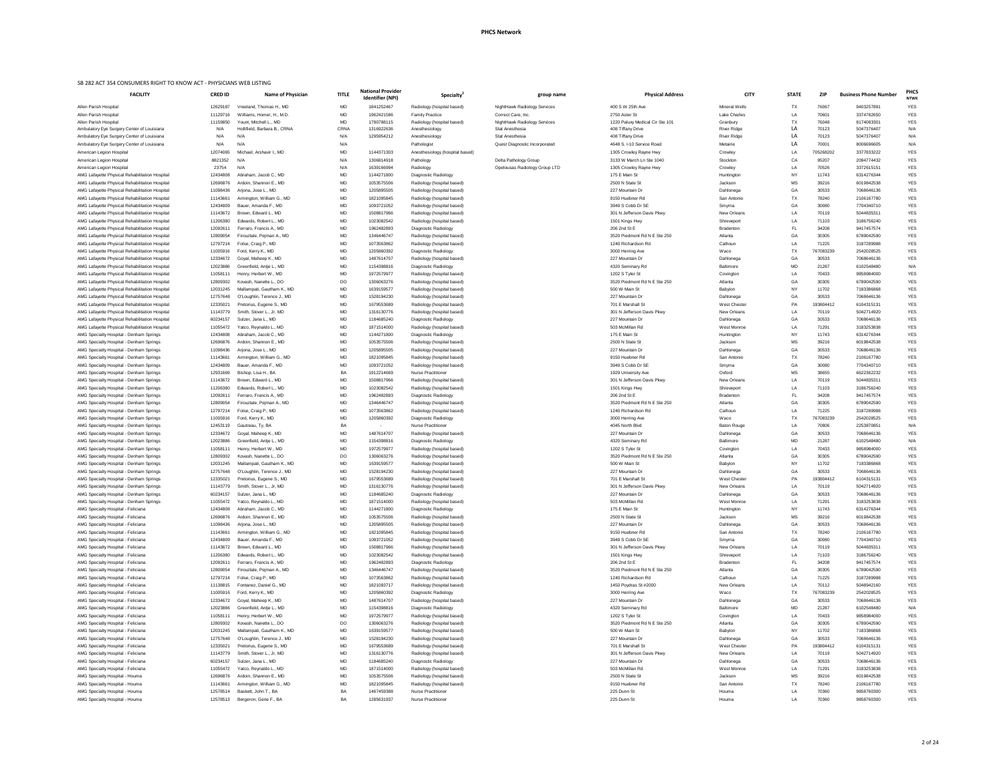| ational Provider<br>Identifier (NPI) | Specialty <sup>®</sup>                                   | group name                                             | <b>Physical Address</b>                            | <b>CITY</b>                        | <b>STATE</b>    | <b>ZIP</b>         | <b>Business Phone Number</b> | <b>PHCS</b><br><b>NTWK</b> |
|--------------------------------------|----------------------------------------------------------|--------------------------------------------------------|----------------------------------------------------|------------------------------------|-----------------|--------------------|------------------------------|----------------------------|
| 1841252467                           | Radiology (hospital based)                               | NightHawk Radiology Services                           | 400 S W 25th Ave                                   | Mineral Wells                      | TX              | 76067              | 9403257891                   | <b>YES</b>                 |
| 1962421586                           | <b>Family Practice</b>                                   | Correct Care, Inc.                                     | 2750 Aster St                                      | Lake Charles                       | LA              | 70601              | 3374782650                   | <b>YES</b>                 |
| 1790788115                           | Radiology (hospital based)                               | NightHawk Radiology Services                           | 1220 Paluxy Medical Cir Ste 101                    | Granbury                           | <b>TX</b>       | 76048              | 8174083301                   | <b>YES</b>                 |
| 1316922636                           | Anesthesiology                                           | <b>Stat Anesthesia</b>                                 | 408 Tiffany Drive                                  | <b>River Ridge</b>                 | LA              | 70123              | 5047376407                   | N/A                        |
| 1295954212                           | Anesthesiology                                           | <b>Stat Anesthesia</b>                                 | 408 Tiffany Drive                                  | <b>River Ridge</b>                 | LA              | 70123              | 5047376407                   | N/A                        |
|                                      | Pathologist                                              | Quest Diagnostic Incorporated                          | 4648 S. I-10 Service Road                          | Metairie                           | LA              | 70001              | 8006696605                   | N/A                        |
| 1144371303                           | Anesthesiology (hospital based)                          |                                                        | 1305 Crowley Rayne Hwy                             | Crowley                            | LA              | 705268202          | 3377833222                   | <b>YES</b>                 |
| 1306814918<br>1639166994             | Pathology<br>Radiology                                   | Delta Pathology Group<br>Opelousas Radiology Group LTD | 3133 W March Ln Ste 1040<br>1305 Crowley Rayne Hwy | Stockton<br>Crowley                | CA<br>LA        | 95207<br>70526     | 2094774432<br>3372615151     | <b>YES</b><br><b>YES</b>   |
| 1144271800                           | Diagnostic Radiology                                     |                                                        | 175 E Main St                                      | Huntington                         | <b>NY</b>       | 11743              | 6314276344                   | <b>YES</b>                 |
| 1053575506                           | Radiology (hospital based)                               |                                                        | 2500 N State St                                    | Jackson                            | <b>MS</b>       | 39216              | 6019842538                   | <b>YES</b>                 |
| 1205895505                           | Radiology (hospital based)                               |                                                        | 227 Mountain Dr                                    | Dahlonega                          | GA              | 30533              | 7068646136                   | <b>YES</b>                 |
| 1821095845                           | Radiology (hospital based)                               |                                                        | 9150 Huebner Rd                                    | San Antonio                        | TX              | 78240              | 2106167780                   | <b>YES</b>                 |
| 1093721052                           | Radiology (hospital based)                               |                                                        | 3949 S Cobb Dr SE                                  | Smyrna                             | GA              | 30080              | 7704340710                   | <b>YES</b>                 |
| 1508817966                           | Radiology (hospital based)                               |                                                        | 301 N Jefferson Davis Pkwy                         | New Orleans                        | LA              | 70119              | 5044835311                   | <b>YES</b>                 |
| 1023082542<br>1962482893             | Radiology (hospital based)                               |                                                        | 1501 Kings Hwy<br>206 2nd St E                     | Shreveport                         | LA<br>FL.       | 71103<br>34208     | 3186756240<br>9417457574     | <b>YES</b><br><b>YES</b>   |
| 1346446747                           | Diagnostic Radiology<br>Radiology (hospital based)       |                                                        | 3520 Piedmont Rd N E Ste 250                       | <b>Bradenton</b><br>Atlanta        | GA              | 30305              | 6789042590                   | <b>YES</b>                 |
| 1073563862                           | Radiology (hospital based)                               |                                                        | 1240 Richardson Rd                                 | Calhoun                            | LA              | 71225              | 3187289988                   | <b>YES</b>                 |
| 1205860392                           | Diagnostic Radiology                                     |                                                        | 3000 Herring Ave                                   | Waco                               | TX              | 767083239          | 2542028525                   | <b>YES</b>                 |
| 1487614707                           | Radiology (hospital based)                               |                                                        | 227 Mountain Dr                                    | Dahlonega                          | GA              | 30533              | 7068646136                   | <b>YES</b>                 |
| 1154398816                           | Diagnostic Radiology                                     |                                                        | 4320 Seminary Rd                                   | <b>Baltimore</b>                   | <b>MD</b>       | 21287              | 6102548480                   | N/A                        |
| 1972579977                           | Radiology (hospital based)                               |                                                        | 1202 S Tyler St                                    | Covington                          | LA              | 70433              | 9858984000                   | <b>YES</b>                 |
| 1306063276                           | Radiology (hospital based)                               |                                                        | 3520 Piedmont Rd N E Ste 250                       | Atlanta                            | GA              | 30305              | 6789042590                   | <b>YES</b>                 |
| 1639159577<br>1528194230             | Radiology (hospital based)<br>Radiology (hospital based) |                                                        | 500 W Main St<br>227 Mountain Dr                   | Babylon                            | <b>NY</b><br>GA | 11702<br>30533     | 7183386868<br>7068646136     | <b>YES</b><br><b>YES</b>   |
| 1679553689                           | Radiology (hospital based)                               |                                                        | 701 E Marshall St                                  | Dahlonega<br><b>West Chester</b>   | PA              | 193804412          | 6104315131                   | <b>YES</b>                 |
| 1316130776                           | Radiology (hospital based)                               |                                                        | 301 N Jefferson Davis Pkwy                         | New Orleans                        | LA              | 70119              | 5042714920                   | <b>YES</b>                 |
| 1184685240                           | Diagnostic Radiology                                     |                                                        | 227 Mountain Dr                                    | Dahlonega                          | GA              | 30533              | 7068646136                   | <b>YES</b>                 |
| 1871514000                           | Radiology (hospital based)                               |                                                        | 503 McMillan Rd                                    | West Monroe                        | LA              | 71291              | 3183253838                   | <b>YES</b>                 |
| 1144271800                           | Diagnostic Radiology                                     |                                                        | 175 E Main St                                      | Huntington                         | <b>NY</b>       | 11743              | 6314276344                   | <b>YES</b>                 |
| 1053575506                           | Radiology (hospital based)                               |                                                        | 2500 N State St                                    | Jackson                            | <b>MS</b>       | 39216              | 6019842538                   | <b>YES</b>                 |
| 1205895505                           | Radiology (hospital based)                               |                                                        | 227 Mountain Dr                                    | Dahlonega                          | GA              | 30533              | 7068646136                   | <b>YES</b><br><b>YES</b>   |
| 1821095845<br>1093721052             | Radiology (hospital based)<br>Radiology (hospital based) |                                                        | 9150 Huebner Rd<br>3949 S Cobb Dr SE               | San Antonio<br>Smyrna              | TX<br>GA        | 78240<br>30080     | 2106167780<br>7704340710     | <b>YES</b>                 |
| 1912214669                           | <b>Nurse Practitioner</b>                                |                                                        | 1929 University Ave                                | Oxford                             | <b>MS</b>       | 38655              | 6622362232                   | <b>YES</b>                 |
| 1508817966                           | Radiology (hospital based)                               |                                                        | 301 N Jefferson Davis Pkwy                         | New Orleans                        | LA              | 70119              | 5044835311                   | <b>YES</b>                 |
| 1023082542                           | Radiology (hospital based)                               |                                                        | 1501 Kings Hwy                                     | Shreveport                         | LA              | 71103              | 3186756240                   | <b>YES</b>                 |
| 1962482893                           | Diagnostic Radiology                                     |                                                        | 206 2nd St E                                       | <b>Bradenton</b>                   | FL.             | 34208              | 9417457574                   | <b>YES</b>                 |
| 1346446747                           | Radiology (hospital based)                               |                                                        | 3520 Piedmont Rd N E Ste 250                       | Atlanta                            | GA              | 30305              | 6789042590                   | <b>YES</b>                 |
| 1073563862                           | Radiology (hospital based)                               |                                                        | 1240 Richardson Rd                                 | Calhoun                            | LA              | 71225              | 3187289988                   | <b>YES</b>                 |
| 1205860392                           | Diagnostic Radiology<br>Nurse Practitioner               |                                                        | 3000 Herring Ave<br>4045 North Blvd                | Waco<br><b>Baton Rouge</b>         | TX<br>LA        | 767083239<br>70806 | 2542028525<br>2253870851     | <b>YES</b><br>N/A          |
| 1487614707                           | Radiology (hospital based)                               |                                                        | 227 Mountain Dr                                    | Dahlonega                          | GA              | 30533              | 7068646136                   | <b>YES</b>                 |
| 1154398816                           | Diagnostic Radiology                                     |                                                        | 4320 Seminary Rd                                   | Baltimore                          | <b>MD</b>       | 21287              | 6102548480                   | N/A                        |
| 1972579977                           | Radiology (hospital based)                               |                                                        | 1202 S Tyler St                                    | Covington                          | LA              | 70433              | 9858984000                   | <b>YES</b>                 |
| 1306063276                           | Radiology (hospital based)                               |                                                        | 3520 Piedmont Rd N E Ste 250                       | Atlanta                            | GA              | 30305              | 6789042590                   | <b>YES</b>                 |
| 1639159577                           | Radiology (hospital based)                               |                                                        | 500 W Main St                                      | Babylon                            | <b>NY</b>       | 11702              | 7183386868                   | <b>YES</b>                 |
| 1528194230                           | Radiology (hospital based)                               |                                                        | 227 Mountain Dr                                    | Dahlonega                          | GA              | 30533              | 7068646136                   | <b>YES</b>                 |
| 1679553689<br>1316130776             | Radiology (hospital based)<br>Radiology (hospital based) |                                                        | 701 E Marshall St<br>301 N Jefferson Davis Pkwy    | <b>West Chester</b><br>New Orleans | PA<br>LA        | 193804412<br>70119 | 6104315131<br>5042714920     | <b>YES</b><br><b>YES</b>   |
| 1184685240                           | Diagnostic Radiology                                     |                                                        | 227 Mountain Dr                                    | Dahlonega                          | GA              | 30533              | 7068646136                   | YES                        |
| 1871514000                           | Radiology (hospital based)                               |                                                        | 503 McMillan Rd                                    | West Monroe                        | LA              | 71291              | 3183253838                   | <b>YES</b>                 |
| 1144271800                           | Diagnostic Radiology                                     |                                                        | 175 E Main St                                      | Huntington                         | <b>NY</b>       | 11743              | 6314276344                   | <b>YES</b>                 |
| 1053575506                           | Radiology (hospital based)                               |                                                        | 2500 N State St                                    | Jackson                            | MS              | 39216              | 6019842538                   | <b>YES</b>                 |
| 1205895505                           | Radiology (hospital based)                               |                                                        | 227 Mountain Dr                                    | Dahlonega                          | GA              | 30533              | 7068646136                   | YES                        |
| 1821095845                           | Radiology (hospital based)                               |                                                        | 9150 Huebner Rd                                    | San Antonio                        | TX              | 78240              | 2106167780                   | <b>YES</b>                 |
| 1093721052<br>1508817966             | Radiology (hospital based)<br>Radiology (hospital based) |                                                        | 3949 S Cobb Dr SE<br>301 N Jefferson Davis Pkwy    | Smyrna<br>New Orleans              | GA<br>LA        | 30080<br>70119     | 7704340710<br>5044835311     | <b>YES</b><br>YES          |
| 1023082542                           | Radiology (hospital based)                               |                                                        | 1501 Kings Hwy                                     | Shreveport                         | LA              | 71103              | 3186756240                   | <b>YES</b>                 |
| 1962482893                           | Diagnostic Radiology                                     |                                                        | 206 2nd St E                                       | <b>Bradenton</b>                   | <b>FL</b>       | 34208              | 9417457574                   | <b>YES</b>                 |
| 1346446747                           | Radiology (hospital based)                               |                                                        | 3520 Piedmont Rd N E Ste 250                       | Atlanta                            | GA              | 30305              | 6789042590                   | YES                        |
| 1073563862                           | Radiology (hospital based)                               |                                                        | 1240 Richardson Rd                                 | Calhoun                            | LA              | 71225              | 3187289988                   | YES                        |
| 1821093717                           | Radiology (hospital based)                               |                                                        | 1450 Poydras St #2000                              | New Orleans                        | LA              | 70112              | 5048942160                   | <b>YES</b>                 |
| 1205860392                           | Diagnostic Radiology                                     |                                                        | 3000 Herring Ave                                   | Waco                               | TX              | 767083239          | 2542028525                   | <b>YES</b>                 |
| 1487614707<br>1154398816             | Radiology (hospital based)<br>Diagnostic Radiology       |                                                        | 227 Mountain Dr<br>4320 Seminary Rd                | Dahlonega<br>Baltimore             | GA<br><b>MD</b> | 30533<br>21287     | 7068646136<br>6102548480     | YES<br>N/A                 |
| 1972579977                           | Radiology (hospital based)                               |                                                        | 1202 S Tyler St                                    | Covington                          | LA              | 70433              | 9858984000                   | <b>YES</b>                 |
| 1306063276                           | Radiology (hospital based)                               |                                                        | 3520 Piedmont Rd N E Ste 250                       | Atlanta                            | GA              | 30305              | 6789042590                   | <b>YES</b>                 |
| 1639159577                           | Radiology (hospital based)                               |                                                        | 500 W Main St                                      | Babylon                            | <b>NY</b>       | 11702              | 7183386868                   | <b>YES</b>                 |
| 1528194230                           | Radiology (hospital based)                               |                                                        | 227 Mountain Dr                                    | Dahlonega                          | GA              | 30533              | 7068646136                   | <b>YES</b>                 |
| 1679553689                           | Radiology (hospital based)                               |                                                        | 701 E Marshall St                                  | <b>West Chester</b>                | PA              | 193804412          | 6104315131                   | <b>YES</b>                 |
| 1316130776                           | Radiology (hospital based)                               |                                                        | 301 N Jefferson Davis Pkwy                         | New Orleans                        | LA              | 70119              | 5042714920                   | YES                        |
| 1184685240<br>1871514000             | Diagnostic Radiology<br>Radiology (hospital based)       |                                                        | 227 Mountain Dr<br>503 McMillan Rd                 | Dahlonega<br>West Monroe           | GA<br>LA        | 30533<br>71291     | 7068646136<br>3183253838     | <b>YES</b><br><b>YES</b>   |
| 1053575506                           | Radiology (hospital based)                               |                                                        | 2500 N State St                                    | Jackson                            | <b>MS</b>       | 39216              | 6019842538                   | <b>YES</b>                 |
| 1821095845                           | Radiology (hospital based)                               |                                                        | 9150 Huebner Rd                                    | San Antonio                        | TX              | 78240              | 2106167780                   | <b>YES</b>                 |
| 1467459388                           | <b>Nurse Practitioner</b>                                |                                                        | 225 Dunn St                                        | Houma                              | LA              | 70360              | 9858760300                   | <b>YES</b>                 |

| <b>FACILITY</b>                                                                                  | <b>CRED ID</b>       | <b>Name of Physician</b>                             | <b>TITLE</b> | <b>National Provider</b><br><b>Identifier (NPI)</b> | <b>Specialty</b>                                         | group name                    | <b>Physical Address</b>                         | <b>CITY</b>           | <b>STATE</b> | <b>ZIP</b>     | <b>Business Phone Number</b> | <b>NTW</b>               |
|--------------------------------------------------------------------------------------------------|----------------------|------------------------------------------------------|--------------|-----------------------------------------------------|----------------------------------------------------------|-------------------------------|-------------------------------------------------|-----------------------|--------------|----------------|------------------------------|--------------------------|
| Allen Parish Hospital                                                                            | 12629187             | Vreeland. Thomas H., MD                              | MD           | 1841252467                                          | Radiology (hospital based)                               | NightHawk Radiology Services  | 400 S W 25th Ave                                | Mineral Wells         | TX           | 76067          | 9403257891                   | <b>YES</b>               |
| Allen Parish Hospital                                                                            | 11129716             | Williams, Homer, H., M.D.                            | MD           | 1962421586                                          | <b>Family Practice</b>                                   | Correct Care, Inc.            | 2750 Aster St                                   | <b>Lake Charles</b>   | LA           | 70601          | 3374782650                   | <b>YES</b>               |
| Allen Parish Hospital                                                                            | 11159850             | Yount, Mitchell L., MD                               | MD           | 1790788115                                          | Radiology (hospital based)                               | NightHawk Radiology Services  | 1220 Paluxy Medical Cir Ste 101                 | Granbury              | TX           | 76048          | 8174083301                   | <b>YES</b>               |
| Ambulatory Eye Surgery Center of Louisiana                                                       | N/A                  | Hollifield, Barbara B., CRNA                         | CRNA         | 1316922636                                          | Anesthesiology                                           | <b>Stat Anesthesia</b>        | 408 Tiffany Drive                               | <b>River Ridge</b>    | LA           | 70123          | 5047376407                   | N/A                      |
| Ambulatory Eye Surgery Center of Louisiana                                                       | N/A                  | N/A                                                  | N/A          | 1295954212                                          | Anesthesiology                                           | <b>Stat Anesthesia</b>        | 408 Tiffany Drive                               | <b>River Ridge</b>    | LA           | 70123          | 5047376407                   | N/A                      |
| Ambulatory Eye Surgery Center of Louisiana                                                       | N/A                  | N/A                                                  | N/A          |                                                     | Pathologist                                              | Quest Diagnostic Incorporated | 4648 S. I-10 Service Road                       | Metairie              | LA.          | 70001          | 8006696605                   | N/A                      |
| American Legion Hospital                                                                         | 12074065             | Michael, Arshavir I., MD                             | MD           | 1144371303                                          | Anesthesiology (hospital based)                          |                               | 1305 Crowley Rayne Hwy                          | Crowley               | LA           | 705268202      | 3377833222                   | <b>YES</b>               |
| American Legion Hospital                                                                         | 8821352              | N/A                                                  | N/A          | 1306814918                                          | Pathology                                                | Delta Pathology Group         | 3133 W March Ln Ste 1040                        | Stockton              | CA           | 95207          | 2094774432                   | <b>YES</b>               |
| American Legion Hospital                                                                         | 23754                | N/A                                                  | N/A          | 1639166994                                          | Radiology                                                | Opelousas Radiology Group LTD | 1305 Crowley Rayne Hwy                          | Crowley               | LA           | 70526          | 3372615151                   | <b>YES</b>               |
| AMG Lafayette Physical Rehabilitation Hospital                                                   | 12434808             | Abraham, Jacob C., MD                                | MD           | 1144271800                                          | Diagnostic Radiology                                     |                               | 175 E Main St                                   | Huntington            | NY.          | 11743          | 6314276344                   | <b>YES</b>               |
| AMG Lafayette Physical Rehabilitation Hospital                                                   | 12696876             | Ardoin, Shannon E., MD                               | <b>MD</b>    | 1053575506                                          | Radiology (hospital based)                               |                               | 2500 N State St                                 | Jackson               | MS           | 39216<br>30533 | 6019842538                   | <b>YES</b>               |
| AMG Lafayette Physical Rehabilitation Hospital<br>AMG Lafayette Physical Rehabilitation Hospital | 11098436             | Arjona, Jose L., MD<br>Armington, William G., MD     | MD           | 1205895505                                          | Radiology (hospital based)                               |                               | 227 Mountain Dr<br>9150 Huebner Rd              | Dahlonega             | GA<br>TX     | 78240          | 7068646136<br>2106167780     | <b>YES</b><br><b>YES</b> |
| AMG Lafayette Physical Rehabilitation Hospital                                                   | 11143661<br>12434809 | Bauer, Amanda F., MD                                 | MD<br>MD     | 1821095845<br>1093721052                            | Radiology (hospital based)<br>Radiology (hospital based) |                               | 3949 S Cobb Dr SE                               | San Antonio<br>Smyrna | GA           | 30080          | 7704340710                   | <b>YES</b>               |
| AMG Lafayette Physical Rehabilitation Hospital                                                   | 11143672             | Brown, Edward L., MD                                 | <b>MD</b>    | 1508817966                                          | Radiology (hospital based)                               |                               | 301 N Jefferson Davis Pkwy                      | <b>New Orleans</b>    | LA           | 70119          | 5044835311                   | <b>YES</b>               |
| AMG Lafayette Physical Rehabilitation Hospital                                                   | 11206380             | Edwards, Robert L., MD                               | MD           | 1023082542                                          | Radiology (hospital based)                               |                               | 1501 Kings Hwy                                  | Shreveport            | LA           | 71103          | 3186756240                   | <b>YES</b>               |
| AMG Lafayette Physical Rehabilitation Hospital                                                   | 12092611             | Ferraro, Francis A., MD                              | MD           | 1962482893                                          | Diagnostic Radiology                                     |                               | 206 2nd St E                                    | <b>Bradenton</b>      |              | 34208          | 9417457574                   | <b>YES</b>               |
| AMG Lafayette Physical Rehabilitation Hospital                                                   | 12809054             | Firouztale, Pejman A., MD                            | MD           | 1346446747                                          | Radiology (hospital based)                               |                               | 3520 Piedmont Rd N E Ste 250                    | Atlanta               | GA           | 30305          | 6789042590                   | <b>YES</b>               |
| AMG Lafayette Physical Rehabilitation Hospital                                                   | 12797214             | Folse, Craig P., MD                                  | MD           | 1073563862                                          | Radiology (hospital based)                               |                               | 1240 Richardson Rd                              | Calhoun               | LA           | 71225          | 3187289988                   | <b>YES</b>               |
| AMG Lafayette Physical Rehabilitation Hospital                                                   | 11005916             | Ford, Kerry K., MD                                   | <b>MD</b>    | 1205860392                                          | <b>Diagnostic Radiology</b>                              |                               | 3000 Herring Ave                                | Waco                  | <b>TX</b>    | 767083239      | 2542028525                   | <b>YES</b>               |
| AMG Lafayette Physical Rehabilitation Hospital                                                   | 12334672             | Goyal, Maheep K., MD                                 | MD           | 1487614707                                          | Radiology (hospital based)                               |                               | 227 Mountain Dr                                 | Dahlonega             | GA           | 30533          | 7068646136                   | <b>YES</b>               |
| AMG Lafayette Physical Rehabilitation Hospital                                                   | 12023886             | Greenfield, Antie L., MD                             | MD           | 1154398816                                          | Diagnostic Radiology                                     |                               | 4320 Seminary Rd                                | <b>Baltimore</b>      | <b>MD</b>    | 21287          | 6102548480                   | N/A                      |
| AMG Lafayette Physical Rehabilitation Hospital                                                   | 11058111             | Henry, Herbert W., MD                                | <b>MD</b>    | 1972579977                                          | Radiology (hospital based)                               |                               | 1202 S Tyler St                                 | Covington             | LA           | 70433          | 9858984000                   | <b>YES</b>               |
| AMG Lafayette Physical Rehabilitation Hospital                                                   | 12809302             | Kovash, Nanette L., DO                               | DO           | 1306063276                                          | Radiology (hospital based)                               |                               | 3520 Piedmont Rd N E Ste 250                    | Atlanta               | GA           | 30305          | 6789042590                   | <b>YES</b>               |
| AMG Lafayette Physical Rehabilitation Hospital                                                   | 12031245             | Mallampati, Gautham K., MD                           | <b>MD</b>    | 1639159577                                          | Radiology (hospital based)                               |                               | 500 W Main St                                   | Babylon               | NY.          | 11702          | 7183386868                   | <b>YES</b>               |
| AMG Lafayette Physical Rehabilitation Hospital                                                   | 12757648             | O'Loughlin, Terence J., MD                           | MD           | 1528194230                                          | Radiology (hospital based)                               |                               | 227 Mountain Dr                                 | Dahlonega             | GA           | 30533          | 7068646136                   | YES                      |
| AMG Lafayette Physical Rehabilitation Hospital                                                   | 12335021             | Pretorius, Eugene S., MD                             | MD           | 1679553689                                          | Radiology (hospital based)                               |                               | 701 E Marshall St                               | West Chester          | PA.          | 193804412      | 6104315131                   | <b>YES</b>               |
| AMG Lafayette Physical Rehabilitation Hospital                                                   | 11143779             | Smith, Stover L., Jr, MD                             | MD           | 1316130776                                          | Radiology (hospital based)                               |                               | 301 N Jefferson Davis Pkwy                      | New Orleans           | LA           | 70119          | 5042714920                   | <b>YES</b>               |
| AMG Lafayette Physical Rehabilitation Hospital                                                   | 60234157             | Sulzer, Jana L., MD                                  | MD           | 1184685240                                          | Diagnostic Radiology                                     |                               | 227 Mountain Dr                                 | Dahlonega             | GA           | 30533          | 7068646136                   | <b>YES</b>               |
| AMG Lafayette Physical Rehabilitation Hospital                                                   | 11055472             | Yatco, Reynaldo L., MD                               | MD           | 1871514000                                          | Radiology (hospital based)                               |                               | 503 McMillan Rd                                 | West Monroe           | LA           | 71291          | 3183253838                   | <b>YES</b>               |
| AMG Specialty Hospital - Denham Springs                                                          | 12434808             | Abraham, Jacob C., MD                                | MD           | 1144271800                                          | Diagnostic Radiology                                     |                               | 175 E Main St                                   | Huntington            | NΥ           | 11743          | 6314276344                   | <b>YES</b>               |
| AMG Specialty Hospital - Denham Springs                                                          | 12696876             | Ardoin, Shannon E., MD                               | MD           | 1053575506                                          | Radiology (hospital based)                               |                               | 2500 N State St                                 | Jackson               |              | 39216          | 6019842538                   | YES                      |
| AMG Specialty Hospital - Denham Springs                                                          | 11098436             | Arjona, Jose L., MD                                  | MD           | 1205895505                                          | Radiology (hospital based)                               |                               | 227 Mountain Dr                                 | Dahlonega             | GA           | 30533          | 7068646136                   | YES                      |
| AMG Specialty Hospital - Denham Springs                                                          | 11143661             | Armington, William G., MD                            | MD           | 1821095845                                          | Radiology (hospital based)                               |                               | 9150 Huebner Rd                                 | San Antonio           | TX           | 78240          | 2106167780                   | <b>YES</b>               |
| AMG Specialty Hospital - Denham Springs                                                          | 12434809             | Bauer, Amanda F., MD                                 | MD           | 1093721052                                          | Radiology (hospital based)                               |                               | 3949 S Cobb Dr SE                               | Smyrna                | GА           | 30080          | 7704340710                   | <b>YES</b>               |
| AMG Specialty Hospital - Denham Springs                                                          | 12931669             | Bishop, Lisa H., BA                                  | BA           | 1912214669                                          | <b>Nurse Practitioner</b>                                |                               | 1929 University Ave                             | Oxford                | MS.          | 38655          | 6622362232                   | YES                      |
| AMG Specialty Hospital - Denham Springs                                                          | 11143672             | Brown, Edward L., MD                                 | MD           | 1508817966                                          | Radiology (hospital based)                               |                               | 301 N Jefferson Davis Pkwy                      | New Orleans           | LA           | 70119          | 5044835311                   | <b>YES</b>               |
| AMG Specialty Hospital - Denham Springs                                                          | 11206380             | Edwards, Robert L., MD                               | MD           | 1023082542                                          | Radiology (hospital based)                               |                               | 1501 Kings Hwy                                  | Shreveport            | LA           | 71103          | 3186756240                   | <b>YES</b>               |
| AMG Specialty Hospital - Denham Springs                                                          | 12092611             | Ferraro, Francis A., MD                              | MD           | 1962482893                                          | Diagnostic Radiology                                     |                               | 206 2nd St E                                    | <b>Bradenton</b>      |              | 34208          | 9417457574                   | <b>YES</b>               |
| AMG Specialty Hospital - Denham Springs                                                          | 12809054             | Firouztale, Pejman A., MD                            | MD           | 1346446747                                          | Radiology (hospital based)                               |                               | 3520 Piedmont Rd N E Ste 250                    | Atlanta               | GA           | 30305          | 6789042590                   | YES                      |
| AMG Specialty Hospital - Denham Springs                                                          | 12797214             | Folse, Craig P., MD                                  | MD           | 1073563862                                          | Radiology (hospital based)                               |                               | 1240 Richardson Rd                              | Calhoun               | LA.          | 71225          | 3187289988                   | <b>YES</b>               |
| AMG Specialty Hospital - Denham Springs                                                          | 11005916             | Ford, Kerry K., MD                                   | MD           | 1205860392                                          | Diagnostic Radiology                                     |                               | 3000 Herring Ave                                | Waco                  | TX           | 767083239      | 2542028525                   | <b>YES</b>               |
| AMG Specialty Hospital - Denham Springs                                                          | 12453119             | Gautreau, Ty, BA                                     | BA           | $\sim$                                              | <b>Nurse Practitioner</b>                                |                               | 4045 North Blvd                                 | <b>Baton Rouge</b>    | LA           | 70806          | 2253870851                   | N/A                      |
| AMG Specialty Hospital - Denham Springs                                                          | 12334672             | Goyal, Maheep K., MD                                 | <b>MD</b>    | 1487614707                                          | Radiology (hospital based)                               |                               | 227 Mountain Dr                                 | Dahlonega             | GA           | 30533          | 7068646136                   | <b>YES</b>               |
| AMG Specialty Hospital - Denham Springs                                                          | 12023886             | Greenfield, Antie L., MD                             | MD           | 1154398816                                          | Diagnostic Radiology                                     |                               | 4320 Seminary Rd                                | <b>Baltimore</b>      | <b>MD</b>    | 21287          | 6102548480                   | N/A                      |
| AMG Specialty Hospital - Denham Springs                                                          | 11058111             | Henry, Herbert W., MD                                | MD           | 1972579977                                          | Radiology (hospital based)                               |                               | 1202 S Tyler St<br>3520 Piedmont Rd N E Ste 250 | Covington             | LA<br>GA     | 70433<br>30305 | 9858984000                   | YES<br><b>YES</b>        |
| AMG Specialty Hospital - Denham Springs<br>AMG Specialty Hospital - Denham Springs               | 12809302<br>12031245 | Kovash, Nanette L., DO<br>Mallampati, Gautham K., MD | DO<br>MD     | 1306063276<br>1639159577                            | Radiology (hospital based)<br>Radiology (hospital based) |                               | 500 W Main St                                   | Atlanta<br>Babylon    | NY.          | 11702          | 6789042590<br>7183386868     | <b>YES</b>               |
| AMG Specialty Hospital - Denham Springs                                                          | 12757648             | O'Loughlin, Terence J., MD                           | MD           | 1528194230                                          | Radiology (hospital based)                               |                               | 227 Mountain Dr                                 | Dahlonega             | GA           | 30533          | 7068646136                   | <b>YES</b>               |
| AMG Specialty Hospital - Denham Springs                                                          | 12335021             | Pretorius, Eugene S., MD                             | MD           | 1679553689                                          | Radiology (hospital based)                               |                               | 701 E Marshall St                               | <b>West Chester</b>   | PA           | 193804412      | 6104315131                   | <b>YES</b>               |
| AMG Specialty Hospital - Denham Springs                                                          | 11143779             | Smith, Stover L., Jr, MD                             | MD           | 1316130776                                          | Radiology (hospital based)                               |                               | 301 N Jefferson Davis Pkwy                      | New Orleans           | LA           | 70119          | 5042714920                   | YES                      |
| AMG Specialty Hospital - Denham Springs                                                          | 60234157             | Sulzer, Jana L., MD                                  | MD           | 1184685240                                          | <b>Diagnostic Radiology</b>                              |                               | 227 Mountain Dr                                 | Dahlonega             | GA           | 30533          | 7068646136                   | <b>YES</b>               |
| AMG Specialty Hospital - Denham Springs                                                          | 11055472             | Yatco, Reynaldo L., MD                               | MD           | 1871514000                                          | Radiology (hospital based)                               |                               | 503 McMillan Rd                                 | West Monroe           | LA           | 71291          | 3183253838                   | <b>YES</b>               |
| AMG Specialty Hospital - Feliciana                                                               | 12434808             | Abraham, Jacob C., MD                                | MD           | 1144271800                                          | Diagnostic Radiology                                     |                               | 175 E Main St                                   | Huntington            | <b>NY</b>    | 11743          | 6314276344                   | <b>YES</b>               |
| AMG Specialty Hospital - Feliciana                                                               | 12696876             | Ardoin, Shannon E., MD                               | MD           | 1053575506                                          | Radiology (hospital based)                               |                               | 2500 N State St                                 | Jackson               | МS           | 39216          | 6019842538                   | YES                      |
| AMG Specialty Hospital - Feliciana                                                               | 11098436             | Arjona, Jose L., MD                                  | MD           | 1205895505                                          | Radiology (hospital based)                               |                               | 227 Mountain Dr                                 | Dahlonega             | GA           | 30533          | 7068646136                   | <b>YES</b>               |
| AMG Specialty Hospital - Feliciana                                                               | 11143661             | Armington, William G., MD                            | MD           | 1821095845                                          | Radiology (hospital based)                               |                               | 9150 Huebner Rd                                 | San Antonio           | TX           | 78240          | 2106167780                   | <b>YES</b>               |
| AMG Specialty Hospital - Feliciana                                                               | 12434809             | Bauer, Amanda F., MD                                 | MD           | 1093721052                                          | Radiology (hospital based)                               |                               | 3949 S Cobb Dr SE                               | Smyrna                | GA           | 30080          | 7704340710                   | YES                      |
| AMG Specialty Hospital - Feliciana                                                               | 11143672             | Brown, Edward L., MD                                 | MD           | 1508817966                                          | Radiology (hospital based)                               |                               | 301 N Jefferson Davis Pkwy                      | <b>New Orleans</b>    | LA           | 70119          | 5044835311                   | YES                      |
| AMG Specialty Hospital - Feliciana                                                               | 11206380             | Edwards, Robert L., MD                               | MD           | 1023082542                                          | Radiology (hospital based)                               |                               | 1501 Kings Hwy                                  | Shreveport            | LA           | 71103          | 3186756240                   | <b>YES</b>               |
| AMG Specialty Hospital - Feliciana                                                               | 1209261 <sup>-</sup> | Ferraro, Francis A., MD                              | MD           | 1962482893                                          | Diagnostic Radiology                                     |                               | 206 2nd St E                                    | <b>Bradenton</b>      |              | 34208          | 9417457574                   | <b>YES</b>               |
| AMG Specialty Hospital - Feliciana                                                               | 12809054             | Firouztale, Pejman A., MD                            | MD           | 1346446747                                          | Radiology (hospital based)                               |                               | 3520 Piedmont Rd N E Ste 250                    | Atlanta               | GA           | 30305          | 6789042590                   | <b>YES</b>               |
| AMG Specialty Hospital - Feliciana                                                               | 12797214             | Folse, Craig P., MD                                  | MD           | 1073563862                                          | Radiology (hospital based)                               |                               | 1240 Richardson Rd                              | Calhoun               |              | 71225          | 3187289988                   | <b>YES</b>               |
| AMG Specialty Hospital - Feliciana                                                               | 11138815             | Fontanez, Daniel G., MD                              | MD           | 1821093717                                          | Radiology (hospital based)                               |                               | 1450 Poydras St #2000                           | <b>New Orleans</b>    | LA           | 70112          | 5048942160                   | <b>YES</b>               |
| AMG Specialty Hospital - Feliciana                                                               | 11005916             | Ford, Kerry K., MD                                   | MD           | 1205860392                                          | Diagnostic Radiology                                     |                               | 3000 Herring Ave                                | Waco                  | TX           | 767083239      | 2542028525                   | YES                      |
| AMG Specialty Hospital - Feliciana                                                               | 12334672             | Goyal, Maheep K., MD                                 | MD           | 1487614707                                          | Radiology (hospital based)                               |                               | 227 Mountain Dr                                 | Dahlonega             | GA           | 30533          | 7068646136                   | YES                      |
| AMG Specialty Hospital - Feliciana                                                               | 12023886             | Greenfield, Antje L., MD                             | MD           | 1154398816                                          | Diagnostic Radiology                                     |                               | 4320 Seminary Rd                                | <b>Baltimore</b>      | <b>MD</b>    | 21287          | 6102548480                   | N/A                      |
| AMG Specialty Hospital - Feliciana                                                               | 11058111             | Henry, Herbert W., MD                                | MD           | 1972579977                                          | Radiology (hospital based)                               |                               | 1202 S Tyler St                                 | Covington             | LA           | 70433          | 9858984000                   | YES                      |
| AMG Specialty Hospital - Feliciana                                                               | 12809302             | Kovash, Nanette L., DO                               | DO           | 1306063276                                          | Radiology (hospital based)                               |                               | 3520 Piedmont Rd N E Ste 250                    | Atlanta               | GA           | 30305          | 6789042590                   | YES                      |
| AMG Specialty Hospital - Feliciana                                                               | 12031245             | Mallampati, Gautham K., MD                           | MD           | 1639159577                                          | Radiology (hospital based)                               |                               | 500 W Main St                                   | Babylon               | <b>NY</b>    | 11702          | 7183386868                   | YES                      |
| AMG Specialty Hospital - Feliciana                                                               | 12757648             | O'Loughlin, Terence J., MD                           | MD           | 1528194230                                          | Radiology (hospital based)                               |                               | 227 Mountain Dr                                 | Dahlonega             | GA           | 30533          | 7068646136                   | YES                      |
| AMG Specialty Hospital - Feliciana                                                               | 12335021             | Pretorius, Eugene S., MD                             | MD           | 1679553689                                          | Radiology (hospital based)                               |                               | 701 E Marshall St                               | West Chester          | PA           | 193804412      | 6104315131                   | YES                      |
| AMG Specialty Hospital - Feliciana                                                               | 11143779             | Smith, Stover L., Jr, MD                             | MD           | 1316130776                                          | Radiology (hospital based)                               |                               | 301 N Jefferson Davis Pkwy                      | New Orleans           | LA           | 70119          | 5042714920                   | YES                      |
| AMG Specialty Hospital - Feliciana                                                               | 60234157             | Sulzer, Jana L., MD                                  | MD           | 1184685240                                          | Diagnostic Radiology                                     |                               | 227 Mountain Dr                                 | Dahlonega             | GA           | 30533          | 7068646136                   | YES                      |
| AMG Specialty Hospital - Feliciana                                                               | 11055472             | Yatco, Reynaldo L., MD                               | <b>MD</b>    | 1871514000                                          | Radiology (hospital based)                               |                               | 503 McMillan Rd                                 | West Monroe           | LA           | 71291          | 3183253838                   | YES                      |
| AMG Specialty Hospital - Houma                                                                   | 12696876             | Ardoin, Shannon E., MD                               | MD           | 1053575506                                          | Radiology (hospital based)                               |                               | 2500 N State St                                 | Jackson               | МS           | 39216          | 6019842538                   | <b>YES</b>               |
| AMG Specialty Hospital - Houma                                                                   | 11143661             | Armington, William G., MD                            | MD           | 1821095845                                          | Radiology (hospital based)                               |                               | 9150 Huebner Rd                                 | San Antonio           | TX           | 78240          | 2106167780                   | <b>YES</b>               |
| AMG Specialty Hospital - Houma                                                                   | 12578514             | Baskett, John T., BA                                 | BA           | 1467459388                                          | <b>Nurse Practitioner</b>                                |                               | 225 Dunn St                                     | Houma                 | LA           | 70360          | 9858760300                   | <b>YES</b>               |
| AMG Specialty Hospital - Houma                                                                   | 12578513             | Bergeron, Gene F., BA                                | BA           | 1285631937                                          | <b>Nurse Practitioner</b>                                |                               | 225 Dunn St                                     | Houma                 | LA           | 70360          | 9858760300                   | YES                      |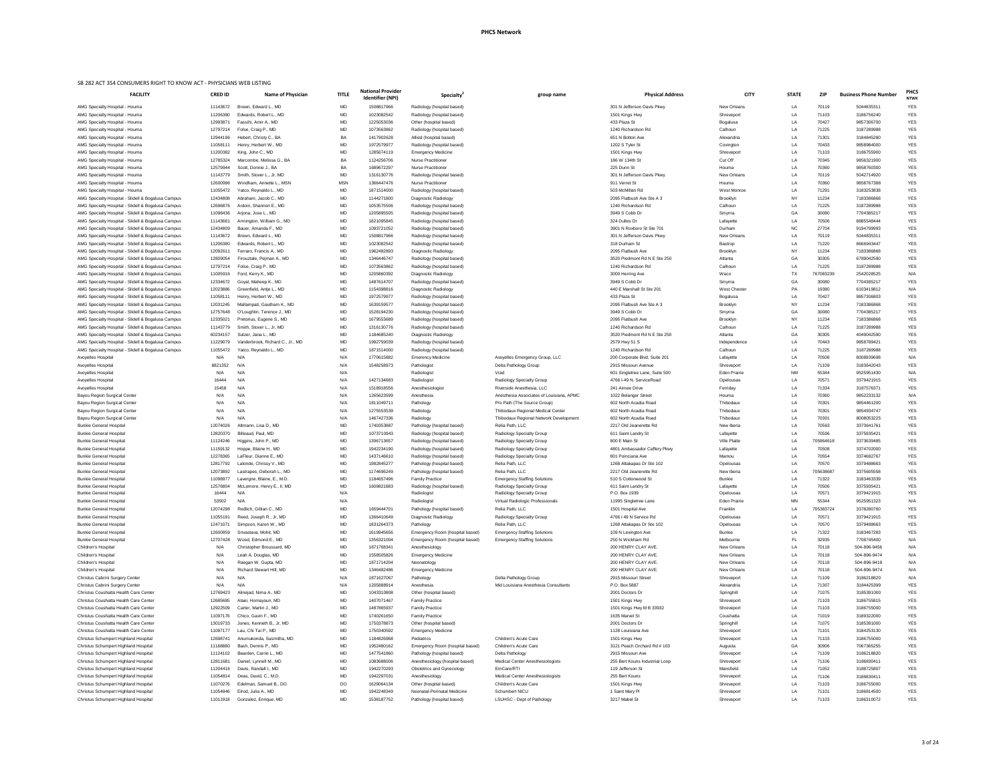| ational Provider<br>Identifier (NPI) | Specialty <sup>2</sup>                                       | group name                                                           | <b>Physical Address</b>                            | <b>CITY</b>               | <b>STATE</b> | <b>ZIP</b>         | <b>Business Phone Number</b> | <b>PHCS</b><br><b>NTWK</b> |
|--------------------------------------|--------------------------------------------------------------|----------------------------------------------------------------------|----------------------------------------------------|---------------------------|--------------|--------------------|------------------------------|----------------------------|
| 1508817966                           | Radiology (hospital based)                                   |                                                                      | 301 N Jefferson Davis Pkwy                         | New Orleans               | LA           | 70119              | 5044835311                   | <b>YES</b>                 |
| 1023082542                           | Radiology (hospital based)                                   |                                                                      | 1501 Kings Hwy                                     | Shreveport                | LA           | 71103              | 3186756240                   | <b>YES</b>                 |
| 1225053036                           | Other (hospital based)                                       |                                                                      | 433 Plaza St                                       | Bogalusa                  | LA           | 70427              | 9857306700                   | <b>YES</b>                 |
| 1073563862                           | Radiology (hospital based)                                   |                                                                      | 1240 Richardson Rd                                 | Calhoun                   | LA           | 71225              | 3187289988                   | <b>YES</b>                 |
| 1417902628                           | Allied (hospital based)                                      |                                                                      | 651 N Bolton Ave                                   | Alexandria                | LA           | 71301              | 3184845280                   | <b>YES</b>                 |
| 1972579977                           | Radiology (hospital based)                                   |                                                                      | 1202 S Tyler St                                    | Covington                 | LA           | 70433              | 9858984000                   | <b>YES</b>                 |
| 1285674119                           | <b>Emergency Medicine</b>                                    |                                                                      | 1501 Kings Hwy                                     | Shreveport                | LA           | 71103              | 3186755900                   | <b>YES</b>                 |
| 1124256706                           | <b>Nurse Practitioner</b>                                    |                                                                      | 186 W 134th St                                     | Cut Off                   | LA           | 70345              | 9856321900                   | <b>YES</b>                 |
| 1689672297                           | <b>Nurse Practitioner</b>                                    |                                                                      | 225 Dunn St                                        | Houma                     | LA           | 70360              | 9858760300                   | <b>YES</b><br><b>YES</b>   |
| 1316130776<br>1366447476             | Radiology (hospital based)<br><b>Nurse Practitioner</b>      |                                                                      | 301 N Jefferson Davis Pkwy<br>911 Verret St        | New Orleans<br>Houma      | LA<br>LA     | 70119<br>70360     | 5042714920<br>9858767388     | <b>YES</b>                 |
| 1871514000                           | Radiology (hospital based)                                   |                                                                      | 503 McMillan Rd                                    | West Monroe               | LA           | 71291              | 3183253838                   | <b>YES</b>                 |
| 1144271800                           | Diagnostic Radiology                                         |                                                                      | 2095 Flatbush Ave Ste A 3                          | Brooklyn                  | <b>NY</b>    | 11234              | 7183386868                   | <b>YES</b>                 |
| 1053575506                           | Radiology (hospital based)                                   |                                                                      | 1240 Richardson Rd                                 | Calhoun                   | LA           | 71225              | 3187289988                   | <b>YES</b>                 |
| 1205895505                           | Radiology (hospital based)                                   |                                                                      | 3949 S Cobb Dr                                     | Smyrna                    | GA           | 30080              | 7704385217                   | <b>YES</b>                 |
| 1821095845                           | Radiology (hospital based)                                   |                                                                      | 324 Dulles Dr                                      | Lafayette                 | LA           | 70506              | 8885548444                   | <b>YES</b>                 |
| 1093721052                           | Radiology (hospital based)                                   |                                                                      | 3901 N Roxboro St Ste 701                          | Durham                    | ${\sf NC}$   | 27704              | 9194799993                   | <b>YES</b>                 |
| 1508817966                           | Radiology (hospital based)                                   |                                                                      | 301 N Jefferson Davis Pkwy                         | New Orleans               | LA           | 70119              | 5044835311                   | <b>YES</b>                 |
| 1023082542                           | Radiology (hospital based)                                   |                                                                      | 318 Durham St                                      | Bastrop                   | LA           | 71220              | 8666943447                   | <b>YES</b>                 |
| 1962482893                           | Diagnostic Radiology                                         |                                                                      | 2095 Flatbush Ave                                  | Brooklyn                  | NY.          | 11234              | 7183386868                   | <b>YES</b>                 |
| 1346446747                           | Radiology (hospital based)                                   |                                                                      | 3520 Piedmont Rd N E Ste 250                       | Atlanta                   | GA           | 30305              | 6789042590                   | <b>YES</b>                 |
| 1073563862                           | Radiology (hospital based)                                   |                                                                      | 1240 Richardson Rd                                 | Calhoun                   | LA           | 71225              | 3187289988                   | <b>YES</b>                 |
| 1205860392                           | Diagnostic Radiology                                         |                                                                      | 3000 Herring Ave                                   | Waco                      | TX           | 767083239          | 2542028525                   | N/A                        |
| 1487614707                           | Radiology (hospital based)                                   |                                                                      | 3949 S Cobb Dr                                     | Smyrna                    | GA           | 30080              | 7704385217                   | <b>YES</b>                 |
| 1154398816                           | Diagnostic Radiology                                         |                                                                      | 440 E Marshall St Ste 201                          | West Chester              | PA           | 19380              | 6103419812                   | N/A                        |
| 1972579977<br>1639159577             | Radiology (hospital based)<br>Radiology (hospital based)     |                                                                      | 433 Plaza St<br>2095 Flatbush Ave Ste A 3          | Bogalusa<br>Brooklyn      | LA<br>NY     | 70427<br>11234     | 9857306803<br>7183386868     | <b>YES</b><br><b>YES</b>   |
| 1528194230                           | Radiology (hospital based)                                   |                                                                      | 3949 S Cobb Dr                                     | Smyrna                    | GA           | 30080              | 7704385217                   | <b>YES</b>                 |
| 1679553689                           | Radiology (hospital based)                                   |                                                                      | 2095 Flatbush Ave                                  | Brooklyn                  | NY           | 11234              | 7183386868                   | <b>YES</b>                 |
| 1316130776                           | Radiology (hospital based)                                   |                                                                      | 1240 Richardson Rd                                 | Calhoun                   | LA           | 71225              | 3187289988                   | <b>YES</b>                 |
| 1184685240                           | Diagnostic Radiology                                         |                                                                      | 3520 Piedmont Rd N E Ste 250                       | Atlanta                   | GA           | 30305              | 4049042590                   | <b>YES</b>                 |
| 1992759039                           | Radiology (hospital based)                                   |                                                                      | 2579 Hwy 51 S                                      | Independence              | LA           | 70443              | 9858789421                   | <b>YES</b>                 |
| 1871514000                           | Radiology (hospital based)                                   |                                                                      | 1240 Richardson Rd                                 | Calhoun                   | LA           | 71225              | 3187289988                   | <b>YES</b>                 |
| 1770615882                           | <b>Emerency Medicine</b>                                     | Avoyelles Emergency Group, LLC                                       | 200 Corporate Blvd, Suite 201                      | Lafayette                 | LA           | 70508              | 8008939698                   | N/A                        |
| 1548258973                           | Pathologist                                                  | Delta Pathology Group                                                | 2915 Missouri Avenue                               | Shreveport                | LA           | 71109              | 3183642043                   | <b>YES</b>                 |
|                                      | Radiologist                                                  | Vrad                                                                 | 601 Singletree Lane, Suite 500                     | <b>Eden Prairie</b>       | <b>NM</b>    | 55344              | 9525951430                   | N/A                        |
| 1427134683                           | Radiologist                                                  | Radiology Specialty Group                                            | 4766 I-49 N. ServiceRoad                           | Opelousas                 | LA           | 70571              | 3379421915                   | <b>YES</b>                 |
| 1518918556                           | Anesthesiologist                                             | Riverside Anesthesia, LLC                                            | 241 Aimee Drive                                    | Ferriday                  | LA           | 71334              | 3187576371                   | <b>YES</b>                 |
| 1265623599                           | Anesthesia                                                   | Anesthesia Associates of Louisiana, APMC                             | 1022 Belanger Street                               | Houma                     | LA           | 70360              | 9852233132                   | N/A                        |
| 1811049711                           | Pathology                                                    | Pro Path (The Source Group)                                          | 602 North Acadia Road                              | Thibodaux                 | LA           | 70301              | 9854461200                   | <b>YES</b>                 |
| 1275553539                           | Radiology                                                    | Thibodaux Regional Medical Center                                    | 602 North Acadia Road                              | Thibodaux                 | LA           | 70301              | 9854934747                   | <b>YES</b>                 |
| 1467427336                           | Radiology                                                    | Thibodaux Regional Network Development                               | 602 North Acadia Road                              | Thibodaux                 | LA           | 70301              | 8008053225                   | <b>YES</b>                 |
| 1740353887                           | Pathology (hospital based)                                   | Relia Path, LLC                                                      | 2217 Old Jeanerette Rd                             | New Iberia                | LA           | 70563              | 3373641761                   | <b>YES</b>                 |
| 1073710943<br>1396713657             | Radiology (hospital based)<br>Radiology (hospital based)     | <b>Radiology Specialty Group</b><br><b>Radiology Specialty Group</b> | 611 Saint Landry St<br>800 E Main St               | Lafayette<br>Ville Platte | LA<br>LA     | 70506<br>705864618 | 3375935421<br>3373639485     | <b>YES</b><br><b>YES</b>   |
| 1942234190                           | Radiology (hospital based)                                   | Radiology Specialty Group                                            | 4801 Ambassador Caffery Pkwy                       | Lafayette                 | LA           | 70508              | 3374702000                   | <b>YES</b>                 |
| 1437146610                           | Radiology (hospital based)                                   | Radiology Specialty Group                                            | 801 Poinciana Ave                                  | Mamou                     | LA           | 70554              | 3374682767                   | <b>YES</b>                 |
| 1982845277                           | Pathology (hospital based)                                   | Relia Path, LLC                                                      | 1268 Attakapas Dr Ste 102                          | Opelousas                 | LA           | 70570              | 3379488663                   | <b>YES</b>                 |
| 1174696249                           | Pathology (hospital based)                                   | Relia Path, LLC                                                      | 2217 Old Jeanerette Rd                             | New Iberia                | LA           | 705638687          | 3375605558                   | <b>YES</b>                 |
| 1184657496                           | <b>Family Practice</b>                                       | <b>Emergency Staffing Solutions</b>                                  | 510 S Cottonwood St                                | <b>Bunkie</b>             | LA           | 71322              | 3183463339                   | <b>YES</b>                 |
| 1609821883                           | Radiology (hospital based)                                   | <b>Radiology Specialty Group</b>                                     | 611 Saint Landry St                                | Lafayette                 | LA           | 70506              | 3375935421                   | <b>YES</b>                 |
|                                      | Radiologist                                                  | <b>Radiology Specialty Group</b>                                     | P.O. Box 1939                                      | Opelousas                 | LA           | 70571              | 3379421915                   | <b>YES</b>                 |
|                                      | Radiologist                                                  | Virtual Radiologic Professionals                                     | 11995 Singletree Lane                              | <b>Eden Prairie</b>       | <b>MN</b>    | 55344              | 9525951323                   | N/A                        |
| 1659444701                           | Pathology (hospital based)                                   | Relia Path, LLC                                                      | 1501 Hospital Ave                                  | Franklin                  | LA           | 705383724          | 3378280760                   | <b>YES</b>                 |
| 1366410649                           | Diagnostic Radiology                                         | <b>Radiology Specialty Group</b>                                     | 4766 I 49 N Service Rd                             | Opelousas                 | LA           | 70571              | 3379421915                   | <b>YES</b>                 |
| 1831264373                           | Pathology                                                    | Relia Path, LLC                                                      | 1268 Attakapas Dr Ste 102                          | Opelousas                 | LA           | 70570              | 3379488663                   | <b>YES</b>                 |
| 1619945656                           | Emergency Room (hospital based)                              | <b>Emergency Staffing Solutions</b>                                  | 109 N Lexington Ave                                | <b>Bunkie</b>             | LA           | 71322              | 3183467283                   | <b>YES</b>                 |
| 1356321004<br>1871768341             | Emergency Room (hospital based)<br>Anesthesiology            | <b>Emergency Staffing Solutions</b>                                  | 250 N Wickham Rd<br>200 HENRY CLAY AVE.            | Melbourne<br>New Orleans  | FL.<br>LA    | 32935<br>70118     | 7708745400<br>504-896-9456   | N/A<br>N/A                 |
| 1558505826                           | <b>Emergency Medicine</b>                                    |                                                                      | 200 HENRY CLAY AVE.                                | New Orleans               | LA           | 70118              | 504-896-9474                 | N/A                        |
| 1871714204                           | Neonatology                                                  |                                                                      | 200 HENRY CLAY AVE.                                | New Orleans               | LA           | 70118              | 504-896-9418                 | N/A                        |
| 1346482486                           | <b>Emergency Medicine</b>                                    |                                                                      | 200 HENRY CLAY AVE.                                | New Orleans               | LA           | 70118              | 504-896-9474                 | N/A                        |
| 1871627067                           | Pathology                                                    | Delta Pathology Group                                                | 2915 Missouri Street                               | Shreveport                | LA           | 71109              | 3186218820                   | N/A                        |
| 1205888914                           | Anesthesia                                                   | Mid Louisiana Anesthesia Consultants                                 | P.O. Box 5887                                      | Alexandria                | LA           | 71307              | 3184425399                   | <b>YES</b>                 |
| 1043310808                           | Other (hospital based)                                       |                                                                      | 2001 Doctors Dr                                    | Springhill                | LA           | 71075              | 3185391000                   | <b>YES</b>                 |
| 1407071467                           | <b>Family Practice</b>                                       |                                                                      | 1501 Kings Hwy                                     | Shreveport                | LA           | 71103              | 3186755815                   | <b>YES</b>                 |
| 1487865937                           | <b>Family Practice</b>                                       |                                                                      | 1501 Kings Hwy M B 33932                           | Shreveport                | LA           | 71103              | 3186755000                   | <b>YES</b>                 |
| 1740261650                           | <b>Family Practice</b>                                       |                                                                      | 1635 Marvel St                                     | Coushatta                 | LA           | 71019              | 3189322000                   | <b>YES</b>                 |
| 1750378873                           | Other (hospital based)                                       |                                                                      | 2001 Doctors Dr                                    | Springhill                | LA           | 71075              | 3185391000                   | <b>YES</b>                 |
| 1750340592                           | <b>Emergency Medicine</b>                                    |                                                                      | 1128 Louisiana Ave                                 | Shreveport                | LA           | 71101              | 3184253130                   | <b>YES</b>                 |
| 1184826968                           | Pediatrics                                                   | Children's Acute Care                                                | 1501 Kings Hwy                                     | Shreveport                | LA           | 71103              | 3186755000                   | <b>YES</b>                 |
| 1952480162                           | Emergency Room (hospital based)                              | Children's Acute Care                                                | 3121 Peach Orchard Rd # 103                        | Augusta                   | GA           | 30906              | 7067365255                   | <b>YES</b>                 |
| 1477541860                           | Pathology (hospital based)                                   | Delta Pathology                                                      | 2915 Missouri Ave                                  | Shreveport                | LA           | 71109              | 3186218820                   | <b>YES</b>                 |
| 1083688006<br>1942270293             | Anesthesiology (hospital based)<br>Obstetrics and Gynecology | <b>Medical Center Anesthesiologists</b><br>EmCare/RTI                | 255 Bert Kouns Industrial Loop<br>119 Jefferson St | Shreveport<br>Mansfield   | LA<br>LA     | 71106<br>71052     | 3186830411<br>3188725807     | <b>YES</b><br><b>YES</b>   |
| 1942297031                           | Anesthesiology                                               | <b>Medical Center Anesthesiologists</b>                              | 255 Bert Kouns                                     | Shreveport                | LA           | 71106              | 3186830411                   | <b>YES</b>                 |
| 1629064134                           | Other (hospital based)                                       | Children's Acute Care                                                | 1501 Kings Hwy                                     | Shreveport                | LA           | 71103              | 3186755000                   | <b>YES</b>                 |
|                                      |                                                              |                                                                      |                                                    |                           |              |                    |                              |                            |

| <b>FACILITY</b>                                                                                          | <b>CRED ID</b>       | Name of Physician                                | <b>TITLE</b> | <b>National Provider</b><br><b>Identifier (NPI)</b> | <b>Specialty</b>                                   | group name                                   | <b>Physical Address</b>                             | <b>CITY</b>                      | <b>STATE</b>    | <b>ZIP</b>     | <b>Business Phone Number</b> | <b>PHC</b><br><b>NTW</b> |
|----------------------------------------------------------------------------------------------------------|----------------------|--------------------------------------------------|--------------|-----------------------------------------------------|----------------------------------------------------|----------------------------------------------|-----------------------------------------------------|----------------------------------|-----------------|----------------|------------------------------|--------------------------|
| AMG Specialty Hospital - Houma                                                                           | 11143672             | Brown, Edward L., MD                             | MD           | 1508817966                                          | Radiology (hospital based)                         |                                              | 301 N Jefferson Davis Pkwy                          | New Orleans                      | LA              | 70119          | 5044835311                   | <b>YES</b>               |
| AMG Specialty Hospital - Houma                                                                           | 11206380             | Edwards, Robert L., MD                           | MD           | 1023082542                                          | Radiology (hospital based)                         |                                              | 1501 Kings Hwy                                      | Shreveport                       | LA              | 71103          | 3186756240                   | <b>YES</b>               |
| AMG Specialty Hospital - Houma                                                                           | 12993871             | Fassihi, Amir A., MD                             | MD           | 1225053036                                          | Other (hospital based)                             |                                              | 433 Plaza St                                        | Bogalusa                         | LA              | 70427          | 9857306700                   | <b>YES</b>               |
| AMG Specialty Hospital - Houma                                                                           | 12797214             | Folse, Craig P., MD                              | MD           | 1073563862                                          | Radiology (hospital based)                         |                                              | 1240 Richardson Rd                                  | Calhoun                          | LA              | 71225          | 3187289988                   | YES                      |
| AMG Specialty Hospital - Houma                                                                           | 12944196             | Hebert, Christy C., BA                           | BA           | 1417902628                                          | Allied (hospital based)                            |                                              | 651 N Bolton Ave                                    | Alexandria                       | LA              | 71301          | 3184845280                   | <b>YES</b>               |
| AMG Specialty Hospital - Houma                                                                           | 11058111             | Henry, Herbert W., MD                            | MD           | 1972579977                                          | Radiology (hospital based)                         |                                              | 1202 S Tyler St                                     | Covington                        | LA              | 70433          | 9858984000                   | <b>YES</b>               |
| AMG Specialty Hospital - Houma                                                                           | 11200382             | King, John C., MD                                | MD           | 1285674119                                          | <b>Emergency Medicine</b>                          |                                              | 1501 Kings Hwy                                      | Shreveport                       | LA              | 71103          | 3186755900                   | <b>YES</b>               |
| AMG Specialty Hospital - Houma                                                                           | 12785324             | Marcombe, Melissa G., BA                         | BA           | 1124256706                                          | <b>Nurse Practitioner</b>                          |                                              | 186 W 134th St                                      | Cut Off                          | LA              | 70345          | 9856321900                   | <b>YES</b>               |
| AMG Specialty Hospital - Houma                                                                           | 12579944             | Scott, Donnie J., BA                             | BA           | 1689672297                                          | <b>Nurse Practitioner</b>                          |                                              | 225 Dunn St                                         | Houma                            | LA              | 70360          | 9858760300                   | YES                      |
| AMG Specialty Hospital - Houma                                                                           | 11143779             | Smith, Stover L., Jr, MD                         | MD           | 1316130776                                          | Radiology (hospital based)                         |                                              | 301 N Jefferson Davis Pkwy                          | New Orleans                      | LA              | 70119          | 5042714920                   | <b>YES</b>               |
| AMG Specialty Hospital - Houma                                                                           | 12600996             | Windham, Annette L., MSN                         | <b>MSN</b>   | 1366447476                                          | <b>Nurse Practitioner</b>                          |                                              | 911 Verret St                                       | Houma                            | LA              | 70360          | 9858767388                   | <b>YES</b>               |
| AMG Specialty Hospital - Houma                                                                           | 11055472             | Yatco, Reynaldo L., MD                           | MD           | 1871514000                                          | Radiology (hospital based)                         |                                              | 503 McMillan Rd                                     | West Monroe                      | LA              | 71291          | 3183253838                   | <b>YES</b>               |
| AMG Specialty Hospital - Slidell & Bogalusa Campus                                                       | 12434808             | Abraham, Jacob C., MD                            | MD           | 1144271800                                          | Diagnostic Radiology                               |                                              | 2095 Flatbush Ave Ste A 3                           | <b>Brooklyn</b>                  | NY.             | 11234          | 7183386868                   | YES                      |
| AMG Specialty Hospital - Slidell & Bogalusa Campus                                                       | 12696876             | Ardoin, Shannon E., MD                           | MD           | 1053575506                                          | Radiology (hospital based)                         |                                              | 1240 Richardson Rd                                  | Calhoun                          | LA              | 71225          | 3187289988                   | <b>YES</b>               |
| AMG Specialty Hospital - Slidell & Bogalusa Campus                                                       | 11098436             | Arjona, Jose L., MD                              | MD           | 1205895505                                          | Radiology (hospital based)                         |                                              | 3949 S Cobb Dr                                      | Smyrna                           | GA              | 30080          | 7704385217                   | <b>YES</b>               |
| AMG Specialty Hospital - Slidell & Bogalusa Campus                                                       | 11143661             | Armington, William G., MD                        | MD           | 1821095845                                          | Radiology (hospital based)                         |                                              | 324 Dulles Dr                                       | Lafayette                        | LA              | 70506          | 8885548444                   | <b>YES</b>               |
| AMG Specialty Hospital - Slidell & Bogalusa Campus                                                       | 12434809             | Bauer, Amanda F., MD                             | MD           | 1093721052                                          | Radiology (hospital based)                         |                                              | 3901 N Roxboro St Ste 701                           | Durham                           | NC.             | 27704          | 9194799993                   | <b>YES</b>               |
| AMG Specialty Hospital - Slidell & Bogalusa Campus                                                       | 11143672             | Brown, Edward L., MD                             | MD           | 1508817966                                          | Radiology (hospital based)                         |                                              | 301 N Jefferson Davis Pkwy                          | New Orleans                      | LA              | 70119          | 5044835311                   | <b>YES</b>               |
| AMG Specialty Hospital - Slidell & Bogalusa Campus                                                       | 11206380             | Edwards, Robert L., MD                           | MD           | 1023082542                                          | Radiology (hospital based)                         |                                              | 318 Durham St                                       | Bastrop                          | LA              | 71220          | 8666943447                   | <b>YES</b>               |
| AMG Specialty Hospital - Slidell & Bogalusa Campus                                                       | 12092611             | Ferraro, Francis A., MD                          | MD           | 1962482893                                          | Diagnostic Radiology                               |                                              | 2095 Flatbush Ave                                   | Brooklyn                         | NY.             | 11234          | 7183386868                   | <b>YES</b>               |
| AMG Specialty Hospital - Slidell & Bogalusa Campus                                                       | 12809054             | Firouztale, Pejman A., MD                        | MD           | 1346446747                                          | Radiology (hospital based)                         |                                              | 3520 Piedmont Rd N E Ste 250<br>1240 Richardson Rd  | Atlanta<br>Calhoun               | GA              | 30305<br>71225 | 6789042590                   | <b>YES</b>               |
| AMG Specialty Hospital - Slidell & Bogalusa Campus                                                       | 12797214<br>11005916 | Folse, Craig P., MD                              | MD           | 1073563862<br>1205860392                            | Radiology (hospital based)                         |                                              |                                                     | Waco                             | LA<br>TX        | 767083239      | 3187289988<br>2542028525     | <b>YES</b><br>N/A        |
| AMG Specialty Hospital - Slidell & Bogalusa Campus<br>AMG Specialty Hospital - Slidell & Bogalusa Campus | 12334672             | Ford, Kerry K., MD<br>Goyal, Maheep K., MD       | MD<br>MD     | 1487614707                                          | Diagnostic Radiology<br>Radiology (hospital based) |                                              | 3000 Herring Ave<br>3949 S Cobb Dr                  | Smyrna                           | GA              | 30080          | 7704385217                   | <b>YES</b>               |
| AMG Specialty Hospital - Slidell & Bogalusa Campus                                                       | 12023886             | Greenfield, Antje L., MD                         | MD           | 1154398816                                          | Diagnostic Radiology                               |                                              | 440 E Marshall St Ste 201                           | West Chester                     | PA              | 19380          | 6103419812                   | N/A                      |
| AMG Specialty Hospital - Slidell & Bogalusa Campus                                                       | 11058111             | Henry, Herbert W., MD                            | MD           | 1972579977                                          | Radiology (hospital based)                         |                                              | 433 Plaza St                                        | Bogalusa                         | LA              | 70427          | 9857306803                   | <b>YES</b>               |
| AMG Specialty Hospital - Slidell & Bogalusa Campus                                                       | 12031245             | Mallampati, Gautham K., MD                       | MD           | 1639159577                                          | Radiology (hospital based)                         |                                              | 2095 Flatbush Ave Ste A 3                           | Brooklyn                         | <b>NY</b>       | 11234          | 7183386868                   | <b>YES</b>               |
| AMG Specialty Hospital - Slidell & Bogalusa Campus                                                       | 12757648             | O'Loughlin, Terence J., MD                       | MD           | 1528194230                                          | Radiology (hospital based)                         |                                              | 3949 S Cobb Dr                                      | Smyrna                           | GA              | 30080          | 7704385217                   | <b>YES</b>               |
| AMG Specialty Hospital - Slidell & Bogalusa Campus                                                       | 12335021             | Pretorius, Eugene S., MD                         | MD           | 1679553689                                          | Radiology (hospital based)                         |                                              | 2095 Flatbush Ave                                   | Brooklyn                         | NY.             | 11234          | 7183386868                   | <b>YES</b>               |
| AMG Specialty Hospital - Slidell & Bogalusa Campus                                                       | 11143779             | Smith, Stover L., Jr, MD                         | MD           | 1316130776                                          | Radiology (hospital based)                         |                                              | 1240 Richardson Rd                                  | Calhoun                          | LA              | 71225          | 3187289988                   | <b>YES</b>               |
| AMG Specialty Hospital - Slidell & Bogalusa Campus                                                       | 60234157             | Sulzer, Jana L., MD                              | <b>MD</b>    | 184685240                                           | Diagnostic Radiology                               |                                              | 3520 Piedmont Rd N E Ste 250                        | Atlanta                          | GA              | 30305          | 4049042590                   | <b>YES</b>               |
| AMG Specialty Hospital - Slidell & Bogalusa Campus                                                       | 11229079             | Vanderbrook, Richard C., Jr., MD                 | MD           | 1992759039                                          | Radiology (hospital based)                         |                                              | 2579 Hwy 51 S                                       | Independence                     | LA              | 70443          | 9858789421                   | <b>YES</b>               |
| AMG Specialty Hospital - Slidell & Bogalusa Campus                                                       | 11055472             | Yatco, Reynaldo L., MD                           | MD           | 1871514000                                          | Radiology (hospital based)                         |                                              | 1240 Richardson Rd                                  | Calhoun                          | LA              | 71225          | 3187289988                   | <b>YES</b>               |
| Avoyelles Hospital                                                                                       | N/A                  | N/A                                              | N/A          | 1770615882                                          | <b>Emerency Medicine</b>                           | Avoyelles Emergency Group, LLC               | 200 Corporate Blvd, Suite 201                       | Lafayette                        | LA              | 70508          | 8008939698                   | N/A                      |
| Avoyelles Hospital                                                                                       | 8821352              | N/A                                              | N/A          | 1548258973                                          | Pathologist                                        | Delta Pathology Group                        | 2915 Missouri Avenue                                | Shreveport                       | LA              | 71109          | 3183642043                   | <b>YES</b>               |
| Avoyelles Hospital                                                                                       | N/A                  | N/A                                              | N/A          |                                                     | Radiologist                                        | Vrad                                         | 601 Singletree Lane, Suite 500                      | <b>Eden Prairie</b>              | <b>NM</b>       | 55344          | 9525951430                   | N/A                      |
| Avoyelles Hospital                                                                                       | 16444                | N/A                                              | N/A          | 1427134683                                          | Radiologist                                        | Radiology Specialty Group                    | 4766 I-49 N. ServiceRoad                            | Opelousas                        | LA              | 70571          | 3379421915                   | YES                      |
| Avoyelles Hospital                                                                                       | 15458                | N/A                                              | N/A          | 1518918556                                          | Anesthesiologist                                   | Riverside Anesthesia, LLC                    | 241 Aimee Drive                                     | Ferriday                         | LA              | 71334          | 3187576371                   | <b>YES</b>               |
| Bayou Region Surgical Center                                                                             | N/A                  | N/A                                              | N/A          | 1265623599                                          | Anesthesia                                         | Anesthesia Associates of Louisiana, APMC     | 1022 Belanger Street                                | Houma                            | LA              | 70360          | 9852233132                   | N/A                      |
| Bayou Region Surgical Center                                                                             | N/A                  | N/A                                              | N/A          | 1811049711                                          | Pathology                                          | Pro Path (The Source Group)                  | 602 North Acadia Road                               | Thibodaux                        | LA              | 70301          | 9854461200                   | <b>YES</b>               |
| Bayou Region Surgical Center                                                                             | N/A                  | N/A                                              | N/A          | 1275553539                                          | Radiology                                          | Thibodaux Regional Medical Center            | 602 North Acadia Road                               | Thibodaux                        | LA              | 70301          | 9854934747                   | <b>YES</b>               |
| Bayou Region Surgical Center                                                                             | N/A                  | N/A                                              | N/A          | 1467427336                                          | Radiology                                          | Thibodaux Regional Network Development       | 602 North Acadia Road                               | Thibodaux                        | LA              | 70301          | 8008053225                   | YES                      |
| <b>Bunkie General Hospital</b>                                                                           | 12074026             | Altmann, Lisa D., MD                             | MD           | 1740353887                                          | Pathology (hospital based)                         | Relia Path, LLC                              | 2217 Old Jeanerette Rd                              | New Iberia                       | LA              | 70563          | 3373641761                   | <b>YES</b>               |
| <b>Bunkie General Hospital</b>                                                                           | 12820370             | Billeaud, Paul, MD                               | MD           | 1073710943                                          | Radiology (hospital based)                         | Radiology Specialty Group                    | 611 Saint Landry St                                 | Lafayette                        | LA              | 70506          | 3375935421                   | <b>YES</b>               |
| <b>Bunkie General Hospital</b>                                                                           | 11124246             | Higgins, John P., MD                             | MD           | 1396713657                                          | Radiology (hospital based)                         | Radiology Specialty Group                    | 800 E Main St                                       | Ville Platte                     | LA              | 705864618      | 3373639485                   | <b>YES</b>               |
| <b>Bunkie General Hospital</b>                                                                           | 11159132             | Hoppe, Blaine H., MD                             | MD           | 1942234190                                          | Radiology (hospital based)                         | Radiology Specialty Group                    | 4801 Ambassador Caffery Pkwy                        | Lafayette                        | LA              | 70508          | 3374702000                   | <b>YES</b>               |
| <b>Bunkie General Hospital</b>                                                                           | 12278365             | LaFleur, Dianne E., MD                           | MD           | 1437146610                                          | Radiology (hospital based)                         | Radiology Specialty Group                    | 801 Poinciana Ave                                   | Mamou                            | LA              | 70554          | 3374682767                   | <b>YES</b>               |
| <b>Bunkie General Hospital</b>                                                                           | 12817792             | Lalonde, Chrissy V., MD                          | MD           | 1982845277                                          | Pathology (hospital based)                         | Relia Path, LLC                              | 1268 Attakapas Dr Ste 102                           | Opelousas                        | LA              | 70570          | 3379488663                   | <b>YES</b>               |
| <b>Bunkie General Hospital</b>                                                                           | 12073892             | Lastrapes, Deborah L., MD                        | MD           | 1174696249                                          | Pathology (hospital based)                         | Relia Path, LLC                              | 2217 Old Jeanerette Rd                              | New Iberia                       | LA              | 705638687      | 3375605558                   | <b>YES</b>               |
| <b>Bunkie General Hospital</b>                                                                           | 11098977             | Lavergne, Blaine, E., M.D.                       | MD           | 1184657496                                          | <b>Family Practice</b>                             | <b>Emergency Staffing Solutions</b>          | 510 S Cottonwood St                                 | <b>Bunkie</b>                    | LA              | 71322          | 3183463339                   | <b>YES</b>               |
| <b>Bunkie General Hospital</b>                                                                           | 12576804<br>16444    | McLemore, Henry E., II, MD<br>N/A                | MD<br>N/A    | 1609821883                                          | Radiology (hospital based)                         | Radiology Specialty Group                    | 611 Saint Landry St<br>P.O. Box 1939                | Lafayette                        | LA              | 70506<br>70571 | 3375935421<br>3379421915     | <b>YES</b><br><b>YES</b> |
| <b>Bunkie General Hospital</b>                                                                           | 53502                | N/A                                              | N/A          |                                                     | Radiologist                                        | <b>Radiology Specialty Group</b>             | 11995 Singletree Lane                               | Opelousas<br><b>Eden Prairie</b> | LA<br><b>MN</b> | 55344          | 9525951323                   | N/A                      |
| <b>Bunkie General Hospital</b>                                                                           |                      |                                                  |              |                                                     | Radiologist                                        | Virtual Radiologic Professionals             |                                                     |                                  |                 |                |                              |                          |
| <b>Bunkie General Hospital</b>                                                                           | 12074298             | Redlich, Gillian C., MD                          | MD           | 1659444701                                          | Pathology (hospital based)                         | Relia Path, LLC                              | 1501 Hospital Ave                                   | Franklin                         | LA              | 705383724      | 3378280760                   | <b>YES</b>               |
| <b>Bunkie General Hospital</b><br><b>Bunkie General Hospital</b>                                         | 11055191<br>12471071 | Reed, Joseph R., Jr, MD<br>Simpson, Karen W., MD | MD<br>MD     | 1366410649<br>1831264373                            | Diagnostic Radiology<br>Pathology                  | Radiology Specialty Group<br>Relia Path, LLC | 4766 I 49 N Service Rd<br>1268 Attakapas Dr Ste 102 | Opelousas<br>Opelousas           | LA<br>LA        | 70571<br>70570 | 3379421915<br>3379488663     | <b>YES</b><br>YES        |
| <b>Bunkie General Hospital</b>                                                                           | 12600959             | Srivastava, Mohit, MD                            | MD           | 1619945656                                          | Emergency Room (hospital based)                    | <b>Emergency Staffing Solutions</b>          | 109 N Lexington Ave                                 | <b>Bunkie</b>                    | LA              | 71322          | 3183467283                   | YES                      |
| <b>Bunkie General Hospital</b>                                                                           | 12707428             | Wood, Edmond E., MD                              | MD           | 1356321004                                          | Emergency Room (hospital based)                    | <b>Emergency Staffing Solutions</b>          | 250 N Wickham Rd                                    | Melbourne                        |                 | 32935          | 7708745400                   | N/A                      |
| <b>Children's Hospital</b>                                                                               | N/A                  | Christopher Broussard, MD                        | MD           | 1871768341                                          | Anesthesiology                                     |                                              | 200 HENRY CLAY AVE.                                 | New Orleans                      | LA              | 70118          | 504-896-9456                 | N/A                      |
| <b>Children's Hospital</b>                                                                               | N/A                  | Leah A. Douglas, MD                              | MD           | 1558505826                                          | <b>Emergency Medicine</b>                          |                                              | 200 HENRY CLAY AVE.                                 | New Orleans                      | LA              | 70118          | 504-896-9474                 | N/A                      |
| <b>Children's Hospital</b>                                                                               | N/A                  | Raegan W. Gupta, MD                              | MD           | 1871714204                                          | Neonatology                                        |                                              | 200 HENRY CLAY AVE.                                 | New Orleans                      | LA              | 70118          | 504-896-9418                 | N/A                      |
| Children's Hospital                                                                                      | N/A                  | <b>Richard Stewart Hill, MD</b>                  | MD           | 1346482486                                          | <b>Emergency Medicine</b>                          |                                              | 200 HENRY CLAY AVE.                                 | New Orleans                      | LA              | 70118          | 504-896-9474                 | N/A                      |
| Christus Cabrini Surgery Center                                                                          | N/A                  |                                                  | N/A          | 1871627067                                          | Pathology                                          | Delta Pathology Group                        | 2915 Missouri Street                                | Shreveport                       | LA              | 71109          | 3186218820                   | N/A                      |
| Christus Cabrini Surgery Center                                                                          | N/A                  |                                                  |              | 1205888914                                          | Anesthesia                                         | Mid Louisiana Anesthesia Consultants         | P.O. Box 5887                                       | Alexandria                       |                 | 71307          | 3184425399                   | <b>YES</b>               |
| Christus Coushatta Health Care Center                                                                    | 12769423             | Alinejad, Nima A., MD                            | MD           | 1043310808                                          | Other (hospital based)                             |                                              | 2001 Doctors Dr                                     | Springhill                       | LA              | 71075          | 3185391000                   | <b>YES</b>               |
| Christus Coushatta Health Care Center                                                                    | 12685685             | Ataei, Homayoun, MD                              | MD           | 1407071467                                          | <b>Family Practice</b>                             |                                              | 1501 Kings Hwy                                      | Shreveport                       | LA              | 71103          | 3186755815                   | YES                      |
| Christus Coushatta Health Care Center                                                                    | 12922509             | Carter, Martin J., MD                            | MD           | 1487865937                                          | <b>Family Practice</b>                             |                                              | 1501 Kings Hwy M B 33932                            | Shreveport                       | LA              | 71103          | 3186755000                   | YES                      |
| Christus Coushatta Health Care Center                                                                    | 11097176             | Chico, Gavin F., MD                              | MD           | 1740261650                                          | <b>Family Practice</b>                             |                                              | 1635 Marvel St                                      | Coushatta                        | LA              | 71019          | 3189322000                   | YES                      |
| Christus Coushatta Health Care Center                                                                    | 13019733             | Jones, Kenneth B., Jr, MD                        | MD           | 1750378873                                          | Other (hospital based)                             |                                              | 2001 Doctors Dr                                     | Springhill                       | LA              | 71075          | 3185391000                   | YES                      |
| Christus Coushatta Health Care Center                                                                    | 11097177             | Lau, Chi Tai P., MD                              | MD           | 1750340592                                          | <b>Emergency Medicine</b>                          |                                              | 1128 Louisiana Ave                                  | Shreveport                       | LA              | 71101          | 3184253130                   | <b>YES</b>               |
| Christus Schumpert Highland Hospital                                                                     | 12698741             | Anumukonda, Susmitha, MD                         | MD           | 1184826968                                          | Pediatrics                                         | Children's Acute Care                        | 1501 Kings Hwy                                      | Shreveport                       | LA              | 71103          | 3186755000                   | YES                      |
| Christus Schumpert Highland Hospital                                                                     | 11168880             | Bash, Dennis P., MD                              | MD           | 1952480162                                          | Emergency Room (hospital based)                    | Children's Acute Care                        | 3121 Peach Orchard Rd # 103                         | Augusta                          | GA              | 30906          | 7067365255                   | YES                      |
| Christus Schumpert Highland Hospital                                                                     | 11124102             | Bearden, Carrie L., MD                           | MD           | 1477541860                                          | Pathology (hospital based)                         | Delta Pathology                              | 2915 Missouri Ave                                   | Shreveport                       | LA              | 71109          | 3186218820                   | YES                      |
| Christus Schumpert Highland Hospital                                                                     | 12811681             | Daniel, Lynnell M., MD                           | MD           | 1083688006                                          | Anesthesiology (hospital based)                    | <b>Medical Center Anesthesiologists</b>      | 255 Bert Kouns Industrial Loop                      | Shreveport                       | LA              | 71106          | 3186830411                   | YES                      |
| Christus Schumpert Highland Hospital                                                                     | 11204416             | Davis, Randall I., MD                            | MD           | 1942270293                                          | <b>Obstetrics and Gynecology</b>                   | EmCare/RTI                                   | 119 Jefferson St                                    | Mansfield                        | LA              | 71052          | 3188725807                   | YES                      |
| Christus Schumpert Highland Hospital                                                                     | 11054814             | Deas, David, C., M.D.                            | MD           | 1942297031                                          | Anesthesiology                                     | <b>Medical Center Anesthesiologists</b>      | 255 Bert Kouns                                      | Shreveport                       | LA              | 71106          | 3186830411                   | YES                      |
| Christus Schumpert Highland Hospital                                                                     | 11070276             | Edelman, Samuel B., DO                           | DO           | 1629064134                                          | Other (hospital based)                             | Children's Acute Care                        | 1501 Kings Hwy                                      | Shreveport                       | LA              | 71103          | 3186755000                   | YES                      |
| Christus Schumpert Highland Hospital                                                                     | 11054946             | Elrod, Julia A., MD                              | MD           | 1942248349                                          | Neonatal-Perinatal Medicine                        | Schumbert NICU                               | 1 Saint Mary Pl                                     | Shreveport                       | LA              | 71101          | 3186814500                   | YES                      |
| Christus Schumpert Highland Hospital                                                                     | 11011918             | Gonzalez, Enrique, MD                            | MD           | 1538187752                                          | Pathology (hospital based)                         | <b>LSUHSC - Dept of Pathology</b>            | 3217 Mabel St                                       | Shreveport                       | LA              | 71103          | 3186310072                   | <b>YES</b>               |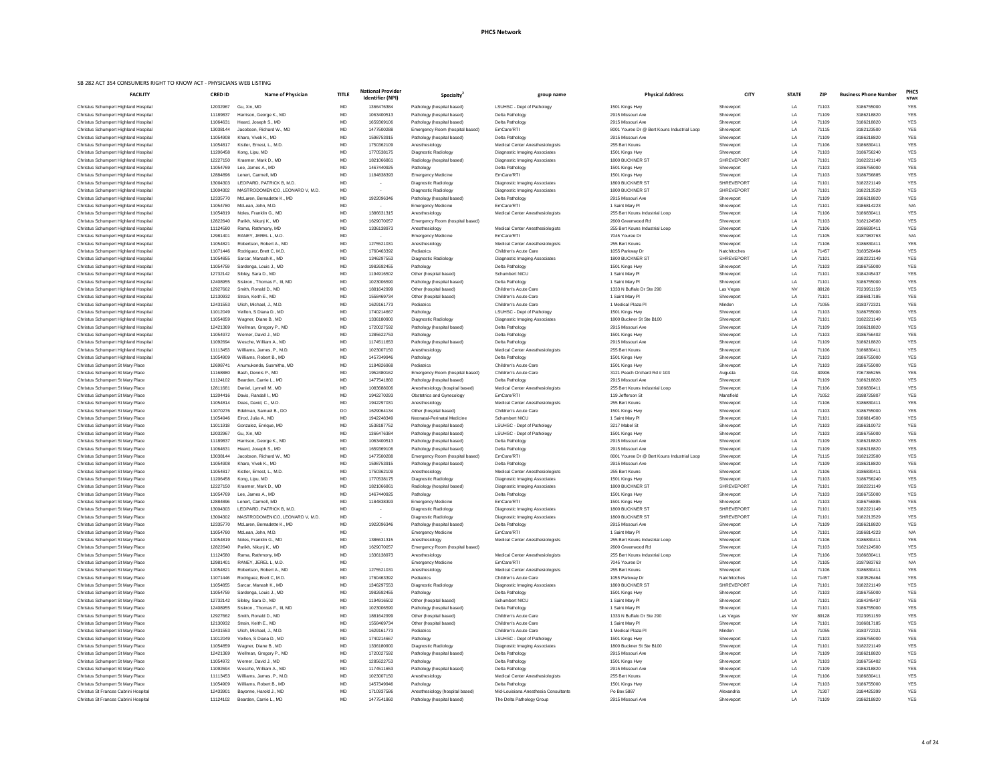| <b>FACILITY</b>                                                                    | <b>CRED ID</b>       | <b>Name of Physician</b>                             | <b>TITLE</b>    | <b>National Provider</b><br><b>Identifier (NPI)</b> | Specialty <sup>®</sup>                        | group name                                                               | <b>Physical Address</b>                       | <b>CITY</b>                       | <b>STATE</b> | <b>ZIP</b>     | <b>Business Phone Number</b> | <b>PHCS</b><br><b>NTWK</b> |
|------------------------------------------------------------------------------------|----------------------|------------------------------------------------------|-----------------|-----------------------------------------------------|-----------------------------------------------|--------------------------------------------------------------------------|-----------------------------------------------|-----------------------------------|--------------|----------------|------------------------------|----------------------------|
| Christus Schumpert Highland Hospital                                               | 12032967             | Gu, Xin, MD                                          | MD              | 1366476384                                          | Pathology (hospital based)                    | <b>LSUHSC - Dept of Pathology</b>                                        | 1501 Kings Hwy                                | Shreveport                        | LA           | 71103          | 3186755000                   | <b>YES</b>                 |
| Christus Schumpert Highland Hospital                                               | 11189837             | Harrison, George K., MD                              | MD              | 1063400513                                          | Pathology (hospital based)                    | Delta Pathology                                                          | 2915 Missouri Ave                             | Shreveport                        | LA           | 71109          | 3186218820                   | <b>YES</b>                 |
| <b>Christus Schumpert Highland Hospital</b>                                        | 11064631             | Heard, Joseph S., MD                                 | MD              | 1659369106                                          | Pathology (hospital based)                    | Delta Pathology                                                          | 2915 Missouri Ave                             | Shreveport                        | LA           | 71109          | 3186218820                   | <b>YES</b>                 |
| Christus Schumpert Highland Hospital                                               | 13038144             | Jacobson, Richard W., MD                             | <b>MD</b>       | 1477500288                                          | Emergency Room (hospital based)               | EmCare/RTI                                                               | 8001 Youree Dr @ Bert Kouns Industrial Loop   | Shreveport                        | LA           | 71115          | 3182123500                   | <b>YES</b>                 |
| Christus Schumpert Highland Hospital                                               | 11054908             | Khare, Vivek K., MD                                  | MD              | 1598753915                                          | Pathology (hospital based)                    | Delta Pathology                                                          | 2915 Missouri Ave                             | Shreveport                        | LA           | 71109          | 3186218820                   | <b>YES</b>                 |
| Christus Schumpert Highland Hospital<br>Christus Schumpert Highland Hospital       | 11054817<br>11206458 | Kistler, Ernest, L., M.D.<br>Kong, Lipu, MD          | MD<br><b>MD</b> | 1750362109<br>1770538175                            | Anesthesiology<br>Diagnostic Radiology        | <b>Medical Center Anesthesiologists</b><br>Diagnostic Imaging Associates | 255 Bert Kouns<br>1501 Kings Hwy              | Shreveport<br>Shreveport          | LA<br>LA     | 71106<br>71103 | 3186830411<br>3186756240     | <b>YES</b><br><b>YES</b>   |
| Christus Schumpert Highland Hospital                                               | 12227150             | Kraemer, Mark D., MD                                 | MD              | 1821066861                                          | Radiology (hospital based)                    | Diagnostic Imaging Associates                                            | 1800 BUCKNER ST                               | <b>SHREVEPORT</b>                 | LA           | 71101          | 3182221149                   | <b>YES</b>                 |
| Christus Schumpert Highland Hospital                                               | 11054769             | Lee, James A., MD                                    | MD              | 1467440925                                          | Pathology                                     | Delta Pathology                                                          | 1501 Kings Hwy                                | Shreveport                        | LA           | 71103          | 3186755000                   | <b>YES</b>                 |
| Christus Schumpert Highland Hospital                                               | 12884896             | Lenert, Carmell, MD                                  | MD              | 1184838393                                          | <b>Emergency Medicine</b>                     | EmCare/RTI                                                               | 1501 Kings Hwy                                | Shreveport                        | LA           | 71103          | 3186756885                   | <b>YES</b>                 |
| <b>Christus Schumpert Highland Hospital</b>                                        | 13004303             | LEOPARD, PATRICK B, M.D.                             | <b>MD</b>       | $\sim$                                              | Diagnostic Radiology                          | Diagnostic Imaging Associates                                            | 1800 BUCKNER ST                               | <b>SHREVEPORT</b>                 | LA           | 71101          | 3182221149                   | <b>YES</b>                 |
| Christus Schumpert Highland Hospital                                               | 13004302             | MASTRODOMENICO, LEONARD V, M.D.                      | MD              | $\sim$                                              | Diagnostic Radiology                          | Diagnostic Imaging Associates                                            | 1800 BUCKNER ST                               | <b>SHREVEPORT</b>                 | LA           | 71101          | 3182213529                   | <b>YES</b>                 |
| Christus Schumpert Highland Hospital                                               | 12335770             | McLaren, Bernadette K., MD                           | MD              | 1922096346                                          | Pathology (hospital based)                    | Delta Pathology                                                          | 2915 Missouri Ave                             | Shreveport                        | LA           | 71109          | 3186218820                   | <b>YES</b>                 |
| Christus Schumpert Highland Hospital                                               | 11054780             | McLean, John, M.D                                    | MD              | $\sim$ $-$                                          | <b>Emergency Medicine</b>                     | EmCare/RTI                                                               | 1 Saint Mary Pl                               | Shreveport                        | LA           | 71101          | 3186814223                   | N/A                        |
| Christus Schumpert Highland Hospital                                               | 11054819             | Noles, Franklin G., MD                               | MD              | 1386631315                                          | Anesthesiology                                | <b>Medical Center Anesthesiologists</b>                                  | 255 Bert Kouns Industrial Loop                | Shreveport                        | LA           | 71106          | 3186830411                   | <b>YES</b>                 |
| Christus Schumpert Highland Hospital                                               | 12822640             | Parikh, Nikunj K., MD                                | MD              | 1629070057                                          | Emergency Room (hospital based)               |                                                                          | 2600 Greenwood Rd                             | Shreveport                        | LA           | 71103          | 3182124500                   | <b>YES</b>                 |
| Christus Schumpert Highland Hospital                                               | 11124580             | Rama, Rathmony, MD                                   | MD              | 1336138973                                          | Anesthesiology                                | <b>Medical Center Anesthesiologists</b>                                  | 255 Bert Kouns Industrial Loop                | Shreveport                        | LA           | 71106          | 3186830411                   | <b>YES</b>                 |
| Christus Schumpert Highland Hospital                                               | 12981401             | RANEY, JEREL L, M.D.                                 | MD              | $\sim$                                              | <b>Emergency Medicine</b>                     | EmCare/RTI                                                               | 7045 Youree Dr                                | Shreveport                        | LA           | 71105          | 3187983763                   | N/A                        |
| Christus Schumpert Highland Hospital                                               | 11054821             | Robertson, Robert A., MD                             | <b>MD</b>       | 1275521031                                          | Anesthesiology                                | <b>Medical Center Anesthesiologists</b>                                  | 255 Bert Kouns                                | Shreveport                        | LA           | 71106          | 3186830411                   | <b>YES</b>                 |
| Christus Schumpert Highland Hospital<br>Christus Schumpert Highland Hospital       | 11071446<br>11054855 | Rodriguez, Brett C, M.D.<br>Sarcar, Manash K., MD    | <b>MD</b><br>MD | 1760463392<br>1346297553                            | Pediatrics<br>Diagnostic Radiology            | Children's Acute Care<br>Diagnostic Imaging Associates                   | 1055 Parkway Dr<br>1800 BUCKNER ST            | Natchitoches<br><b>SHREVEPORT</b> | LA<br>LA     | 71457<br>71101 | 3183526464<br>3182221149     | <b>YES</b><br><b>YES</b>   |
| Christus Schumpert Highland Hospital                                               | 11054759             | Sardenga, Louis J., MD                               | MD              | 1982692455                                          | Pathology                                     | Delta Pathology                                                          | 1501 Kings Hwy                                | Shreveport                        | LA           | 71103          | 3186755000                   | <b>YES</b>                 |
| Christus Schumpert Highland Hospital                                               | 12732142             | Sibley, Sara D., MD                                  | MD              | 1194916502                                          | Other (hospital based)                        | Schumbert NICU                                                           | 1 Saint Mary Pl                               | Shreveport                        | LA           | 71101          | 3184245437                   | <b>YES</b>                 |
| Christus Schumpert Highland Hospital                                               | 12408955             | Siskron, Thomas F., III, MD                          | MD              | 1023006590                                          | Pathology (hospital based)                    | Delta Pathology                                                          | 1 Saint Mary Pl                               | Shreveport                        | LA           | 71101          | 3186755000                   | <b>YES</b>                 |
| Christus Schumpert Highland Hospital                                               | 12927662             | Smith, Ronald D., MD                                 | MD              | 1881642999                                          | Other (hospital based)                        | Children's Acute Care                                                    | 1333 N Buffalo Dr Ste 290                     | Las Vegas                         | N\           | 89128          | 7023951159                   | <b>YES</b>                 |
| Christus Schumpert Highland Hospital                                               | 12130932             | Strain, Keith E., MD                                 | MD              | 1558469734                                          | Other (hospital based)                        | Children's Acute Care                                                    | 1 Saint Mary Pl                               | Shreveport                        | LA           | 71101          | 3186817185                   | <b>YES</b>                 |
| <b>Christus Schumpert Highland Hospital</b>                                        | 12431553             | Ulich, Michael, J., M.D.                             | MD              | 1629161773                                          | Pediatrics                                    | Children's Acute Care                                                    | 1 Medical Plaza Pl                            | Minden                            | LA           | 71055          | 3183772321                   | <b>YES</b>                 |
| Christus Schumpert Highland Hospital                                               | 11012049             | Veillon, S Diana D., MD                              | <b>MD</b>       | 1740214667                                          | Pathology                                     | LSUHSC - Dept of Pathology                                               | 1501 Kings Hwy                                | Shreveport                        | LA           | 71103          | 3186755000                   | <b>YES</b>                 |
| Christus Schumpert Highland Hospital                                               | 11054859             | Wagner, Diane B., MD                                 | MD              | 1336180900                                          | Diagnostic Radiology                          | Diagnostic Imaging Associates                                            | 1800 Buckner St Ste B100                      | Shreveport                        | LA           | 71101          | 3182221149                   | <b>YES</b>                 |
| <b>Christus Schumpert Highland Hospital</b>                                        | 12421369             | Wellman, Gregory P., MD                              | MD              | 1720027592                                          | Pathology (hospital based)                    | Delta Pathology                                                          | 2915 Missouri Ave                             | Shreveport                        |              | 71109          | 3186218820                   | <b>YES</b>                 |
| <b>Christus Schumpert Highland Hospital</b>                                        | 11054972             | Werner, David J., MD                                 | <b>MD</b>       | 1285622753                                          | Pathology                                     | Delta Pathology                                                          | 1501 Kings Hwy                                | Shreveport                        |              | 71103          | 3186756402                   | <b>YES</b>                 |
| <b>Christus Schumpert Highland Hospital</b>                                        | 11092694             | Wesche, William A., MD                               | MD              | 1174511653                                          | Pathology (hospital based)                    | Delta Pathology                                                          | 2915 Missouri Ave                             | Shreveport                        |              | 71109          | 3186218820                   | <b>YES</b>                 |
| <b>Christus Schumpert Highland Hospital</b>                                        | 11113453             | Williams, James, P., M.D.                            | MD              | 1023007150                                          | Anesthesiology                                | <b>Medical Center Anesthesiologists</b>                                  | 255 Bert Kouns                                | Shreveport                        | LA           | 71106          | 3186830411                   | <b>YES</b>                 |
| <b>Christus Schumpert Highland Hospital</b>                                        | 11054909             | Williams, Robert B., MD                              | MD              | 1457349946                                          | Pathology                                     | Delta Pathology                                                          | 1501 Kings Hwy                                | Shreveport                        | LA           | 71103          | 3186755000                   | <b>YES</b>                 |
| Christus Schumpert St Mary Place<br><b>Christus Schumpert St Mary Place</b>        | 12698741<br>11168880 | Anumukonda, Susmitha, MD<br>Bash, Dennis P., MD      | MD<br><b>MD</b> | 1184826968<br>1952480162                            | Pediatrics<br>Emergency Room (hospital based) | Children's Acute Care<br><b>Children's Acute Care</b>                    | 1501 Kings Hwy<br>3121 Peach Orchard Rd # 103 | Shreveport<br>Augusta             | LA.<br>GA    | 71103<br>30906 | 3186755000<br>7067365255     | <b>YES</b><br><b>YES</b>   |
| <b>Christus Schumpert St Mary Place</b>                                            | 11124102             | Bearden, Carrie L., MD                               | MD              | 1477541860                                          | Pathology (hospital based)                    | Delta Pathology                                                          | 2915 Missouri Ave                             | Shreveport                        | LA           | 71109          | 3186218820                   | <b>YES</b>                 |
| <b>Christus Schumpert St Mary Place</b>                                            | 12811681             | Daniel, Lynnell M., MD                               | MD              | 1083688006                                          | Anesthesiology (hospital based)               | <b>Medical Center Anesthesiologists</b>                                  | 255 Bert Kouns Industrial Loop                | Shreveport                        | LA           | 71106          | 3186830411                   | <b>YES</b>                 |
| <b>Christus Schumpert St Mary Place</b>                                            | 11204416             | Davis, Randall I., MD                                | MD              | 1942270293                                          | <b>Obstetrics and Gynecology</b>              | EmCare/RTI                                                               | 119 Jefferson St                              | Mansfield                         | LA           | 71052          | 3188725807                   | <b>YES</b>                 |
| <b>Christus Schumpert St Mary Place</b>                                            | 11054814             | Deas, David, C., M.D.                                | <b>MD</b>       | 1942297031                                          | Anesthesiology                                | <b>Medical Center Anesthesiologists</b>                                  | 255 Bert Kouns                                | Shreveport                        | LA           | 71106          | 3186830411                   | <b>YES</b>                 |
| <b>Christus Schumpert St Mary Place</b>                                            | 11070276             | Edelman, Samuel B., DO                               | DO              | 1629064134                                          | Other (hospital based)                        | Children's Acute Care                                                    | 1501 Kings Hwy                                | Shreveport                        | LA           | 71103          | 3186755000                   | <b>YES</b>                 |
| <b>Christus Schumpert St Mary Place</b>                                            | 11054946             | Elrod, Julia A., MD                                  | MD              | 1942248349                                          | Neonatal-Perinatal Medicine                   | Schumbert NICU                                                           | 1 Saint Mary Pl                               | Shreveport                        | LA           | 71101          | 3186814500                   | <b>YES</b>                 |
| <b>Christus Schumpert St Mary Place</b>                                            | 11011918             | Gonzalez, Enrique, MD                                | MD              | 1538187752                                          | Pathology (hospital based)                    | LSUHSC - Dept of Pathology                                               | 3217 Mabel St                                 | Shreveport                        | LA           | 71103          | 3186310072                   | <b>YES</b>                 |
| <b>Christus Schumpert St Mary Place</b>                                            | 12032967             | Gu, Xin, MD                                          | MD              | 1366476384                                          | Pathology (hospital based)                    | <b>LSUHSC - Dept of Pathology</b>                                        | 1501 Kings Hwy                                | Shreveport                        | LA           | 71103          | 3186755000                   | <b>YES</b>                 |
| Christus Schumpert St Mary Place                                                   | 11189837             | Harrison, George K., MD                              | MD              | 1063400513                                          | Pathology (hospital based)                    | Delta Pathology                                                          | 2915 Missouri Ave                             | Shreveport                        | LA           | 71109          | 3186218820                   | <b>YES</b>                 |
| Christus Schumpert St Mary Place                                                   | 11064631             | Heard, Joseph S., MD                                 | MD              | 1659369106                                          | Pathology (hospital based)                    | Delta Pathology                                                          | 2915 Missouri Ave                             | Shreveport                        | LA           | 71109          | 3186218820                   | <b>YES</b>                 |
| <b>Christus Schumpert St Mary Place</b>                                            | 13038144             | Jacobson, Richard W., MD                             | MD              | 1477500288                                          | Emergency Room (hospital based)               | EmCare/RTI                                                               | 8001 Youree Dr @ Bert Kouns Industrial Loop   | Shreveport                        | LA           | 71115          | 3182123500                   | <b>YES</b>                 |
| <b>Christus Schumpert St Mary Place</b>                                            | 11054908             | Khare, Vivek K., MD                                  | MD              | 1598753915                                          | Pathology (hospital based)                    | Delta Pathology                                                          | 2915 Missouri Ave                             | Shreveport                        | LA           | 71109          | 3186218820                   | <b>YES</b>                 |
| <b>Christus Schumpert St Mary Place</b><br><b>Christus Schumpert St Mary Place</b> | 11054817<br>11206458 | Kistler, Ernest, L., M.D.<br>Kong, Lipu, MD          | <b>MD</b><br>MD | 1750362109<br>1770538175                            | Anesthesiology<br>Diagnostic Radiology        | <b>Medical Center Anesthesiologists</b><br>Diagnostic Imaging Associates | 255 Bert Kouns<br>1501 Kings Hwy              | Shreveport<br>Shreveport          | LA<br>LA     | 71106<br>71103 | 318683041<br>3186756240      | <b>YES</b><br><b>YES</b>   |
| <b>Christus Schumpert St Mary Place</b>                                            | 12227150             | Kraemer, Mark D., MD                                 | MD              | 1821066861                                          | Radiology (hospital based)                    | Diagnostic Imaging Associates                                            | 1800 BUCKNER ST                               | <b>SHREVEPORT</b>                 | LA           | 71101          | 3182221149                   | <b>YES</b>                 |
| <b>Christus Schumpert St Mary Place</b>                                            | 11054769             | Lee, James A., MD                                    | MD              | 1467440925                                          | Pathology                                     | Delta Pathology                                                          | 1501 Kings Hwy                                | Shreveport                        | LA           | 71103          | 3186755000                   | <b>YES</b>                 |
| <b>Christus Schumpert St Mary Place</b>                                            | 12884896             | Lenert, Carmell, MD                                  | <b>MD</b>       | 1184838393                                          | <b>Emergency Medicine</b>                     | EmCare/RTI                                                               | 1501 Kings Hwy                                | Shreveport                        | LA           | 71103          | 3186756885                   | <b>YES</b>                 |
| <b>Christus Schumpert St Mary Place</b>                                            | 13004303             | LEOPARD, PATRICK B, M.D.                             | MD              |                                                     | Diagnostic Radiology                          | Diagnostic Imaging Associates                                            | 1800 BUCKNER ST                               | <b>SHREVEPORT</b>                 | LA           | 71101          | 3182221149                   | <b>YES</b>                 |
| Christus Schumpert St Mary Place                                                   | 13004302             | MASTRODOMENICO, LEONARD V, M.D.                      | MD              | $\sim$                                              | Diagnostic Radiology                          | Diagnostic Imaging Associates                                            | 1800 BUCKNER ST                               | <b>SHREVEPORT</b>                 | LA           | 71101          | 3182213529                   | <b>YES</b>                 |
| Christus Schumpert St Mary Place                                                   | 12335770             | McLaren, Bernadette K., MD                           | <b>MD</b>       | 1922096346                                          | Pathology (hospital based)                    | Delta Pathology                                                          | 2915 Missouri Ave                             | Shreveport                        | LA           | 71109          | 3186218820                   | <b>YES</b>                 |
| Christus Schumpert St Mary Place                                                   | 11054780             | McLean, John, M.D                                    | MD              | $\sim$                                              | <b>Emergency Medicine</b>                     | EmCare/RTI                                                               | 1 Saint Mary Pl                               | Shreveport                        | LA           | 71101          | 3186814223                   | N/A                        |
| Christus Schumpert St Mary Place                                                   | 11054819             | Noles, Franklin G., MD                               | MD              | 1386631315                                          | Anesthesiology                                | <b>Medical Center Anesthesiologists</b>                                  | 255 Bert Kouns Industrial Loop                | Shreveport                        | LA           | 71106          | 3186830411                   | <b>YES</b>                 |
| Christus Schumpert St Mary Place                                                   | 12822640             | Parikh, Nikunj K., MD                                | MD              | 1629070057                                          | Emergency Room (hospital based)               |                                                                          | 2600 Greenwood Rd                             | Shreveport                        | LA           | 71103          | 3182124500                   | <b>YES</b>                 |
| <b>Christus Schumpert St Mary Place</b>                                            | 11124580             | Rama, Rathmony, MD                                   | MD              | 1336138973                                          | Anesthesiology                                | <b>Medical Center Anesthesiologists</b>                                  | 255 Bert Kouns Industrial Loop                | Shreveport                        | LA           | 71106          | 3186830411                   | <b>YES</b>                 |
| <b>Christus Schumpert St Mary Place</b>                                            | 12981401             | RANEY, JEREL L, M.D.                                 | MD              | $\sim$                                              | <b>Emergency Medicine</b>                     | EmCare/RTI                                                               | 7045 Youree Dr<br>255 Bert Kouns              | Shreveport                        | LA<br>LA     | 71105          | 3187983763                   | N/A                        |
| <b>Christus Schumpert St Mary Place</b><br><b>Christus Schumpert St Mary Place</b> | 11054821<br>11071446 | Robertson, Robert A., MD<br>Rodriguez, Brett C, M.D. | <b>MD</b><br>MD | 1275521031<br>1760463392                            | Anesthesiology<br>Pediatrics                  | <b>Medical Center Anesthesiologists</b><br>Children's Acute Care         | 1055 Parkway Dr                               | Shreveport<br>Natchitoches        |              | 71106<br>71457 | 3186830411<br>3183526464     | <b>YES</b><br><b>YES</b>   |
| Christus Schumpert St Mary Place                                                   | 11054855             | Sarcar, Manash K., MD                                | MD              | 1346297553                                          | Diagnostic Radiology                          | Diagnostic Imaging Associates                                            | 1800 BUCKNER ST                               | <b>SHREVEPORT</b>                 | ΙA           | 71101          | 3182221149                   | <b>YES</b>                 |
| Christus Schumpert St Mary Place                                                   | 11054759             | Sardenga, Louis J., MD                               | MD              | 1982692455                                          | Pathology                                     | Delta Pathology                                                          | 1501 Kings Hwy                                | Shreveport                        | LA           | 71103          | 3186755000                   | <b>YES</b>                 |
| <b>Christus Schumpert St Mary Place</b>                                            | 12732142             | Sibley, Sara D., MD                                  | MD              | 1194916502                                          | Other (hospital based)                        | Schumbert NICU                                                           | 1 Saint Mary Pl                               | Shreveport                        | LA           | 71101          | 3184245437                   | <b>YES</b>                 |
| <b>Christus Schumpert St Mary Place</b>                                            | 12408955             | Siskron, Thomas F., III, MD                          | MD              | 1023006590                                          | Pathology (hospital based)                    | Delta Pathology                                                          | 1 Saint Mary Pl                               | Shreveport                        | LA           | 71101          | 3186755000                   | <b>YES</b>                 |
| Christus Schumpert St Mary Place                                                   | 12927662             | Smith, Ronald D., MD                                 | <b>MD</b>       | 1881642999                                          | Other (hospital based)                        | Children's Acute Care                                                    | 1333 N Buffalo Dr Ste 290                     | Las Vegas                         | $N\lambda$   | 89128          | 7023951159                   | <b>YES</b>                 |
| <b>Christus Schumpert St Mary Place</b>                                            | 12130932             | Strain, Keith E., MD                                 | MD              | 1558469734                                          | Other (hospital based)                        | Children's Acute Care                                                    | 1 Saint Mary Pl                               | Shreveport                        | LA           | 71101          | 3186817185                   | <b>YES</b>                 |
| <b>Christus Schumpert St Mary Place</b>                                            | 12431553             | Ulich, Michael, J., M.D.                             | <b>MD</b>       | 1629161773                                          | Pediatrics                                    | Children's Acute Care                                                    | 1 Medical Plaza Pl                            | Minden                            | LA           | 71055          | 3183772321                   | <b>YES</b>                 |
| <b>Christus Schumpert St Mary Place</b>                                            | 11012049             | Veillon, S Diana D., MD                              | MD              | 1740214667                                          | Pathology                                     | LSUHSC - Dept of Pathology                                               | 1501 Kings Hwy                                | Shreveport                        | LA           | 71103          | 3186755000                   | <b>YES</b>                 |
| <b>Christus Schumpert St Mary Place</b>                                            | 11054859             | Wagner, Diane B., MD                                 | MD              | 1336180900                                          | Diagnostic Radiology                          | Diagnostic Imaging Associates                                            | 1800 Buckner St Ste B100                      | Shreveport                        | LA           | 71101          | 3182221149                   | YES                        |
| <b>Christus Schumpert St Mary Place</b>                                            | 12421369             | Wellman, Gregory P., MD                              | MD              | 1720027592                                          | Pathology (hospital based)                    | Delta Pathology                                                          | 2915 Missouri Ave                             | Shreveport                        | LA           | 71109          | 3186218820                   | YES                        |
| <b>Christus Schumpert St Mary Place</b>                                            | 11054972             | Werner, David J., MD                                 | MD              | 1285622753                                          | Pathology                                     | Delta Pathology                                                          | 1501 Kings Hwy                                | Shreveport                        | LA           | 71103          | 3186756402                   | <b>YES</b>                 |
| <b>Christus Schumpert St Mary Place</b>                                            | 11092694             | Wesche, William A., MD                               | MD              | 1174511653                                          | Pathology (hospital based)                    | Delta Pathology                                                          | 2915 Missouri Ave                             | Shreveport                        | LA           | 71109          | 3186218820                   | <b>YES</b>                 |
| <b>Christus Schumpert St Mary Place</b><br><b>Christus Schumpert St Mary Place</b> | 11113453<br>11054909 | Williams, James, P., M.D.<br>Williams, Robert B., MD | MD<br>MD        | 1023007150<br>1457349946                            | Anesthesiology<br>Pathology                   | Medical Center Anesthesiologists<br>Delta Pathology                      | 255 Bert Kouns<br>1501 Kings Hwy              | Shreveport<br>Shreveport          | LA<br>LA     | 71106<br>71103 | 3186830411<br>3186755000     | <b>YES</b><br><b>YES</b>   |
| Christus St Frances Cabrini Hospital                                               | 12433901             | Bayonne, Harold J., MD                               | MD              | 1710937586                                          | Anesthesiology (hospital based)               | Mid-Louisiana Anesthesia Consultants                                     | Po Box 5887                                   | Alexandria                        | LA           | 71307          | 3184425399                   | <b>YES</b>                 |
| Christus St Frances Cabrini Hospital                                               | 11124102             | Bearden, Carrie L., MD                               | MD              | 1477541860                                          | Pathology (hospital based)                    | The Delta Pathology Group                                                | 2915 Missouri Ave                             | Shreveport                        | LA           | 71109          | 3186218820                   | <b>YES</b>                 |
|                                                                                    |                      |                                                      |                 |                                                     |                                               |                                                                          |                                               |                                   |              |                |                              |                            |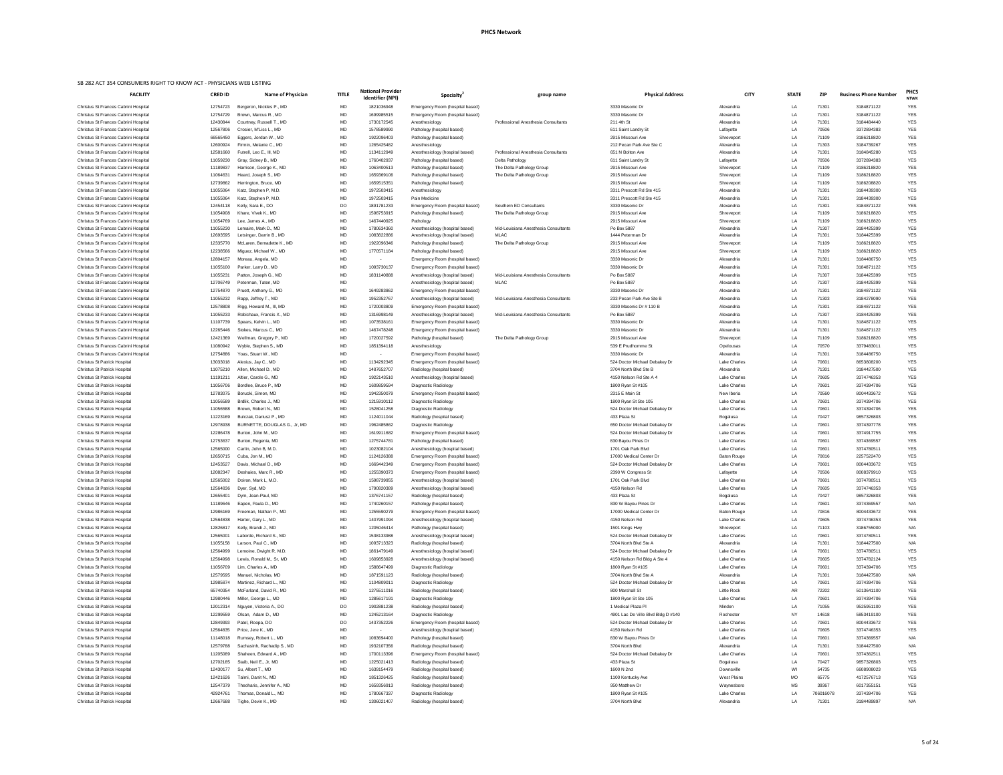| <b>FACILITY</b>                                                              | <b>CRED ID</b>       | <b>Name of Physician</b>                             | <b>TITLE</b>           | <b>National Provider</b><br><b>Identifier (NPI)</b> | Specialty <sup>4</sup>                                             | group name                                          | <b>Physical Address</b>                                | <b>CITY</b>                        | <b>STATE</b>   | <b>ZIP</b>     | <b>Business Phone Number</b> | <b>PHCS</b><br><b>NTWK</b> |
|------------------------------------------------------------------------------|----------------------|------------------------------------------------------|------------------------|-----------------------------------------------------|--------------------------------------------------------------------|-----------------------------------------------------|--------------------------------------------------------|------------------------------------|----------------|----------------|------------------------------|----------------------------|
| Christus St Frances Cabrini Hospital                                         | 12754723             | Bergeron, Nickles P., MD                             | <b>MD</b>              | 1821036948                                          | Emergency Room (hospital based)                                    |                                                     | 3330 Masonic Dr                                        | Alexandria                         | LA             | 71301          | 3184871122                   | <b>YES</b>                 |
| Christus St Frances Cabrini Hospital                                         | 12754729             | Brown, Marcus R., MD                                 | <b>MD</b>              | 1699985515                                          | Emergency Room (hospital based)                                    |                                                     | 3330 Masonic Dr                                        | Alexandria                         | LA             | 71301          | 3184871122                   | <b>YES</b>                 |
| Christus St Frances Cabrini Hospital                                         | 12430844             | Courtney, Russell T., MD                             | MD                     | 1730172545                                          | Anesthesiology                                                     | <b>Professional Anesthesia Consultants</b>          | 211 4th St                                             | Alexandria                         | LA             | 71301          | 3184484440                   | <b>YES</b>                 |
| Christus St Frances Cabrini Hospital                                         | 12567806             | Crosier, M'Liss L., MD                               | MD                     | 1578589990                                          | Pathology (hospital based)                                         |                                                     | 611 Saint Landry St                                    | Lafayette                          | LA             | 70506          | 3372894383                   | <b>YES</b>                 |
| Christus St Frances Cabrini Hospital<br>Christus St Frances Cabrini Hospital | 66565450<br>12600924 | Eggers, Jordan W., MD<br>Firmin, Melanie C., MD      | <b>MD</b><br><b>MD</b> | 1922096403<br>1265425482                            | Pathology (hospital based)<br>Anesthesiology                       |                                                     | 2915 Missouri Ave<br>212 Pecan Park Ave Ste C          | Shreveport<br>Alexandria           | LA<br>LA       | 71109<br>71303 | 3186218820<br>3184739267     | <b>YES</b><br><b>YES</b>   |
| Christus St Frances Cabrini Hospital                                         | 12581660             | Futrell, Leo E., III, MD                             | MD                     | 1134112949                                          | Anesthesiology (hospital based)                                    | Professional Anesthesia Consultants                 | 651 N Bolton Ave                                       | Alexandria                         | LA             | 71301          | 3184845280                   | <b>YES</b>                 |
| Christus St Frances Cabrini Hospital                                         | 11059230             | Gray, Sidney B., MD                                  | MD                     | 1760402937                                          | Pathology (hospital based)                                         | Delta Pathology                                     | 611 Saint Landry St                                    | Lafayette                          | LA             | 70506          | 3372894383                   | <b>YES</b>                 |
| Christus St Frances Cabrini Hospital                                         | 11189837             | Harrison, George K., MD                              | <b>MD</b>              | 1063400513                                          | Pathology (hospital based)                                         | The Delta Pathology Group                           | 2915 Missouri Ave                                      | Shreveport                         | LA             | 71109          | 3186218820                   | <b>YES</b>                 |
| Christus St Frances Cabrini Hospital                                         | 11064631             | Heard, Joseph S., MD                                 | <b>MD</b>              | 1659369106                                          | Pathology (hospital based)                                         | The Delta Pathology Group                           | 2915 Missouri Ave                                      | Shreveport                         | LA             | 71109          | 3186218820                   | <b>YES</b>                 |
| Christus St Frances Cabrini Hospital                                         | 12739862             | Herrington, Bruce, MD                                | <b>MD</b>              | 1659515351                                          | Pathology (hospital based)                                         |                                                     | 2915 Missouri Ave                                      | Shreveport                         | LA             | 71109          | 3186208820                   | <b>YES</b>                 |
| Christus St Frances Cabrini Hospital                                         | 11055064             | Katz, Stephen P, M.D.                                | <b>MD</b>              | 1972503415                                          | Anesthesiology                                                     |                                                     | 3311 Prescott Rd Ste 415                               | Alexandria                         | LA             | 71301          | 3184439300                   | <b>YES</b>                 |
| Christus St Frances Cabrini Hospital                                         | 11055064             | Katz, Stephen P, M.D.                                | <b>MD</b>              | 1972503415                                          | Pain Medicine                                                      |                                                     | 3311 Prescott Rd Ste 415                               | Alexandria                         | LA             | 71301          | 3184439300                   | <b>YES</b>                 |
| Christus St Frances Cabrini Hospital                                         | 12454118             | Kelly, Sara E., DO                                   | DO                     | 1891781233                                          | Emergency Room (hospital based)                                    | Southern ED Consultants                             | 3330 Masonic Dr                                        | Alexandria                         | LA             | 71301          | 3184871122                   | <b>YES</b>                 |
| Christus St Frances Cabrini Hospital                                         | 11054908             | Khare, Vivek K., MD                                  | MD                     | 1598753915                                          | Pathology (hospital based)                                         | The Delta Pathology Group                           | 2915 Missouri Ave                                      | Shreveport                         | LA             | 71109          | 3186218820                   | <b>YES</b>                 |
| Christus St Frances Cabrini Hospital                                         | 11054769             | Lee, James A., MD                                    | MD                     | 1467440925                                          | Pathology                                                          |                                                     | 2915 Missouri Ave                                      | Shreveport                         | LA<br>LA       | 71109          | 3186218820                   | <b>YES</b>                 |
| Christus St Frances Cabrini Hospital<br>Christus St Frances Cabrini Hospital | 11055230<br>12693595 | Lemaire, Mark D., MD<br>Letsinger, Darrin B., MD     | <b>MD</b><br><b>MD</b> | 1780634360<br>1083822886                            | Anesthesiology (hospital based)<br>Anesthesiology (hospital based) | Mid-Louisiana Anesthesia Consultants<br><b>MLAC</b> | Po Box 5887<br>1444 Peterman Dr                        | Alexandria<br>Alexandria           | LA             | 71307<br>71301 | 3184425399<br>3184425399     | <b>YES</b><br><b>YES</b>   |
| Christus St Frances Cabrini Hospital                                         | 12335770             | McLaren, Bernadette K., MD                           | MD                     | 1922096346                                          | Pathology (hospital based)                                         | The Delta Pathology Group                           | 2915 Missouri Ave                                      | Shreveport                         | LA             | 71109          | 3186218820                   | <b>YES</b>                 |
| Christus St Frances Cabrini Hospital                                         | 12238566             | Miguez, Michael W., MD                               | <b>MD</b>              | 1770571184                                          | Pathology (hospital based)                                         |                                                     | 2915 Missouri Ave                                      | Shreveport                         | LA             | 71109          | 3186218820                   | <b>YES</b>                 |
| Christus St Frances Cabrini Hospital                                         | 12804157             | Moreau, Angela, MD                                   | <b>MD</b>              | $\sim$ $-$                                          | Emergency Room (hospital based)                                    |                                                     | 3330 Masonic Dr                                        | Alexandria                         | LA             | 71301          | 3184486750                   | <b>YES</b>                 |
| Christus St Frances Cabrini Hospital                                         | 11055100             | Parker, Larry D., MD                                 | <b>MD</b>              | 1093730137                                          | Emergency Room (hospital based)                                    |                                                     | 3330 Masonic Dr                                        | Alexandria                         | LA             | 71301          | 3184871122                   | <b>YES</b>                 |
| Christus St Frances Cabrini Hospital                                         | 11055231             | Patton, Joseph G., MD                                | <b>MD</b>              | 1831140888                                          | Anesthesiology (hospital based)                                    | Mid-Louisiana Anesthesia Consultants                | Po Box 5887                                            | Alexandria                         | LA             | 71307          | 3184425399                   | <b>YES</b>                 |
| Christus St Frances Cabrini Hospital                                         | 12706749             | Peterman, Taten, MD                                  | <b>MD</b>              |                                                     | Anesthesiology (hospital based)                                    | <b>MLAC</b>                                         | Po Box 5887                                            | Alexandria                         | LA             | 71307          | 3184425399                   | <b>YES</b>                 |
| Christus St Frances Cabrini Hospital                                         | 12754870             | Pruett, Anthony G., MD                               | <b>MD</b>              | 1649283862                                          | Emergency Room (hospital based)                                    |                                                     | 3330 Masonic Dr                                        | Alexandria                         | LA             | 71301          | 3184871122                   | <b>YES</b>                 |
| Christus St Frances Cabrini Hospital                                         | 11055232             | Rapp, Jeffrey T., MD                                 | <b>MD</b>              | 1952352767                                          | Anesthesiology (hospital based)                                    | Mid-Louisiana Anesthesia Consultants                | 233 Pecan Park Ave Ste B                               | Alexandria                         | LA             | 71303          | 3184278090                   | <b>YES</b>                 |
| Christus St Frances Cabrini Hospital                                         | 12578808             | Rigg, Howard M., III, MD                             | <b>MD</b>              | 1720003809                                          | Emergency Room (hospital based)                                    |                                                     | 3330 Masonic Dr # 110 B                                | Alexandria                         | LA             | 71301          | 3184871122                   | <b>YES</b>                 |
| Christus St Frances Cabrini Hospital                                         | 11055233             | Robichaux, Francis X., MD                            | MD                     | 1316998149                                          | Anesthesiology (hospital based)                                    | Mid-Louisiana Anesthesia Consultants                | Po Box 5887                                            | Alexandria                         | LA             | 71307          | 3184425399                   | <b>YES</b>                 |
| Christus St Frances Cabrini Hospital                                         | 11107739             | Spears, Kelvin L., MD                                | <b>MD</b>              | 1073538161                                          | Emergency Room (hospital based)                                    |                                                     | 3330 Masonic Dr                                        | Alexandria                         | LA             | 71301          | 3184871122                   | <b>YES</b>                 |
| Christus St Frances Cabrini Hospital                                         | 12265446             | Stokes, Marcus C., MD                                | MD                     | 1467478248                                          | Emergency Room (hospital based)                                    |                                                     | 3330 Masonic Dr                                        | Alexandria                         | LA             | 71301          | 3184871122                   | <b>YES</b>                 |
| Christus St Frances Cabrini Hospital                                         | 12421369             | Wellman, Gregory P., MD                              | <b>MD</b>              | 1720027592                                          | Pathology (hospital based)                                         | The Delta Pathology Group                           | 2915 Missouri Ave                                      | Shreveport                         | LA             | 71109          | 3186218820                   | <b>YES</b>                 |
| Christus St Frances Cabrini Hospital                                         | 11080942             | Wyble, Stephen S., MD                                | MD                     | 1851394118                                          | Anesthesiology                                                     |                                                     | 539 E Prudhomme St                                     | Opelousas                          | LA             | 70570          | 3379483011                   | <b>YES</b>                 |
| Christus St Frances Cabrini Hospital                                         | 12754886             | Yoas, Stuart W., MD                                  | <b>MD</b>              | $\sim$                                              | Emergency Room (hospital based)                                    |                                                     | 3330 Masonic Dr                                        | Alexandria                         | LA             | 71301          | 3184486750                   | <b>YES</b>                 |
| <b>Christus St Patrick Hospital</b><br><b>Christus St Patrick Hospital</b>   | 13033018<br>11075210 | Alexius, Jay C., MD<br>Allen, Michael D., MD         | <b>MD</b><br><b>MD</b> | 1134292345<br>1487652707                            | Emergency Room (hospital based)                                    |                                                     | 524 Doctor Michael Debakey Dr<br>3704 North Blvd Ste B | Lake Charles                       | LA<br>LA       | 70601<br>71301 | 8653808200<br>3184427500     | <b>YES</b><br><b>YES</b>   |
| <b>Christus St Patrick Hospital</b>                                          | 11191211             | Altier, Carole G., MD                                | <b>MD</b>              | 1922143510                                          | Radiology (hospital based)<br>Anesthesiology (hospital based)      |                                                     | 4150 Nelson Rd Ste A 4                                 | Alexandria<br><b>Lake Charles</b>  | LA             | 70605          | 3374746353                   | <b>YES</b>                 |
| <b>Christus St Patrick Hospital</b>                                          | 11056706             | Bordlee, Bruce P., MD                                | <b>MD</b>              | 1609859594                                          | Diagnostic Radiology                                               |                                                     | 1800 Ryan St #105                                      | Lake Charles                       | LA             | 70601          | 3374394706                   | <b>YES</b>                 |
| <b>Christus St Patrick Hospital</b>                                          | 12783075             | Borucki, Simon, MD                                   | <b>MD</b>              | 1942350079                                          | Emergency Room (hospital based)                                    |                                                     | 2315 E Main St                                         | New Iberia                         | LA             | 70560          | 8004433672                   | <b>YES</b>                 |
| <b>Christus St Patrick Hospital</b>                                          | 11056589             | Brdlik, Charles J., MD                               | <b>MD</b>              | 1215910112                                          | Diagnostic Radiology                                               |                                                     | 1800 Ryan St Ste 105                                   | Lake Charles                       | LA             | 70601          | 3374394706                   | <b>YES</b>                 |
| <b>Christus St Patrick Hospital</b>                                          | 11056588             | Brown, Robert N., MD                                 | <b>MD</b>              | 1528041258                                          | Diagnostic Radiology                                               |                                                     | 524 Doctor Michael Debakey Dr                          | Lake Charles                       | LA             | 70601          | 3374394706                   | <b>YES</b>                 |
| <b>Christus St Patrick Hospital</b>                                          | 11223169             | Bulczak, Dariusz P., MD                              | MD                     | 1124011044                                          | Radiology (hospital based)                                         |                                                     | 433 Plaza St                                           | Bogalusa                           | LA             | 70427          | 9857326803                   | <b>YES</b>                 |
| <b>Christus St Patrick Hospital</b>                                          | 12978938             | BURNETTE, DOUGLAS G., Jr, MD                         | <b>MD</b>              | 1962485862                                          | Diagnostic Radiology                                               |                                                     | 650 Doctor Michael Debakey Dr                          | <b>Lake Charles</b>                | LA             | 70601          | 3374397778                   | <b>YES</b>                 |
| Christus St Patrick Hospital                                                 | 12286478             | Burton, John M., MD                                  | MD                     | 1619911682                                          | Emergency Room (hospital based)                                    |                                                     | 524 Doctor Michael Debakey Dr                          | Lake Charles                       | LA             | 70601          | 3374917755                   | <b>YES</b>                 |
| <b>Christus St Patrick Hospital</b>                                          | 12753637             | Burton, Regenia, MD                                  | <b>MD</b>              | 1275744781                                          | Pathology (hospital based)                                         |                                                     | 830 Bayou Pines Dr                                     | <b>Lake Charles</b>                | LA             | 70601          | 3374369557                   | <b>YES</b>                 |
| <b>Christus St Patrick Hospital</b>                                          | 12565000             | Carlin, John B, M.D.                                 | <b>MD</b>              | 1023082104                                          | Anesthesiology (hospital based)                                    |                                                     | 1701 Oak Park Blvd                                     | <b>Lake Charles</b>                | LA             | 70601          | 3374780511                   | <b>YES</b>                 |
| <b>Christus St Patrick Hospital</b>                                          | 12650715             | Cuba, Jon M., MD                                     | <b>MD</b>              | 1124126388                                          | Emergency Room (hospital based)                                    |                                                     | 17000 Medical Center Dr                                | <b>Baton Rouge</b>                 | LA             | 70816          | 2257522470                   | <b>YES</b>                 |
| <b>Christus St Patrick Hospital</b>                                          | 12453527             | Davis, Michael D., MD                                | <b>MD</b>              | 1669442349                                          | Emergency Room (hospital based)                                    |                                                     | 524 Doctor Michael Debakey Dr                          | <b>Lake Charles</b>                | LA             | 70601          | 8004433672                   | <b>YES</b>                 |
| <b>Christus St Patrick Hospital</b>                                          | 12082347             | Deshaies, Marc R., MD                                | <b>MD</b>              | 1255390373                                          | Emergency Room (hospital based)                                    |                                                     | 2390 W Congress St                                     | Lafayette                          | LA             | 70506          | 8008379910                   | <b>YES</b>                 |
| Christus St Patrick Hospital                                                 | 12565002             | Doiron, Mark L, M.D.                                 | <b>MD</b>              | 1598739955                                          | Anesthesiology (hospital based)                                    |                                                     | 1701 Oak Park Blvd                                     | Lake Charles                       | LA             | 70601          | 3374780511                   | <b>YES</b>                 |
| <b>Christus St Patrick Hospital</b>                                          | 12564836             | Dyer, Syd, MD                                        | <b>MD</b>              | 1790820389                                          | Anesthesiology (hospital based)                                    |                                                     | 4150 Nelson Rd                                         | Lake Charles                       | LA             | 70605          | 3374746353                   | <b>YES</b>                 |
| <b>Christus St Patrick Hospital</b>                                          | 12655401             | Dym, Jean-Paul, MD                                   | <b>MD</b>              | 1376741157                                          | Radiology (hospital based)                                         |                                                     | 433 Plaza St                                           | Bogalusa                           | LA             | 70427          | 9857326803                   | <b>YES</b>                 |
| <b>Christus St Patrick Hospital</b>                                          | 11189646             | Eapen, Paula D., MD                                  | <b>MD</b>              | 1740260157                                          | Pathology (hospital based)                                         |                                                     | 830 W Bayou Pines Dr<br>17000 Medical Center Dr        | Lake Charles                       | LA<br>LA       | 70601<br>70816 | 3374369557<br>8004433672     | N/A                        |
| <b>Christus St Patrick Hospital</b><br><b>Christus St Patrick Hospital</b>   | 12986169<br>12564838 | Freeman, Nathan P., MD<br>Harter, Gary L., MD        | <b>MD</b><br><b>MD</b> | 1255590279<br>1407991094                            | Emergency Room (hospital based)<br>Anesthesiology (hospital based) |                                                     | 4150 Nelson Rd                                         | <b>Baton Rouge</b><br>Lake Charles | LA             | 70605          | 3374746353                   | <b>YES</b><br><b>YES</b>   |
| <b>Christus St Patrick Hospital</b>                                          | 12826817             | Kelly, Brandi J., MD                                 | <b>MD</b>              | 1205046414                                          | Pathology (hospital based)                                         |                                                     | 1501 Kings Hwy                                         | Shreveport                         | LA             | 71103          | 3186755000                   | N/A                        |
| <b>Christus St Patrick Hospital</b>                                          | 12565001             | Laborde, Richard S., MD                              | <b>MD</b>              | 1538133988                                          | Anesthesiology (hospital based)                                    |                                                     | 524 Doctor Michael Debakey Dr                          | <b>Lake Charles</b>                | LA             | 70601          | 3374780511                   | <b>YES</b>                 |
| <b>Christus St Patrick Hospital</b>                                          | 11055158             | Larson, Paul C., MD                                  | <b>MD</b>              | 1093713323                                          | Radiology (hospital based)                                         |                                                     | 3704 North Blvd Ste A                                  | Alexandria                         | LA             | 71301          | 3184427500                   | N/A                        |
| <b>Christus St Patrick Hospital</b>                                          | 12564999             | Lemoine, Dwight R, M.D.                              | <b>MD</b>              | 1861479149                                          | Anesthesiology (hospital based)                                    |                                                     | 524 Doctor Michael Debakey Dr                          | <b>Lake Charles</b>                | LA             | 70601          | 3374780511                   | <b>YES</b>                 |
| <b>Christus St Patrick Hospital</b>                                          | 12564998             | Lewis, Ronald M., Sr, MD                             | <b>MD</b>              | 1609853928                                          | Anesthesiology (hospital based)                                    |                                                     | 4150 Nelson Rd Bldg A Ste 4                            | Lake Charles                       | LA             | 70605          | 3374782124                   | <b>YES</b>                 |
| <b>Christus St Patrick Hospital</b>                                          | 11056709             | Lim, Charles A., MD                                  | MD                     | 1588647499                                          | Diagnostic Radiology                                               |                                                     | 1800 Ryan St #105                                      | Lake Charles                       | LA             | 70601          | 3374394706                   | <b>YES</b>                 |
| <b>Christus St Patrick Hospital</b>                                          | 12579595             | Manuel, Nicholas, MD                                 | MD                     | 1871591123                                          | Radiology (hospital based)                                         |                                                     | 3704 North Blvd Ste A                                  | Alexandria                         | LA             | 71301          | 3184427500                   | N/A                        |
| Christus St Patrick Hospital                                                 | 12985874             | Martinez, Richard L., MD                             | <b>MD</b>              | 110480901                                           | Diagnostic Radiology                                               |                                                     | 524 Doctor Michael Debakey Dr                          | Lake Charles                       | LA             | 70601          | 3374394706                   | <b>YES</b>                 |
| Christus St Patrick Hospital                                                 | 65740354             | McFarland, David R., MD                              | <b>MD</b>              | 1275511016                                          | Radiology (hospital based)                                         |                                                     | 800 Marshall St                                        | <b>Little Rock</b>                 | AR             | 72202          | 5013641100                   | YES                        |
| <b>Christus St Patrick Hospital</b>                                          | 12980446             | Miller, George L., MD                                | <b>MD</b>              | 1285617191                                          | Diagnostic Radiology                                               |                                                     | 1800 Ryan St Ste 105                                   | Lake Charles                       | LA             | 70601          | 3374394706                   | <b>YES</b>                 |
| <b>Christus St Patrick Hospital</b>                                          | 12012314             | Nguyen, Victoria A., DO                              | DO                     | 1902881238                                          | Radiology (hospital based)                                         |                                                     | 1 Medical Plaza Pl                                     | Minden                             | LA             | 71055          | 9525951100                   | <b>YES</b>                 |
| <b>Christus St Patrick Hospital</b>                                          | 12299559             | Olsan, Adam D., MD                                   | <b>MD</b>              | 1245213164                                          | Diagnostic Radiology                                               |                                                     | 4901 Lac De Ville Blvd Bldg D #140                     | Rochester                          | N <sup>Y</sup> | 14618          | 5853419100                   | <b>YES</b>                 |
| Christus St Patrick Hospital                                                 | 12849393             | Patel, Roopa, DO                                     | DO                     | 1437352226                                          | Emergency Room (hospital based)                                    |                                                     | 524 Doctor Michael Debakey Dr                          | <b>Lake Charles</b>                | LA             | 70601          | 8004433672                   | <b>YES</b>                 |
| <b>Christus St Patrick Hospital</b>                                          | 12564835             | Price, Jere K., MD                                   | <b>MD</b>              | $\sim$                                              | Anesthesiology (hospital based)                                    |                                                     | 4150 Nelson Rd                                         | <b>Lake Charles</b>                | LA             | 70605          | 3374746353                   | <b>YES</b>                 |
| <b>Christus St Patrick Hospital</b>                                          | 11148018             | Rumsey, Robert L., MD                                | <b>MD</b>              | 1083694400                                          | Pathology (hospital based)                                         |                                                     | 830 W Bayou Pines Dr                                   | <b>Lake Charles</b>                | LA             | 70601          | 3374369557                   | N/A                        |
| Christus St Patrick Hospital<br><b>Christus St Patrick Hospital</b>          | 12579788             | Sachasinh, Rachadip S., MD<br>Shaheen, Edward A., MD | MD<br><b>MD</b>        | 1932107356<br>1700113396                            | Radiology (hospital based)                                         |                                                     | 3704 North Blvd<br>524 Doctor Michael Debakey Dr       | Alexandria<br><b>Lake Charles</b>  | LA<br>LA       | 71301<br>70601 | 3184427500<br>3374362511     | N/A<br><b>YES</b>          |
| <b>Christus St Patrick Hospital</b>                                          | 11205089<br>12702185 | Staib, Neil E., Jr, MD                               | <b>MD</b>              | 1225021413                                          | Emergency Room (hospital based)<br>Radiology (hospital based)      |                                                     | 433 Plaza St                                           | Bogalusa                           | LA             | 70427          | 9857326803                   | <b>YES</b>                 |
| Christus St Patrick Hospital                                                 | 12430177             | Su, Albert T., MD                                    | <b>MD</b>              | 1639154479                                          | Radiology (hospital based)                                         |                                                     | 1600 N 2nd                                             | Downsville                         | W              | 54735          | 6608908023                   | <b>YES</b>                 |
| <b>Christus St Patrick Hospital</b>                                          | 12421626             | Talmi, Danit N., MD                                  | <b>MD</b>              | 1851326425                                          | Radiology (hospital based)                                         |                                                     | 1100 Kentucky Ave                                      | <b>West Plains</b>                 | <b>MO</b>      | 65775          | 4172576713                   | <b>YES</b>                 |
| <b>Christus St Patrick Hospital</b>                                          | 12547379             | Theoharis, Jennifer A., MD                           | <b>MD</b>              | 1659356913                                          | Radiology (hospital based)                                         |                                                     | 950 Matthew Dr                                         | Waynesboro                         | <b>MS</b>      | 39367          | 6017355151                   | <b>YES</b>                 |
| <b>Christus St Patrick Hospital</b>                                          | 42924761             | Thomas, Donald L., MD                                | MD                     | 1780667337                                          | Diagnostic Radiology                                               |                                                     | 1800 Ryan St #105                                      | Lake Charles                       | LA             | 706016078      | 3374394706                   | <b>YES</b>                 |
| <b>Christus St Patrick Hospital</b>                                          | 12667688             | Tighe, Devin K., MD                                  | MD                     | 1306021407                                          | Radiology (hospital based)                                         |                                                     | 3704 North Blvd                                        | Alexandria                         | LA             | 71301          | 3184489897                   | N/A                        |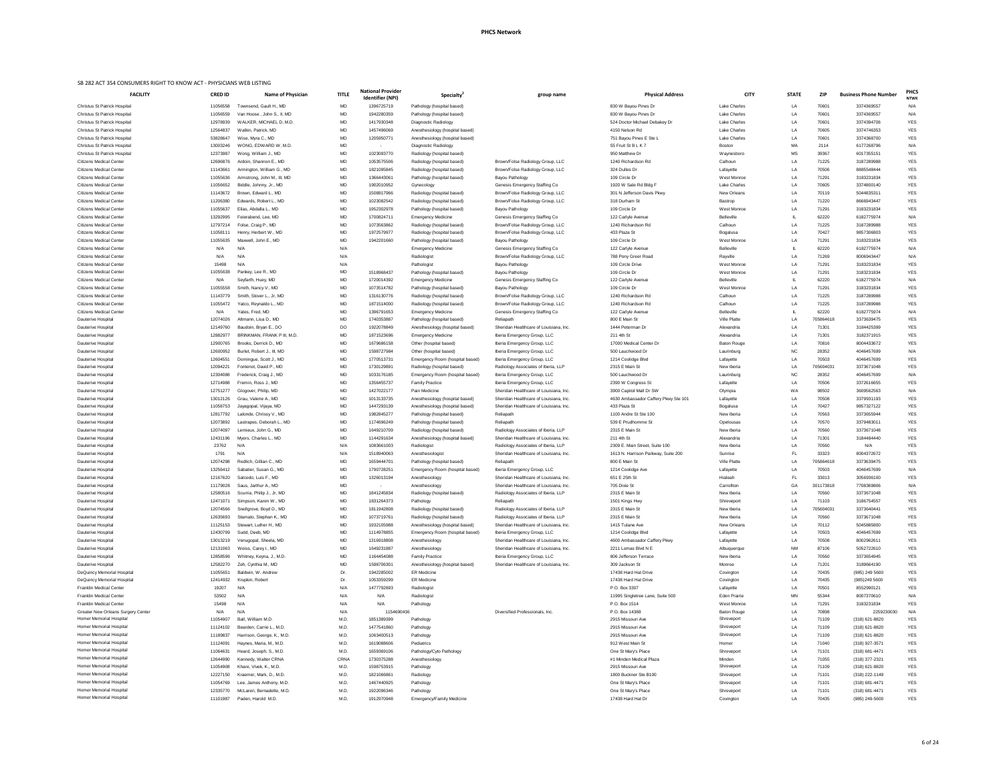| ational Provider<br>Identifier (NPI) | Specialty <sup>®</sup>                                        | group name                                                                    | <b>Physical Address</b>                              | <b>CITY</b>                      | <b>STATE</b>    | <b>ZIP</b>         | <b>Business Phone Number</b>     | <b>PHCS</b><br><b>NTWK</b> |
|--------------------------------------|---------------------------------------------------------------|-------------------------------------------------------------------------------|------------------------------------------------------|----------------------------------|-----------------|--------------------|----------------------------------|----------------------------|
| 1396725719                           | Pathology (hospital based)                                    |                                                                               | 830 W Bayou Pines Dr                                 | <b>Lake Charles</b>              | LA              | 70601              | 3374369557                       | N/A                        |
| 1942280359                           | Pathology (hospital based)                                    |                                                                               | 830 W Bayou Pines Dr                                 | Lake Charles                     | LA              | 70601              | 3374369557                       | N/A                        |
| 1417930348                           | Diagnostic Radiology                                          |                                                                               | 524 Doctor Michael Debakey Dr                        | <b>Lake Charles</b>              | LA              | 70601              | 3374394706                       | <b>YES</b>                 |
| 1457496069                           | Anesthesiology (hospital based)                               |                                                                               | 4150 Nelson Rd                                       | <b>Lake Charles</b>              | LA              | 70605              | 3374746353                       | <b>YES</b>                 |
| 1205950771                           | Anesthesiology (hospital based)                               |                                                                               | 751 Bayou Pines E Ste L                              | <b>Lake Charles</b>              | LA              | 70601              | 3374368700                       | <b>YES</b>                 |
|                                      | Diagnostic Radiology                                          |                                                                               | 55 Fruit St B L K 7                                  | <b>Boston</b>                    | MA              | 2114               | 6177268796                       | N/A                        |
| 1023093770                           | Radiology (hospital based)                                    |                                                                               | 950 Matthew Dr                                       | Waynesboro                       | <b>MS</b>       | 39367              | 6017355151                       | <b>YES</b>                 |
| 1053575506                           | Radiology (hospital based)                                    | Brown/Folse Radiology Group, LLC                                              | 1240 Richardson Rd                                   | Calhoun                          | LA              | 71225              | 3187289988                       | <b>YES</b>                 |
| 1821095845                           | Radiology (hospital based)                                    | Brown/Folse Radiology Group, LLC                                              | 324 Dulles Dr<br>109 Circle Dr                       | Lafayette<br>West Monroe         | LA<br>LA        | 70506<br>71291     | 8885548444<br>3183231834         | <b>YES</b><br><b>YES</b>   |
| 1366443061<br>1902010952             | Pathology (hospital based)<br>Gynecology                      | Bayou Pathology<br>Genesis Emergency Staffing Co                              | 1920 W Sale Rd Bldg F                                | <b>Lake Charles</b>              | LA              | 70605              | 3374800140                       | <b>YES</b>                 |
| 1508817966                           | Radiology (hospital based)                                    | Brown/Folse Radiology Group, LLC                                              | 301 N Jefferson Davis Pkwy                           | <b>New Orleans</b>               | LA              | 70119              | 5044835311                       | <b>YES</b>                 |
| 1023082542                           | Radiology (hospital based)                                    | Brown/Folse Radiology Group, LLC                                              | 318 Durham St                                        | <b>Bastrop</b>                   | LA              | 71220              | 8666943447                       | <b>YES</b>                 |
| 1952302978                           | Pathology (hospital based)                                    | Bayou Pathology                                                               | 109 Circle Dr                                        | West Monroe                      | LA              | 71291              | 3183231834                       | <b>YES</b>                 |
| 1700824711                           | <b>Emergency Medicine</b>                                     | Genesis Emergency Staffing Co                                                 | 122 Carlyle Avenue                                   | Belleville                       | IL.             | 62220              | 6182775974                       | N/A                        |
| 1073563862                           | Radiology (hospital based)                                    | Brown/Folse Radiology Group, LLC                                              | 1240 Richardson Rd                                   | Calhoun                          | LA              | 71225              | 3187289988                       | <b>YES</b>                 |
| 1972579977                           | Radiology (hospital based)                                    | Brown/Folse Radiology Group, LLC                                              | 433 Plaza St                                         | Bogalusa                         | LA              | 70427              | 9857306803                       | <b>YES</b>                 |
| 1942201660                           | Pathology (hospital based)                                    | Bayou Pathology                                                               | 109 Circle Dr                                        | West Monroe                      | LA              | 71291              | 3183231834                       | <b>YES</b>                 |
|                                      | <b>Emergency Medicine</b>                                     | Genesis Emergency Staffing Co                                                 | 122 Carlyle Avenue                                   | <b>Belleville</b>                | IL.             | 62220              | 6182775974                       | N/A                        |
|                                      | Radiologist                                                   | Brown/Folse Radiology Group, LLC                                              | 788 Pony Greer Road<br>109 Circle Drive              | Rayville<br>West Monroe          | LA              | 71269<br>71291     | 8006943447<br>3183231834         | N/A<br><b>YES</b>          |
| 1518968437                           | Pathologist<br>Pathology (hospital based)                     | Bayou Pathology<br>Bayou Pathology                                            | 109 Circle Dr                                        | West Monroe                      | LA<br>LA        | 71291              | 3183231834                       | <b>YES</b>                 |
| 1720014392                           | <b>Emergency Medicine</b>                                     | Genesis Emergency Staffing Co                                                 | 122 Carlyle Avenue                                   | <b>Belleville</b>                | IL              | 62220              | 6182775974                       | N/A                        |
| 1073514782                           | Pathology (hospital based)                                    | Bayou Pathology                                                               | 109 Circle Dr                                        | West Monroe                      | LA              | 71291              | 3183231834                       | <b>YES</b>                 |
| 1316130776                           | Radiology (hospital based)                                    | Brown/Folse Radiology Group, LLC                                              | 1240 Richardson Rd                                   | Calhoun                          | LA              | 71225              | 3187289988                       | <b>YES</b>                 |
| 1871514000                           | Radiology (hospital based)                                    | Brown/Folse Radiology Group, LLC                                              | 1240 Richardson Rd                                   | Calhoun                          | LA              | 71225              | 3187289988                       | <b>YES</b>                 |
| 1396791653                           | <b>Emergency Medicine</b>                                     | Genesis Emergency Staffing Co                                                 | 122 Carlyle Avenue                                   | Belleville                       | IL.             | 62220              | 6182775974                       | N/A                        |
| 1740353887                           | Pathology (hospital based)                                    | Reliapath                                                                     | 800 E Main St                                        | <b>Ville Platte</b>              | LA              | 705864618          | 3373639475                       | <b>YES</b>                 |
| 1922078849                           | Anesthesiology (hospital based)                               | Sheridan Healthcare of Louisiana, Inc.                                        | 1444 Peterman Dr                                     | Alexandria                       | LA              | 71301              | 3184425399                       | <b>YES</b>                 |
| 1871523696                           | <b>Emergency Medicine</b>                                     | Iberia Emergency Group, LLC                                                   | 211 4th St                                           | Alexandria                       | LA              | 71301              | 3182371915                       | <b>YES</b>                 |
| 1679686158                           | Other (hospital based)                                        | Iberia Emergency Group, LLC                                                   | 17000 Medical Center Dr                              | <b>Baton Rouge</b>               | LA              | 70816              | 8004433672                       | <b>YES</b>                 |
| 1598727984<br>1770513731             | Other (hospital based)<br>Emergency Room (hospital based)     | Iberia Emergency Group, LLC<br>Iberia Emergency Group, LLC                    | 500 Lauchwood Dr<br>1214 Coolidge Blvd               | Laurinburg<br>Lafayette          | <b>NC</b><br>LA | 28352<br>70503     | 4046457699<br>4046457699         | N/A<br><b>YES</b>          |
| 1730129891                           | Radiology (hospital based)                                    | Radiology Associates of Iberia, LLP                                           | 2315 E Main St                                       | New Iberia                       | LA              | 705604031          | 3373671048                       | <b>YES</b>                 |
| 1033176185                           | Emergency Room (hospital based)                               | Iberia Emergency Group, LLC                                                   | 500 Lauchwood Dr                                     | Laurinburg                       | <b>NC</b>       | 28352              | 4046457699                       | N/A                        |
| 1356455737                           | <b>Family Practice</b>                                        | Iberia Emergency Group, LLC                                                   | 2390 W Congress St                                   | Lafayette                        | LA              | 70506              | 3372616655                       | <b>YES</b>                 |
| 1427022177                           | Pain Medicine                                                 | Sheridan Healthcare of Louisiana, Inc.                                        | 3900 Capitol Mall Dr SW                              | Olympia                          | WA              | 98502              | 3609562563                       | N/A                        |
| 1013133735                           | Anesthesiology (hospital based)                               | Sheridan Healthcare of Louisiana, Inc.                                        | 4630 Ambassador Caffery Pkwy Ste 101                 | Lafayette                        | LA              | 70508              | 3379931193                       | <b>YES</b>                 |
| 1447293139                           | Anesthesiology (hospital based)                               | Sheridan Healthcare of Louisiana, Inc.                                        | 433 Plaza St                                         | Bogalusa                         | LA              | 70427              | 9857327122                       | <b>YES</b>                 |
| 1982845277                           | Pathology (hospital based)                                    | Reliapath                                                                     | 1100 Andre St Ste 100                                | New Iberia                       | LA              | 70563              | 3373655944                       | <b>YES</b>                 |
| 1174696249                           | Pathology (hospital based)                                    | Reliapath                                                                     | 539 E Prudhomme St                                   | Opelousas                        | LA              | 70570              | 3379483011                       | <b>YES</b>                 |
| 1649210709                           | Radiology (hospital based)                                    | Radiology Associates of Iberia, LLP                                           | 2315 E Main St                                       | New Iberia                       | LA              | 70560              | 3373671048                       | <b>YES</b><br><b>YES</b>   |
| 1144291634<br>1083661003             | Anesthesiology (hospital based)<br>Radiologist                | Sheridan Healthcare of Louisiana, Inc.<br>Radiology Associates of Iberia, LLP | 211 4th St<br>2309 E. Main Street, Suite 100         | Alexandria<br>New Iberia         | LA<br>LA        | 71301<br>70560     | 3184484440<br>N/A                | <b>YES</b>                 |
| 1518940063                           | Anesthesiologist                                              | Sheridan Healthcare of Louisiana, Inc.                                        | 1613 N. Harrison Parkway, Suite 200                  | Sunrise                          | FL.             | 33323              | 8004372672                       | <b>YES</b>                 |
| 1659444701                           | Pathology (hospital based)                                    | Reliapath                                                                     | 800 E Main St                                        | Ville Platte                     | LA              | 705864618          | 3373639475                       | <b>YES</b>                 |
| 1790728251                           | Emergency Room (hospital based)                               | Iberia Emergency Group, LLC                                                   | 1214 Coolidge Ave                                    | Lafayette                        | LA              | 70503              | 4046457699                       | N/A                        |
| 1326013194                           | Anesthesiology                                                | Sheridan Healthcare of Louisiana, Inc.                                        | 651 E 25th St                                        | Hialeah                          | FL.             | 33013              | 3056936100                       | <b>YES</b>                 |
|                                      | Anesthesiology                                                | Sheridan Healthcare of Louisiana, Inc.                                        | 705 Dixie St                                         | Carrollton                       | GA              | 301173818          | 7708369806                       | N/A                        |
| 1841245834                           | Radiology (hospital based)                                    | Radiology Associates of Iberia, LLP                                           | 2315 E Main St                                       | New Iberia                       | LA              | 70560              | 3373671048                       | <b>YES</b>                 |
| 1831264373                           | Pathology                                                     | Reliapath                                                                     | 1501 Kings Hwy                                       | Shreveport                       | LA              | 71103              | 3186754557                       | <b>YES</b>                 |
| 1811942808<br>1073719761             | Radiology (hospital based)                                    | Radiology Associates of Iberia, LLP<br>Radiology Associates of Iberia, LLP    | 2315 E Main St<br>2315 E Main St                     | New Iberia<br>New Iberia         | LA<br>LA        | 705604031<br>70560 | 3373640441<br>3373671048         | <b>YES</b><br><b>YES</b>   |
| 1932105988                           | Radiology (hospital based)<br>Anesthesiology (hospital based) | Sheridan Healthcare of Louisiana, Inc.                                        | 1415 Tulane Ave                                      | New Orleans                      | LA              | 70112              | 5045885800                       | <b>YES</b>                 |
| 1114978855                           | Emergency Room (hospital based)                               | Iberia Emergency Group, LLC                                                   | 1214 Coolidge Blvd                                   | Lafayette                        | LA              | 70503              | 4046457699                       | <b>YES</b>                 |
| 1316918808                           | Anesthesiology                                                | Sheridan Healthcare of Louisiana, Inc.                                        | 4600 Ambassador Caffery Pkwy                         | Lafayette                        | LA              | 70508              | 8002962611                       | <b>YES</b>                 |
| 1649231887                           | Anesthesiology                                                | Sheridan Healthcare of Louisiana, Inc.                                        | 2211 Lomas Blvd N E                                  | Albuquerque                      | <b>NM</b>       | 87106              | 5052722610                       | <b>YES</b>                 |
| 1164454088                           | <b>Family Practice</b>                                        | Iberia Emergency Group, LLC                                                   | 806 Jefferson Terrace                                | New Iberia                       | LA              | 70560              | 3373654945                       | <b>YES</b>                 |
| 1598706301                           | Anesthesiology (hospital based)                               | Sheridan Healthcare of Louisiana, Inc.                                        | 309 Jackson St                                       | Monroe                           | LA              | 71201              | 3189664190                       | <b>YES</b>                 |
| 1942285002                           | <b>ER Medicine</b>                                            |                                                                               | 17438 Hard Hat Drive                                 | Covington                        | LA              | 70435              | (985) 249 5600                   | <b>YES</b>                 |
| 1053359299                           | <b>ER Medicine</b>                                            |                                                                               | 17438 Hard Hat Drive                                 | Covington                        | LA              | 70435              | (985)249 5600                    | <b>YES</b>                 |
| 1477792893<br>N/A                    | Radiologist<br>Radiologist                                    |                                                                               | P.O. Box 3307<br>11995 Singletree Lane, Suite 500    | Lafayette<br><b>Eden Prairie</b> | LA<br><b>MN</b> | 70501<br>55344     | 8552990121<br>8007370610         | <b>YES</b><br>N/A          |
| N/A                                  | Pathology                                                     |                                                                               | P.O. Box 1514                                        | West Monroe                      | LA              | 71291              | 3183231834                       | YES                        |
| 1154690436                           |                                                               | Diversified Professionals, Inc.                                               | P.O. Box 14388                                       | <b>Baton Rouge</b>               | LA              | 70898              | 2259230030                       | N/A                        |
| 1851389399                           | Pathology                                                     |                                                                               | 2915 Missouri Ave                                    | Shreveport                       | LA              | 71109              | (318) 621-8820                   | YES                        |
| 1477541860                           | Pathology                                                     |                                                                               | 2915 Missouri Ave                                    | Shreveport                       | LA              | 71109              | (318) 621-8820                   | <b>YES</b>                 |
| 1063400513                           | Pathology                                                     |                                                                               | 2915 Missouri Ave                                    | Shreveport                       | LA              | 71109              | (318) 621-8820                   | <b>YES</b>                 |
| 1619088606                           | Pediatrics                                                    |                                                                               | 912 West Main St                                     | Homer                            | LA              | 71040              | (318) 927-3571                   | <b>YES</b>                 |
| 1659369106                           | Pathology/Cyto Pathology                                      |                                                                               | One St Mary's Place                                  | Shreveport                       | LA              | 71101              | (318) 681-4471                   | YES                        |
| 1730375288                           | Anesthesiology                                                |                                                                               | #1 Minden Medical Plaza                              | Minden                           | LA              | 71055              | (318) 377-2321                   | <b>YES</b>                 |
| 1598753915                           | Pathology                                                     |                                                                               | 2915 Missouri Ave                                    | Shreveport                       | LA              | 71109              | (318) 621-8820                   | <b>YES</b>                 |
| 1821066861<br>1467440925             | Radiology<br>Pathology                                        |                                                                               | 1800 Buckner Ste B100<br>One St Mary's Place         | Shreveport<br>Shreveport         | LA<br>LA        | 71101<br>71101     | (318) 222-1149<br>(318) 681-4471 | <b>YES</b><br><b>YES</b>   |
| 000000000                            |                                                               |                                                                               | $Q_{\text{max}} Q_{\text{max}}$ and $Q_{\text{max}}$ |                                  |                 |                    | $(0.40)$ $0.4$ $1.774$           | $V = 0$                    |

| <b>FACILITY</b>                           | <b>CRED ID</b> | Name of Physician           | <b>TITLE</b> | <b>National Provider</b><br><b>Identifier (NPI)</b> | <b>Specialty</b>                 | group name                                                                    | <b>Physical Address</b>              | <b>CITY</b>                    | <b>STATE</b> | <b>ZIP</b> | <b>Business Phone Number</b> | <b>NTW</b>        |
|-------------------------------------------|----------------|-----------------------------|--------------|-----------------------------------------------------|----------------------------------|-------------------------------------------------------------------------------|--------------------------------------|--------------------------------|--------------|------------|------------------------------|-------------------|
| <b>Christus St Patrick Hospital</b>       | 11056558       | Townsend. Gault H., MD      | MD           | 1396725719                                          | Pathology (hospital based)       |                                                                               | 830 W Bayou Pines Dr                 | <b>Lake Charles</b>            | LA           | 70601      | 3374369557                   | N/A               |
| <b>Christus St Patrick Hospital</b>       | 11056559       | Van Hoose, John S., II, MD  | MD           | 1942280359                                          | Pathology (hospital based)       |                                                                               | 830 W Bayou Pines Dr                 | <b>Lake Charles</b>            | LA           | 70601      | 3374369557                   | N/A               |
| <b>Christus St Patrick Hospital</b>       | 12978939       | WALKER, MICHAEL D, M.D.     | MD           | 1417930348                                          | Diagnostic Radiology             |                                                                               | 524 Doctor Michael Debakey Dr        | <b>Lake Charles</b>            | LA           | 70601      | 3374394706                   | YES               |
| <b>Christus St Patrick Hospital</b>       | 12564837       | Walkin, Patrick, MD         | MD           | 1457496069                                          | Anesthesiology (hospital based)  |                                                                               | 4150 Nelson Rd                       | <b>Lake Charles</b>            | LA           | 70605      | 3374746353                   | <b>YES</b>        |
| <b>Christus St Patrick Hospital</b>       | 53828647       | Wise, Myra C., MD           | MD           | 1205950771                                          | Anesthesiology (hospital based)  |                                                                               | 751 Bayou Pines E Ste L              | <b>Lake Charles</b>            | LA           | 70601      | 3374368700                   | <b>YES</b>        |
| <b>Christus St Patrick Hospital</b>       | 13003246       | WONG, EDWARD W, M.D.        | MD           | $\sim$                                              | Diagnostic Radiology             |                                                                               | 55 Fruit St B L K 7                  | Boston                         | МA           | 2114       | 6177268796                   | N/A               |
| <b>Christus St Patrick Hospital</b>       | 12373987       | Wong, William J., MD        | MD           | 1023093770                                          | Radiology (hospital based)       |                                                                               | 950 Matthew Dr                       | Waynesboro                     | МS           | 39367      | 6017355151                   | <b>YES</b>        |
| <b>Citizens Medical Center</b>            | 12696876       | Ardoin, Shannon E., MD      | MD           | 1053575506                                          | Radiology (hospital based)       | Brown/Folse Radiology Group, LLC                                              | 1240 Richardson Rd                   | Calhoun                        | LA           | 71225      | 3187289988                   | <b>YES</b>        |
| <b>Citizens Medical Center</b>            | 11143661       | Armington, William G., MD   | MD           | 1821095845                                          | Radiology (hospital based)       | Brown/Folse Radiology Group, LLC                                              | 324 Dulles Dr                        | Lafayette                      | LA           | 70506      | 8885548444                   | <b>YES</b>        |
| <b>Citizens Medical Center</b>            | 11055636       | Armstrong, John M., III, MD | MD           | 1366443061                                          | Pathology (hospital based)       | Bayou Pathology                                                               | 109 Circle Dr                        | West Monroe                    | LA           | 71291      | 3183231834                   | <b>YES</b>        |
| <b>Citizens Medical Center</b>            | 11056652       | Biddle, Johnny, Jr., MD     | MD           | 1902010952                                          | Gynecology                       | Genesis Emergency Staffing Co                                                 | 1920 W Sale Rd Bldg F                | Lake Charles                   | LA           | 70605      | 3374800140                   | <b>YES</b>        |
| <b>Citizens Medical Center</b>            | 11143672       | Brown, Edward L., MD        | MD           | 1508817966                                          | Radiology (hospital based)       | Brown/Folse Radiology Group, LLC                                              | 301 N Jefferson Davis Pkwy           | New Orleans                    | LA           | 70119      | 5044835311                   | YES               |
| <b>Citizens Medical Center</b>            | 11206380       | Edwards, Robert L., MD      | MD           | 1023082542                                          | Radiology (hospital based)       | Brown/Folse Radiology Group, LLC                                              | 318 Durham St                        | Bastrop                        | LA           | 71220      | 8666943447                   | <b>YES</b>        |
| <b>Citizens Medical Center</b>            | 11055637       | Elias, Abdalla L., MD       | MD           | 1952302978                                          | Pathology (hospital based)       | Bayou Pathology                                                               | 109 Circle Dr                        | West Monroe                    | LA           | 71291      | 3183231834                   | <b>YES</b>        |
| <b>Citizens Medical Center</b>            | 13292995       | Feierabend, Lee, MD         | MD           | 1700824711                                          | <b>Emergency Medicine</b>        | Genesis Emergency Staffing Co                                                 | 122 Carlyle Avenue                   | Belleville                     |              | 62220      | 6182775974                   | N/A               |
| <b>Citizens Medical Center</b>            | 12797214       | Folse, Craig P., MD         | MD           | 1073563862                                          | Radiology (hospital based)       | Brown/Folse Radiology Group, LLC                                              | 1240 Richardson Rd                   | Calhoun                        | LA           | 71225      | 3187289988                   | <b>YES</b>        |
| <b>Citizens Medical Center</b>            | 11058111       | Henry, Herbert W., MD       | MD           | 1972579977                                          | Radiology (hospital based)       | Brown/Folse Radiology Group, LLC                                              | 433 Plaza St                         | Bogalusa                       | LA           | 70427      | 9857306803                   | YES               |
| <b>Citizens Medical Center</b>            | 11055635       | Maxwell, John E., MD        | MD           | 1942201660                                          | Pathology (hospital based)       | Bayou Pathology                                                               | 109 Circle Dr                        | West Monroe                    | LA.          | 71291      | 3183231834                   | <b>YES</b>        |
| <b>Citizens Medical Center</b>            | N/A            | N/A                         | N/A          |                                                     | <b>Emergency Medicine</b>        | Genesis Emergency Staffing Co                                                 | 122 Carlyle Avenue                   | <b>Belleville</b>              |              | 62220      | 6182775974                   | N/A               |
| <b>Citizens Medical Center</b>            | N/A            | N/A                         | N/A          |                                                     | Radiologist                      | Brown/Folse Radiology Group, LLC                                              | 788 Pony Greer Road                  | Rayville                       | LA           | 71269      | 8006943447                   | N/A               |
| <b>Citizens Medical Center</b>            | 15498          | N/A                         | N/A          |                                                     | Pathologist                      | Bayou Pathology                                                               | 109 Circle Drive                     | West Monroe                    | LA           | 71291      | 3183231834                   | <b>YES</b>        |
| <b>Citizens Medical Center</b>            | 11055638       | Pankey, Lee R., MD          | MD           | 1518968437                                          | Pathology (hospital based)       | Bayou Pathology                                                               | 109 Circle Dr                        | West Monroe                    | LA           | 71291      | 3183231834                   | <b>YES</b>        |
| <b>Citizens Medical Center</b>            | N/A            | Seyfarth, Huey, MD          | MD           | 1720014392                                          | <b>Emergency Medicine</b>        | Genesis Emergency Staffing Co                                                 | 122 Carlyle Avenue                   | <b>Belleville</b>              |              | 62220      | 6182775974                   | N/A               |
| <b>Citizens Medical Center</b>            | 11055558       | Smith, Nancy V., MD         | MD           | 1073514782                                          | Pathology (hospital based)       | Bayou Pathology                                                               | 109 Circle Dr                        | West Monroe                    | LA           | 71291      | 3183231834                   | <b>YES</b>        |
| <b>Citizens Medical Center</b>            | 11143779       | Smith, Stover L., Jr, MD    | MD           | 1316130776                                          | Radiology (hospital based)       | Brown/Folse Radiology Group, LLC                                              | 1240 Richardson Rd                   | Calhoun                        | LA           | 71225      | 3187289988                   | YES               |
| <b>Citizens Medical Center</b>            | 11055472       | Yatco, Reynaldo L., MD      | MD           | 1871514000                                          | Radiology (hospital based)       | Brown/Folse Radiology Group, LLC                                              | 1240 Richardson Rd                   | Calhoun                        | LA           | 71225      | 3187289988                   | <b>YES</b>        |
| <b>Citizens Medical Center</b>            | N/A            | Yates, Fred, MD             | MD           | 1396791653                                          | <b>Emergency Medicine</b>        | Genesis Emergency Staffing Co                                                 | 122 Carlyle Avenue                   | <b>Belleville</b>              |              | 62220      | 6182775974                   | N/A               |
| Dauterive Hospital                        | 12074026       | Altmann, Lisa D., MD        | MD           | 1740353887                                          | Pathology (hospital based)       | Reliapath                                                                     | 800 E Main St                        | <b>Ville Platte</b>            | LA           | 705864618  | 3373639475                   | <b>YES</b>        |
| Dauterive Hospital                        | 12149760       | Baudoin, Bryan E., DO       | DO           | 1922078849                                          | Anesthesiology (hospital based)  | Sheridan Healthcare of Louisiana, Inc.                                        | 1444 Peterman Dr                     | Alexandria                     | LA           | 71301      | 3184425399                   | <b>YES</b>        |
| Dauterive Hospital                        | 12882977       | BRINKMAN, FRANK P III, M.D. | MD           | 1871523696                                          | Emergency Medicine               | Iberia Emergency Group, LLC                                                   | 211 4th St                           | Alexandria                     | LA           | 71301      | 3182371915                   | <b>YES</b>        |
| Dauterive Hospital                        | 12900765       | Brooks, Derrick D., MD      | MD           | 1679686158                                          | Other (hospital based)           | Iberia Emergency Group, LLC                                                   | 17000 Medical Center Dr              | <b>Baton Rouge</b>             | LA           | 70816      | 8004433672                   | <b>YES</b>        |
| <b>Dauterive Hospital</b>                 | 12600952       | Burlet, Robert J., III, MD  | MD           | 1598727984                                          | Other (hospital based)           | Iberia Emergency Group, LLC                                                   | 500 Lauchwood Dr                     | Laurinburg                     | ΝC           | 28352      | 4046457699                   | N/A               |
| Dauterive Hospital                        | 12604551       | Domingue, Scott J., MD      | MD           | 1770513731                                          | Emergency Room (hospital based)  | Iberia Emergency Group, LLC                                                   | 1214 Coolidge Blvd                   | Lafayette                      | LA           | 70503      | 4046457699                   | <b>YES</b>        |
| Dauterive Hospital                        | 12094221       | Fontenot, David P., MD      | MD           | 1730129891                                          | Radiology (hospital based)       | Radiology Associates of Iberia, LLP                                           | 2315 E Main St                       | New Iberia                     | LA           | 705604031  | 3373671048                   | <b>YES</b>        |
| Dauterive Hospital                        | 12304088       | Frederick, Craig J., MD     | MD           | 1033176185                                          | Emergency Room (hospital based)  | Iberia Emergency Group, LLC                                                   | 500 Lauchwood Dr                     | Laurinburg                     | NC.          | 28352      | 4046457699                   | N/A               |
| Dauterive Hospital                        | 12714988       | Fremin, Ross J., MD         | MD           | 1356455737                                          | <b>Family Practice</b>           | Iberia Emergency Group, LLC                                                   | 2390 W Congress St                   | Lafayette                      | LA           | 70506      | 3372616655                   | <b>YES</b>        |
| Dauterive Hospital                        | 12751277       | Glogover, Philip, MD        | MD           | 1427022177                                          | Pain Medicine                    | Sheridan Healthcare of Louisiana, Inc.                                        | 3900 Capitol Mall Dr SW              | Olympia                        | WA           | 98502      | 3609562563                   | N/A               |
| Dauterive Hospital                        | 13012126       | Grau, Valerie A., MD        | MD           | 1013133735                                          | Anesthesiology (hospital based)  | Sheridan Healthcare of Louisiana, Inc.                                        | 4630 Ambassador Caffery Pkwy Ste 101 | Lafayette                      | LA           | 70508      | 3379931193                   | <b>YES</b>        |
| Dauterive Hospital                        | 11058753       | Jayagopal, Vijaya, MD       | MD           | 1447293139                                          | Anesthesiology (hospital based)  | Sheridan Healthcare of Louisiana, Inc.                                        | 433 Plaza St                         | Bogalusa                       | LA           | 70427      | 9857327122                   | YES               |
| Dauterive Hospital                        | 12817792       | Lalonde, Chrissy V., MD     | MD           | 1982845277                                          | Pathology (hospital based)       | Reliapath                                                                     | 1100 Andre St Ste 100                | New Iberia                     | LA           | 70563      | 3373655944                   | <b>YES</b>        |
| Dauterive Hospital                        | 12073892       | Lastrapes, Deborah L., MD   | MD           | 1174696249                                          | Pathology (hospital based)       | Reliapath                                                                     | 539 E Prudhomme St                   | Opelousas                      | LA           | 70570      | 3379483011                   | <b>YES</b>        |
| Dauterive Hospital                        | 12074097       | Lemieux, John G., MD        | MD           | 1649210709                                          | Radiology (hospital based)       | Radiology Associates of Iberia, LLP                                           | 2315 E Main St                       | New Iberia                     | LA           | 70560      | 3373671048                   | <b>YES</b>        |
| Dauterive Hospital                        | 12431196       | Myers, Charles L., MD       | MD           | 1144291634                                          |                                  | Sheridan Healthcare of Louisiana, Inc.                                        | 211 4th St                           | Alexandria                     | LA           | 71301      | 3184484440                   | <b>YES</b>        |
|                                           | 23762          | N/A                         | N/A          | 1083661003                                          | Anesthesiology (hospital based)  |                                                                               | 2309 E. Main Street, Suite 100       |                                | LA           | 70560      | N/A                          |                   |
| Dauterive Hospital                        | 1791           | N/A                         | N/A          | 1518940063                                          | Radiologist                      | Radiology Associates of Iberia, LLP<br>Sheridan Healthcare of Louisiana, Inc. | 1613 N. Harrison Parkway, Suite 200  | New Iberia                     | FL           | 33323      | 8004372672                   | YES               |
| Dauterive Hospital                        | 12074298       | Redlich, Gillian C., MD     | MD           | 1659444701                                          | Anesthesiologist                 | Reliapath                                                                     | 800 E Main St                        | Sunrise<br><b>Ville Platte</b> | LA           | 705864618  | 3373639475                   | YES<br><b>YES</b> |
| Dauterive Hospital                        |                |                             |              |                                                     | Pathology (hospital based)       |                                                                               |                                      |                                | LA           |            |                              |                   |
| Dauterive Hospital                        | 13256412       | Sabatier, Susan G., MD      | MD           | 1790728251                                          | Emergency Room (hospital based)  | Iberia Emergency Group, LLC                                                   | 1214 Coolidge Ave                    | Lafayette                      |              | 70503      | 4046457699                   | N/A               |
| Dauterive Hospital                        | 12167620       | Salcedo, Luis F., MD        | MD           | 1326013194                                          | Anesthesiology                   | Sheridan Healthcare of Louisiana, Inc.                                        | 651 E 25th St                        | Hialeah                        |              | 33013      | 3056936100                   | <b>YES</b>        |
| Dauterive Hospital                        | 11179028       | Saus, Jarthur A., MD        | MD           | $\sim$                                              | Anesthesiology                   | Sheridan Healthcare of Louisiana, Inc.                                        | 705 Dixie St                         | Carrollton                     | GA           | 301173818  | 7708369806                   | N/A               |
| Dauterive Hospital                        | 12580516       | Scurria, Philip J., Jr, MD  | MD           | 1841245834                                          | Radiology (hospital based)       | Radiology Associates of Iberia, LLP                                           | 2315 E Main St                       | New Iberia                     | LA           | 70560      | 3373671048                   | <b>YES</b>        |
| Dauterive Hospital                        | 12471071       | Simpson, Karen W., MD       | MD           | 1831264373                                          | Pathology                        | Reliapath                                                                     | 1501 Kings Hwy                       | Shreveport                     | LA           | 71103      | 3186754557                   | <b>YES</b>        |
| Dauterive Hospital                        | 12074566       | Snellgrove, Boyd D., MD     | MD           | 1811942808                                          | Radiology (hospital based)       | Radiology Associates of Iberia, LLP                                           | 2315 E Main St                       | New Iberia                     | LA           | 705604031  | 3373640441                   | YES               |
| Dauterive Hospital                        | 12635693       | Stamato, Stephan K., MD     | MD           | 1073719761                                          | Radiology (hospital based)       | Radiology Associates of Iberia, LLP                                           | 2315 E Main St                       | New Iberia                     | LA           | 70560      | 3373671048                   | YES               |
| Dauterive Hospital                        | 11125153       | Stewart, Luther H., MD      | MD           | 1932105988                                          | Anesthesiology (hospital based)  | Sheridan Healthcare of Louisiana, Inc.                                        | 1415 Tulane Ave                      | <b>New Orleans</b>             | LA           | 70112      | 5045885800                   | <b>YES</b>        |
| Dauterive Hospital                        | 12430799       | Sudd, Deeb, MD              | MD           | 1114978855                                          | Emergency Room (hospital based)  | Iberia Emergency Group, LLC                                                   | 1214 Coolidge Blvd                   | Lafayette                      | LA.          | 70503      | 4046457699                   | <b>YES</b>        |
| Dauterive Hospital                        | 13013219       | Venugopal, Sheela, MD       | MD           | 1316918808                                          | Anesthesiology                   | Sheridan Healthcare of Louisiana, Inc.                                        | 4600 Ambassador Caffery Pkwy         | Lafayette                      | LA           | 70508      | 8002962611                   | <b>YES</b>        |
| Dauterive Hospital                        | 12131063       | Weiss, Carey I., MD         | MD           | 1649231887                                          | Anesthesiology                   | Sheridan Healthcare of Louisiana, Inc.                                        | 2211 Lomas Blvd N E                  | Albuquerque                    | <b>NM</b>    | 87106      | 5052722610                   | YES               |
| Dauterive Hospital                        | 12858596       | Whitney, Keyna, J., M.D.    | MD           | 1164454088                                          | <b>Family Practice</b>           | Iberia Emergency Group, LLC                                                   | 806 Jefferson Terrace                | New Iberia                     | LA           | 70560      | 3373654945                   | YES               |
| Dauterive Hospital                        | 12582270       | Zeh, Cynthia M., MD         | MD           | 1598706301                                          | Anesthesiology (hospital based)  | Sheridan Healthcare of Louisiana, Inc.                                        | 309 Jackson St                       | Monroe                         | LA           | 71201      | 3189664190                   | <b>YES</b>        |
| DeQuincy Memorial Hospital                | 11055651       | Baldwin, W. Andrew          | Dr.          | 1942285002                                          | <b>ER Medicine</b>               |                                                                               | 17438 Hard Hat Drive                 | Covington                      | LA           | 70435      | (985) 249 5600               | <b>YES</b>        |
| <b>DeQuincy Memorial Hospital</b>         | 12414932       | Krupkin, Robert             | Dr           | 1053359299                                          | <b>ER Medicine</b>               |                                                                               | 17438 Hard Hat Drive                 | Covington                      | LA           | 70435      | (985) 249 5600               | <b>YES</b>        |
| <b>Franklin Medical Center</b>            | 19207          | N/A                         | N/A          | 1477792893                                          | Radiologist                      |                                                                               | P.O. Box 3307                        | Lafayette                      |              | 70501      | 8552990121                   | <b>YES</b>        |
| <b>Franklin Medical Center</b>            | 53502          | N/A                         | N/A          | N/A                                                 | Radiologist                      |                                                                               | 11995 Singletree Lane, Suite 500     | <b>Eden Prairie</b>            | MΝ           | 55344      | 8007370610                   | N/A               |
| <b>Franklin Medical Center</b>            | 15498          | N/A                         | N/A          | N/A                                                 | Pathology                        |                                                                               | P.O. Box 1514                        | West Monroe                    | LA           | 71291      | 3183231834                   | <b>YES</b>        |
| <b>Greater New Orleans Surgery Center</b> | N/A            | N/A                         | N/A          | 1154690436                                          |                                  | Diversified Professionals, Inc.                                               | P.O. Box 14388                       | <b>Baton Rouge</b>             | LA           | 70898      | 2259230030                   | N/A               |
| Homer Memorial Hospital                   | 11054907       | Ball, William M.D.          | M.D.         | 1851389399                                          | Pathology                        |                                                                               | 2915 Missouri Ave                    | Shreveport                     | LA           | 71109      | (318) 621-8820               | YES               |
| Homer Memorial Hospital                   | 11124102       | Bearden, Carrie L., M.D.    | M.D.         | 1477541860                                          | Pathology                        |                                                                               | 2915 Missouri Ave                    | Shreveport                     | LA           | 71109      | (318) 621-8820               | YES               |
| Homer Memorial Hospital                   | 11189837       | Harrison, George, K., M.D.  | M.D.         | 1063400513                                          | Pathology                        |                                                                               | 2915 Missouri Ave                    | Shreveport                     | LA           | 71109      | (318) 621-8820               | YES               |
| Homer Memorial Hospital                   | 11124091       | Haynes, Maria, M., M.D.     | M.D.         | 1619088606                                          | Pediatrics                       |                                                                               | 912 West Main St                     | Homer                          | LA           | 71040      | (318) 927-3571               | YES               |
| Homer Memorial Hospital                   | 11064631       | Heard, Joseph, S., M.D.     | M.D.         | 1659369106                                          | Pathology/Cyto Pathology         |                                                                               | One St Mary's Place                  | Shreveport                     | LA           | 71101      | (318) 681-4471               | <b>YES</b>        |
| Homer Memorial Hospital                   | 12644990       | Kennedy, Walter CRNA        | CRNA         | 1730375288                                          | Anesthesiology                   |                                                                               | #1 Minden Medical Plaza              | Minden                         | LA           | 71055      | (318) 377-2321               | YES               |
| Homer Memorial Hospital                   | 11054908       | Khare, Vivek, K., M.D.      | M.D.         | 1598753915                                          | Pathology                        |                                                                               | 2915 Missouri Ave                    | Shreveport                     | LA           | 71109      | (318) 621-8820               | YES               |
| Homer Memorial Hospital                   | 12227150       | Kraemer, Mark, D., M.D.     | M.D.         | 1821066861                                          | Radiology                        |                                                                               | 1800 Buckner Ste B100                | Shreveport                     | LA           | 71101      | (318) 222-1149               | <b>YES</b>        |
| Homer Memorial Hospital                   | 11054769       | Lee, James Anthony, M.D.    | M.D.         | 1467440925                                          | Pathology                        |                                                                               | One St Mary's Place                  | Shreveport                     | LA           | 71101      | (318) 681-4471               | YES               |
| Homer Memorial Hospital                   | 12335770       | McLaren, Bernadette, M.D.   | M.D.         | 1922096346                                          | Pathology                        |                                                                               | One St Mary's Place                  | Shreveport                     | LA           | 71101      | (318) 681-4471               | <b>YES</b>        |
| Homer Memorial Hospital                   | 11101987       | Paden, Harold M.D.          | M.D.         | 1912970948                                          | <b>Emergency/Family Medicine</b> |                                                                               | 17438 Hard Hat Dr                    | Covington                      | LA           | 70435      | (985) 249-5600               | <b>YES</b>        |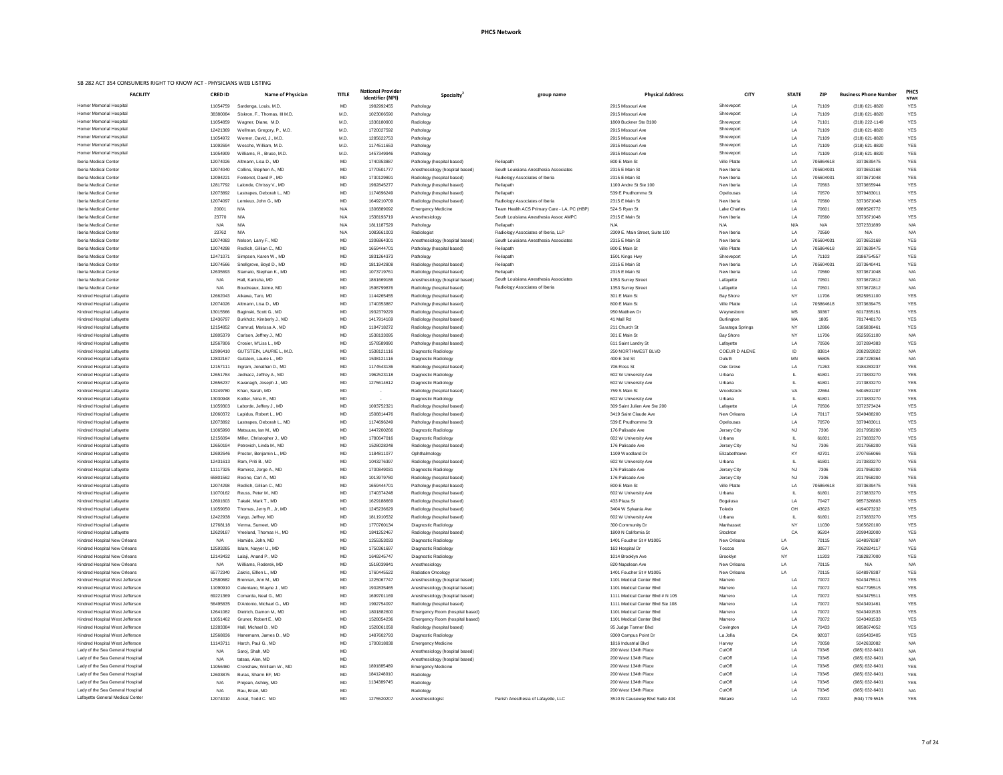| ational Provider<br>Identifier (NPI) | Specialty <sup>2</sup>                                   | group name                                  | <b>Physical Address</b>                     | <b>CITY</b>          | <b>STATE</b> | <b>ZIP</b>     | <b>Business Phone Number</b> | <b>PHCS</b><br><b>NTWK</b> |
|--------------------------------------|----------------------------------------------------------|---------------------------------------------|---------------------------------------------|----------------------|--------------|----------------|------------------------------|----------------------------|
| 1982992455                           | Pathology                                                |                                             | 2915 Missouri Ave                           | Shreveport           | LA           | 71109          | (318) 621-8820               | <b>YES</b>                 |
| 1023006590                           | Pathology                                                |                                             | 2915 Missouri Ave                           | Shreveport           | LA           | 71109          | (318) 621-8820               | <b>YES</b>                 |
| 1336180900                           | Radiology                                                |                                             | 1800 Buckner Ste B100                       | Shreveport           | LA           | 71101          | (318) 222-1149               | <b>YES</b>                 |
| 1720027592                           | Pathology                                                |                                             | 2915 Missouri Ave                           | Shreveport           | LA           | 71109          | (318) 621-8820               | YES                        |
| 1285622753                           | Pathology                                                |                                             | 2915 Missouri Ave                           | Shreveport           | LA           | 71109          | (318) 621-8820               | <b>YES</b>                 |
| 1174511653                           | Pathology                                                |                                             | 2915 Missouri Ave                           | Shreveport           | LA           | 71109          | (318) 621-8820               | <b>YES</b>                 |
| 1457349946                           | Pathology                                                |                                             | 2915 Missouri Ave                           | Shreveport           | LA           | 71109          | (318) 621-8820               | YES                        |
| 1740353887                           | Pathology (hospital based)                               | Reliapath                                   | 800 E Main St                               | <b>Ville Platte</b>  | LA           | 705864618      | 3373639475                   | <b>YES</b>                 |
| 1770501777                           | Anesthesiology (hospital based)                          | South Louisiana Anesthesia Associates       | 2315 E Main St                              | New Iberia           | LA           | 705604031      | 3373653168                   | <b>YES</b>                 |
| 1730129891                           | Radiology (hospital based)                               | Radiology Associates of Iberia              | 2315 E Main St                              | New Iberia           | LA           | 705604031      | 3373671048                   | <b>YES</b>                 |
| 1982845277                           | Pathology (hospital based)                               | Reliapath                                   | 1100 Andre St Ste 100                       | New Iberia           | LA           | 70563          | 3373655944                   | <b>YES</b>                 |
| 1174696249                           | Pathology (hospital based)                               | Reliapath                                   | 539 E Prudhomme St                          | Opelousas            | LA           | 70570          | 3379483011                   | YES                        |
| 1649210709                           | Radiology (hospital based)                               | Radiology Associates of Iberia              | 2315 E Main St                              | New Iberia           | LA           | 70560          | 3373671048                   | <b>YES</b>                 |
| 1306889092                           | <b>Emergency Medicine</b>                                | Team Health ACS Primary Care - LA, PC (HBP) | 524 S Ryan St                               | <b>Lake Charles</b>  | LA           | 70601          | 8889526772                   | <b>YES</b>                 |
| 1538193719                           | Anesthesiology                                           | South Louisiana Anesthesia Assoc AMPC       | 2315 E Main St                              | New Iberia           | LA           | 70560          | 3373671048                   | YES                        |
| 1811187529                           | Pathology                                                | Reliapath                                   | N/A                                         | N/A                  | N/A          | N/A            | 3372331899                   | N/A                        |
| 1083661003                           | Radiologist                                              | Radiology Associates of Iberia, LLP         | 2309 E. Main Street, Suite 100              | New Iberia           | LA           | 70560          | N/A                          | N/A                        |
| 1306864301                           | Anesthesiology (hospital based)                          | South Louisiana Anesthesia Associates       | 2315 E Main St                              | New Iberia           | LA           | 705604031      | 3373653168                   | YES                        |
| 1659444701                           | Pathology (hospital based)                               | Reliapath                                   | 800 E Main St                               | <b>Ville Platte</b>  | LA           | 705864618      | 3373639475                   | <b>YES</b>                 |
| 1831264373                           | Pathology                                                | Reliapath                                   | 1501 Kings Hwy                              | Shreveport           | LA           | 71103          | 3186754557                   | <b>YES</b>                 |
| 1811942808                           | Radiology (hospital based)                               | Reliapath                                   | 2315 E Main St                              | New Iberia           | LA           | 705604031      | 3373640441                   | <b>YES</b>                 |
| 1073719761                           | Radiology (hospital based)                               | Reliapath                                   | 2315 E Main St                              | New Iberia           | LA           | 70560          | 3373671048                   | N/A                        |
| 1861669186                           | Anesthesiology (hospital based)                          | South Louisiana Anesthesia Associates       | 1353 Surrey Street                          | Lafayette            | LA           | 70501          | 3373672812                   | N/A                        |
| 1598799876                           | Radiology (hospital based)                               | Radiology Associates of Iberia              | 1353 Surrey Street                          | Lafayette            | LA           | 70501          | 3373672812                   | N/A                        |
| 1144265455                           | Radiology (hospital based)                               |                                             | 301 E Main St                               | <b>Bay Shore</b>     | <b>NY</b>    | 11706          | 9525951100                   | <b>YES</b>                 |
| 1740353887                           | Pathology (hospital based)                               |                                             | 800 E Main St                               | Ville Platte         | LA           | 705864618      | 3373639475                   | YES                        |
| 1932379229                           | Radiology (hospital based)                               |                                             | 950 Matthew Dr                              | Waynesboro           | MS           | 39367          | 6017355151                   | <b>YES</b>                 |
| 1417914169                           | Radiology (hospital based)                               |                                             | 41 Mall Rd                                  | Burlington           | МA           | 1805           | 7817448170                   | <b>YES</b>                 |
| 1184718272                           | Radiology (hospital based)                               |                                             | 211 Church St                               | Saratoga Springs     | <b>NY</b>    | 12866          | 5185838461                   | YES                        |
| 1538133095                           | Radiology (hospital based)                               |                                             | 301 E Main St                               | <b>Bay Shore</b>     | <b>NY</b>    | 11706          | 9525951100                   | N/A                        |
| 1578589990                           | Pathology (hospital based)                               |                                             | 611 Saint Landry St                         | Lafayette            | LA           | 70506          | 3372894383                   | <b>YES</b>                 |
| 1538121116                           | Diagnostic Radiology                                     |                                             | 250 NORTHWEST BLVD                          | <b>COEUR D ALENE</b> | ID           | 83814          | 2082922822                   | N/A                        |
| 1538121116                           | Diagnostic Radiology                                     |                                             | 400 E 3rd St                                | Duluth               | MN           | 55805          | 2187228364                   | N/A                        |
| 1174543136                           | Radiology (hospital based)                               |                                             | 706 Ross St                                 | Oak Grove            | LA           | 71263          | 3184283237                   | <b>YES</b>                 |
| 1962523118                           | Diagnostic Radiology                                     |                                             | 602 W University Ave                        | Urbana               | -IL          | 61801          | 2173833270                   | <b>YES</b>                 |
| 1275614612                           | Diagnostic Radiology                                     |                                             | 602 W University Ave                        | Urbana               | IL           | 61801          | 2173833270                   | <b>YES</b>                 |
|                                      | Radiology (hospital based)                               |                                             | 759 S Main St                               | Woodstock            | VA           | 22664          | 5404591207                   | YES                        |
|                                      | Diagnostic Radiology                                     |                                             | 602 W University Ave                        | Urbana               | L            | 61801          | 2173833270                   | <b>YES</b>                 |
| 1093752321                           | Radiology (hospital based)                               |                                             | 309 Saint Julien Ave Ste 200                | Lafayette            | LA           | 70506          | 3372373424                   | <b>YES</b>                 |
| 1508814476                           | Radiology (hospital based)                               |                                             | 3419 Saint Claude Ave                       | New Orleans          | LA           | 70117          | 5049488200                   | <b>YES</b>                 |
| 1174696249                           | Pathology (hospital based)                               |                                             | 539 E Prudhomme St                          | Opelousas            | LA           | 70570          | 3379483011                   | <b>YES</b>                 |
| 1447200266                           | Diagnostic Radiology                                     |                                             | 176 Palisade Ave                            | Jersey City          | <b>NJ</b>    | 7306           | 2017958200                   | YES                        |
| 1780647016                           | Diagnostic Radiology                                     |                                             | 602 W University Ave                        | Urbana               | IL.          | 61801          | 2173833270                   | <b>YES</b>                 |
| 1528028248                           | Radiology (hospital based)                               |                                             | 176 Palisade Ave                            | Jersey City          | <b>NJ</b>    | 7306           | 2017958200                   | <b>YES</b>                 |
| 1184811077                           | Ophthalmology                                            |                                             | 1109 Woodland Dr                            | Elizabethtown        | KY           | 42701          | 2707656066                   | <b>YES</b>                 |
| 1043276397                           | Radiology (hospital based)                               |                                             | 602 W University Ave                        | Urbana               | IL           | 61801          | 2173833270                   | <b>YES</b>                 |
| 1700849031                           | Diagnostic Radiology                                     |                                             | 176 Palisade Ave                            | Jersey City          | <b>NJ</b>    | 7306           | 2017958200                   | <b>YES</b>                 |
| 1013979780                           | Radiology (hospital based)                               |                                             | 176 Palisade Ave                            | Jersey City          | <b>NJ</b>    | 7306           | 2017958200                   | <b>YES</b>                 |
| 1659444701                           | Pathology (hospital based)                               |                                             | 800 E Main St                               | <b>Ville Platte</b>  | LA           | 705864618      | 3373639475                   | <b>YES</b><br><b>YES</b>   |
| 1740374248                           | Radiology (hospital based)                               |                                             | 602 W University Ave<br>433 Plaza St        | Urbana               | IL           | 61801<br>70427 | 2173833270<br>9857326803     | <b>YES</b>                 |
| 1629188669<br>1245236629             | Radiology (hospital based)                               |                                             |                                             | Bogalusa<br>Toledo   | LA           | 43623          | 4194073232                   | <b>YES</b>                 |
| 1811910532                           | Radiology (hospital based)<br>Radiology (hospital based) |                                             | 3404 W Sylvania Ave<br>602 W University Ave | Urbana               | OH<br>IL     | 61801          | 2173833270                   | <b>YES</b>                 |
| 1770760134                           | Diagnostic Radiology                                     |                                             | 300 Community Dr                            | Manhasset            | <b>NY</b>    | 11030          | 5165620100                   | <b>YES</b>                 |
| 1841252467                           | Radiology (hospital based)                               |                                             | 1800 N California St                        | Stockton             | CA           | 95204          | 2099432000                   | YES                        |
| 1255353033                           | Diagnostic Radiology                                     |                                             | 1401 Foucher St # M1005                     | New Orleans          | LA           | 70115          | 5048978387                   | N/A                        |
| 1750361697                           | Diagnostic Radiology                                     |                                             | 163 Hospital Dr                             | Toccoa               | GA           | 30577          | 7062824117                   | YES                        |
| 1649245747                           | Diagnostic Radiology                                     |                                             | 1014 Brooklyn Ave                           | Brooklyn             | <b>NY</b>    | 11203          | 7182827000                   | <b>YES</b>                 |
| 1518039841                           | Anesthesiology                                           |                                             | 820 Napolean Ave                            | New Orleans          | LA           | 70115          | N/A                          | N/A                        |
| 1760445522                           | <b>Radiation Oncology</b>                                |                                             | 1401 Foucher St # M1005                     | New Orleans          | LA           | 70115          | 5048978387                   | <b>YES</b>                 |
| 1225067747                           | Anesthesiology (hospital based)                          |                                             | 1101 Medical Center Blvd                    | Marrero              | LA           | 70072          | 5043475511                   | <b>YES</b>                 |
| 1902835465                           | Anesthesiology (hospital based)                          |                                             | 1101 Medical Center Blvd                    | Marrero              | LA           | 70072          | 5047795515                   | <b>YES</b>                 |
| 1699701169                           | Anesthesiology (hospital based)                          |                                             | 1111 Medical Center Blvd # N 105            | Marrero              | LA           | 70072          | 5043475511                   | YES                        |
| 1992754097                           | Radiology (hospital based)                               |                                             | 1111 Medical Center Blvd Ste 108            | Marrero              | LA           | 70072          | 5043491461                   | YES                        |
| 1801882600                           | Emergency Room (hospital based)                          |                                             | 1101 Medical Center Blvd                    | Marrero              | LA           | 70072          | 5043491533                   | YES                        |
| 1528054236                           | Emergency Room (hospital based)                          |                                             | 1101 Medical Center Blvd                    | Marrero              | LA           | 70072          | 5043491533                   | YES                        |
| 1528061058                           | Radiology (hospital based)                               |                                             | 95 Judge Tanner Blvd                        | Covington            | LA           | 70433          | 9858674052                   | YES                        |
| 1487602793                           | Diagnostic Radiology                                     |                                             | 9300 Campus Point Dr                        | La Jolla             | CA           | 92037          | 6195433405                   | YES                        |
| 1700818838                           | <b>Emergency Medicine</b>                                |                                             | 1816 Industrial Blvd                        | Harvey               | LA           | 70058          | 5042632082                   | N/A                        |
|                                      | Anesthesiology (hospital based)                          |                                             | 200 West 134th Place                        | CutOff               | LA           | 70345          | (985) 632-6401               | N/A                        |
|                                      | Anesthesiology (hospital based)                          |                                             | 200 West 134th Place                        | CutOff               | LA           | 70345          | (985) 632-6401               | N/A                        |
| 1891885489                           | <b>Emergency Medicine</b>                                |                                             | 200 West 134th Place                        | CutOff               | LA           | 70345          | (985) 632-6401               | <b>YES</b>                 |
| 1841248010                           | Radiology                                                |                                             | 200 West 134th Place                        | CutOff               | LA           | 70345          | (985) 632-6401               | <b>YES</b>                 |
| 1134389745                           | Radiology                                                |                                             | 200 West 134th Place                        | CutOff               | LA           | 70345          | (985) 632-6401               | YES                        |
|                                      | Radiology                                                |                                             | 200 West 134th Place                        | CutOff               | LA           | 70345          | (985) 632-6401               | N/A                        |
|                                      |                                                          |                                             |                                             |                      |              |                |                              |                            |

| <b>FACILITY</b>                                                      | <b>CRED ID</b>       | <b>Name of Physician</b>                            | <b>TITLE</b>    | <b>National Provider</b><br><b>Identifier (NPI)</b> | Specialty                                                    | group name                                                                   | <b>Physical Address</b>                               | <b>CITY</b>                   | <b>STATE</b>    | <b>ZIP</b>         | <b>Business Phone Number</b>     | <b>PHC</b><br><b>NTW</b> |
|----------------------------------------------------------------------|----------------------|-----------------------------------------------------|-----------------|-----------------------------------------------------|--------------------------------------------------------------|------------------------------------------------------------------------------|-------------------------------------------------------|-------------------------------|-----------------|--------------------|----------------------------------|--------------------------|
| Homer Memorial Hospital                                              | 11054759             | Sardenga, Louis, M.D.                               | MD              | 1982992455                                          | Pathology                                                    |                                                                              | 2915 Missouri Ave                                     | Shreveport                    | LA              | 71109              | (318) 621-8820                   | <b>YES</b>               |
| Homer Memorial Hospital                                              | 38380084             | Siskron, F., Thomas, III M.D.                       | M.D.            | 1023006590                                          | Pathology                                                    |                                                                              | 2915 Missouri Ave                                     | Shreveport                    | LA              | 71109              | (318) 621-8820                   | <b>YES</b>               |
| Homer Memorial Hospital                                              | 11054859             | Wagner, Diane, M.D.                                 | M.D.            | 1336180900                                          | Radiology                                                    |                                                                              | 1800 Buckner Ste B100                                 | Shreveport                    | LA              | 71101              | (318) 222-1149                   | YES                      |
| Homer Memorial Hospital                                              | 12421369             | Wellman, Gregory, P., M.D.                          | M.D.            | 1720027592                                          | Pathology                                                    |                                                                              | 2915 Missouri Ave                                     | Shreveport                    | LA              | 71109              | (318) 621-8820                   | <b>YES</b>               |
| Homer Memorial Hospital<br>Homer Memorial Hospital                   | 11054972<br>11092694 | Werner, David, J., M.D.<br>Wesche, William, M.D.    | M.D.<br>M.D.    | 1285622753<br>1174511653                            | Pathology<br>Pathology                                       |                                                                              | 2915 Missouri Ave<br>2915 Missouri Ave                | Shreveport<br>Shreveport      | LA<br>LA        | 71109<br>71109     | (318) 621-8820                   | YES                      |
| Homer Memorial Hospital                                              | 11054909             | Williams, R., Bruce, M.D.                           | M.D.            | 1457349946                                          | Pathology                                                    |                                                                              | 2915 Missouri Ave                                     | Shreveport                    | LA.             | 71109              | (318) 621-8820<br>(318) 621-8820 | YES<br><b>YES</b>        |
| Iberia Medical Center                                                | 12074026             | Altmann, Lisa D., MD                                | MD              | 1740353887                                          | Pathology (hospital based)                                   | Reliapath                                                                    | 800 E Main St                                         | Ville Platte                  | LA              | 705864618          | 3373639475                       | YES                      |
| Iberia Medical Center                                                | 12074040             | Collins, Stephen A., MD                             | MD              | 1770501777                                          | Anesthesiology (hospital based)                              | South Louisiana Anesthesia Associates                                        | 2315 E Main St                                        | New Iberia                    | LA              | 705604031          | 3373653168                       | <b>YES</b>               |
| Iberia Medical Center                                                | 12094221             | Fontenot, David P., MD                              | MD              | 1730129891                                          | Radiology (hospital based)                                   | Radiology Associates of Iberia                                               | 2315 E Main St                                        | New Iberia                    | LA              | 705604031          | 3373671048                       | <b>YES</b>               |
| Iberia Medical Center                                                | 12817792             | Lalonde, Chrissy V., MD                             | MD              | 1982845277                                          | Pathology (hospital based)                                   | Reliapath                                                                    | 1100 Andre St Ste 100                                 | New Iberia                    | LA              | 70563              | 3373655944                       | <b>YES</b>               |
| Iberia Medical Center                                                | 12073892             | Lastrapes, Deborah L., MD                           | MD              | 1174696249                                          | Pathology (hospital based)                                   | Reliapath                                                                    | 539 E Prudhomme St                                    | Opelousas                     | LA              | 70570              | 3379483011                       | <b>YES</b>               |
| Iberia Medical Center                                                | 12074097             | Lemieux, John G., MD                                | MD              | 1649210709                                          | Radiology (hospital based)                                   | Radiology Associates of Iberia                                               | 2315 E Main St                                        | New Iberia                    | LA              | 70560              | 3373671048                       | YES                      |
| Iberia Medical Center                                                | 20001                | N/A                                                 | N/A             | 1306889092                                          | <b>Emergency Medicine</b>                                    | Team Health ACS Primary Care - LA, PC (HBP)                                  | 524 S Ryan St                                         | <b>Lake Charles</b>           | LA              | 70601              | 8889526772                       | YES                      |
| Iberia Medical Center                                                | 23770                | N/A                                                 | N/A             | 1538193719                                          | Anesthesiology                                               | South Louisiana Anesthesia Assoc AMPC                                        | 2315 E Main St                                        | New Iberia                    | LA              | 70560              | 3373671048                       | <b>YES</b>               |
| Iberia Medical Center                                                | N/A                  | N/A                                                 | N/A             | 1811187529                                          | Pathology                                                    | Reliapath                                                                    | N/A<br>2309 E. Main Street, Suite 100                 | N/A                           | N/A             | N/A                | 3372331899                       | N/A                      |
| Iberia Medical Center<br>Iberia Medical Center                       | 23762<br>12074083    | N/A<br>Nelson, Larry F., MD                         | N/A<br>MD       | 1083661003<br>1306864301                            | Radiologist<br>Anesthesiology (hospital based)               | Radiology Associates of Iberia, LLP<br>South Louisiana Anesthesia Associates | 2315 E Main St                                        | New Iberia<br>New Iberia      | LA<br>LA        | 70560<br>705604031 | N/A<br>3373653168                | N/A<br><b>YES</b>        |
| Iberia Medical Center                                                | 12074298             | Redlich, Gillian C., MD                             | MD              | 1659444701                                          | Pathology (hospital based)                                   | Reliapath                                                                    | 800 E Main St                                         | Ville Platte                  |                 | 705864618          | 3373639475                       | <b>YES</b>               |
| Iberia Medical Center                                                | 12471071             | Simpson, Karen W., MD                               | MD              | 1831264373                                          | Pathology                                                    | Reliapath                                                                    | 1501 Kings Hwy                                        | Shreveport                    | LA              | 71103              | 3186754557                       | <b>YES</b>               |
| Iberia Medical Center                                                | 12074566             | Snellgrove, Boyd D., MD                             | MD              | 1811942808                                          | Radiology (hospital based)                                   | Reliapath                                                                    | 2315 E Main St                                        | New Iberia                    | LA              | 705604031          | 3373640441                       | <b>YES</b>               |
| Iberia Medical Center                                                | 12635693             | Stamato, Stephan K., MD                             | MD              | 1073719761                                          | Radiology (hospital based)                                   | Reliapath                                                                    | 2315 E Main St                                        | New Iberia                    | LA              | 70560              | 3373671048                       | N/A                      |
| Iberia Medical Center                                                | N/A                  | Hall, Kanisha, MD                                   | MD              | 1861669186                                          | Anesthesiology (hospital based)                              | South Louisiana Anesthesia Associates                                        | 1353 Surrey Street                                    | Lafayette                     | LA              | 70501              | 3373672812                       | N/A                      |
| Iberia Medical Center                                                | N/A                  | Boudreaux, Jaime, MD                                | MD              | 1598799876                                          | Radiology (hospital based)                                   | Radiology Associates of Iberia                                               | 1353 Surrey Street                                    | Lafayette                     | LA              | 70501              | 3373672812                       | N/A                      |
| Kindred Hospital Lafayette                                           | 12662043             | Aikawa, Taro, MD                                    | MD              | 1144265455                                          | Radiology (hospital based)                                   |                                                                              | 301 E Main St                                         | <b>Bay Shore</b>              | NY              | 11706              | 9525951100                       | <b>YES</b>               |
| Kindred Hospital Lafayette                                           | 12074026             | Altmann, Lisa D., MD                                | MD              | 1740353887                                          | Pathology (hospital based)                                   |                                                                              | 800 E Main St                                         | Ville Platte                  | LA              | 705864618          | 3373639475                       | YES                      |
| Kindred Hospital Lafayette                                           | 13015566             | Baginski, Scott G., MD                              | MD              | 1932379229                                          | Radiology (hospital based)                                   |                                                                              | 950 Matthew Dr                                        | Waynesboro                    | MS              | 39367              | 6017355151                       | YES                      |
| Kindred Hospital Lafayette                                           | 12436797<br>12154852 | Burkholz, Kimberly J., MD<br>Camrud, Marissa A., MD | MD<br>MD        | 1417914169<br>1184718272                            | Radiology (hospital based)                                   |                                                                              | 41 Mall Rd<br>211 Church St                           | Burlington                    | MA<br><b>NY</b> | 1805<br>12866      | 7817448170<br>5185838461         | YES<br><b>YES</b>        |
| Kindred Hospital Lafayette<br>Kindred Hospital Lafayette             | 12805379             | Carlson, Jeffrey J., MD                             | <b>MD</b>       | 1538133095                                          | Radiology (hospital based)<br>Radiology (hospital based)     |                                                                              | 301 E Main St                                         | Saratoga Springs<br>Bay Shore | NY.             | 11706              | 9525951100                       | N/A                      |
| Kindred Hospital Lafayette                                           | 12567806             | Crosier, M'Liss L., MD                              | MD              | 1578589990                                          | Pathology (hospital based)                                   |                                                                              | 611 Saint Landry St                                   | Lafayette                     | LA              | 70506              | 3372894383                       | <b>YES</b>               |
| Kindred Hospital Lafayette                                           | 12996410             | GUTSTEIN, LAURIE L. M.D.                            | MD              | 1538121116                                          | Diagnostic Radiology                                         |                                                                              | 250 NORTHWEST BLVD                                    | <b>COEUR D ALENE</b>          | ID              | 83814              | 2082922822                       | N/A                      |
| Kindred Hospital Lafayette                                           | 12832167             | Gutstein, Laurie L., MD                             | MD              | 1538121116                                          | Diagnostic Radiology                                         |                                                                              | 400 E 3rd St                                          | Duluth                        |                 | 55805              | 2187228364                       | N/A                      |
| Kindred Hospital Lafayette                                           | 12157111             | Ingram, Jonathan D., MD                             | MD              | 1174543136                                          | Radiology (hospital based)                                   |                                                                              | 706 Ross St                                           | Oak Grove                     | LA              | 71263              | 3184283237                       | <b>YES</b>               |
| Kindred Hospital Lafayette                                           | 12651784             | Jednacz, Jeffrey A., MD                             | MD              | 1962523118                                          | Diagnostic Radiology                                         |                                                                              | 602 W University Ave                                  | Urbana                        |                 | 61801              | 2173833270                       | <b>YES</b>               |
| Kindred Hospital Lafayette                                           | 12656237             | Kavanagh, Joseph J., MD                             | MD              | 1275614612                                          | Diagnostic Radiology                                         |                                                                              | 602 W University Ave                                  | Urbana                        |                 | 61801              | 2173833270                       | YES                      |
| Kindred Hospital Lafayette                                           | 13249780             | Khan, Sarah, MD                                     | MD              | $\sim$                                              | Radiology (hospital based)                                   |                                                                              | 759 S Main St                                         | Woodstock                     | VA              | 22664              | 5404591207                       | <b>YES</b>               |
| Kindred Hospital Lafayette                                           | 13030948             | Kottler, Nina E., MD                                | MD              |                                                     | Diagnostic Radiology                                         |                                                                              | 602 W University Ave                                  | Urbana                        |                 | 61801              | 2173833270                       | <b>YES</b>               |
| Kindred Hospital Lafayette                                           | 11059303             | Laborde, Jeffery J., MD                             | MD<br>MD        | 1093752321<br>1508814476                            | Radiology (hospital based)                                   |                                                                              | 309 Saint Julien Ave Ste 200<br>3419 Saint Claude Ave | Lafayette<br>New Orleans      | LA<br>LA        | 70506<br>70117     | 3372373424<br>5049488200         | <b>YES</b><br><b>YES</b> |
| Kindred Hospital Lafayette<br>Kindred Hospital Lafayette             | 12060372<br>12073892 | Lapidus, Robert L., MD<br>Lastrapes, Deborah L., MD | MD              | 1174696249                                          | Radiology (hospital based)<br>Pathology (hospital based)     |                                                                              | 539 E Prudhomme St                                    | Opelousas                     | LA              | 70570              | 3379483011                       | YES                      |
| Kindred Hospital Lafayette                                           | 11065990             | Matsuura, Ian M., MD                                | MD              | 1447200266                                          | Diagnostic Radiology                                         |                                                                              | 176 Palisade Ave                                      | Jersey City                   | NJ              | 7306               | 2017958200                       | <b>YES</b>               |
| Kindred Hospital Lafayette                                           | 12156094             | Miller, Christopher J., MD                          | MD              | 1780647016                                          | Diagnostic Radiology                                         |                                                                              | 602 W University Ave                                  | Urbana                        |                 | 61801              | 2173833270                       | <b>YES</b>               |
| Kindred Hospital Lafayette                                           | 12650194             | Petrovich, Linda M., MD                             | MD              | 1528028248                                          | Radiology (hospital based)                                   |                                                                              | 176 Palisade Ave                                      | Jersey City                   | NJ              | 7306               | 2017958200                       | YES                      |
| Kindred Hospital Lafayette                                           | 12692646             | Proctor, Benjamin L., MD                            | MD              | 1184811077                                          | Ophthalmology                                                |                                                                              | 1109 Woodland Dr                                      | Elizabethtown                 | KY              | 42701              | 2707656066                       | <b>YES</b>               |
| Kindred Hospital Lafayette                                           | 12431613             | Ram, Priti B., MD                                   | MD              | 1043276397                                          | Radiology (hospital based)                                   |                                                                              | 602 W University Ave                                  | Urbana                        |                 | 61801              | 2173833270                       | <b>YES</b>               |
| Kindred Hospital Lafayette                                           | 11117325             | Ramirez, Jorge A., MD                               | MD              | 1700849031                                          | Diagnostic Radiology                                         |                                                                              | 176 Palisade Ave                                      | Jersey City                   | NJ              | 7306               | 2017958200                       | <b>YES</b>               |
| Kindred Hospital Lafayette                                           | 65801562             | Recine, Carl A., MD                                 | MD              | 1013979780                                          | Radiology (hospital based)                                   |                                                                              | 176 Palisade Ave                                      | Jersey City                   | <b>NJ</b>       | 7306               | 2017958200                       | <b>YES</b>               |
| Kindred Hospital Lafayette                                           | 12074298             | Redlich, Gillian C., MD                             | MD              | 1659444701                                          | Pathology (hospital based)                                   |                                                                              | 800 E Main St                                         | Ville Platte                  |                 | 705864618          | 3373639475                       | YES                      |
| Kindred Hospital Lafayette<br>Kindred Hospital Lafayette             | 11070162<br>12601603 | Reuss, Peter M., MD<br>Takaki, Mark T., MD          | MD<br>MD        | 1740374248<br>1629188669                            | Radiology (hospital based)<br>Radiology (hospital based)     |                                                                              | 602 W University Ave<br>433 Plaza St                  | Urbana<br>Bogalusa            | LA              | 61801<br>70427     | 2173833270<br>9857326803         | YES<br><b>YES</b>        |
| Kindred Hospital Lafayette                                           | 11059050             | Thomas, Jerry R., Jr, MD                            | MD              | 1245236629                                          | Radiology (hospital based)                                   |                                                                              | 3404 W Sylvania Ave                                   | Toledo                        | OH              | 43623              | 4194073232                       | <b>YES</b>               |
| Kindred Hospital Lafayette                                           | 12422938             | Vargo, Jeffrey, MD                                  | MD              | 1811910532                                          | Radiology (hospital based)                                   |                                                                              | 602 W University Ave                                  | Urbana                        |                 | 61801              | 2173833270                       | <b>YES</b>               |
| Kindred Hospital Lafayette                                           | 12768118             | Verma, Sumeet, MD                                   | MD              | 1770760134                                          | Diagnostic Radiology                                         |                                                                              | 300 Community Dr                                      | Manhasset                     | NY.             | 11030              | 5165620100                       | YES                      |
| Kindred Hospital Lafayette                                           | 12629187             | Vreeland, Thomas H., MD                             | MD              | 1841252467                                          | Radiology (hospital based)                                   |                                                                              | 1800 N California St                                  | Stockton                      | CA              | 95204              | 2099432000                       | <b>YES</b>               |
| Kindred Hospital New Orleans                                         | N/A                  | Hamide, John, MD                                    | MD              | 1255353033                                          | Diagnostic Radiology                                         |                                                                              | 1401 Foucher St # M1005                               | <b>New Orleans</b>            | LA              | 70115              | 5048978387                       | N/A                      |
| Kindred Hospital New Orleans                                         | 12593285             | Islam, Nayyer U., MD                                | MD              | 1750361697                                          | Diagnostic Radiology                                         |                                                                              | 163 Hospital Dr                                       | Toccoa                        | GA              | 30577              | 7062824117                       | <b>YES</b>               |
| Kindred Hospital New Orleans                                         | 12143432             | Lalaji, Anand P., MD                                | MD              | 1649245747                                          | Diagnostic Radiology                                         |                                                                              | 1014 Brooklyn Ave                                     | Brooklyn                      | NY              | 11203              | 7182827000                       | <b>YES</b>               |
| Kindred Hospital New Orleans                                         | N/A                  | Williams, Roderek, MD                               | MD              | 1518039841                                          | Anesthesiology                                               |                                                                              | 820 Napolean Ave                                      | <b>New Orleans</b>            | LA              | 70115              | N/A                              | N/A                      |
| Kindred Hospital New Orleans<br>Kindred Hospital West Jefferson      | 65772340<br>12580682 | Zakris, Elllen L., MD<br>Brennan, Ann M., MD        | MD<br><b>MD</b> | 1760445522<br>1225067747                            | <b>Radiation Oncology</b><br>Anesthesiology (hospital based) |                                                                              | 1401 Foucher St # M1005<br>1101 Medical Center Blvd   | <b>New Orleans</b><br>Marrero | LA              | 70115<br>70072     | 5048978387<br>5043475511         | <b>YES</b><br><b>YES</b> |
| Kindred Hospital West Jefferson                                      | 11090910             | Celentano, Wayne J., MD                             | MD.             | 1902835465                                          | Anesthesiology (hospital based)                              |                                                                              | 1101 Medical Center Blvd                              | Marrero                       |                 | 70072              | 5047795515                       | <b>YES</b>               |
| Kindred Hospital West Jefferson                                      | 69221369             | Comarda, Neal G., MD                                | MD              | 1699701169                                          | Anesthesiology (hospital based)                              |                                                                              | 1111 Medical Center Blvd # N 105                      | Marrero                       | LA              | 70072              | 5043475511                       | YES                      |
| Kindred Hospital West Jefferson                                      | 56495835             | D'Antonio, Michael G., MD                           | MD              | 1992754097                                          | Radiology (hospital based)                                   |                                                                              | 1111 Medical Center Blvd Ste 108                      | Marrero                       | LA              | 70072              | 5043491461                       | YES                      |
| Kindred Hospital West Jefferson                                      | 12641082             | Dietrich, Damon M., MD                              | MD              | 1801882600                                          | Emergency Room (hospital based)                              |                                                                              | 1101 Medical Center Blvd                              | Marrero                       | LA              | 70072              | 5043491533                       | <b>YES</b>               |
| Kindred Hospital West Jefferson                                      | 11051462             | Gruner, Robert E., MD                               | MD              | 1528054236                                          | Emergency Room (hospital based)                              |                                                                              | 1101 Medical Center Blvd                              | Marrero                       | LA              | 70072              | 5043491533                       | <b>YES</b>               |
| Kindred Hospital West Jefferson                                      | 12283384             | Hall, Michael D., MD                                | MD              | 1528061058                                          | Radiology (hospital based)                                   |                                                                              | 95 Judge Tanner Blvd                                  | Covington                     | LA              | 70433              | 9858674052                       | YES                      |
| Kindred Hospital West Jefferson                                      | 12568836             | Hanemann, James D., MD                              | MD              | 1487602793                                          | Diagnostic Radiology                                         |                                                                              | 9300 Campus Point Dr                                  | La Jolla                      | CA              | 92037              | 6195433405                       | YES                      |
| Kindred Hospital West Jefferson                                      | 11143711             | Harch, Paul G., MD                                  | MD              | 1700818838                                          | <b>Emergency Medicine</b>                                    |                                                                              | 1816 Industrial Blvd                                  | Harvey                        | LA              | 70058              | 5042632082                       | N/A                      |
| Lady of the Sea General Hospital<br>Lady of the Sea General Hospital | N/A                  | Saroj, Shah, MD                                     | MD              |                                                     | Anesthesiology (hospital based)                              |                                                                              | 200 West 134th Place<br>200 West 134th Place          | CutOff<br>CutOff              | LA<br>LA        | 70345<br>70345     | (985) 632-6401<br>(985) 632-6401 | N/A                      |
| Lady of the Sea General Hospital                                     | N/A                  | tatsas, Alon, MD                                    | MD              | 1891885489                                          | Anesthesiology (hospital based)                              |                                                                              | 200 West 134th Place                                  | CutOff                        | LA              | 70345              | (985) 632-6401                   | N/A                      |
| Lady of the Sea General Hospital                                     | 11056460<br>12603875 | Crenshaw, Wiilliam W., MD<br>Buras, Sharm EF, MD    | MD<br>MD        | 1841248010                                          | <b>Emergency Medicine</b><br>Radiology                       |                                                                              | 200 West 134th Place                                  | CutOff                        | LA              | 70345              | (985) 632-6401                   | YES<br><b>YES</b>        |
| Lady of the Sea General Hospital                                     | N/A                  | Prejean, Ashley, MD                                 | MD              | 1134389745                                          | Radiology                                                    |                                                                              | 200 West 134th Place                                  | CutOff                        | LA              | 70345              | (985) 632-6401                   | <b>YES</b>               |
| Lady of the Sea General Hospital                                     | N/A                  | Rau, Brian, MD                                      | MD              |                                                     | Radiology                                                    |                                                                              | 200 West 134th Place                                  | CutOff                        | LA              | 70345              | (985) 632-6401                   | N/A                      |
| Lafayette General Medical Center                                     | 12074010             | Ackal, Todd C. MD                                   | MD              | 1275520207                                          | Anesthesiologist                                             | Parish Anesthesia of Lafayette, LLC                                          | 3510 N Causeway Blvd Suite 404                        | Metaire                       | LA              | 70002              | (504) 779 5515                   | <b>YES</b>               |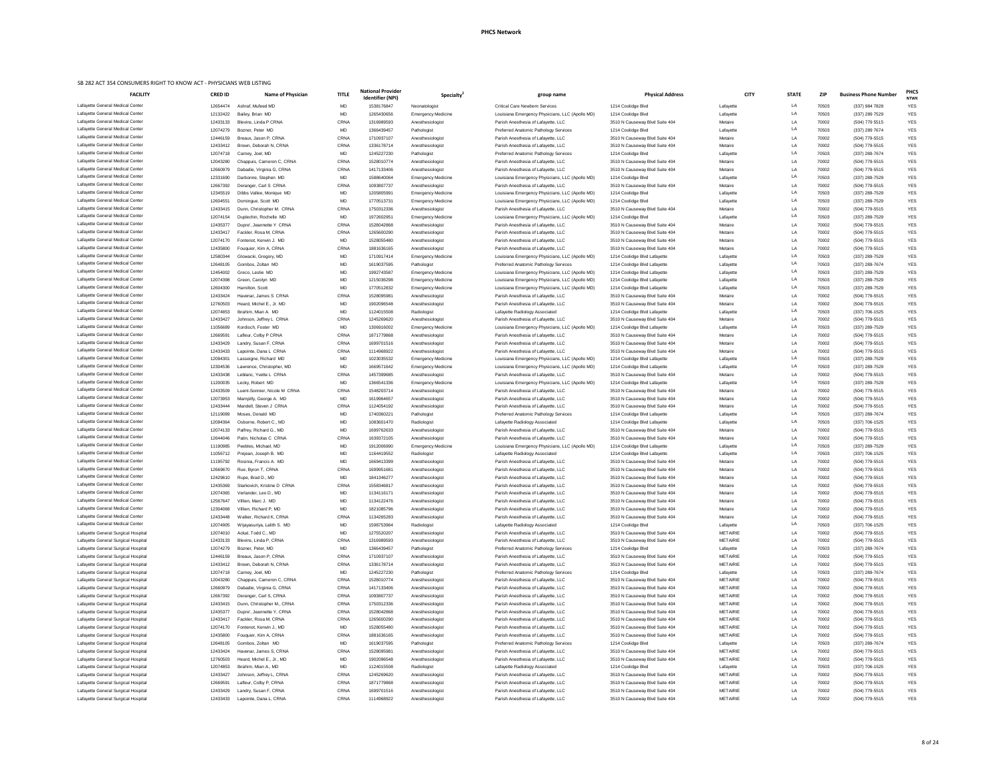| <b>FACILITY</b>                                                            | <b>CRED ID</b>       | <b>Name of Physician</b>                          | <b>TITLE</b>               | <b>National Provider</b><br><b>Identifier (NPI)</b> | Specialty <sup>®</sup>                        | group name                                                                             | <b>Physical Address</b>                                          | <b>CITY</b>                        | <b>STATE</b> | <b>ZIP</b>     | <b>Business Phone Number</b>     | <b>PHCS</b><br><b>NTWK</b> |
|----------------------------------------------------------------------------|----------------------|---------------------------------------------------|----------------------------|-----------------------------------------------------|-----------------------------------------------|----------------------------------------------------------------------------------------|------------------------------------------------------------------|------------------------------------|--------------|----------------|----------------------------------|----------------------------|
| Lafayette General Medical Center                                           | 12654474             | Ashraf, Mufeed MD                                 | <b>MD</b>                  | 1538176847                                          | Neonatologist                                 | <b>Critical Care Newborn Services</b>                                                  | 1214 Coolidge Blvd                                               | Lafayette                          | LA           | 70503          | (337) 984 7828                   | <b>YES</b>                 |
| Lafayette General Medical Center                                           | 12132422             | Bailey, Brian MD                                  | <b>MD</b>                  | 1265430656                                          | <b>Emergency Medicine</b>                     | Louisiana Emergency Physicians, LLC (Apollo MD)                                        | 1214 Coolidge Blvd                                               | Lafayette                          | LA           | 70503          | (337) 289 7529                   | <b>YES</b>                 |
| Lafayette General Medical Center<br>Lafayette General Medical Center       | 12433133             | Blevins, Linda P CRNA                             | <b>CRNA</b>                | 1316989593                                          | Anesthesiologist                              | Parish Anesthesia of Lafayette, LLC                                                    | 3510 N Causeway Blvd Suite 404                                   | Metaire                            | LA<br>LA     | 70002          | (504) 779 5515                   | <b>YES</b>                 |
| Lafayette General Medical Center                                           | 12074279<br>12446159 | Bozner, Peter MD<br>Breaux, Jason P. CRNA         | <b>MD</b><br><b>CRNA</b>   | 1366439457<br>1710937107                            | Pathologist<br>Anesthesiologist               | Preferred Anatomic Pathology Services<br>Parish Anesthesia of Lafayette, LLC           | 1214 Coolidge Blvd<br>3510 N Causeway Blvd Suite 404             | Lafayette<br>Metaire               | LA           | 70503<br>70002 | (337) 289 7674<br>(504) 779-5515 | <b>YES</b><br><b>YES</b>   |
| Lafayette General Medical Center                                           | 12433412             | Brown, Deborah N, CRNA                            | CRNA                       | 1336178714                                          | Anesthesiologist                              | Parish Anesthesia of Lafayette, LLC                                                    | 3510 N Causeway Blvd Suite 404                                   | Metaire                            | LA           | 70002          | (504) 779-5515                   | <b>YES</b>                 |
| Lafayette General Medical Center                                           | 12074718             | Carney, Joel, MD                                  | MD                         | 1245227230                                          | Pathologist                                   | Preferred Anatomic Pathology Services                                                  | 1214 Coolidge Blvd                                               | Lafayette                          | LA           | 70503          | (337) 289-7674                   | <b>YES</b>                 |
| Lafayette General Medical Center                                           | 12043280             | Chappuis, Cameron C, CRNA                         | CRNA                       | 1528010774                                          | Anesthesiologist                              | Parish Anesthesia of Lafayette, LLC                                                    | 3510 N Causeway Blvd Suite 404                                   | Metaire                            | LA           | 70002          | (504) 779-5515                   | <b>YES</b>                 |
| Lafayette General Medical Center                                           | 12660979             | Dabadie, Virginia G, CRNA                         | CRNA                       | 1417133406                                          | Anesthesiologist                              | Parish Anesthesia of Lafayette, LLC                                                    | 3510 N Causeway Blvd Suite 404                                   | Metaire                            | LA           | 70002          | (504) 779-5515                   | <b>YES</b>                 |
| Lafayette General Medical Center                                           | 12331690             | Darbonne, Stephen MD                              | <b>MD</b>                  | 1588640064                                          | <b>Emergency Medicine</b>                     | Louisiana Emergency Physicians, LLC (Apollo MD)                                        | 1214 Coolidge Blvd                                               | Lafayette                          | LA           | 70503          | (337) 289-7529                   | <b>YES</b>                 |
| Lafayette General Medical Center                                           | 12667392             | Deranger, Carl S CRNA                             | CRNA                       | 1093807737                                          | Anesthesiologist                              | Parish Anesthesia of Lafayette, LLC                                                    | 3510 N Causeway Blvd Suite 404                                   | Metaire                            | LA           | 70002          | (504) 779-5515                   | <b>YES</b>                 |
| Lafayette General Medical Center                                           | 12345519             | Dibbs Vallee, Monique MD                          | MD                         | 120580599                                           | <b>Emergency Medicine</b>                     | Louisiana Emergency Physicians, LLC (Apollo MD)                                        | 1214 Coolidge Blvd                                               | Lafayette                          | LA           | 70503          | (337) 289-7529                   | <b>YES</b>                 |
| Lafayette General Medical Center                                           | 12604551             | Domingue, Scott MD                                | <b>MD</b>                  | 1770513731                                          | <b>Emergency Medicine</b>                     | Louisiana Emergency Physicians, LLC (Apollo MD)                                        | 1214 Coolidge Blvd                                               | Lafayette                          | LA           | 70503          | (337) 289-7529                   | <b>YES</b>                 |
| Lafayette General Medical Center                                           | 12433415             | Dunn, Christopher M. CRNA                         | CRNA                       | 1750312336                                          | Anesthesiologist                              | Parish Anesthesia of Lafayette, LLC                                                    | 3510 N Causeway Blvd Suite 404                                   | Metaire                            | LA           | 70002          | (504) 779-5515                   | <b>YES</b>                 |
| Lafayette General Medical Center<br>Lafayette General Medical Center       | 12074154             | Duplechin, Rochelle MD                            | <b>MD</b>                  | 197260295                                           | <b>Emergency Medicine</b>                     | Louisiana Emergency Physicians, LLC (Apollo MD)                                        | 1214 Coolidge Blvd                                               | Lafayette                          | LA           | 70503          | (337) 289-7529                   | <b>YES</b>                 |
| Lafayette General Medical Center                                           | 12435377<br>12433417 | Dupre', Jeannette Y CRNA<br>Fackler, Rosa M, CRNA | <b>CRNA</b><br><b>CRNA</b> | 1528042868<br>1265600290                            | Anesthesiologist                              | Parish Anesthesia of Lafayette, LLC                                                    | 3510 N Causeway Blvd Suite 404                                   | Metaire<br>Metaire                 | LA<br>LA     | 70002<br>70002 | (504) 779-5515<br>(504) 779-5515 | <b>YES</b><br><b>YES</b>   |
| Lafayette General Medical Center                                           | 12074170             | Fontenot, Kerwin J. MD                            | <b>MD</b>                  | 1528055480                                          | Anesthesiologist<br>Anesthesiologist          | Parish Anesthesia of Lafayette, LLC<br>Parish Anesthesia of Lafayette, LLC             | 3510 N Causeway Blvd Suite 404<br>3510 N Causeway Blvd Suite 404 | Metaire                            | LA           | 70002          | (504) 779-5515                   | <b>YES</b>                 |
| Lafayette General Medical Center                                           | 12435800             | Fouquier, Kim A, CRNA                             | CRNA                       | 1881636165                                          | Anesthesiologist                              | Parish Anesthesia of Lafayette, LLC                                                    | 3510 N Causeway Blvd Suite 404                                   | Metaire                            | LA           | 70002          | (504) 779-5515                   | <b>YES</b>                 |
| Lafayette General Medical Center                                           | 12580344             | Glowacki, Gregory, MD                             | MD                         | 1710917414                                          | <b>Emergency Medicine</b>                     | Louisiana Emergency Physicians, LLC (Apollo MD)                                        | 1214 Coolidge Blvd Lafayette                                     | Lafayette                          | LA           | 70503          | (337) 289-7529                   | <b>YES</b>                 |
| Lafayette General Medical Center                                           | 12648105             | Gombos, Zoltan MD                                 | MD                         | 1619037595                                          | Pathologist                                   | Preferred Anatomic Pathology Services                                                  | 1214 Coolidge Blvd Lafayette                                     | Lafayette                          | LA           | 70503          | (337) 289-7674                   | <b>YES</b>                 |
| Lafayette General Medical Center                                           | 12454002             | Greco, Leslie MD                                  | <b>MD</b>                  | 1992743587                                          | <b>Emergency Medicine</b>                     | Louisiana Emergency Physicians, LLC (Apollo MD)                                        | 1214 Coolidge Blvd Lafayette                                     | Lafayette                          | LA           | 70503          | (337) 289-7529                   | <b>YES</b>                 |
| Lafayette General Medical Center                                           | 12074398             | Green, Carolyn MD                                 | <b>MD</b>                  | 1215036298                                          | <b>Emergency Medicine</b>                     | Louisiana Emergency Physicians, LLC (Apollo MD)                                        | 1214 Coolidge Blvd Lafayette                                     | Lafayette                          | LA           | 70503          | (337) 289-7529                   | <b>YES</b>                 |
| Lafayette General Medical Center                                           | 12604300             | Hamilton, Scott                                   | <b>MD</b>                  | 1770512832                                          | <b>Emergency Medicine</b>                     | Louisiana Emergency Physicians, LLC (Apollo MD)                                        | 1214 Coolidge Blvd Lafayette                                     | Lafayette                          | LA           | 70503          | (337) 289-7529                   | <b>YES</b>                 |
| Lafayette General Medical Center                                           | 12433424             | Havenar, James S CRNA                             | CRNA                       | 1528095981                                          | Anesthesiologist                              | Parish Anesthesia of Lafayette, LLC                                                    | 3510 N Causeway Blvd Suite 404                                   | Metaire                            | LA           | 70002          | (504) 779-5515                   | <b>YES</b>                 |
| Lafayette General Medical Center                                           | 12760503             | Heard, Michel E., Jr. MD                          | <b>MD</b>                  | 1902096548                                          | Anesthesiologist                              | Parish Anesthesia of Lafayette, LLC                                                    | 3510 N Causeway Blvd Suite 404                                   | Metaire                            | LA           | 70002          | (504) 779-5515                   | <b>YES</b>                 |
| Lafayette General Medical Center                                           | 12074853             | Ibrahim. Mian A. MD                               | <b>MD</b>                  | 1124015508                                          | Radiologist                                   | Lafayette Radiology Associated                                                         | 1214 Coolidge Blvd Lafayette                                     | Lafayette                          | LA           | 70503          | (337) 706-1525                   | <b>YES</b>                 |
| Lafayette General Medical Center                                           | 12433427             | Johnson, Jeffrey L CRNA                           | CRNA                       | 1245269620                                          | Anesthesiologist                              | Parish Anesthesia of Lafayette, LLC                                                    | 3510 N Causeway Blvd Suite 404                                   | Metaire                            | LA           | 70002          | (504) 779-5515                   | <b>YES</b>                 |
| Lafayette General Medical Center<br>Lafayette General Medical Center       | 11056689             | Kordisch, Foster MD                               | <b>MD</b>                  | 1306916002                                          | <b>Emergency Medicine</b>                     | Louisiana Emergency Physicians, LLC (Apollo MD)                                        | 1214 Coolidge Blvd Lafayette                                     | Lafayette                          | LA           | 70503          | (337) 289-7529                   | <b>YES</b>                 |
| Lafayette General Medical Center                                           | 12669591<br>12433429 | Lafleur, Colby P CRNA<br>Landry, Susan F, CRNA    | <b>CRNA</b><br>CRNA        | 1871779868<br>1699701516                            | Anesthesiologist                              | Parish Anesthesia of Lafayette, LLC                                                    | 3510 N Causeway Blvd Suite 404<br>3510 N Causeway Blvd Suite 404 | Metaire<br>Metaire                 | LA<br>LA     | 70002<br>70002 | (504) 779-5515<br>(504) 779-5515 | <b>YES</b><br><b>YES</b>   |
| Lafayette General Medical Center                                           | 12433433             | Lapointe, Dana L CRNA                             | CRNA                       | 1114968922                                          | Anesthesiologist<br>Anesthesiologist          | Parish Anesthesia of Lafayette, LLC<br>Parish Anesthesia of Lafayette, LLC             | 3510 N Causeway Blvd Suite 404                                   | Metaire                            | LA           | 70002          | (504) 779-5515                   | <b>YES</b>                 |
| Lafayette General Medical Center                                           | 12094301             | Lasseigne, Richard MD                             | <b>MD</b>                  | 1023035532                                          | <b>Emergency Medicine</b>                     | Louisiana Emergency Physicians, LLC (Apollo MD)                                        | 1214 Coolidge Blvd Lafayette                                     | Lafayette                          | LA           | 70503          | (337) 289-7529                   | <b>YES</b>                 |
| Lafayette General Medical Center                                           | 12304536             | Lawrence, Christopher, MD                         | <b>MD</b>                  | 1669571642                                          | <b>Emergency Medicine</b>                     | Louisiana Emergency Physicians, LLC (Apollo MD)                                        | 1214 Coolidge Blvd Lafayette                                     | Lafayette                          | LA           | 70503          | (337) 289-7529                   | <b>YES</b>                 |
| Lafayette General Medical Center                                           | 12433438             | Leblanc, Yvette L CRNA                            | <b>CRNA</b>                | 1457399685                                          | Anesthesiologist                              | Parish Anesthesia of Lafayette, LLC                                                    | 3510 N Causeway Blvd Suite 404                                   | Metaire                            | LA           | 70002          | (504) 779-5515                   | <b>YES</b>                 |
| Lafayette General Medical Center                                           | 11200035             | Lecky, Robert MD                                  | MD                         | 1366541336                                          | <b>Emergency Medicine</b>                     | Louisiana Emergency Physicians, LLC (Apollo MD)                                        | 1214 Coolidge Blvd Lafayette                                     | Lafayette                          | LA           | 70503          | (337) 289-7529                   | <b>YES</b>                 |
| Lafayette General Medical Center                                           | 12433509             | Luent-Sonnier, Nicole M CRNA                      | <b>CRNA</b>                | 1548203714                                          | Anesthesiologist                              | Parish Anesthesia of Lafayette, LLC                                                    | 3510 N Causeway Blvd Suite 404                                   | Metaire                            | LA           | 70002          | (504) 779-5515                   | <b>YES</b>                 |
| Lafayette General Medical Center                                           | 12073953             | Mampilly, George A. MD                            | MD                         | 1619964657                                          | Anesthesiologist                              | Parish Anesthesia of Lafayette, LLC                                                    | 3510 N Causeway Blvd Suite 404                                   | Metaire                            | LA           | 70002          | (504) 779-5515                   | <b>YES</b>                 |
| Lafayette General Medical Center                                           | 12433444             | Mandell, Steven J CRNA                            | CRNA                       | 1124054192                                          | Anesthesiologist                              | Parish Anesthesia of Lafayette, LLC                                                    | 3510 N Causeway Blvd Suite 404                                   | Metaire                            | LA           | 70002          | (504) 779-5515                   | <b>YES</b>                 |
| Lafayette General Medical Center                                           | 12119089             | Moses, Donald MD                                  | <b>MD</b>                  | 174036022                                           | Pathologist                                   | Preferred Anatomic Pathology Services                                                  | 1214 Coolidge Blvd Lafayette                                     | Lafayette                          | LA           | 70503          | (337) 289-7674                   | <b>YES</b>                 |
| Lafayette General Medical Center                                           | 12094364             | Osborne, Robert C., MD                            | <b>MD</b>                  | 1083601470                                          | Radiologist                                   | Lafayette Radiology Associated                                                         | 1214 Coolidge Blvd Lafayette                                     | Lafayette                          | LA           | 70503          | (337) 706-1525                   | <b>YES</b>                 |
| Lafayette General Medical Center<br>Lafayette General Medical Center       | 12074133<br>12644046 | Palfrey, Richard G., MD<br>Patin, Nicholas C CRNA | <b>MD</b><br><b>CRNA</b>   | 1699762633<br>1639372105                            | Anesthesiologist                              | Parish Anesthesia of Lafayette, LLC                                                    | 3510 N Causeway Blvd Suite 404                                   | Metaire<br>Metaire                 | LA<br>LA     | 70002<br>70002 | (504) 779-5515<br>(504) 779-5515 | <b>YES</b><br><b>YES</b>   |
| Lafayette General Medical Center                                           | 11190985             | Peebles, Michael, MD                              | <b>MD</b>                  | 1912006990                                          | Anesthesiologist<br><b>Emergency Medicine</b> | Parish Anesthesia of Lafayette, LLC<br>Louisiana Emergency Physicians, LLC (Apollo MD) | 3510 N Causeway Blvd Suite 404<br>1214 Coolidge Blvd Lafayette   | Lafayette                          | LA           | 70503          | (337) 289-7529                   | <b>YES</b>                 |
| Lafayette General Medical Center                                           | 11056712             | Prejean, Joseph B. MD                             | MD                         | 1164419552                                          | Radiologist                                   | Lafayette Radiology Associated                                                         | 1214 Coolidge Blvd Lafayette                                     | Lafayette                          | LA           | 70503          | (337) 706-1525                   | <b>YES</b>                 |
| Lafayette General Medical Center                                           | 11195792             | Rosinia, Francis A. MD                            | <b>MD</b>                  | 1669413399                                          | Anesthesiologist                              | Parish Anesthesia of Lafayette, LLC                                                    | 3510 N Causeway Blvd Suite 404                                   | Metaire                            | LA           | 70002          | (504) 779-5515                   | <b>YES</b>                 |
| Lafayette General Medical Center                                           | 12669670             | Rue, Byron T, CRNA                                | CRNA                       | 1699951681                                          | Anesthesiologist                              | Parish Anesthesia of Lafayette, LLC                                                    | 3510 N Causeway Blvd Suite 404                                   | Metaire                            | LA           | 70002          | (504) 779-5515                   | <b>YES</b>                 |
| Lafayette General Medical Center                                           | 12429610             | Rupe, Brad D., MD                                 | <b>MD</b>                  | 1841346277                                          | Anesthesiologist                              | Parish Anesthesia of Lafayette, LLC                                                    | 3510 N Causeway Blvd Suite 404                                   | Metaire                            | LA           | 70002          | (504) 779-5515                   | <b>YES</b>                 |
| Lafayette General Medical Center                                           | 12435369             | Starkovich, Kristine D CRNA                       | CRNA                       | 1558346817                                          | Anesthesiologist                              | Parish Anesthesia of Lafayette, LLC                                                    | 3510 N Causeway Blvd Suite 404                                   | Metaire                            | LA           | 70002          | (504) 779-5515                   | <b>YES</b>                 |
| Lafayette General Medical Center                                           | 12074365             | Verlander, Leo D., MD                             | <b>MD</b>                  | 1134116171                                          | Anesthesiologist                              | Parish Anesthesia of Lafayette, LLC                                                    | 3510 N Causeway Blvd Suite 404                                   | Metaire                            | LA           | 70002          | (504) 779-5515                   | <b>YES</b>                 |
| Lafayette General Medical Center                                           | 12567647             | Villien, Marc J. MD                               | <b>MD</b>                  | 1134122476                                          | Anesthesiologist                              | Parish Anesthesia of Lafayette, LLC                                                    | 3510 N Causeway Blvd Suite 404                                   | Metaire                            | LA           | 70002          | (504) 779-5515                   | <b>YES</b>                 |
| Lafayette General Medical Center                                           | 12304068             | Villien, Richard P. MD                            | <b>MD</b>                  | 1821085796                                          | Anesthesiologist                              | Parish Anesthesia of Lafayette, LLC                                                    | 3510 N Causeway Blvd Suite 404                                   | Metaire                            | LA           | 70002          | (504) 779-5515                   | <b>YES</b>                 |
| Lafayette General Medical Center<br>Lafayette General Medical Center       | 12433448             | Walker, Richard K, CRNA                           | <b>CRNA</b>                | 1134265283                                          | Anesthesiologist                              | Parish Anesthesia of Lafayette, LLC                                                    | 3510 N Causeway Blvd Suite 404                                   | Metaire                            | LA<br>LA     | 70002          | (504) 779-5515                   | <b>YES</b>                 |
| Lafayette General Surgical Hospital                                        | 12074905<br>12074010 | Wijayasuriya, Lalith S. MD<br>Ackal, Todd C., MD  | MD<br>MD                   | 1598753964<br>1275520207                            | Radiologist<br>Anesthesiologist               | Lafayette Radiology Associated<br>Parish Anesthesia of Lafayette, LLC                  | 1214 Coolidge Blvd<br>3510 N Causeway Blvd Suite 404             | Lafayette<br><b>METAIRIE</b>       | LA           | 70503<br>70002 | (337) 706-1525<br>(504) 779-5515 | <b>YES</b><br><b>YES</b>   |
| Lafayette General Surgical Hospital                                        | 12433133             | Blevins, Linda P, CRNA                            | <b>CRNA</b>                | 1316989593                                          | Anesthesiologist                              | Parish Anesthesia of Lafayette, LLC                                                    | 3510 N Causeway Blvd Suite 404                                   | <b>METAIRIE</b>                    | LA           | 70002          | (504) 779-5515                   | <b>YES</b>                 |
| Lafayette General Surgical Hospital                                        | 12074279             | Bozner, Peter, MD                                 | <b>MD</b>                  | 1366439457                                          | Pathologist                                   | Preferred Anatomic Pathology Services                                                  | 1214 Coolidge Blvd                                               | Lafayette                          | LA           | 70503          | (337) 289-7674                   | <b>YES</b>                 |
| Lafayette General Surgical Hospital                                        | 12446159             | Breaux, Jason P, CRNA                             | <b>CRNA</b>                | 1710937107                                          | Anesthesiologist                              | Parish Anesthesia of Lafayette, LLC                                                    | 3510 N Causeway Blvd Suite 404                                   | <b>METAIRIE</b>                    | LA           | 70002          | (504) 779-5515                   | <b>YES</b>                 |
| Lafayette General Surgical Hospital                                        | 12433412             | Brown, Deborah N, CRNA                            | <b>CRNA</b>                | 1336178714                                          | Anesthesiologist                              | Parish Anesthesia of Lafayette, LLC                                                    | 3510 N Causeway Blvd Suite 404                                   | <b>METAIRIE</b>                    | LA           | 70002          | (504) 779-5515                   | <b>YES</b>                 |
| Lafayette General Surgical Hospital                                        | 12074718             | Carney, Joel, MD                                  | MD                         | 1245227230                                          | Pathologist                                   | Preferred Anatomic Pathology Services                                                  | 1214 Coolidge Blvd                                               | Lafayette                          | LA           | 70503          | (337) 289-7674                   | <b>YES</b>                 |
| Lafayette General Surgical Hospital                                        | 12043280             | Chappuis, Cameron C, CRNA                         | <b>CRNA</b>                | 1528010774                                          | Anesthesiologist                              | Parish Anesthesia of Lafayette, LLC                                                    | 3510 N Causeway Blvd Suite 404                                   | <b>METAIRIE</b>                    | LA           | 70002          | (504) 779-5515                   | <b>YES</b>                 |
| Lafayette General Surgical Hospital                                        | 12660979             | Dabadie, Virginia G, CRNA                         | <b>CRNA</b>                | 1417133406                                          | Anesthesiologist                              | Parish Anesthesia of Lafayette, LLC                                                    | 3510 N Causeway Blvd Suite 404                                   | <b>METAIRIE</b>                    |              | 70002          | (504) 779-5515                   | <b>YES</b>                 |
| Lafayette General Surgical Hospital                                        | 12667392             | Deranger, Carl S, CRNA                            | <b>CRNA</b>                | 1093807737                                          | Anesthesiologist                              | Parish Anesthesia of Lafayette, LLC                                                    | 3510 N Causeway Blvd Suite 404                                   | <b>METAIRIE</b>                    | LA           | 70002          | (504) 779-5515                   | <b>YES</b>                 |
| Lafayette General Surgical Hospital                                        | 12433415             | Dunn, Christopher M., CRNA                        | CRNA                       | 1750312336                                          | Anesthesiologist                              | Parish Anesthesia of Lafayette, LLC                                                    | 3510 N Causeway Blvd Suite 404                                   | <b>METAIRIE</b>                    | LA           | 70002          | (504) 779-5515                   | <b>YES</b>                 |
| Lafayette General Surgical Hospital                                        | 12435377             | Dupre', Jeannette Y, CRNA                         | CRNA                       | 1528042868                                          | Anesthesiologist                              | Parish Anesthesia of Lafayette, LLC                                                    | 3510 N Causeway Blvd Suite 404                                   | <b>METAIRIE</b>                    | LA           | 70002          | (504) 779-5515                   | <b>YES</b>                 |
| Lafayette General Surgical Hospital                                        | 12433417             | Fackler, Rosa M, CRNA                             | <b>CRNA</b>                | 1265600290                                          | Anesthesiologist                              | Parish Anesthesia of Lafayette, LLC                                                    | 3510 N Causeway Blvd Suite 404                                   | <b>METAIRIE</b>                    | LA           | 70002          | (504) 779-5515                   | <b>YES</b>                 |
| Lafayette General Surgical Hospital<br>Lafayette General Surgical Hospital | 12074170<br>12435800 | Fontenot, Kerwin J., MD<br>Fouquier, Kim A, CRNA  | <b>MD</b><br>CRNA          | 1528055480<br>1881636165                            | Anesthesiologist<br>Anesthesiologist          | Parish Anesthesia of Lafayette, LLC<br>Parish Anesthesia of Lafayette, LLC             | 3510 N Causeway Blvd Suite 404<br>3510 N Causeway Blvd Suite 404 | <b>METAIRIE</b><br><b>METAIRIE</b> | LA<br>LA     | 70002<br>70002 | (504) 779-5515<br>(504) 779-5515 | <b>YES</b><br><b>YES</b>   |
| Lafayette General Surgical Hospital                                        | 12648105             | Gombos, Zoltan MD                                 | MD                         | 1619037595                                          | Pathologist                                   | Preferred Anatomic Pathology Services                                                  | 1214 Coolidge Blvd                                               | Lafayette                          | LA           | 70503          | (337) 289-7674                   | <b>YES</b>                 |
| Lafayette General Surgical Hospital                                        | 12433424             | Havenar, James S, CRNA                            | <b>CRNA</b>                | 1528095981                                          | Anesthesiologist                              | Parish Anesthesia of Lafayette, LLC                                                    | 3510 N Causeway Blvd Suite 404                                   | <b>METAIRIE</b>                    | LA           | 70002          | (504) 779-5515                   | <b>YES</b>                 |
| Lafayette General Surgical Hospital                                        | 12760503             | Heard, Michel E., Jr., MD                         | MD                         | 1902096548                                          | Anesthesiologist                              | Parish Anesthesia of Lafayette, LLC                                                    | 3510 N Causeway Blvd Suite 404                                   | <b>METAIRIE</b>                    | LA           | 70002          | (504) 779-5515                   | <b>YES</b>                 |
| Lafayette General Surgical Hospital                                        | 12074853             | Ibrahim, Mian A., MD                              | MD                         | 1124015508                                          | Radiologist                                   | Lafayette Radiology Associated                                                         | 1214 Coolidge Blvd                                               | Lafayette                          | LA           | 70503          | (337) 706-1525                   | <b>YES</b>                 |
| Lafayette General Surgical Hospital                                        | 12433427             | Johnson, Jeffrey L, CRNA                          | CRNA                       | 1245269620                                          | Anesthesiologist                              | Parish Anesthesia of Lafayette, LLC                                                    | 3510 N Causeway Blvd Suite 404                                   | <b>METAIRIE</b>                    | LA           | 70002          | (504) 779-5515                   | <b>YES</b>                 |
| Lafayette General Surgical Hospital                                        | 12669591             | Lafleur, Colby P, CRNA                            | CRNA                       | 1871779868                                          | Anesthesiologist                              | Parish Anesthesia of Lafayette, LLC                                                    | 3510 N Causeway Blvd Suite 404                                   | <b>METAIRIE</b>                    | LA           | 70002          | (504) 779-5515                   | <b>YES</b>                 |
| Lafayette General Surgical Hospital                                        | 12433429             | Landry, Susan F, CRNA                             | CRNA                       | 1699701516                                          | Anesthesiologist                              | Parish Anesthesia of Lafayette, LLC                                                    | 3510 N Causeway Blvd Suite 404                                   | METAIRIE                           | LA           | 70002          | (504) 779-5515                   | YES                        |
| Lafayette General Surgical Hospital                                        | 12433433             | Lapointe, Dana L, CRNA                            | CRNA                       | 1114968922                                          | Anesthesiologist                              | Parish Anesthesia of Lafayette, LLC                                                    | 3510 N Causeway Blvd Suite 404                                   | METAIRIE                           | LA           | 70002          | (504) 779-5515                   | YES                        |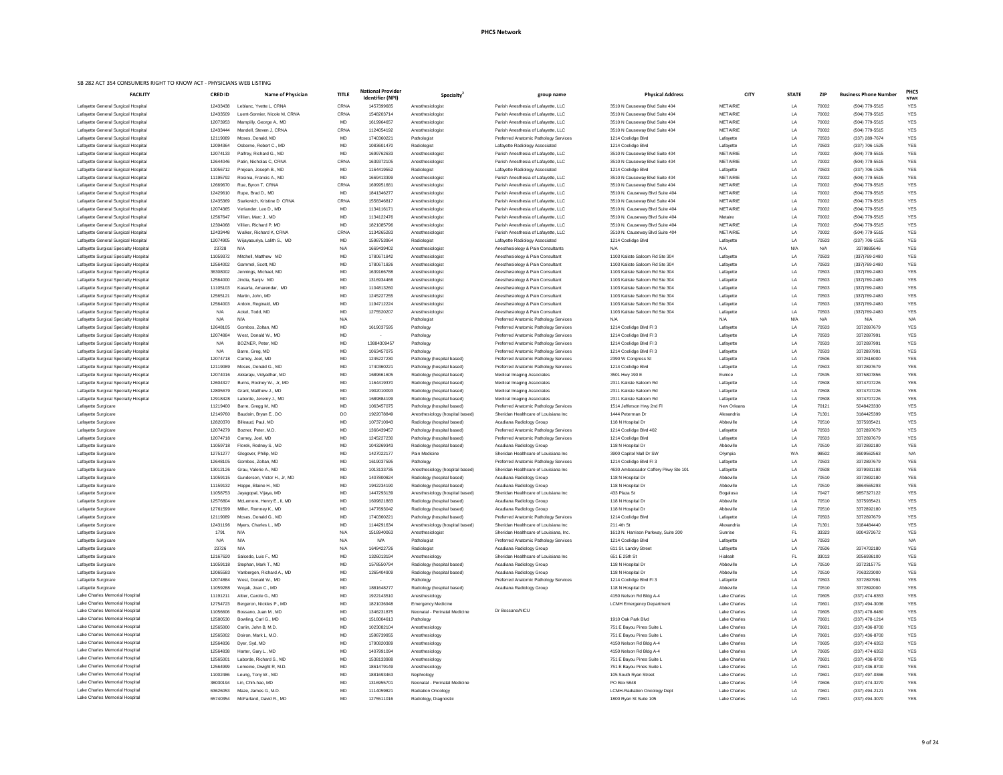| <b>FACILITY</b>                                                                | <b>CRED ID</b>       | <b>Name of Physician</b>                          | <b>TITLE</b>      | <b>National Provider</b><br><b>Identifier (NPI)</b> | <b>Specialty</b>                                              | group name                                                                      | <b>Physical Address</b>                                          | <b>CITY</b>                  | <b>STATE</b> | <b>ZIP</b>     | <b>Business Phone Number</b>     | <b>PHCS</b><br><b>NTWK</b> |
|--------------------------------------------------------------------------------|----------------------|---------------------------------------------------|-------------------|-----------------------------------------------------|---------------------------------------------------------------|---------------------------------------------------------------------------------|------------------------------------------------------------------|------------------------------|--------------|----------------|----------------------------------|----------------------------|
| Lafayette General Surgical Hospital                                            | 12433438             | Leblanc, Yvette L, CRNA                           | CRNA              | 1457399685                                          | Anesthesiologist                                              | Parish Anesthesia of Lafayette, LLC                                             | 3510 N Causeway Blvd Suite 404                                   | <b>METAIRIE</b>              | LA           | 70002          | (504) 779-5515                   | <b>YES</b>                 |
| Lafayette General Surgical Hospital                                            | 12433509             | Luent-Sonnier, Nicole M, CRNA                     | CRNA              | 1548203714                                          | Anesthesiologist                                              | Parish Anesthesia of Lafayette, LLC                                             | 3510 N Causeway Blvd Suite 404                                   | <b>METAIRIE</b>              | LA           | 70002          | (504) 779-5515                   | YES                        |
| Lafayette General Surgical Hospital                                            | 12073953             | Mampilly, George A., MD                           | MD                | 1619964657                                          | Anesthesiologist                                              | Parish Anesthesia of Lafayette, LLC                                             | 3510 N Causeway Blvd Suite 404                                   | <b>METAIRIE</b>              | LA           | 70002          | (504) 779-5515                   | YES                        |
| Lafayette General Surgical Hospital                                            | 12433444             | Mandell, Steven J, CRNA                           | CRNA              | 1124054192                                          | Anesthesiologist                                              | Parish Anesthesia of Lafayette, LLC                                             | 3510 N Causeway Blvd Suite 404                                   | <b>METAIRIE</b>              | LA           | 70002          | (504) 779-5515                   | YES                        |
| Lafayette General Surgical Hospital                                            | 12119089             | Moses, Donald, MD                                 | MD                | 1740360221                                          | Pathologist                                                   | Preferred Anatomic Pathology Services                                           | 1214 Coolidge Blvd                                               | Lafayette                    | LA           | 70503          | (337) 289-7674                   | YES                        |
| Lafayette General Surgical Hospital                                            | 12094364             | Osborne, Robert C., MD<br>Palfrey, Richard G., MD | MD                | 1083601470                                          | Radiologist                                                   | Lafayette Radiology Associated                                                  | 1214 Coolidge Blvd                                               | Lafayette<br><b>METAIRIE</b> | LA           | 70503          | (337) 706-1525                   | <b>YES</b>                 |
| Lafayette General Surgical Hospital<br>Lafayette General Surgical Hospital     | 12074133<br>12644046 | Patin, Nicholas C, CRNA                           | <b>MD</b><br>CRNA | 1699762633<br>1639372105                            | Anesthesiologist<br>Anesthesiologist                          | Parish Anesthesia of Lafayette, LLC<br>Parish Anesthesia of Lafayette, LLC      | 3510 N Causeway Blvd Suite 404<br>3510 N Causeway Blvd Suite 404 | <b>METAIRIE</b>              | LA<br>LA     | 70002<br>70002 | (504) 779-5515<br>(504) 779-5515 | <b>YES</b><br>YES          |
| Lafayette General Surgical Hospital                                            | 11056712             | Prejean, Joseph B., MD                            | <b>MD</b>         | 1164419552                                          | Radiologist                                                   | Lafayette Radiology Associated                                                  | 1214 Coolidge Blvd                                               | Lafayette                    | LA           | 70503          | (337) 706-1525                   | YES                        |
| Lafayette General Surgical Hospital                                            | 11195792             | Rosinia, Francis A., MD                           | <b>MD</b>         | 1669413399                                          | Anesthesiologist                                              | Parish Anesthesia of Lafayette, LLC                                             | 3510 N Causeway Blvd Suite 404                                   | <b>METAIRIE</b>              | LA           | 70002          | (504) 779-5515                   | YES                        |
| Lafayette General Surgical Hospital                                            | 12669670             | Rue, Byron T, CRNA                                | CRNA              | 1699951681                                          | Anesthesiologist                                              | Parish Anesthesia of Lafayette, LLC                                             | 3510 N Causeway Blvd Suite 404                                   | <b>METAIRIE</b>              | LA           | 70002          | (504) 779-5515                   | YES                        |
| Lafayette General Surgical Hospital                                            | 12429610             | Rupe, Brad D., MD                                 | MD                | 1841346277                                          | Anesthesiologist                                              | Parish Anesthesia of Lafayette, LLC                                             | 3510 N. Causeway Blvd Suite 404                                  | <b>METAIRIE</b>              | LA           | 70002          | (504) 779-5515                   | YES                        |
| Lafayette General Surgical Hospital                                            | 12435369             | Starkovich, Kristine D CRNA                       | <b>CRNA</b>       | 1558346817                                          | Anesthesiologist                                              | Parish Anesthesia of Lafayette, LLC                                             | 3510 N Causeway Blvd Suite 404                                   | <b>METAIRIE</b>              | LA           | 70002          | (504) 779-5515                   | <b>YES</b>                 |
| Lafayette General Surgical Hospital                                            | 12074365             | Verlander, Leo D., MD                             | MD                | 1134116171                                          | Anesthesiologist                                              | Parish Anesthesia of Lafayette, LLC                                             | 3510 N. Causeway Blvd Suite 404                                  | <b>METAIRIE</b>              | LA           | 70002          | (504) 779-5515                   | <b>YES</b>                 |
| Lafayette General Surgical Hospital                                            | 12567647             | Villien, Marc J., MD                              | <b>MD</b>         | 1134122476                                          | Anesthesiologist                                              | Parish Anesthesia of Lafayette, LLC                                             | 3510 N. Causeway Blvd Suite 404                                  | Metaire                      | LA           | 70002          | (504) 779-5515                   | <b>YES</b>                 |
| Lafayette General Surgical Hospital                                            | 12304068             | Villien, Richard P. MD                            | MD                | 1821085796                                          | Anesthesiologist                                              | Parish Anesthesia of Lafayette, LLC                                             | 3510 N. Causeway Blvd Suite 404                                  | <b>METAIRIE</b>              | LA           | 70002          | (504) 779-5515                   | <b>YES</b>                 |
| Lafayette General Surgical Hospital                                            | 12433448             | Walker, Richard K, CRNA                           | <b>CRNA</b>       | 1134265283                                          | Anesthesiologist                                              | Parish Anesthesia of Lafayette, LLC                                             | 3510 N. Causeway Blvd Suite 404                                  | <b>METAIRIE</b>              | LA           | 70002          | (504) 779-5515                   | <b>YES</b>                 |
| Lafayette General Surgical Hospital                                            | 12074905             | Wijayasuriya, Lalith S., MD                       | MD                | 1598753964                                          | Radiologist                                                   | Lafayette Radiology Associated                                                  | 1214 Coolidge Blvd                                               | Lafayette                    | LA           | 70503          | (337) 706-1525                   | YES                        |
| Lafayette Surgical Specialty Hospital                                          | 23728                | N/A                                               | N/A               | 1669439402                                          | Anesthesiologist                                              | Anesthesiology & Pain Consultants                                               | N/A                                                              | N/A                          | N/A          | N/A            | 3379885646                       | YES                        |
| Lafayette Surgical Specialty Hospital                                          | 11059372             | Mitchell, Matthew MD                              | MD                | 1780671842                                          | Anesthesiologist                                              | Anesthesiology & Pain Consultant                                                | 1103 Kaliste Saloom Rd Ste 304                                   | Lafayette                    | LA           | 70503          | (337) 769-2480                   | YES                        |
| Lafayette Surgical Specialty Hospital                                          | 12564002             | Gammel, Scott, MD                                 | MD                | 1780671826                                          | Anesthesiologist                                              | Anesthesiology & Pain Consultant                                                | 1103 Kaliste Saloom Rd Ste 304                                   | Lafayette                    | LA           | 70503          | (337) 769-2480                   | YES                        |
| Lafayette Surgical Specialty Hospital                                          | 36308002             | Jennings, Michael, MD                             | MD                | 1639166788                                          | Anesthesiologist                                              | Anesthesiology & Pain Consultant                                                | 1103 Kaliste Saloom Rd Ste 304                                   | Lafayette                    | LA           | 70503          | (337) 769-2480                   | <b>YES</b>                 |
| Lafayette Surgical Specialty Hospital                                          | 12564000<br>11105103 | Jindia, Sanjiv MD<br>Kasarla, Amarendar, MD       | MD<br>MD          | 1316934466<br>1104813260                            | Anesthesiologist                                              | Anesthesiology & Pain Consultant<br>Anesthesiology & Pain Consultant            | 1103 Kaliste Saloom Rd Ste 304<br>1103 Kaliste Saloom Rd Ste 304 | Lafayette                    | LA<br>LA     | 70503<br>70503 | (337) 769-2480<br>(337) 769-2480 | <b>YES</b><br><b>YES</b>   |
| Lafayette Surgical Specialty Hospital<br>Lafayette Surgical Specialty Hospital | 12565121             | Martin, John, MD                                  | MD                | 1245227255                                          | Anesthesiologist<br>Anesthesiologist                          | Anesthesiology & Pain Consultant                                                | 1103 Kaliste Saloom Rd Ste 304                                   | Lafayette<br>Lafayette       | LA           | 70503          | (337) 769-2480                   | YES                        |
| Lafayette Surgical Specialty Hospital                                          | 12564003             | Ardoin, Reginald, MD                              | <b>MD</b>         | 1194712224                                          | Anesthesiologist                                              | Anesthesiology & Pain Consultant                                                | 1103 Kaliste Saloom Rd Ste 304                                   | Lafayette                    | LA           | 70503          | (337) 769-2480                   | YES                        |
| Lafayette Surgical Specialty Hospital                                          | N/A                  | Ackel, Todd, MD                                   | MD                | 1275520207                                          | Anesthesiologist                                              | Anesthesiology & Pain Consultant                                                | 1103 Kaliste Saloom Rd Ste 304                                   | Lafayette                    | LA           | 70503          | (337) 769-2480                   | YES                        |
| Lafayette Surgical Specialty Hospital                                          | N/A                  | N/A                                               | N/A               |                                                     | Pathologist                                                   | Preferred Anatomic Pathology Services                                           | N/A                                                              | N/A                          | N/A          | N/A            | N/A                              | N/A                        |
| Lafayette Surgical Specialty Hospital                                          | 12648105             | Gombos, Zoltan. MD                                | MD                | 1619037595                                          | Pathology                                                     | <b>Preferred Anatomic Pathology Services</b>                                    | 1214 Coolidge Blvd Fl 3                                          | Lafayette                    | LA           | 70503          | 3372897679                       | <b>YES</b>                 |
| Lafayette Surgical Specialty Hospital                                          | 12074884             | West, Donald W., MD                               | MD                |                                                     | Pathology                                                     | <b>Preferred Anatomic Pathology Services</b>                                    | 1214 Coolidge Blvd Fl 3                                          | Lafayette                    | LA           | 70503          | 3372897991                       | <b>YES</b>                 |
| Lafayette Surgical Specialty Hospital                                          | N/A                  | BOZNER, Peter, MD                                 | MD                | 13884309457                                         | Pathology                                                     | Preferred Anatomic Pathology Services                                           | 1214 Coolidge Blvd Fl 3                                          | Lafayette                    | LA           | 70503          | 3372897991                       | <b>YES</b>                 |
| Lafayette Surgical Specialty Hospital                                          | N/A                  | Barre, Greg, MD                                   | MD                | 1063457075                                          | Pathology                                                     | Preferred Anatomic Pathology Services                                           | 1214 Coolidge Blvd Fl 3                                          | Lafayette                    | LA           | 70503          | 3372897991                       | <b>YES</b>                 |
| Lafayette Surgical Specialty Hospital                                          | 12074718             | Carney, Joel, MD                                  | <b>MD</b>         | 1245227230                                          | Pathology (hospital based)                                    | Preferred Anatomic Pathology Services                                           | 2390 W Congress St                                               | Lafayette                    | LA           | 70506          | 3372616000                       | <b>YES</b>                 |
| Lafayette Surgical Specialty Hospital                                          | 12119089             | Moses, Donald G., MD                              | MD                | 1740360221                                          | Pathology (hospital based)                                    | Preferred Anatomic Pathology Services                                           | 1214 Coolidge Blvd                                               | Lafayette                    | LA           | 70503          | 3372897679                       | <b>YES</b>                 |
| Lafayette Surgical Specialty Hospital                                          | 12074016             | Akkaraju, Vidyadhar, MD                           | MD                | 1689661605                                          | Radiology (hospital based)                                    | Medical Imaging Associates                                                      | 3501 Hwy 190 E                                                   | Eunice                       | LA           | 70535          | 3375807856                       | <b>YES</b>                 |
| Lafayette Surgical Specialty Hospital                                          | 12604327             | Burns, Rodney W., Jr, MD                          | MD                | 1164419370                                          | Radiology (hospital based)                                    | Medical Imaging Associates                                                      | 2311 Kaliste Saloom Rd                                           | Lafayette                    | LA           | 70508          | 3374707226                       | <b>YES</b>                 |
| Lafayette Surgical Specialty Hospital                                          | 12805679             | Grant, Matthew J., MD                             | MD                | 1902010093                                          | Radiology (hospital based)                                    | Medical Imaging Associates                                                      | 2311 Kaliste Saloom Rd                                           | Lafayette                    | LA           | 70508          | 3374707226                       | <b>YES</b>                 |
| Lafayette Surgical Specialty Hospital                                          | 12918428             | Laborde, Jeremy J., MD                            | MD                | 1689884199                                          | Radiology (hospital based)                                    | <b>Medical Imaging Associates</b>                                               | 2311 Kaliste Saloom Rd                                           | Lafayette                    | LA           | 70508          | 3374707226                       | <b>YES</b>                 |
| Lafayette Surgicare<br>Lafayette Surgicare                                     | 11219400<br>12149760 | Barre, Gregg M., MD<br>Baudoin, Bryan E., DO      | MD<br>DO          | 1063457075<br>1922078849                            | Pathology (hospital based)<br>Anesthesiology (hospital based) | Preferred Anatomic Pathology Services<br>Sheridan Healthcare of Louisiana Inc   | 1514 Jefferson Hwy 2nd Fl<br>1444 Peterman Dr                    | New Orleans<br>Alexandria    | LA<br>LA     | 70121<br>71301 | 5048423330<br>3184425399         | <b>YES</b><br><b>YES</b>   |
| Lafayette Surgicare                                                            | 12820370             | Billeaud, Paul, MD                                | <b>MD</b>         | 1073710943                                          | Radiology (hospital based)                                    | Acadiana Radiology Group                                                        | 118 N Hospital Dr                                                | Abbeville                    | LA           | 70510          | 3375935421                       | <b>YES</b>                 |
| Lafayette Surgicare                                                            | 12074279             | Bozner, Peter, M.D                                | <b>MD</b>         | 1366439457                                          | Pathology (hospital based)                                    | Preferred Anatomic Pathology Services                                           | 1214 Coolidge Blvd 402                                           | Lafayette                    | LA           | 70503          | 3372897679                       | YES                        |
| Lafayette Surgicare                                                            | 12074718             | Carney, Joel, MD                                  | MD                | 1245227230                                          | Pathology (hospital based)                                    | Preferred Anatomic Pathology Services                                           | 1214 Coolidge Blvd                                               | Lafayette                    | LA           | 70503          | 3372897679                       | <b>YES</b>                 |
| Lafayette Surgicare                                                            | 11059718             | Florek, Rodney S., MD                             | MD                | 1043269343                                          | Radiology (hospital based)                                    | Acadiana Radiology Group                                                        | 118 N Hospital Dr                                                | Abbeville                    | LA           | 70510          | 3372892180                       | <b>YES</b>                 |
| Lafayette Surgicare                                                            | 12751277             | Glogover, Philip, MD                              | MD                | 1427022177                                          | Pain Medicine                                                 | Sheridan Healthcare of Louisiana Inc                                            | 3900 Capitol Mall Dr SW                                          | Olympia                      | WA           | 98502          | 3609562563                       | N/A                        |
| Lafayette Surgicare                                                            | 12648105             | Gombos, Zoltan, MD                                | MD                | 1619037595                                          | Pathology                                                     | <b>Preferred Anatomic Pathology Services</b>                                    | 1214 Coolidge Blvd Fl 3                                          | Lafayette                    | LA           | 70503          | 3372897679                       | <b>YES</b>                 |
| Lafayette Surgicare                                                            | 13012126             | Grau, Valerie A., MD                              | MD                | 1013133735                                          | Anesthesiology (hospital based)                               | Sheridan Healthcare of Louisiana Inc                                            | 4630 Ambassador Caffery Pkwy Ste 101                             | Lafayette                    | LA           | 70508          | 3379931193                       | <b>YES</b>                 |
| Lafayette Surgicare                                                            | 11059115             | Gunderson, Victor H., Jr, MD                      | <b>MD</b>         | 1407800824                                          | Radiology (hospital based)                                    | Acadiana Radiology Group                                                        | 118 N Hospital Dr                                                | Abbeville                    | LA           | 70510          | 3372892180                       | <b>YES</b>                 |
| Lafayette Surgicare                                                            | 11159132             | Hoppe, Blaine H., MD                              | <b>MD</b>         | 1942234190                                          | Radiology (hospital based)                                    | Acadiana Radiology Group                                                        | 118 N Hospital Dr                                                | Abbeville                    | LA           | 70510          | 3864565293                       | YES                        |
| Lafayette Surgicare                                                            | 11058753             | Jayagopal, Vijaya, MD                             | MD                | 1447293139                                          | Anesthesiology (hospital based)                               | Sheridan Healthcare of Louisiana Inc                                            | 433 Plaza St                                                     | Bogalusa                     | LA           | 70427          | 9857327122                       | YES                        |
| Lafayette Surgicare                                                            | 12576804             | McLemore, Henry E., II, MD                        | MD                | 1609821883                                          | Radiology (hospital based)                                    | Acadiana Radiology Group                                                        | 118 N Hospital Dr                                                | Abbeville                    | LA           | 70510          | 3375935421                       | <b>YES</b>                 |
| Lafayette Surgicare                                                            | 12761599             | Miller, Romney K., MD                             | MD                | 1477693042                                          | Radiology (hospital based)                                    | Acadiana Radiology Group                                                        | 118 N Hospital Dr                                                | Abbeville                    | LA           | 70510          | 3372892180                       | <b>YES</b>                 |
| Lafayette Surgicare                                                            | 12119089             | Moses, Donald G., MD                              | MD                | 1740360221                                          | Pathology (hospital based)                                    | Preferred Anatomic Pathology Services                                           | 1214 Coolidge Blvd                                               | Lafayette                    | LA           | 70503          | 3372897679                       | <b>YES</b>                 |
| Lafayette Surgicare                                                            | 12431196             | Myers, Charles L., MD                             | MD                | 1144291634                                          | Anesthesiology (hospital based)                               | Sheridan Healthcare of Louisiana Inc                                            | 211 4th St                                                       | Alexandria                   | LA           | 71301          | 3184484440                       | <b>YES</b>                 |
| Lafayette Surgicare<br>Lafayette Surgicare                                     | 1791<br>N/A          | N/A<br>N/A                                        | N/A<br>N/A        | 1518940063<br>N/A                                   | Anesthesiologist<br>Pathologist                               | Sheridan Healthcare of Louisiana, Inc.<br>Preferred Anatomic Pathology Services | 1613 N. Harrison Parkway, Suite 200<br>1214 Coolidge Blvd        | Sunrise<br>Lafayette         | LA           | 33323<br>70503 | 8004372672                       | <b>YES</b><br>N/A          |
| Lafayette Surgicare                                                            | 23726                | N/A                                               | N/A               | 1649422726                                          | Radiologist                                                   | Acadiana Radiology Group                                                        | 611 St. Landry Street                                            | Lafayette                    | LA           | 70506          | 3374702180                       | <b>YES</b>                 |
| Lafayette Surgicare                                                            | 12167620             | Salcedo, Luis F., MD                              | MD                | 1326013194                                          | Anesthesiology                                                | Sheridan Healthcare of Louisiana Inc                                            | 651 E 25th St                                                    | Hialeah                      |              | 33013          | 3056936100                       | YES                        |
| Lafayette Surgicare                                                            | 11059118             | Stephan, Mark T., MD                              | MD                | 1578550794                                          | Radiology (hospital based)                                    | Acadiana Radiology Group                                                        | 118 N Hospital Dr                                                | Abbeville                    | LA           | 70510          | 3372315775                       | <b>YES</b>                 |
| Lafayette Surgicare                                                            | 12065583             | Vanbergen, Richard A., MD                         | MD                | 1265404909                                          | Radiology (hospital based)                                    | Acadiana Radiology Group                                                        | 118 N Hospital Dr                                                | Abbeville                    | LA           | 70510          | 7063223000                       | <b>YES</b>                 |
| Lafayette Surgicare                                                            | 12074884             | West, Donald W., MD                               | MD                |                                                     | Pathology                                                     | Preferred Anatomic Pathology Services                                           | 1214 Coolidge Blvd Fl 3                                          | Lafayette                    | LA           | 70503          | 3372897991                       | <b>YES</b>                 |
| Lafayette Surgicare                                                            | 11059288             | Wojak, Joan C., MD                                | MD                | 1881648277                                          | Radiology (hospital based)                                    | Acadiana Radiology Group                                                        | 118 N Hospital Dr                                                | Abbeville                    | ΙA           | 70510          | 3372892000                       | <b>YES</b>                 |
| Lake Charles Memorial Hospital                                                 | 11191211             | Altier, Carole G., MD                             | MD                | 1922143510                                          | Anesthesiology                                                |                                                                                 | 4150 Nelson Rd Bldg A-4                                          | Lake Charles                 | LA           | 70605          | $(337)$ 474-6353                 | YES                        |
| Lake Charles Memorial Hospital                                                 | 12754723             | Bergeron, Nickles P., MD                          | MD                | 1821036948                                          | <b>Emergency Medicine</b>                                     |                                                                                 | <b>LCMH Emergency Department</b>                                 | <b>Lake Charles</b>          | LA           | 70601          | (337) 494-3036                   | <b>YES</b>                 |
| Lake Charles Memorial Hospital                                                 | 11056606             | Bossano, Juan M., MD                              | MD                | 1346231875                                          | Neonatal - Perinatal Medicine                                 | Dr Bossano/NICU                                                                 |                                                                  | <b>Lake Charles</b>          | LA           | 70605          | (337) 478-6480                   | YES                        |
| Lake Charles Memorial Hospital                                                 | 12580530             | Bowling, Carl G., MD                              | MD                | 1518004613                                          | Pathology                                                     |                                                                                 | 1910 Oak Park Blvd                                               | Lake Charles                 | LA           | 70601          | (337) 478-1214                   | <b>YES</b>                 |
| Lake Charles Memorial Hospital                                                 | 12565000             | Carlin, John B, M.D.                              | MD                | 1023082104                                          | Anesthesiology                                                |                                                                                 | 751 E Bayou Pines Suite L                                        | Lake Charles                 | LA           | 70601          | (337) 436-8700                   | YES                        |
| Lake Charles Memorial Hospital                                                 | 12565002             | Doiron, Mark L, M.D.                              | MD                | 1598739955                                          | Anesthesiology                                                |                                                                                 | 751 E Bayou Pines Suite L                                        | Lake Charles                 | LA           | 70601          | (337) 436-8700                   | YES                        |
| Lake Charles Memorial Hospital                                                 | 12564836             | Dyer, Syd, MD                                     | MD                | 1790820389                                          | Anesthesiology                                                |                                                                                 | 4150 Nelson Rd Bldg A-4                                          | Lake Charles                 | LA           | 70605          | (337) 474-6353                   | YES                        |
| Lake Charles Memorial Hospital                                                 | 12564838             | Harter, Gary L., MD                               | MD                | 1407991094                                          | Anesthesiology                                                |                                                                                 | 4150 Nelson Rd Bldg A-4                                          | <b>Lake Charles</b>          | LA           | 70605          | (337) 474-6353                   | YES                        |
| Lake Charles Memorial Hospital                                                 | 12565001             | Laborde, Richard S., MD                           | MD                | 1538133988                                          | Anesthesiology                                                |                                                                                 | 751 E Bayou Pines Suite L                                        | <b>Lake Charles</b>          | LA           | 70601          | (337) 436-8700                   | <b>YES</b>                 |
| Lake Charles Memorial Hospital                                                 | 12564999             | Lemoine, Dwight R, M.D.                           | MD                | 1861479149                                          | Anesthesiology                                                |                                                                                 | 751 E Bayou Pines Suite L                                        | <b>Lake Charles</b>          | LA           | 70601          | (337) 436-8700                   | <b>YES</b>                 |
| Lake Charles Memorial Hospital<br>Lake Charles Memorial Hospital               | 11002486             | Leung, Tony W., MD                                | MD                | 1881693463                                          | Nephrology                                                    |                                                                                 | 105 South Ryan Street                                            | Lake Charles                 | LA<br>LA     | 70601          | (337) 497-0366                   | YES                        |
| Lake Charles Memorial Hospital                                                 | 38030194             | Lin, Chih-hao, MD                                 | MD                | 1316955701                                          | Neonatal - Perinatal Medicine                                 |                                                                                 | PO Box 5848                                                      | <b>Lake Charles</b>          |              | 70606          | (337) 474-3270                   | YES                        |
| Lake Charles Memorial Hospital                                                 | 63626053             | Maze, James G, M.D.                               | MD                | 1114059821                                          | <b>Radiation Oncology</b>                                     |                                                                                 | <b>LCMH-Radiation Oncology Dept</b>                              | Lake Charles                 | LA           | 70601          | (337) 494-2121                   | <b>YES</b>                 |
|                                                                                | 65740354             | McFarland, David R., MD                           | MD                | 1275511016                                          | Radiology, Diagnostic                                         |                                                                                 | 1800 Ryan St Suite 105                                           | Lake Charles                 | LA           | 70601          | (337) 494-3070                   | YES                        |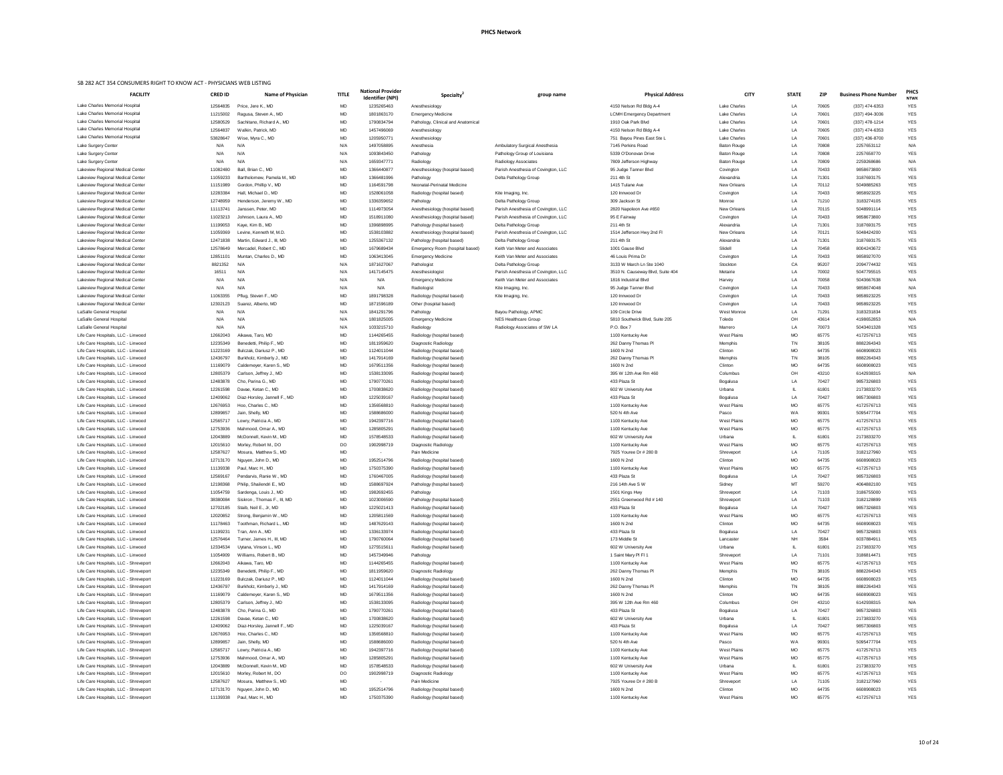| ational Provider<br>Identifier (NPI) | Specialty <sup>4</sup>                                   | group name                                            | <b>Physical Address</b>                      | <b>CITY</b>                 | <b>STATE</b>    | <b>ZIP</b>     | <b>Business Phone Number</b> | <b>PHCS</b><br><b>NTWK</b> |
|--------------------------------------|----------------------------------------------------------|-------------------------------------------------------|----------------------------------------------|-----------------------------|-----------------|----------------|------------------------------|----------------------------|
| 1235265463                           | Anesthesiology                                           |                                                       | 4150 Nelson Rd Bldg A-4                      | <b>Lake Charles</b>         | LA              | 70605          | (337) 474-6353               | <b>YES</b>                 |
| 1801863170                           | <b>Emergency Medicine</b>                                |                                                       | <b>LCMH Emergency Department</b>             | <b>Lake Charles</b>         | LA              | 70601          | (337) 494-3036               | <b>YES</b>                 |
| 1790834794                           | Pathology, Clinical and Anatomical                       |                                                       | 1910 Oak Park Blvd                           | <b>Lake Charles</b>         | LA              | 70601          | $(337)$ 478-1214             | <b>YES</b>                 |
| 1457496069                           | Anesthesiology                                           |                                                       | 4150 Nelson Rd Bldg A-4                      | Lake Charles                | LA              | 70605          | $(337)$ 474-6353             | <b>YES</b>                 |
| 1205950771                           | Anesthesiology                                           |                                                       | 751 Bayou Pines East Ste L                   | Lake Charles                | LA              | 70601          | (337) 436-8700               | <b>YES</b>                 |
| 1497058895                           | Anesthesia                                               | <b>Ambulatory Surgical Anesthesia</b>                 | 7145 Perkins Road                            | <b>Baton Rouge</b>          | LA              | 70808          | 2257653112                   | N/A                        |
| 1093843450                           | Pathology                                                | Pathology Group of Louisiana                          | 5339 O'Donovan Drive                         | <b>Baton Rouge</b>          | LA              | 70808          | 2257658770                   | <b>YES</b>                 |
| 1659347771                           | Radiology                                                | <b>Radiology Associates</b>                           | 7809 Jefferson Highway                       | <b>Baton Rouge</b>          | LA              | 70809          | 2259268686                   | N/A                        |
| 1366440877                           | Anesthesiology (hospital based)                          | Parish Anesthesia of Covington, LLC                   | 95 Judge Tanner Blvd                         | Covington                   | LA              | 70433          | 9858673800                   | <b>YES</b>                 |
| 1366481996                           | Pathology                                                | Delta Pathology Group                                 | 211 4th St                                   | Alexandria                  | LA              | 71301          | 3187693175                   | <b>YES</b>                 |
| 1164591798                           | Neonatal-Perinatal Medicine                              |                                                       | 1415 Tulane Ave                              | <b>New Orleans</b>          | LA              | 70112          | 5049885263                   | <b>YES</b>                 |
| 1528061058                           | Radiology (hospital based)                               | Kite Imaging, Inc.                                    | 120 Innwood Dr                               | Covington                   | LA              | 70433          | 9858923225                   | <b>YES</b>                 |
| 1336359652                           | Pathology                                                | Delta Pathology Group                                 | 309 Jackson St                               | Monroe                      | LA              | 71210          | 3183274105                   | <b>YES</b>                 |
| 1114973054                           | Anesthesiology (hospital based)                          | Parish Anesthesia of Covington, LLC                   | 2820 Napoleon Ave #650                       | <b>New Orleans</b>          | LA              | 70115          | 5048991114                   | <b>YES</b>                 |
| 1518911080                           | Anesthesiology (hospital based)                          | Parish Anesthesia of Covington, LLC                   | 95 E Fairway                                 | Covington                   | LA              | 70433          | 9858673800                   | <b>YES</b>                 |
| 1396898995                           | Pathology (hospital based)                               | Delta Pathology Group                                 | 211 4th St                                   | Alexandria                  | LA              | 71301          | 3187693175                   | <b>YES</b>                 |
| 1538103882                           | Anesthesiology (hospital based)                          | Parish Anesthesia of Covington, LLC                   | 1514 Jefferson Hwy 2nd Fl                    | <b>New Orleans</b>          | LA              | 70121          | 5048424200                   | <b>YES</b>                 |
| 1255367132                           | Pathology (hospital based)                               | Delta Pathology Group                                 | 211 4th St                                   | Alexandria                  | LA              | 71301          | 3187693175                   | <b>YES</b>                 |
| 1679689434                           | Emergency Room (hospital based)                          | Keith Van Meter and Associates                        | 1001 Gause Blvd                              | Slidell                     | LA              | 70458          | 8004243672                   | <b>YES</b>                 |
| 1063413045                           | <b>Emergency Medicine</b>                                | Keith Van Meter and Associates                        | 46 Louis Prima Dr                            | Covington                   | LA              | 70433          | 9858927070                   | <b>YES</b>                 |
| 1871627067                           | Pathologist                                              | Delta Pathology Group                                 | 3133 W March Ln Ste 1040                     | Stockton                    | CA              | 95207          | 2094774432                   | <b>YES</b>                 |
| 1417145475                           | Anesthesiologist                                         | Parish Anesthesia of Covington, LLC                   | 3510 N. Causeway Blvd, Suite 404             | Metairie                    | LA              | 70002          | 5047795515                   | <b>YES</b>                 |
| N/A                                  | <b>Emergency Medicine</b>                                | Keith Van Meter and Associates                        | 1816 Industrial Blvd                         | Harvey                      | LA              | 70058          | 5043667638                   | N/A                        |
| N/A                                  | Radiologist                                              | Kite Imaging, Inc.                                    | 95 Judge Tanner Blvd                         | Covington                   | LA              | 70433          | 9858674048                   | N/A                        |
| 1891798328                           | Radiology (hospital based)                               | Kite Imaging, Inc.                                    | 120 Innwood Dr                               | Covington                   | LA              | 70433          | 9858923225                   | <b>YES</b>                 |
| 1871596189                           | Other (hospital based)                                   |                                                       | 120 Innwood Dr                               | Covington                   | LA              | 70433          | 9858923225                   | <b>YES</b>                 |
| 1841291796                           | Pathology                                                | Bayou Pathology, APMC                                 | 109 Circle Drive                             | West Monroe                 | LA<br>OH        | 71291          | 3183231834                   | <b>YES</b><br>N/A          |
| 1801825005<br>1033215710             | <b>Emergency Medicine</b>                                | NES Healthcare Group<br>Radiology Associates of SW LA | 5810 Southwick Blvd, Suite 205<br>P.O. Box 7 | Toledo                      | LA              | 43614<br>70073 | 4198652853<br>5043401328     | <b>YES</b>                 |
| 1144265455                           | Radiology                                                |                                                       | 1100 Kentucky Ave                            | Marrero<br>West Plains      | <b>MO</b>       | 65775          | 4172576713                   | <b>YES</b>                 |
| 1811959620                           | Radiology (hospital based)<br>Diagnostic Radiology       |                                                       | 262 Danny Thomas PI                          | Memphis                     | TN              | 38105          | 8882264343                   | <b>YES</b>                 |
| 1124011044                           | Radiology (hospital based)                               |                                                       | 1600 N 2nd                                   | Clinton                     | <b>MO</b>       | 64735          | 6608908023                   | <b>YES</b>                 |
| 1417914169                           | Radiology (hospital based)                               |                                                       | 262 Danny Thomas PI                          | Memphis                     | TN              | 38105          | 8882264343                   | <b>YES</b>                 |
| 1679511356                           | Radiology (hospital based)                               |                                                       | 1600 N 2nd                                   | Clinton                     | <b>MO</b>       | 64735          | 6608908023                   | <b>YES</b>                 |
| 1538133095                           | Radiology (hospital based)                               |                                                       | 395 W 12th Ave Rm 460                        | Columbus                    | OH              | 43210          | 6142938315                   | N/A                        |
| 1790770261                           | Radiology (hospital based)                               |                                                       | 433 Plaza St                                 | Bogalusa                    | LA              | 70427          | 9857326803                   | <b>YES</b>                 |
| 1700838620                           | Radiology (hospital based)                               |                                                       | 602 W University Ave                         | Urbana                      | IL              | 61801          | 2173833270                   | <b>YES</b>                 |
| 1225039167                           | Radiology (hospital based)                               |                                                       | 433 Plaza St                                 | Bogalusa                    | LA              | 70427          | 9857306803                   | <b>YES</b>                 |
| 1356568810                           | Radiology (hospital based)                               |                                                       | 1100 Kentucky Ave                            | West Plains                 | <b>MO</b>       | 65775          | 4172576713                   | <b>YES</b>                 |
| 1588686000                           | Radiology (hospital based)                               |                                                       | 520 N 4th Ave                                | Pasco                       | <b>WA</b>       | 99301          | 5095477704                   | <b>YES</b>                 |
| 1942397716                           | Radiology (hospital based)                               |                                                       | 1100 Kentucky Ave                            | West Plains                 | <b>MO</b>       | 65775          | 4172576713                   | <b>YES</b>                 |
| 1285805291                           | Radiology (hospital based)                               |                                                       | 1100 Kentucky Ave                            | <b>West Plains</b>          | <b>MO</b>       | 65775          | 4172576713                   | <b>YES</b>                 |
| 1578548533                           | Radiology (hospital based)                               |                                                       | 602 W University Ave                         | Urbana                      | IL              | 61801          | 2173833270                   | <b>YES</b>                 |
| 1902998719                           | Diagnostic Radiology                                     |                                                       | 1100 Kentucky Ave                            | West Plains                 | <b>MO</b>       | 65775          | 4172576713                   | <b>YES</b>                 |
|                                      | Pain Medicine                                            |                                                       | 7925 Youree Dr # 280 B                       | Shreveport                  | LA              | 71105          | 3182127960                   | <b>YES</b>                 |
| 1952514796                           | Radiology (hospital based)                               |                                                       | 1600 N 2nd                                   | Clinton                     | <b>MO</b>       | 64735          | 6608908023                   | <b>YES</b>                 |
| 1750375390                           | Radiology (hospital based)                               |                                                       | 1100 Kentucky Ave                            | West Plains                 | <b>MO</b>       | 65775          | 4172576713                   | <b>YES</b>                 |
| 1760467005                           | Radiology (hospital based)                               |                                                       | 433 Plaza St                                 | Bogalusa                    | LA              | 70427          | 9857326803                   | <b>YES</b>                 |
| 1588697924                           | Pathology (hospital based)                               |                                                       | 216 14th Ave S W                             | Sidney                      | MT              | 59270          | 4064882100                   | <b>YES</b>                 |
| 1982692455                           | Pathology                                                |                                                       | 1501 Kings Hwy                               | Shreveport                  | LA              | 71103          | 3186755000                   | <b>YES</b>                 |
| 1023006590                           | Pathology (hospital based)                               |                                                       | 2551 Greenwood Rd # 140                      | Shreveport                  | LA              | 71103          | 3182128899                   | <b>YES</b>                 |
| 1225021413                           | Radiology (hospital based)                               |                                                       | 433 Plaza St                                 | Bogalusa                    | LA              | 70427          | 9857326803                   | <b>YES</b>                 |
| 1205811569                           | Radiology (hospital based)                               |                                                       | 1100 Kentucky Ave                            | West Plains                 | <b>MO</b>       | 65775          | 4172576713                   | <b>YES</b>                 |
| 1487629143                           | Radiology (hospital based)                               |                                                       | 1600 N 2nd                                   | Clinton                     | <b>MO</b>       | 64735          | 6608908023                   | <b>YES</b>                 |
| 1336133974                           | Radiology (hospital based)                               |                                                       | 433 Plaza St                                 | Bogalusa                    | LA              | 70427          | 9857326803                   | <b>YES</b>                 |
| 1790760064                           | Radiology (hospital based)                               |                                                       | 173 Middle St                                | Lancaster                   | <b>NH</b>       | 3584           | 6037884911                   | <b>YES</b>                 |
| 1275515611                           | Radiology (hospital based)                               |                                                       | 602 W University Ave                         | Urbana                      | IL              | 61801          | 2173833270                   | <b>YES</b>                 |
| 1457349946                           | Pathology                                                |                                                       | 1 Saint Mary PI FI 1                         | Shreveport                  | LA              | 71101          | 3186814471                   | <b>YES</b>                 |
| 1144265455                           | Radiology (hospital based)                               |                                                       | 1100 Kentucky Ave                            | West Plains                 | <b>MO</b>       | 65775          | 4172576713                   | <b>YES</b>                 |
| 1811959620                           | Diagnostic Radiology                                     |                                                       | 262 Danny Thomas PI                          | Memphis                     | TN              | 38105          | 8882264343                   | <b>YES</b>                 |
| 1124011044                           | Radiology (hospital based)                               |                                                       | 1600 N 2nd                                   | Clinton                     | <b>MO</b>       | 64735          | 6608908023                   | <b>YES</b>                 |
| 1417914169                           | Radiology (hospital based)                               |                                                       | 262 Danny Thomas PI                          | Memphis                     | TN              | 38105          | 8882264343                   | <b>YES</b>                 |
| 1679511356                           | Radiology (hospital based)                               |                                                       | 1600 N 2nd                                   | Clinton                     | <b>MO</b>       | 64735          | 6608908023                   | <b>YES</b>                 |
| 1538133095                           | Radiology (hospital based)                               |                                                       | 395 W 12th Ave Rm 460                        | Columbus                    | OH              | 43210          | 6142938315                   | N/A                        |
| 1790770261                           | Radiology (hospital based)                               |                                                       | 433 Plaza St                                 | Bogalusa                    | LA              | 70427          | 9857326803                   | <b>YES</b>                 |
| 1700838620                           | Radiology (hospital based)                               |                                                       | 602 W University Ave<br>433 Plaza St         | Urbana                      | IL              | 61801          | 2173833270                   | <b>YES</b>                 |
| 1225039167                           | Radiology (hospital based)                               |                                                       | 1100 Kentucky Ave                            | Bogalusa                    | LA              | 70427          | 9857306803                   | <b>YES</b>                 |
| 1356568810<br>1588686000             | Radiology (hospital based)<br>Radiology (hospital based) |                                                       | 520 N 4th Ave                                | <b>West Plains</b><br>Pasco | <b>MO</b><br>WA | 65775<br>99301 | 4172576713<br>5095477704     | <b>YES</b><br><b>YES</b>   |
| 1942397716                           | Radiology (hospital based)                               |                                                       | 1100 Kentucky Ave                            | West Plains                 | <b>MO</b>       | 65775          | 4172576713                   | <b>YES</b>                 |
| 1285805291                           | Radiology (hospital based)                               |                                                       | 1100 Kentucky Ave                            | West Plains                 | <b>MO</b>       | 65775          | 4172576713                   | <b>YES</b>                 |
| 1578548533                           | Radiology (hospital based)                               |                                                       | 602 W University Ave                         | Urbana                      | IL              | 61801          | 2173833270                   | <b>YES</b>                 |
| 1902998719                           | Diagnostic Radiology                                     |                                                       | 1100 Kentucky Ave                            | West Plains                 | <b>MO</b>       | 65775          | 4172576713                   | <b>YES</b>                 |
|                                      | Pain Medicine                                            |                                                       | 7925 Youree Dr # 280 B                       | Shreveport                  | LA              | 71105          | 3182127960                   | <b>YES</b>                 |
| 1952514796                           | Radiology (hospital based)                               |                                                       | 1600 N 2nd                                   | Clinton                     | <b>MO</b>       | 64735          | 6608908023                   | YES                        |

| <b>FACILITY</b>                                                          | <b>CRED ID</b>       | <b>Name of Physician</b>                              | <b>TITLE</b>     | <b>National Provider</b><br><b>Identifier (NPI)</b> | <b>Specialty</b>                                         | group name                                                   | <b>Physical Address</b>                 | <b>CITY</b>                    | <b>STATE</b>    | <b>ZIP</b>     | <b>Business Phone Number</b> | <b>PHC</b><br><b>NTW</b> |
|--------------------------------------------------------------------------|----------------------|-------------------------------------------------------|------------------|-----------------------------------------------------|----------------------------------------------------------|--------------------------------------------------------------|-----------------------------------------|--------------------------------|-----------------|----------------|------------------------------|--------------------------|
| Lake Charles Memorial Hospital                                           | 12564835             | Price, Jere K., MD                                    | MD               | 1235265463                                          | Anesthesiology                                           |                                                              | 4150 Nelson Rd Bldg A-4                 | <b>Lake Charles</b>            | LA              | 70605          | (337) 474-6353               | <b>YES</b>               |
| Lake Charles Memorial Hospital                                           | 11215002             | Ragusa, Steven A., MD                                 | <b>MD</b>        | 1801863170                                          | <b>Emergency Medicine</b>                                |                                                              | <b>LCMH Emergency Department</b>        | Lake Charles                   | LA              | 70601          | (337) 494-3036               | <b>YES</b>               |
| Lake Charles Memorial Hospital                                           | 12580529             | Sachitano, Richard A., MD                             | <b>MD</b>        | 1790834794                                          | Pathology, Clinical and Anatomical                       |                                                              | 1910 Oak Park Blvd                      | Lake Charles                   | LA              | 70601          | (337) 478-1214               | <b>YES</b>               |
| Lake Charles Memorial Hospital                                           | 12564837             | Walkin, Patrick, MD                                   | <b>MD</b>        | 1457496069                                          | Anesthesiology                                           |                                                              | 4150 Nelson Rd Bldg A-4                 | Lake Charles                   | LA              | 70605          | $(337)$ 474-6353             | <b>YES</b>               |
| Lake Charles Memorial Hospital                                           | 53828647             | Wise, Myra C., MD                                     | <b>MD</b>        | 1205950771                                          | Anesthesiology                                           |                                                              | 751 Bayou Pines East Ste L              | <b>Lake Charles</b>            | LA              | 70601          | (337) 436-8700               | <b>YES</b>               |
| Lake Surgery Center                                                      | N/A                  | N/A                                                   | N/A              | 1497058895                                          | Anesthesia                                               | <b>Ambulatory Surgical Anesthesia</b>                        | 7145 Perkins Road                       | <b>Baton Rouge</b>             | LA              | 70808          | 2257653112                   | N/A                      |
| Lake Surgery Center                                                      | N/A                  | N/A                                                   | N/A              | 1093843450                                          | Pathology                                                | Pathology Group of Louisiana                                 | 5339 O'Donovan Drive                    | <b>Baton Rouge</b>             | LA              | 70808          | 2257658770                   | <b>YES</b>               |
| Lake Surgery Center                                                      | N/A                  | N/A                                                   | N/A              | 1659347771                                          | Radiology                                                | Radiology Associates                                         | 7809 Jefferson Highway                  | <b>Baton Rouge</b>             | LA              | 70809          | 2259268686                   | N/A                      |
| Lakeview Regional Medical Center                                         | 11082480             | Ball, Brian C., MD                                    | <b>MD</b>        | 1366440877                                          | Anesthesiology (hospital based)                          | Parish Anesthesia of Covington, LLC                          | 95 Judge Tanner Blvd                    | Covington                      | LA              | 70433          | 9858673800                   | <b>YES</b>               |
| Lakeview Regional Medical Center                                         | 11059233             | Bartholomew, Pamela M., MD                            | MD               | 1366481996                                          | Pathology                                                | Delta Pathology Group                                        | 211 4th St                              | Alexandria                     | LA              | 71301          | 3187693175                   | YES                      |
| Lakeview Regional Medical Center                                         | 11151989             | Gordon, Phillip V., MD                                | <b>MD</b>        | 1164591798                                          | Neonatal-Perinatal Medicine                              |                                                              | 1415 Tulane Ave                         | <b>New Orleans</b>             | LA              | 70112          | 5049885263                   | <b>YES</b>               |
| Lakeview Regional Medical Center                                         | 12283384             | Hall, Michael D., MD                                  | <b>MD</b>        | 1528061058                                          | Radiology (hospital based)                               | Kite Imaging, Inc.                                           | 120 Innwood Dr                          | Covington                      | LA              | 70433          | 9858923225                   | <b>YES</b>               |
| Lakeview Regional Medical Center                                         | 12748959             | Henderson, Jeremy W., MD                              | <b>MD</b>        | 1336359652                                          | Pathology                                                | Delta Pathology Group                                        | 309 Jackson St                          | Monroe                         | LA              | 71210          | 3183274105                   | <b>YES</b>               |
| Lakeview Regional Medical Center                                         | 11113741             | Janssen, Peter, MD                                    | MD               | 1114973054                                          | Anesthesiology (hospital based)                          | Parish Anesthesia of Covington, LLC                          | 2820 Napoleon Ave #650                  | New Orleans                    | LA              | 70115          | 5048991114                   | YES                      |
| Lakeview Regional Medical Center                                         | 11023213             | Johnson, Laura A., MD                                 | <b>MD</b>        | 1518911080                                          | Anesthesiology (hospital based)                          | Parish Anesthesia of Covington, LLC                          | 95 E Fairway                            | Covington                      | LA              | 70433          | 9858673800                   | <b>YES</b>               |
| Lakeview Regional Medical Center                                         | 11199053             | Kaye, Kim B., MD                                      | <b>MD</b>        | 1396898995                                          | Pathology (hospital based)                               | Delta Pathology Group                                        | 211 4th St                              | Alexandria                     | LA              | 71301          | 3187693175                   | <b>YES</b>               |
| Lakeview Regional Medical Center                                         | 11059369             | Levine, Kenneth M, M.D.                               | MD               | 1538103882                                          | Anesthesiology (hospital based)                          | Parish Anesthesia of Covington, LLC                          | 1514 Jefferson Hwy 2nd Fl               | New Orleans                    | LA              | 70121          | 5048424200                   | <b>YES</b>               |
| Lakeview Regional Medical Center                                         | 12471838             | Martin, Edward J., III, MD                            | <b>MD</b>        | 1255367132                                          | Pathology (hospital based)                               | Delta Pathology Group                                        | 211 4th St                              | Alexandria                     | LA              | 71301          | 3187693175                   | <b>YES</b>               |
| Lakeview Regional Medical Center                                         | 12578649             | Mercadel, Robert C., MD                               | MD               | 1679689434                                          | Emergency Room (hospital based)                          | Keith Van Meter and Associates                               | 1001 Gause Blvd<br>46 Louis Prima Dr    | Slidell                        | LA              | 70458<br>70433 | 8004243672<br>9858927070     | YES                      |
| Lakeview Regional Medical Center                                         | 12851101<br>8821352  | Muntan, Charles D., MD<br>N/A                         | <b>MD</b><br>N/A | 1063413045<br>1871627067                            | <b>Emergency Medicine</b>                                | Keith Van Meter and Associates                               | 3133 W March Ln Ste 1040                | Covington                      | LA<br>CA        | 95207          | 2094774432                   | <b>YES</b><br><b>YES</b> |
| Lakeview Regional Medical Center                                         |                      | N/A                                                   | N/A              | 1417145475                                          | Pathologist                                              | Delta Pathology Group<br>Parish Anesthesia of Covington, LLC | 3510 N. Causeway Blvd, Suite 404        | Stockton<br>Metairie           | LA              | 70002          | 5047795515                   | <b>YES</b>               |
| Lakeview Regional Medical Center<br>Lakeview Regional Medical Center     | 16511<br>N/A         | N/A                                                   | N/A              | N/A                                                 | Anesthesiologist<br><b>Emergency Medicine</b>            | Keith Van Meter and Associates                               | 1816 Industrial Blvd                    | Harvey                         | LA              | 70058          | 5043667638                   | N/A                      |
| Lakeview Regional Medical Center                                         | N/A                  | N/A                                                   | N/A              | N/A                                                 | Radiologist                                              | Kite Imaging, Inc.                                           | 95 Judge Tanner Blvd                    | Covington                      | LA              | 70433          | 9858674048                   | N/A                      |
| Lakeview Regional Medical Center                                         | 11063355             | Pflug, Steven F., MD                                  | <b>MD</b>        | 1891798328                                          | Radiology (hospital based)                               | Kite Imaging, Inc.                                           | 120 Innwood Dr                          | Covington                      | LA              | 70433          | 9858923225                   | <b>YES</b>               |
| Lakeview Regional Medical Center                                         | 12302123             | Suarez, Alberto, MD                                   | <b>MD</b>        | 1871596189                                          | Other (hospital based)                                   |                                                              | 120 Innwood Dr                          | Covington                      | LA              | 70433          | 9858923225                   | <b>YES</b>               |
| <b>LaSalle General Hospital</b>                                          | N/A                  | N/A                                                   | N/A              | 1841291796                                          | Pathology                                                | Bayou Pathology, APMC                                        | 109 Circle Drive                        | West Monroe                    | LA              | 71291          | 3183231834                   | <b>YES</b>               |
| LaSalle General Hospital                                                 | N/A                  | N/A                                                   | N/A              | 1801825005                                          | <b>Emergency Medicine</b>                                | <b>NES Healthcare Group</b>                                  | 5810 Southwick Blvd, Suite 205          | Toledo                         | OH              | 43614          | 4198652853                   | N/A                      |
| <b>LaSalle General Hospital</b>                                          | N/A                  | N/A                                                   | N/A              | 1033215710                                          | Radiology                                                | Radiology Associates of SW LA                                | P.O. Box 7                              | Marrero                        | LA              | 70073          | 5043401328                   | <b>YES</b>               |
| Life Care Hospitals, LLC - Linwood                                       | 12662043             | Aikawa, Taro, MD                                      | <b>MD</b>        | 1144265455                                          | Radiology (hospital based)                               |                                                              | 1100 Kentucky Ave                       | <b>West Plains</b>             | MO.             | 65775          | 4172576713                   | <b>YES</b>               |
| Life Care Hospitals, LLC - Linwood                                       | 12235349             | Benedetti, Philip F., MD                              | MD               | 1811959620                                          | Diagnostic Radiology                                     |                                                              | 262 Danny Thomas PI                     | Memphis                        | TN              | 38105          | 8882264343                   | <b>YES</b>               |
| Life Care Hospitals, LLC - Linwood                                       | 11223169             | Bulczak, Dariusz P., MD                               | MD               | 1124011044                                          | Radiology (hospital based)                               |                                                              | 1600 N 2nd                              | Clinton                        | <b>MO</b>       | 64735          | 6608908023                   | YES                      |
| Life Care Hospitals, LLC - Linwood                                       | 12436797             | Burkholz, Kimberly J., MD                             | MD               | 1417914169                                          | Radiology (hospital based)                               |                                                              | 262 Danny Thomas PI                     | Memphis                        | TN              | 38105          | 8882264343                   | <b>YES</b>               |
| Life Care Hospitals, LLC - Linwood                                       | 11169079             | Caldemeyer, Karen S., MD                              | MD               | 1679511356                                          | Radiology (hospital based)                               |                                                              | 1600 N 2nd                              | Clinton                        | <b>MO</b>       | 64735          | 6608908023                   | <b>YES</b>               |
| Life Care Hospitals, LLC - Linwood                                       | 12805379             | Carlson, Jeffrey J., MD                               | MD               | 1538133095                                          | Radiology (hospital based)                               |                                                              | 395 W 12th Ave Rm 460                   | Columbus                       | OH              | 43210          | 6142938315                   | N/A                      |
| Life Care Hospitals, LLC - Linwood                                       | 12483878             | Cho, Parina G., MD                                    | MD               | 1790770261                                          | Radiology (hospital based)                               |                                                              | 433 Plaza St                            | Bogalusa                       | LA              | 70427          | 9857326803                   | YES                      |
| Life Care Hospitals, LLC - Linwood                                       | 12261598             | Davae, Ketan C., MD                                   | MD               | 1700838620                                          | Radiology (hospital based)                               |                                                              | 602 W University Ave                    | Urbana                         |                 | 61801          | 2173833270                   | <b>YES</b>               |
| Life Care Hospitals, LLC - Linwood                                       | 12409062             | Diaz-Horsley, Jannell F., MD                          | MD               | 1225039167                                          | Radiology (hospital based)                               |                                                              | 433 Plaza St                            | Bogalusa                       | LA              | 70427          | 9857306803                   | <b>YES</b>               |
| Life Care Hospitals, LLC - Linwood                                       | 12676953             | Hoo, Charles C., MD                                   | MD               | 1356568810                                          | Radiology (hospital based)                               |                                                              | 1100 Kentucky Ave                       | <b>West Plains</b>             | <b>MO</b>       | 65775          | 4172576713                   | YES                      |
| Life Care Hospitals, LLC - Linwood                                       | 12899857             | Jain, Shelly, MD                                      | MD               | 1588686000                                          | Radiology (hospital based)                               |                                                              | 520 N 4th Ave                           | Pasco                          | WA              | 99301          | 5095477704                   | <b>YES</b>               |
| Life Care Hospitals, LLC - Linwood                                       | 12565717             | Lowry, Patricia A., MD                                | MD               | 1942397716                                          | Radiology (hospital based)                               |                                                              | 1100 Kentucky Ave                       | <b>West Plains</b>             | MO              | 65775          | 4172576713                   | YES                      |
| Life Care Hospitals, LLC - Linwood                                       | 12753936             | Mahmood, Omar A., MD                                  | MD               | 1285805291                                          | Radiology (hospital based)                               |                                                              | 1100 Kentucky Ave                       | West Plains                    | MO.             | 65775          | 4172576713                   | <b>YES</b>               |
| Life Care Hospitals, LLC - Linwood                                       | 12043889             | McDonnell, Kevin M., MD                               | <b>MD</b>        | 1578548533                                          | Radiology (hospital based)                               |                                                              | 602 W University Ave                    | Urbana                         |                 | 61801          | 2173833270                   | <b>YES</b>               |
| Life Care Hospitals, LLC - Linwood                                       | 12015610             | Morley, Robert M., DO                                 | DO               | 1902998719                                          | Diagnostic Radiology                                     |                                                              | 1100 Kentucky Ave                       | <b>West Plains</b>             | <b>MO</b>       | 65775          | 4172576713                   | YES                      |
| Life Care Hospitals, LLC - Linwood                                       | 12587627             | Mosura, Matthew S., MD                                | MD               | $\sim$                                              | Pain Medicine                                            |                                                              | 7925 Youree Dr # 280 B                  | Shreveport                     | LA              | 71105          | 3182127960                   | YES                      |
| Life Care Hospitals, LLC - Linwood                                       | 12713170             | Nguyen, John D., MD                                   | MD               | 1952514796                                          | Radiology (hospital based)                               |                                                              | 1600 N 2nd                              | Clinton                        | <b>MO</b>       | 64735          | 6608908023                   | <b>YES</b>               |
| Life Care Hospitals, LLC - Linwood                                       | 11139338             | Paul, Marc H., MD                                     | MD               | 1750375390                                          | Radiology (hospital based)                               |                                                              | 1100 Kentucky Ave                       | West Plains                    | <b>MO</b>       | 65775          | 4172576713                   | <b>YES</b>               |
| Life Care Hospitals, LLC - Linwood                                       | 12569167             | Pendarvis, Ranie W., MD                               | MD               | 1760467005                                          | Radiology (hospital based)                               |                                                              | 433 Plaza St                            | Bogalusa                       | LA              | 70427          | 9857326803                   | <b>YES</b>               |
| Life Care Hospitals, LLC - Linwood                                       | 12198368             | Philip, Shailendri E., MD                             | MD               | 1588697924                                          | Pathology (hospital based)                               |                                                              | 216 14th Ave S W                        | Sidney                         | MТ              | 59270          | 4064882100                   | YES                      |
| Life Care Hospitals, LLC - Linwood                                       | 11054759             | Sardenga, Louis J., MD                                | MD               | 1982692455<br>1023006590                            | Pathology                                                |                                                              | 1501 Kings Hwy                          | Shreveport                     | LA              | 71103          | 3186755000                   | <b>YES</b>               |
| Life Care Hospitals, LLC - Linwood<br>Life Care Hospitals, LLC - Linwood | 38380084<br>12702185 | Siskron, Thomas F., III, MD<br>Staib, Neil E., Jr, MD | MD<br>MD         | 1225021413                                          | Pathology (hospital based)<br>Radiology (hospital based) |                                                              | 2551 Greenwood Rd # 140<br>433 Plaza St | Shreveport                     | LA              | 71103<br>70427 | 3182128899<br>9857326803     | <b>YES</b><br><b>YES</b> |
| Life Care Hospitals, LLC - Linwood                                       | 12020852             | Strong, Benjamin W., MD                               | MD               | 1205811569                                          | Radiology (hospital based)                               |                                                              | 1100 Kentucky Ave                       | Bogalusa<br><b>West Plains</b> | LA<br><b>MO</b> | 65775          | 4172576713                   | <b>YES</b>               |
| Life Care Hospitals, LLC - Linwood                                       | 11178463             | Toothman, Richard L., MD                              | MD               | 1487629143                                          | Radiology (hospital based)                               |                                                              | 1600 N 2nd                              | Clinton                        | <b>MO</b>       | 64735          | 6608908023                   | YES                      |
| Life Care Hospitals, LLC - Linwood                                       | 11199231             | Tran, Ann A., MD                                      | MD               | 1336133974                                          | Radiology (hospital based)                               |                                                              | 433 Plaza St                            | Bogalusa                       | LA              | 70427          | 9857326803                   | <b>YES</b>               |
| Life Care Hospitals, LLC - Linwood                                       | 12576464             | Turner, James H., III, MD                             | MD               | 1790760064                                          | Radiology (hospital based)                               |                                                              | 173 Middle St                           | Lancaster                      | NH              | 3584           | 6037884911                   | <b>YES</b>               |
| Life Care Hospitals, LLC - Linwood                                       | 12334534             | Uytana, Vinson L., MD                                 | MD               | 1275515611                                          | Radiology (hospital based)                               |                                                              | 602 W University Ave                    | Urbana                         |                 | 61801          | 2173833270                   | <b>YES</b>               |
| Life Care Hospitals, LLC - Linwood                                       | 11054909             | Williams, Robert B., MD                               | MD               | 1457349946                                          | Pathology                                                |                                                              | 1 Saint Mary PI FI 1                    | Shreveport                     | LA              | 71101          | 3186814471                   | <b>YES</b>               |
| Life Care Hospitals, LLC - Shreveport                                    | 12662043             | Aikawa, Taro, MD                                      | MD               | 1144265455                                          | Radiology (hospital based)                               |                                                              | 1100 Kentucky Ave                       | <b>West Plains</b>             | MO              | 65775          | 4172576713                   | YES                      |
| Life Care Hospitals, LLC - Shreveport                                    | 12235349             | Benedetti, Philip F., MD                              | MD               | 1811959620                                          | Diagnostic Radiology                                     |                                                              | 262 Danny Thomas PI                     | Memphis                        | TN              | 38105          | 8882264343                   | <b>YES</b>               |
| Life Care Hospitals, LLC - Shreveport                                    | 11223169             | Bulczak, Dariusz P., MD                               | MD               | 1124011044                                          | Radiology (hospital based)                               |                                                              | 1600 N 2nd                              | Clinton                        | <b>MO</b>       | 64735          | 6608908023                   | <b>YES</b>               |
| Life Care Hospitals, LLC - Shreveport                                    | 12436797             | Burkholz, Kimberly J., MD                             | MD               | 1417914169                                          | Radiology (hospital based)                               |                                                              | 262 Danny Thomas PI                     | Memphis                        | TN              | 38105          | 8882264343                   | <b>YES</b>               |
| Life Care Hospitals, LLC - Shreveport                                    | 11169079             | Caldemeyer, Karen S., MD                              | MD               | 1679511356                                          | Radiology (hospital based)                               |                                                              | 1600 N 2nd                              | Clinton                        | <b>MO</b>       | 64735          | 6608908023                   | YES                      |
| Life Care Hospitals, LLC - Shreveport                                    | 12805379             | Carlson, Jeffrey J., MD                               | MD               | 1538133095                                          | Radiology (hospital based)                               |                                                              | 395 W 12th Ave Rm 460                   | Columbus                       | OH              | 43210          | 6142938315                   | N/A                      |
| Life Care Hospitals, LLC - Shreveport                                    | 12483878             | Cho, Parina G., MD                                    | MD               | 1790770261                                          | Radiology (hospital based)                               |                                                              | 433 Plaza St                            | Bogalusa                       | LA              | 70427          | 9857326803                   | <b>YES</b>               |
| Life Care Hospitals, LLC - Shreveport                                    | 12261598             | Davae, Ketan C., MD                                   | MD               | 1700838620                                          | Radiology (hospital based)                               |                                                              | 602 W University Ave                    | Urbana                         |                 | 61801          | 2173833270                   | <b>YES</b>               |
| Life Care Hospitals, LLC - Shreveport                                    | 12409062             | Diaz-Horsley, Jannell F., MD                          | MD               | 1225039167                                          | Radiology (hospital based)                               |                                                              | 433 Plaza St                            | Bogalusa                       | LA              | 70427          | 9857306803                   | YES                      |
| Life Care Hospitals, LLC - Shreveport                                    | 12676953             | Hoo, Charles C., MD                                   | MD               | 1356568810                                          | Radiology (hospital based)                               |                                                              | 1100 Kentucky Ave                       | <b>West Plains</b>             | <b>MO</b>       | 65775          | 4172576713                   | YES                      |
| Life Care Hospitals, LLC - Shreveport                                    | 12899857             | Jain, Shelly, MD                                      | MD               | 1588686000                                          | Radiology (hospital based)                               |                                                              | 520 N 4th Ave                           | Pasco                          | <b>WA</b>       | 99301          | 5095477704                   | YES                      |
| Life Care Hospitals, LLC - Shreveport                                    | 12565717             | Lowry, Patricia A., MD                                | MD               | 1942397716                                          | Radiology (hospital based)                               |                                                              | 1100 Kentucky Ave                       | <b>West Plains</b>             | <b>MO</b>       | 65775          | 4172576713                   | <b>YES</b>               |
| Life Care Hospitals, LLC - Shreveport                                    | 12753936             | Mahmood, Omar A., MD                                  | MD               | 1285805291                                          | Radiology (hospital based)                               |                                                              | 1100 Kentucky Ave                       | <b>West Plains</b>             | <b>MO</b>       | 65775          | 4172576713                   | <b>YES</b>               |
| Life Care Hospitals, LLC - Shreveport                                    | 12043889             | McDonnell, Kevin M., MD                               | MD               | 1578548533                                          | Radiology (hospital based)                               |                                                              | 602 W University Ave                    | Urbana                         |                 | 61801          | 2173833270                   | YES                      |
| Life Care Hospitals, LLC - Shreveport                                    | 12015610             | Morley, Robert M., DO                                 | DO               | 1902998719                                          | Diagnostic Radiology                                     |                                                              | 1100 Kentucky Ave                       | <b>West Plains</b>             | <b>MO</b>       | 65775          | 4172576713                   | <b>YES</b>               |
| Life Care Hospitals, LLC - Shreveport                                    | 12587627             | Mosura, Matthew S., MD                                | MD               | $\sim$                                              | Pain Medicine                                            |                                                              | 7925 Youree Dr # 280 B                  | Shreveport                     | LA              | 71105          | 3182127960                   | YES                      |
| Life Care Hospitals, LLC - Shreveport                                    | 12713170             | Nguyen, John D., MD                                   | <b>MD</b>        | 1952514796                                          | Radiology (hospital based)                               |                                                              | 1600 N 2nd                              | Clinton                        | <b>MO</b>       | 64735          | 6608908023                   | <b>YES</b>               |

Life Care Hospitals, LLC - Shreveport 11139338 Paul, Marc H., MD MD 1750375390 Radiology (hospital based) 1100 Kentucky Ave West Plains MO 65775 4172576713 YES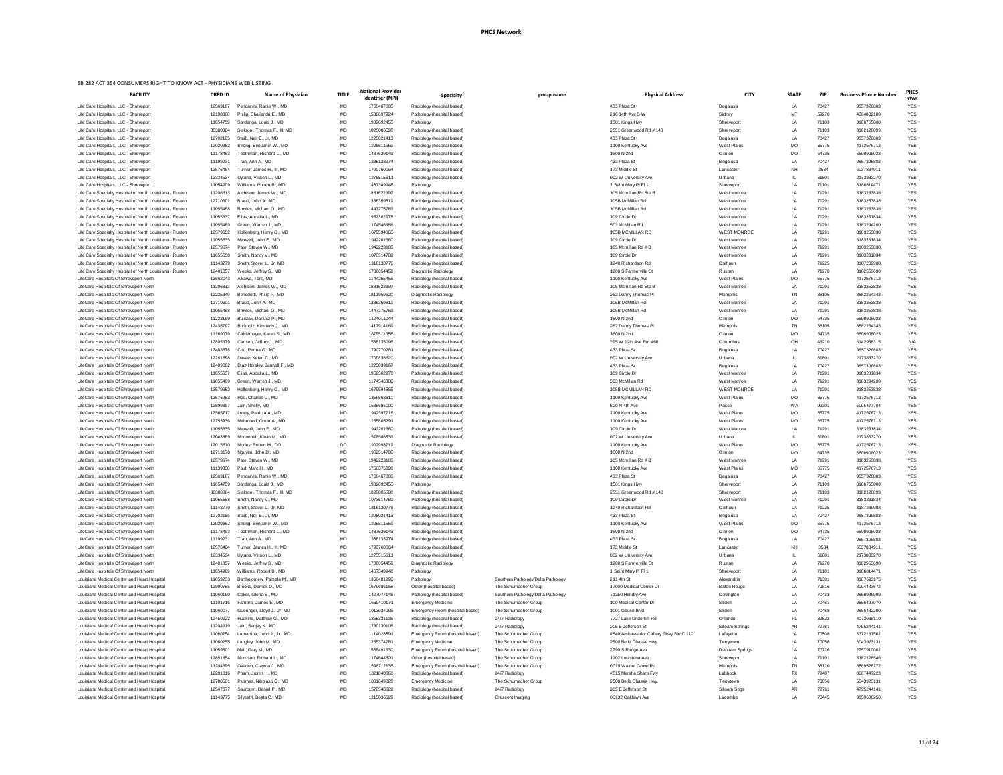| ational Provider               | Specialty <sup>2</sup>                                  | group name                             | <b>Physical Address</b>                      | <b>CITY</b>        | <b>STATE</b> | <b>ZIP</b> | <b>Business Phone Number</b> | <b>PHCS</b>               |
|--------------------------------|---------------------------------------------------------|----------------------------------------|----------------------------------------------|--------------------|--------------|------------|------------------------------|---------------------------|
| Identifier (NPI)<br>1760467005 | Radiology (hospital based)                              |                                        | 433 Plaza St                                 | Bogalusa           | LA           | 70427      | 9857326803                   | <b>NTWK</b><br><b>YES</b> |
| 1588697924                     | Pathology (hospital based)                              |                                        | 216 14th Ave S W                             | Sidney             | MT           | 59270      | 4064882100                   | <b>YES</b>                |
| 1982692455                     | Pathology                                               |                                        | 1501 Kings Hwy                               | Shreveport         | LA           | 71103      | 3186755000                   | <b>YES</b>                |
| 1023006590                     | Pathology (hospital based)                              |                                        | 2551 Greenwood Rd # 140                      | Shreveport         | LA           | 71103      | 3182128899                   | <b>YES</b>                |
| 1225021413                     | Radiology (hospital based)                              |                                        | 433 Plaza St                                 | Bogalusa           | LA           | 70427      | 9857326803                   | <b>YES</b>                |
| 1205811569                     | Radiology (hospital based)                              |                                        | 1100 Kentucky Ave                            | <b>West Plains</b> | <b>MO</b>    | 65775      | 4172576713                   | <b>YES</b>                |
| 1487629143                     | Radiology (hospital based)                              |                                        | 1600 N 2nd                                   | Clinton            | <b>MO</b>    | 64735      | 6608908023                   | <b>YES</b>                |
| 1336133974                     | Radiology (hospital based)                              |                                        | 433 Plaza St                                 | Bogalusa           | LA           | 70427      | 9857326803                   | <b>YES</b>                |
| 1790760064                     | Radiology (hospital based)                              |                                        | 173 Middle St                                | Lancaster          | <b>NH</b>    | 3584       | 6037884911                   | <b>YES</b>                |
| 1275515611                     | Radiology (hospital based)                              |                                        | 602 W University Ave                         | Urbana             | IL.          | 61801      | 2173833270                   | <b>YES</b>                |
| 1457349946                     | Pathology                                               |                                        | 1 Saint Mary PI FI 1                         | Shreveport         | LA           | 71101      | 3186814471                   | <b>YES</b>                |
| 1881622397                     | Radiology (hospital based)                              |                                        | 105 Mcmillan Rd Ste B                        | West Monroe        | LA           | 71291      | 3183253838                   | <b>YES</b>                |
| 1336359819                     | Radiology (hospital based)                              |                                        | 105B McMillan Rd                             | West Monroe        | LA           | 71291      | 3183253838                   | <b>YES</b>                |
| 1447275763                     | Radiology (hospital based)                              |                                        | 105B McMillan Rd                             | West Monroe        | LA           | 71291      | 3183253838                   | <b>YES</b>                |
| 1952302978                     | Pathology (hospital based)                              |                                        | 109 Circle Dr                                | West Monroe        | LA           | 71291      | 3183231834                   | <b>YES</b>                |
| 1174546386                     | Radiology (hospital based)                              |                                        | 503 McMillan Rd                              | West Monroe        | LA           | 71291      | 3183294200                   | <b>YES</b>                |
| 1679594865                     | Radiology (hospital based)                              |                                        | 105B MCMILLAN RD                             | <b>WEST MONROE</b> | LA           | 71291      | 3183253838                   | <b>YES</b>                |
| 1942201660                     | Pathology (hospital based)                              |                                        | 109 Circle Dr                                | West Monroe        | LA           | 71291      | 3183231834                   | <b>YES</b>                |
| 1942223185                     | Radiology (hospital based)                              |                                        | 105 Mcmillan Rd # B                          | West Monroe        | LA           | 71291      | 3183253838                   | <b>YES</b>                |
| 1073514782                     | Pathology (hospital based)                              |                                        | 109 Circle Dr                                | West Monroe        | LA           | 71291      | 3183231834                   | <b>YES</b>                |
| 1316130776                     | Radiology (hospital based)                              |                                        | 1240 Richardson Rd                           | Calhoun            | LA           | 71225      | 3187289988                   | <b>YES</b>                |
| 1780654459                     | Diagnostic Radiology                                    |                                        | 1200 S Farmerville St                        | Ruston             | LA           | 71270      | 3182553690                   | <b>YES</b>                |
| 1144265455                     | Radiology (hospital based)                              |                                        | 1100 Kentucky Ave                            | <b>West Plains</b> | <b>MO</b>    | 65775      | 4172576713                   | <b>YES</b>                |
| 1881622397                     | Radiology (hospital based)                              |                                        | 105 Mcmillan Rd Ste B                        | West Monroe        | LA           | 71291      | 3183253838                   | <b>YES</b>                |
| 1811959620                     | Diagnostic Radiology                                    |                                        | 262 Danny Thomas PI                          | Memphis            | TN           | 38105      | 8882264343                   | <b>YES</b>                |
| 1336359819                     | Radiology (hospital based)                              |                                        | 105B McMillan Rd                             | West Monroe        | LA           | 71291      | 3183253838                   | <b>YES</b>                |
| 1447275763                     | Radiology (hospital based)                              |                                        | 105B McMillan Rd                             | West Monroe        | LA           | 71291      | 3183253838                   | <b>YES</b>                |
| 1124011044                     | Radiology (hospital based)                              |                                        | 1600 N 2nd                                   | Clinton            | <b>MO</b>    | 64735      | 6608908023                   | <b>YES</b>                |
| 1417914169                     | Radiology (hospital based)                              |                                        | 262 Danny Thomas Pl                          | Memphis            | TN           | 38105      | 8882264343                   | <b>YES</b>                |
| 1679511356                     | Radiology (hospital based)                              |                                        | 1600 N 2nd                                   | Clinton            | <b>MO</b>    | 64735      | 6608908023                   | <b>YES</b>                |
| 1538133095                     | Radiology (hospital based)                              |                                        | 395 W 12th Ave Rm 460                        | Columbus           | OH           | 43210      | 6142938315                   | N/A                       |
| 1790770261                     | Radiology (hospital based)                              |                                        | 433 Plaza St                                 | Bogalusa           | LA           | 70427      | 9857326803                   | <b>YES</b>                |
| 1700838620                     | Radiology (hospital based)                              |                                        | 602 W University Ave                         | Urbana             | IL           | 61801      | 2173833270                   | <b>YES</b>                |
| 1225039167                     | Radiology (hospital based)                              |                                        | 433 Plaza St                                 | Bogalusa           | LA           | 70427      | 9857306803                   | <b>YES</b>                |
| 1952302978                     | Pathology (hospital based)                              |                                        | 109 Circle Dr                                | West Monroe        | LA           | 71291      | 3183231834                   | <b>YES</b>                |
| 1174546386                     | Radiology (hospital based)                              |                                        | 503 McMillan Rd                              | West Monroe        | LA           | 71291      | 3183294200                   | <b>YES</b>                |
| 1679594865                     | Radiology (hospital based)                              |                                        | 105B MCMILLAN RD                             | <b>WEST MONROE</b> | LA           | 71291      | 3183253838                   | <b>YES</b>                |
| 1356568810                     | Radiology (hospital based)                              |                                        | 1100 Kentucky Ave                            | <b>West Plains</b> | <b>MO</b>    | 65775      | 4172576713                   | <b>YES</b>                |
| 1588686000                     | Radiology (hospital based)                              |                                        | 520 N 4th Ave                                | Pasco              | WA           | 99301      | 5095477704                   | <b>YES</b>                |
| 1942397716                     | Radiology (hospital based)                              |                                        | 1100 Kentucky Ave                            | <b>West Plains</b> | MO           | 65775      | 4172576713                   | <b>YES</b>                |
| 1285805291                     | Radiology (hospital based)                              |                                        | 1100 Kentucky Ave                            | <b>West Plains</b> | <b>MO</b>    | 65775      | 4172576713                   | <b>YES</b>                |
| 1942201660                     | Pathology (hospital based)                              |                                        | 109 Circle Dr                                | West Monroe        | LA           | 71291      | 3183231834                   | <b>YES</b>                |
| 1578548533                     | Radiology (hospital based)                              |                                        | 602 W University Ave                         | Urbana             | IL           | 61801      | 2173833270                   | <b>YES</b>                |
| 1902998719                     | Diagnostic Radiology                                    |                                        | 1100 Kentucky Ave                            | <b>West Plains</b> | <b>MO</b>    | 65775      | 4172576713                   | <b>YES</b>                |
| 1952514796                     | Radiology (hospital based)                              |                                        | 1600 N 2nd                                   | Clinton            | <b>MO</b>    | 64735      | 6608908023                   | <b>YES</b>                |
| 1942223185                     | Radiology (hospital based)                              |                                        | 105 Mcmillan Rd # B                          | West Monroe        | LA           | 71291      | 3183253838                   | <b>YES</b>                |
| 1750375390                     | Radiology (hospital based)                              |                                        | 1100 Kentucky Ave                            | <b>West Plains</b> | <b>MO</b>    | 65775      | 4172576713                   | <b>YES</b>                |
| 1760467005                     | Radiology (hospital based)                              |                                        | 433 Plaza St                                 | Bogalusa           | LA           | 70427      | 9857326803                   | <b>YES</b>                |
| 1982692455                     | Pathology                                               |                                        | 1501 Kings Hwy                               | Shreveport         | LA           | 71103      | 3186755000                   | <b>YES</b>                |
| 1023006590                     | Pathology (hospital based)                              |                                        | 2551 Greenwood Rd # 140                      | Shreveport         | LA           | 71103      | 3182128899                   | <b>YES</b>                |
| 1073514782                     | Pathology (hospital based)                              |                                        | 109 Circle Dr                                | West Monroe        | LA           | 71291      | 3183231834                   | <b>YES</b>                |
| 1316130776                     | Radiology (hospital based)                              |                                        | 1240 Richardson Rd                           | Calhoun            | LA           | 71225      | 3187289988                   | <b>YES</b>                |
| 1225021413                     | Radiology (hospital based)                              |                                        | 433 Plaza St                                 | Bogalusa           | LA           | 70427      | 9857326803                   | <b>YES</b>                |
| 1205811569                     | Radiology (hospital based)                              |                                        | 1100 Kentucky Ave                            | <b>West Plains</b> | <b>MO</b>    | 65775      | 4172576713                   | <b>YES</b>                |
| 1487629143                     | Radiology (hospital based)                              |                                        | 1600 N 2nd                                   | Clinton            | <b>MO</b>    | 64735      | 6608908023                   | <b>YES</b>                |
| 1336133974                     | Radiology (hospital based)                              |                                        | 433 Plaza St                                 | Bogalusa           | LA           | 70427      | 9857326803                   | <b>YES</b>                |
| 1790760064                     | Radiology (hospital based)                              |                                        | 173 Middle St                                | Lancaster          | <b>NH</b>    | 3584       | 6037884911                   | <b>YES</b>                |
| 1275515611                     | Radiology (hospital based)                              |                                        | 602 W University Ave                         | Urbana             | IL.          | 61801      | 2173833270                   | <b>YES</b>                |
| 1780654459                     | Diagnostic Radiology                                    |                                        | 1200 S Farmerville St                        | Ruston             | LA           | 71270      | 3182553690                   | <b>YES</b>                |
| 1457349946                     | Pathology                                               |                                        | 1 Saint Mary PI FI 1                         | Shreveport         | LA           | 71101      | 3186814471                   | <b>YES</b>                |
| 1366481996                     | Pathology                                               | Southern Pathology/Delta Pathology     | 211 4th St                                   | Alexandria         | LA           | 71301      | 3187693175                   | <b>YES</b>                |
| 1679686158                     | Other (hospital based)                                  | The Schumacher Group                   | 17000 Medical Center Dr                      | <b>Baton Rouge</b> | LA           | 70816      | 8004433672                   | <b>YES</b>                |
| 1427077148                     | Pathology (hospital based)                              | Southern Pathology/Delta Pathology     | 71250 Hendry Ave                             | Covington          | LA           | 70433      | 9858936999                   | <b>YES</b>                |
| 1669410171                     | <b>Emergency Medicine</b>                               | The Schumacher Group                   | 100 Medical Center Dr                        | Slidell            | LA           | 70461      | 9856497070                   | <b>YES</b>                |
| 1013937085                     | Emergency Room (hospital based)                         | The Schumacher Group                   | 1001 Gause Blvd                              | Slidell            | LA           | 70458      | 9856432200                   | <b>YES</b>                |
| 1356331136                     | Radiology (hospital based)                              | 24/7 Radiology                         | 7727 Lake Underhill Rd                       | Orlando            | FL           | 32822      | 4073038110                   | <b>YES</b>                |
| 1730130105                     | Radiology (hospital based)                              | 24/7 Radiology                         | 205 E Jefferson St                           | Siloam Springs     | AR           | 72761      | 4795244141                   | <b>YES</b>                |
| 1114028891                     | Emergency Room (hospital based)                         | The Schumacher Group                   | 4540 Ambassador Caffery Pkwy Ste C 110       | Lafayette          | LA           | 70508      | 3372167502                   | <b>YES</b>                |
| 1255374781                     | <b>Emergency Medicine</b>                               | The Schumacher Group                   | 2500 Belle Chasse Hwy.                       | Terrytown          | LA           | 70056      | 5043923131                   | <b>YES</b>                |
| 1568491330                     | Emergency Room (hospital based)                         | The Schumacher Group                   | 2290 S Range Ave                             | Denham Springs     | LA           | 70726      | 2257910002                   | <b>YES</b>                |
| 1174644801                     | Other (hospital based)                                  | The Schumacher Group                   | 1202 Louisiana Ave                           | Shreveport         | LA           | 71101      | 3182128546                   | YES                       |
| 1598712135                     | Emergency Room (hospital based)                         | The Schumacher Group                   | 6019 Walnut Grove Rd                         | Memphis            | TN           | 38120      | 8889526772                   | <b>YES</b>                |
|                                |                                                         |                                        |                                              | Lubbock            |              | 79407      | 8067447223                   | <b>YES</b>                |
| 1821040866                     | Radiology (hospital based)                              | 24/7 Radiology<br>The Schumacher Group | 4515 Marsha Sharp Fwy                        |                    | TX           | 70056      | 5043923131                   | <b>YES</b>                |
| 1881649820<br>1578548822       | <b>Emergency Medicine</b><br>Radiology (hospital based) |                                        | 2500 Belle Chasse Hwy.<br>205 E Jefferson St | Terrytown          | LA           | 72761      | 4795244141                   | <b>YES</b>                |
|                                |                                                         | 24/7 Radiology                         | 60132 Oaklawn Ave                            | Siloam Spgs        | <b>AR</b>    |            | 9859606250                   | <b>YES</b>                |
| 1215036629                     | Radiology (hospital based)                              | Crescent Imaging                       |                                              | Lacombe            | LA           | 70445      |                              |                           |

| <u>UNIVER THE THE THE THE THE THE WORLD HE THE THE THE TOLEN ACT.</u><br><b>FACILITY</b>                             | <b>CRED ID</b>       | <b>Name of Physician</b>                            | <b>TITLE</b> | <b>National Provider</b> |                                                          |                                    | <b>Physical Address</b>                      | <b>CITY</b>                       | <b>STATE</b>     | <b>ZIP</b>     | <b>Business Phone Number</b> | <b>PHC</b>               |
|----------------------------------------------------------------------------------------------------------------------|----------------------|-----------------------------------------------------|--------------|--------------------------|----------------------------------------------------------|------------------------------------|----------------------------------------------|-----------------------------------|------------------|----------------|------------------------------|--------------------------|
|                                                                                                                      |                      |                                                     |              | <b>Identifier (NPI)</b>  | Specialty <sup>2</sup>                                   | group name                         |                                              |                                   |                  |                |                              | <b>NTW</b>               |
| Life Care Hospitals, LLC - Shreveport                                                                                | 12569167             | Pendarvis, Ranie W., MD                             | MD           | 1760467005               | Radiology (hospital based)                               |                                    | 433 Plaza St                                 | Bogalusa                          | LA               | 70427<br>59270 | 9857326803<br>4064882100     | <b>YES</b>               |
| Life Care Hospitals, LLC - Shreveport<br>Life Care Hospitals, LLC - Shreveport                                       | 12198368<br>11054759 | Philip, Shailendri E., MD<br>Sardenga, Louis J., MD | MD<br>MD     | 1588697924<br>1982692455 | Pathology (hospital based)<br>Pathology                  |                                    | 216 14th Ave S W<br>1501 Kings Hwy           | Sidney<br>Shreveport              | LA               | 71103          | 3186755000                   | <b>YES</b><br><b>YES</b> |
| Life Care Hospitals, LLC - Shreveport                                                                                | 38380084             | Siskron, Thomas F., III, MD                         | MD           | 1023006590               | Pathology (hospital based)                               |                                    | 2551 Greenwood Rd # 140                      | Shreveport                        | LA               | 71103          | 3182128899                   | <b>YES</b>               |
| Life Care Hospitals, LLC - Shreveport                                                                                | 12702185             | Staib, Neil E., Jr, MD                              | MD           | 1225021413               | Radiology (hospital based)                               |                                    | 433 Plaza St                                 | Bogalusa                          | LA               | 70427          | 9857326803                   | YES                      |
| Life Care Hospitals, LLC - Shreveport                                                                                | 12020852             | Strong, Benjamin W., MD                             | MD           | 1205811569               | Radiology (hospital based)                               |                                    | 1100 Kentucky Ave                            | <b>West Plains</b>                | <b>MO</b>        | 65775          | 4172576713                   | YES                      |
| Life Care Hospitals, LLC - Shreveport                                                                                | 11178463             | Toothman, Richard L., MD                            | MD           | 1487629143               | Radiology (hospital based)                               |                                    | 1600 N 2nd                                   | Clinton                           | <b>MO</b>        | 64735          | 6608908023                   | <b>YES</b>               |
| Life Care Hospitals, LLC - Shreveport                                                                                | 11199231             | Tran, Ann A., MD                                    | MD           | 1336133974               | Radiology (hospital based)                               |                                    | 433 Plaza St                                 | Bogalusa                          | LA               | 70427          | 9857326803                   | <b>YES</b>               |
| Life Care Hospitals, LLC - Shreveport<br>Life Care Hospitals, LLC - Shreveport                                       | 12576464<br>12334534 | Turner, James H., III. MD<br>Uytana, Vinson L., MD  | MD<br>MD     | 1790760064<br>1275515611 | Radiology (hospital based)<br>Radiology (hospital based) |                                    | 173 Middle St<br>602 W University Ave        | Lancaster<br>Urbana               | <b>NH</b>        | 3584<br>61801  | 6037884911<br>2173833270     | <b>YES</b><br>YES        |
| Life Care Hospitals, LLC - Shreveport                                                                                | 11054909             | Williams, Robert B., MD                             | MD           | 1457349946               | Pathology                                                |                                    | 1 Saint Mary PI FI 1                         | Shreveport                        | LA               | 71101          | 3186814471                   | YES                      |
| Life Care Specialty Hospital of North Louisiana - Ruston                                                             | 11206313             | Atchison, James W., MD                              | MD           | 1881622397               | Radiology (hospital based)                               |                                    | 105 Mcmillan Rd Ste B                        | West Monroe                       | LA               | 71291          | 3183253838                   | <b>YES</b>               |
| Life Care Specialty Hospital of North Louisiana - Ruston                                                             | 12710601             | Braud, John A., MD                                  | MD           | 1336359819               | Radiology (hospital based)                               |                                    | 105B McMillan Rd                             | West Monroe                       | LA               | 71291          | 3183253838                   | YES                      |
| Life Care Specialty Hospital of North Louisiana - Ruston                                                             | 11055468             | Broyles, Michael O., MD                             | MD           | 1447275763               | Radiology (hospital based)                               |                                    | 105B McMillan Rd                             | West Monroe                       | LA               | 71291          | 3183253838                   | YES                      |
| Life Care Specialty Hospital of North Louisiana - Ruston                                                             | 11055637             | Elias, Abdalla L., MD                               | MD           | 1952302978               | Pathology (hospital based)                               |                                    | 109 Circle Dr                                | West Monroe                       | LA               | 71291          | 3183231834                   | <b>YES</b>               |
| Life Care Specialty Hospital of North Louisiana - Ruston                                                             | 11055469             | Green, Warren J., MD                                | MD           | 1174546386               | Radiology (hospital based)                               |                                    | 503 McMillan Rd                              | West Monroe                       | LA               | 71291          | 3183294200                   | <b>YES</b>               |
| Life Care Specialty Hospital of North Louisiana - Ruston<br>Life Care Specialty Hospital of North Louisiana - Ruston | 12579652<br>11055635 | Hollenberg, Henry G., MD<br>Maxwell, John E., MD    | MD<br>MD     | 1679594865<br>1942201660 | Radiology (hospital based)<br>Pathology (hospital based) |                                    | 105B MCMILLAN RD<br>109 Circle Dr            | <b>WEST MONROE</b><br>West Monroe | LA<br>LA         | 71291<br>71291 | 3183253838<br>3183231834     | <b>YES</b><br>YES        |
| Life Care Specialty Hospital of North Louisiana - Ruston                                                             | 12579674             | Pate, Steven W., MD                                 | MD           | 1942223185               | Radiology (hospital based)                               |                                    | 105 Mcmillan Rd # B                          | West Monroe                       | LA               | 71291          | 3183253838                   | <b>YES</b>               |
| Life Care Specialty Hospital of North Louisiana - Ruston                                                             | 11055558             | Smith, Nancy V., MD                                 | MD           | 1073514782               | Pathology (hospital based)                               |                                    | 109 Circle Dr                                | West Monroe                       | LA               | 71291          | 3183231834                   | <b>YES</b>               |
| Life Care Specialty Hospital of North Louisiana - Ruston                                                             | 11143779             | Smith, Stover L., Jr, MD                            | MD           | 1316130776               | Radiology (hospital based)                               |                                    | 1240 Richardson Rd                           | Calhoun                           | LA               | 71225          | 3187289988                   | <b>YES</b>               |
| Life Care Specialty Hospital of North Louisiana - Ruston                                                             | 12401857             | Weeks, Jeffrey S., MD                               | MD           | 1780654459               | Diagnostic Radiology                                     |                                    | 1200 S Farmerville St                        | Ruston                            | LA               | 71270          | 3182553690                   | YES                      |
| LifeCare Hospitals Of Shreveport North                                                                               | 12662043             | Aikawa, Taro, MD                                    | MD           | 1144265455               | Radiology (hospital based)                               |                                    | 1100 Kentucky Ave                            | <b>West Plains</b>                | <b>MO</b>        | 65775          | 4172576713                   | YES                      |
| LifeCare Hospitals Of Shreveport North                                                                               | 11206313             | Atchison, James W., MD                              | MD           | 1881622397               | Radiology (hospital based)                               |                                    | 105 Mcmillan Rd Ste B                        | West Monroe                       | LA               | 71291          | 3183253838                   | <b>YES</b>               |
| LifeCare Hospitals Of Shreveport North                                                                               | 12235349             | Benedetti, Philip F., MD                            | MD           | 1811959620               | Diagnostic Radiology                                     |                                    | 262 Danny Thomas PI                          | Memphis                           | TN               | 38105          | 8882264343                   | YES                      |
| LifeCare Hospitals Of Shreveport North<br>LifeCare Hospitals Of Shreveport North                                     | 12710601<br>11055468 | Braud, John A., MD<br>Broyles, Michael O., MD       | MD<br>MD     | 1336359819<br>1447275763 | Radiology (hospital based)<br>Radiology (hospital based) |                                    | 105B McMillan Rd<br>105B McMillan Rd         | West Monroe<br>West Monroe        | LA<br>LA         | 71291<br>71291 | 3183253838<br>3183253838     | YES<br><b>YES</b>        |
| LifeCare Hospitals Of Shreveport North                                                                               | 11223169             | Bulczak, Dariusz P., MD                             | MD           | 1124011044               | Radiology (hospital based)                               |                                    | 1600 N 2nd                                   | Clinton                           | <b>MO</b>        | 64735          | 6608908023                   | <b>YES</b>               |
| LifeCare Hospitals Of Shreveport North                                                                               | 12436797             | Burkholz, Kimberly J., MD                           | MD           | 1417914169               | Radiology (hospital based)                               |                                    | 262 Danny Thomas PI                          | Memphis                           | TN               | 38105          | 8882264343                   | <b>YES</b>               |
| LifeCare Hospitals Of Shreveport North                                                                               | 11169079             | Caldemeyer, Karen S., MD                            | MD           | 1679511356               | Radiology (hospital based)                               |                                    | 1600 N 2nd                                   | Clinton                           | <b>MO</b>        | 64735          | 6608908023                   | <b>YES</b>               |
| LifeCare Hospitals Of Shreveport North                                                                               | 12805379             | Carlson, Jeffrey J., MD                             | MD           | 1538133095               | Radiology (hospital based)                               |                                    | 395 W 12th Ave Rm 460                        | Columbus                          | OH               | 43210          | 6142938315                   | N/A                      |
| LifeCare Hospitals Of Shreveport North                                                                               | 12483878             | Cho, Parina G., MD                                  | MD           | 1790770261               | Radiology (hospital based)                               |                                    | 433 Plaza St                                 | Bogalusa                          | LA               | 70427          | 9857326803                   | <b>YES</b>               |
| LifeCare Hospitals Of Shreveport North                                                                               | 12261598             | Davae, Ketan C., MD                                 | MD           | 1700838620               | Radiology (hospital based)                               |                                    | 602 W University Ave                         | Urbana                            |                  | 61801          | 2173833270                   | <b>YES</b>               |
| LifeCare Hospitals Of Shreveport North                                                                               | 12409062             | Diaz-Horsley, Jannell F., MD                        | MD           | 1225039167               | Radiology (hospital based)                               |                                    | 433 Plaza St                                 | Bogalusa                          | LA               | 70427          | 9857306803                   | <b>YES</b>               |
| LifeCare Hospitals Of Shreveport North                                                                               | 11055637             | Elias, Abdalla L., MD                               | MD           | 1952302978               | Pathology (hospital based)                               |                                    | 109 Circle Dr                                | West Monroe                       | LA               | 71291          | 3183231834                   | <b>YES</b>               |
| LifeCare Hospitals Of Shreveport North                                                                               | 11055469             | Green, Warren J., MD                                | MD           | 1174546386               | Radiology (hospital based)                               |                                    | 503 McMillan Rd<br>105B MCMILLAN RD          | West Monroe<br><b>WEST MONROE</b> | LA               | 71291          | 3183294200                   | <b>YES</b>               |
| LifeCare Hospitals Of Shreveport North<br>LifeCare Hospitals Of Shreveport North                                     | 12579652<br>12676953 | Hollenberg, Henry G., MD<br>Hoo, Charles C., MD     | MD<br>MD     | 1679594865<br>1356568810 | Radiology (hospital based)<br>Radiology (hospital based) |                                    | 1100 Kentucky Ave                            | <b>West Plains</b>                | LA<br><b>MO</b>  | 71291<br>65775 | 3183253838<br>4172576713     | <b>YES</b><br><b>YES</b> |
| LifeCare Hospitals Of Shreveport North                                                                               | 12899857             | Jain, Shelly, MD                                    | MD           | 1588686000               | Radiology (hospital based)                               |                                    | 520 N 4th Ave                                | Pasco                             | WA               | 99301          | 5095477704                   | YES                      |
| LifeCare Hospitals Of Shreveport North                                                                               | 12565717             | Lowry, Patricia A., MD                              | MD           | 1942397716               | Radiology (hospital based)                               |                                    | 1100 Kentucky Ave                            | <b>West Plains</b>                | MO               | 65775          | 4172576713                   | YES                      |
| LifeCare Hospitals Of Shreveport North                                                                               | 12753936             | Mahmood, Omar A., MD                                | MD           | 1285805291               | Radiology (hospital based)                               |                                    | 1100 Kentucky Ave                            | <b>West Plains</b>                | <b>MO</b>        | 65775          | 4172576713                   | <b>YES</b>               |
| LifeCare Hospitals Of Shreveport North                                                                               | 11055635             | Maxwell, John E., MD                                | MD           | 1942201660               | Pathology (hospital based)                               |                                    | 109 Circle Dr                                | West Monroe                       | LA.              | 71291          | 3183231834                   | <b>YES</b>               |
| LifeCare Hospitals Of Shreveport North                                                                               | 12043889             | Mcdonnell, Kevin M., MD                             | MD           | 1578548533               | Radiology (hospital based)                               |                                    | 602 W University Ave                         | Urbana                            |                  | 61801          | 2173833270                   | <b>YES</b>               |
| LifeCare Hospitals Of Shreveport North                                                                               | 12015610             | Morley, Robert M., DO                               | DO           | 1902998719               | Diagnostic Radiology                                     |                                    | 1100 Kentucky Ave                            | <b>West Plains</b>                | <b>MO</b>        | 65775          | 4172576713                   | YES                      |
| LifeCare Hospitals Of Shreveport North                                                                               | 12713170             | Nguyen, John D., MD                                 | MD           | 1952514796               | Radiology (hospital based)                               |                                    | 1600 N 2nd                                   | Clinton                           | <b>MO</b>        | 64735          | 6608908023                   | <b>YES</b>               |
| LifeCare Hospitals Of Shreveport North<br>LifeCare Hospitals Of Shreveport North                                     | 12579674<br>11139338 | Pate, Steven W., MD<br>Paul, Marc H., MD            | MD<br>MD     | 1942223185<br>1750375390 | Radiology (hospital based)<br>Radiology (hospital based) |                                    | 105 Mcmillan Rd # B<br>1100 Kentucky Ave     | West Monroe<br><b>West Plains</b> | LA.<br><b>MO</b> | 71291<br>65775 | 3183253838<br>4172576713     | <b>YES</b><br><b>YES</b> |
| LifeCare Hospitals Of Shreveport North                                                                               | 12569167             | Pendarvis, Ranie W., MD                             | MD           | 1760467005               | Radiology (hospital based)                               |                                    | 433 Plaza St                                 | Bogalusa                          | LA               | 70427          | 9857326803                   | YES                      |
| LifeCare Hospitals Of Shreveport North                                                                               | 11054759             | Sardenga, Louis J., MD                              | MD           | 1982692455               | Pathology                                                |                                    | 1501 Kings Hwy                               | Shreveport                        | LA               | 71103          | 3186755000                   | <b>YES</b>               |
| LifeCare Hospitals Of Shreveport North                                                                               | 38380084             | Siskron, Thomas F., III, MD                         | MD           | 1023006590               | Pathology (hospital based)                               |                                    | 2551 Greenwood Rd # 140                      | Shreveport                        | LA.              | 71103          | 3182128899                   | <b>YES</b>               |
| LifeCare Hospitals Of Shreveport North                                                                               | 11055558             | Smith, Nancy V., MD                                 | MD           | 1073514782               | Pathology (hospital based)                               |                                    | 109 Circle Dr                                | West Monroe                       | LA               | 71291          | 3183231834                   | <b>YES</b>               |
| LifeCare Hospitals Of Shreveport North                                                                               | 11143779             | Smith, Stover L., Jr, MD                            | MD           | 1316130776               | Radiology (hospital based)                               |                                    | 1240 Richardson Rd                           | Calhoun                           | LA               | 71225          | 3187289988                   | <b>YES</b>               |
| LifeCare Hospitals Of Shreveport North                                                                               | 12702185             | Staib, Neil E., Jr, MD                              | MD           | 1225021413               | Radiology (hospital based)                               |                                    | 433 Plaza St                                 | Bogalusa                          | LA               | 70427          | 9857326803                   | YES                      |
| LifeCare Hospitals Of Shreveport North                                                                               | 12020852             | Strong, Benjamin W., MD                             | MD           | 1205811569               | Radiology (hospital based)                               |                                    | 1100 Kentucky Ave                            | <b>West Plains</b>                | MO               | 65775          | 4172576713                   | <b>YES</b>               |
| LifeCare Hospitals Of Shreveport North                                                                               | 11178463             | Toothman, Richard L., MD                            | MD           | 1487629143               | Radiology (hospital based)                               |                                    | 1600 N 2nd                                   | Clinton                           | <b>MO</b>        | 64735          | 6608908023                   | <b>YES</b>               |
| LifeCare Hospitals Of Shreveport North<br>LifeCare Hospitals Of Shreveport North                                     | 11199231<br>12576464 | Tran, Ann A., MD<br>Turner, James H., III, MD       | MD<br>MD     | 1336133974<br>1790760064 | Radiology (hospital based)<br>Radiology (hospital based) |                                    | 433 Plaza St<br>173 Middle St                | Bogalusa<br>Lancaster             | LA<br>NΗ         | 70427<br>3584  | 9857326803<br>6037884911     | <b>YES</b><br><b>YES</b> |
| LifeCare Hospitals Of Shreveport North                                                                               | 12334534             | Uytana, Vinson L., MD                               | MD           | 1275515611               | Radiology (hospital based)                               |                                    | 602 W University Ave                         | Urbana                            |                  | 61801          | 2173833270                   | YES                      |
| LifeCare Hospitals Of Shreveport North                                                                               | 12401857             | Weeks, Jeffrey S., MD                               | MD           | 1780654459               | Diagnostic Radiology                                     |                                    | 1200 S Farmerville St                        | Ruston                            | LA               | 71270          | 3182553690                   | <b>YES</b>               |
| LifeCare Hospitals Of Shreveport North                                                                               | 11054909             | Williams, Robert B., MD                             | MD           | 1457349946               | Pathology                                                |                                    | 1 Saint Mary PI FI 1                         | Shreveport                        | LA               | 71101          | 3186814471                   | <b>YES</b>               |
| Louisiana Medical Center and Heart Hospital                                                                          | 11059233             | Bartholomew, Pamela M., MD                          | MD           | 1366481996               | Pathology                                                | Southern Pathology/Delta Pathology | 211 4th St                                   | Alexandria                        | LA               | 71301          | 3187693175                   | <b>YES</b>               |
| Louisiana Medical Center and Heart Hospital                                                                          | 12900765             | Brooks, Derrick D., MD                              | MD           | 1679686158               | Other (hospital based)                                   | The Schumacher Group               | 17000 Medical Center Dr                      | <b>Baton Rouge</b>                | LA               | 70816          | 8004433672                   | YES                      |
| Louisiana Medical Center and Heart Hospital                                                                          | 11060160             | Coker, Gloria B., MD                                | MD           | 1427077148               | Pathology (hospital based)                               | Southern Pathology/Delta Pathology | 71250 Hendry Ave                             | Covington                         | LA               | 70433          | 9858936999                   | YES                      |
| Louisiana Medical Center and Heart Hospital                                                                          | 11101716             | Fambro, James E., MD                                | MD           | 1669410171               | <b>Emergency Medicine</b>                                | The Schumacher Group               | 100 Medical Center Dr                        | Slidell                           | LA               | 70461          | 9856497070                   | YES                      |
| Louisiana Medical Center and Heart Hospital                                                                          | 11060077             | Gueringer, Lloyd J., Jr, MD                         | MD           | 1013937085               | Emergency Room (hospital based)                          | The Schumacher Group               | 1001 Gause Blvd                              | Slidell                           | LA               | 70458          | 9856432200                   | YES                      |
| Louisiana Medical Center and Heart Hospital<br>Louisiana Medical Center and Heart Hospital                           | 12450922<br>11204919 | Hudkins, Matthew G., MD<br>Jain, Sanjay K., MD      | MD<br>MD     | 1356331136<br>1730130105 | Radiology (hospital based)<br>Radiology (hospital based) | 24/7 Radiology<br>24/7 Radiology   | 7727 Lake Underhill Rd<br>205 E Jefferson St | Orlando<br>Siloam Springs         | AR               | 32822<br>72761 | 4073038110<br>4795244141     | <b>YES</b><br>YES        |
| Louisiana Medical Center and Heart Hospital                                                                          | 11060254             | Lamartina, John J., Jr., MD                         | MD           | 1114028891               | Emergency Room (hospital based)                          | The Schumacher Group               | 4540 Ambassador Caffery Pkwy Ste C 110       | Lafayette                         | LA               | 70508          | 3372167502                   | <b>YES</b>               |
| Louisiana Medical Center and Heart Hospital                                                                          | 11060255             | Langley, John M., MD                                | MD           | 1255374781               | <b>Emergency Medicine</b>                                | The Schumacher Group               | 2500 Belle Chasse Hwy.                       | Terrytown                         | LA               | 70056          | 5043923131                   | YES                      |
| Louisiana Medical Center and Heart Hospital                                                                          | 11059501             | Mall, Gary M., MD                                   | MD           | 1568491330               | Emergency Room (hospital based)                          | The Schumacher Group               | 2290 S Range Ave                             | Denham Springs                    | LA               | 70726          | 2257910002                   | <b>YES</b>               |
| Louisiana Medical Center and Heart Hospital                                                                          | 12851854             | Morrison, Richard L., MD                            | MD           | 1174644801               | Other (hospital based)                                   | The Schumacher Group               | 1202 Louisiana Ave                           | Shreveport                        | LA               | 71101          | 3182128546                   | YES                      |
| Louisiana Medical Center and Heart Hospital                                                                          | 11204695             | Overton, Clayton J., MD                             | MD           | 1598712135               | Emergency Room (hospital based)                          | The Schumacher Group               | 6019 Walnut Grove Rd                         | Memphis                           | TN               | 38120          | 8889526772                   | YES                      |
| Louisiana Medical Center and Heart Hospital                                                                          | 12201316             | Pham, Justin H., MD                                 | MD           | 1821040866               | Radiology (hospital based)                               | 24/7 Radiology                     | 4515 Marsha Sharp Fwy                        | Lubbock                           | TX               | 79407          | 8067447223                   | YES                      |
| Louisiana Medical Center and Heart Hospital                                                                          | 12700581             | Psomas, Nikolaso G., MD                             | MD           | 1881649820               | <b>Emergency Medicine</b>                                | The Schumacher Group               | 2500 Belle Chasse Hwy.                       | Terrytown                         | LA               | 70056          | 5043923131                   | YES                      |
| Louisiana Medical Center and Heart Hospital                                                                          | 12547377             | Saurborn, Daniel P., MD                             | MD           | 1578548822               | Radiology (hospital based)                               | 24/7 Radiology                     | 205 E Jefferson St                           | Siloam Spgs                       | AR               | 72761          | 4795244141                   | YES                      |
| Louisiana Medical Center and Heart Hospital                                                                          | 11143775             | Silvestri, Beata C., MD                             | MD           | 1215036629               | Radiology (hospital based)                               | Crescent Imaging                   | 60132 Oaklawn Ave                            | Lacombe                           | LA               | 70445          | 9859606250                   | <b>YES</b>               |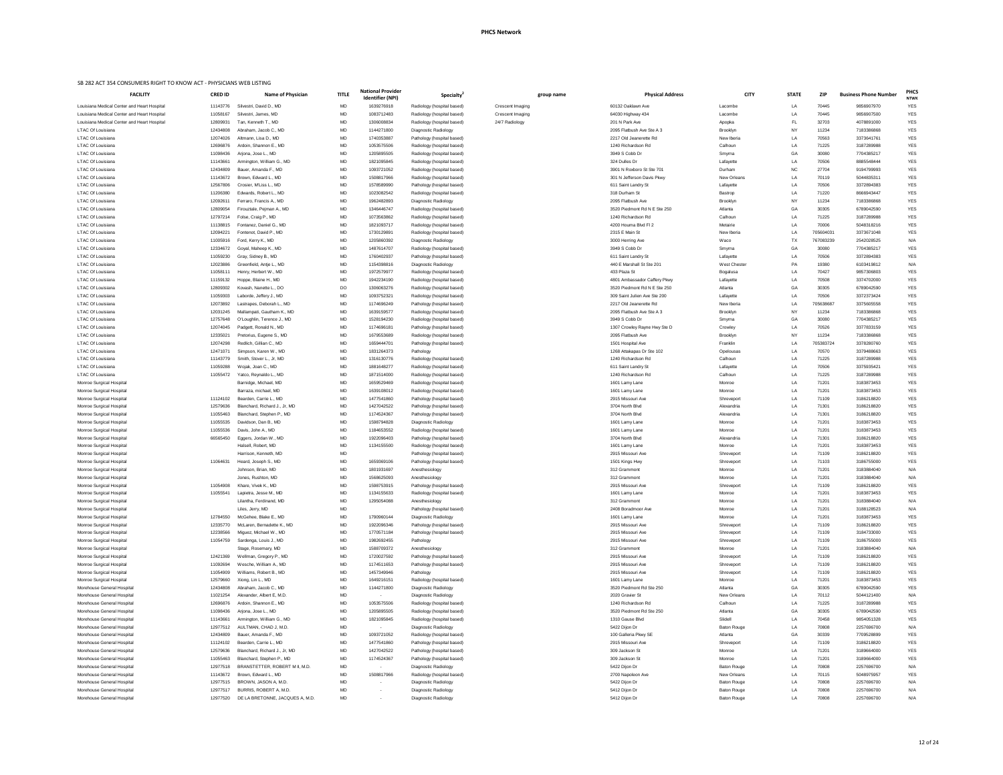### **PHCS Network**

| group name | <b>Physical Address</b>                    | <b>CITY</b>              | <b>STATE</b> | <b>ZIP</b>     | <b>Business Phone Number</b> | <b>PHCS</b><br><b>NTWK</b> |
|------------|--------------------------------------------|--------------------------|--------------|----------------|------------------------------|----------------------------|
|            | 60132 Oaklawn Ave                          | Lacombe                  | LA           | 70445          | 9856907970                   | <b>YES</b>                 |
|            | 64030 Highway 434                          | Lacombe                  | LA           | 70445          | 9856907500                   | <b>YES</b>                 |
|            | 201 N Park Ave                             | Apopka                   | FL.          | 32703          | 4078891000                   | <b>YES</b>                 |
|            | 2095 Flatbush Ave Ste A 3                  | Brooklyn                 | <b>NY</b>    | 11234          | 7183386868                   | <b>YES</b>                 |
|            | 2217 Old Jeanerette Rd                     | New Iberia               | LA           | 70563          | 3373641761                   | <b>YES</b>                 |
|            | 1240 Richardson Rd                         | Calhoun                  | LA           | 71225          | 3187289988                   | <b>YES</b>                 |
|            | 3949 S Cobb Dr                             | Smyrna                   | GA           | 30080          | 7704385217                   | <b>YES</b>                 |
|            | 324 Dulles Dr                              | Lafayette                | LA           | 70506          | 8885548444                   | <b>YES</b>                 |
|            | 3901 N Roxboro St Ste 701                  | Durham                   | <b>NC</b>    | 27704          | 9194799993                   | <b>YES</b>                 |
|            | 301 N Jefferson Davis Pkwy                 | New Orleans              | LA           | 70119          | 5044835311                   | <b>YES</b>                 |
|            | 611 Saint Landry St                        | Lafayette                | LA           | 70506          | 3372894383                   | <b>YES</b>                 |
|            | 318 Durham St                              | Bastrop                  | LA           | 71220          | 8666943447                   | <b>YES</b>                 |
|            | 2095 Flatbush Ave                          | Brooklyn                 | NY.          | 11234          | 7183386868                   | <b>YES</b>                 |
|            | 3520 Piedmont Rd N E Ste 250               | Atlanta                  | GA           | 30305          | 6789042590                   | <b>YES</b>                 |
|            | 1240 Richardson Rd<br>4200 Houma Blvd FI 2 | Calhoun<br>Metairie      | LA<br>LA     | 71225<br>70006 | 3187289988                   | <b>YES</b><br><b>YES</b>   |
|            | 2315 E Main St                             | New Iberia               | LA           | 705604031      | 5048318216<br>3373671048     | <b>YES</b>                 |
|            | 3000 Herring Ave                           | Waco                     | TX           | 767083239      | 2542028525                   | N/A                        |
|            | 3949 S Cobb Dr                             | Smyrna                   | GA           | 30080          | 7704385217                   | <b>YES</b>                 |
|            | 611 Saint Landry St                        | Lafayette                | LA           | 70506          | 3372894383                   | <b>YES</b>                 |
|            | 440 E Marshall St Ste 201                  | West Chester             | PA           | 19380          | 6103419812                   | N/A                        |
|            | 433 Plaza St                               | Bogalusa                 | LA           | 70427          | 9857306803                   | <b>YES</b>                 |
|            | 4801 Ambassador Caffery Pkwy               | Lafayette                | LA           | 70508          | 3374702000                   | <b>YES</b>                 |
|            | 3520 Piedmont Rd N E Ste 250               | Atlanta                  | GA           | 30305          | 6789042590                   | <b>YES</b>                 |
|            | 309 Saint Julien Ave Ste 200               | Lafayette                | LA           | 70506          | 3372373424                   | <b>YES</b>                 |
|            | 2217 Old Jeanerette Rd                     | New Iberia               | LA           | 705638687      | 3375605558                   | <b>YES</b>                 |
|            | 2095 Flatbush Ave Ste A 3                  | Brooklyn                 | <b>NY</b>    | 11234          | 7183386868                   | <b>YES</b>                 |
|            | 3949 S Cobb Dr                             | Smyrna                   | GA           | 30080          | 7704385217                   | <b>YES</b>                 |
|            | 1307 Crowley Rayne Hwy Ste D               | Crowley                  | LA           | 70526          | 3377833159                   | <b>YES</b>                 |
|            | 2095 Flatbush Ave                          | <b>Brooklyn</b>          | <b>NY</b>    | 11234          | 7183386868                   | <b>YES</b>                 |
|            | 1501 Hospital Ave                          | Franklin                 | LA           | 705383724      | 3378280760                   | <b>YES</b>                 |
|            | 1268 Attakapas Dr Ste 102                  | Opelousas                | LA           | 70570          | 3379488663                   | <b>YES</b>                 |
|            | 1240 Richardson Rd                         | Calhoun                  | LA           | 71225          | 3187289988                   | <b>YES</b>                 |
|            | 611 Saint Landry St                        | Lafayette                | LA           | 70506          | 3375935421                   | <b>YES</b>                 |
|            | 1240 Richardson Rd                         | Calhoun                  | LA           | 71225          | 3187289988                   | <b>YES</b>                 |
|            | 1601 Lamy Lane                             | Monroe                   | LA           | 71201          | 3183873453                   | <b>YES</b>                 |
|            | 1601 Lamy Lane<br>2915 Missouri Ave        | Monroe                   | LA           | 71201<br>71109 | 3183873453<br>3186218820     | <b>YES</b><br><b>YES</b>   |
|            | 3704 North Blvd                            | Shreveport<br>Alexandria | LA<br>LA     | 71301          | 3186218820                   | <b>YES</b>                 |
|            | 3704 North Blvd                            | Alexandria               | LA           | 71301          | 3186218820                   | <b>YES</b>                 |
|            | 1601 Lamy Lane                             | Monroe                   | LA           | 71201          | 3183873453                   | <b>YES</b>                 |
|            | 1601 Lamy Lane                             | Monroe                   | LA           | 71201          | 3183873453                   | <b>YES</b>                 |
|            | 3704 North Blvd                            | Alexandria               | LA           | 71301          | 3186218820                   | <b>YES</b>                 |
|            | 1601 Lamy Lane                             | Monroe                   | LA           | 71201          | 3183873453                   | <b>YES</b>                 |
|            | 2915 Missouri Ave                          | Shreveport               | LA           | 71109          | 3186218820                   | <b>YES</b>                 |
|            | 1501 Kings Hwy                             | Shreveport               | LA           | 71103          | 3186755000                   | <b>YES</b>                 |
|            | 312 Grammont                               | Monroe                   | LA           | 71201          | 3183884040                   | N/A                        |
|            | 312 Grammont                               | Monroe                   | LA           | 71201          | 3183884040                   | N/A                        |
|            | 2915 Missouri Ave                          | Shreveport               | LA           | 71109          | 3186218820                   | <b>YES</b>                 |
|            | 1601 Lamy Lane                             | Monroe                   | LA           | 71201          | 3183873453                   | <b>YES</b>                 |
|            | 312 Grammont                               | Monroe                   | LA           | 71201          | 3183884040                   | N/A                        |
|            | 2408 Boradmoor Ave                         | Monroe                   | LA           | 71201          | 3188128523                   | N/A                        |
|            | 1601 Lamy Lane                             | Monroe                   | LA           | 71201          | 3183873453                   | <b>YES</b>                 |
|            | 2915 Missouri Ave                          | Shreveport               | LA           | 71109          | 3186218820                   | <b>YES</b>                 |
|            | 2915 Missouri Ave                          | Shreveport               | LA           | 71109          | 3184733000                   | <b>YES</b>                 |
|            | 2915 Missouri Ave                          | Shreveport               | LA           | 71109          | 3186755000                   | <b>YES</b>                 |
|            | 312 Grammont                               | Monroe                   | LA           | 71201          | 3183884040                   | N/A                        |
|            | 2915 Missouri Ave<br>2915 Missouri Ave     | Shreveport               | LA           | 71109<br>71109 | 3186218820<br>3186218820     | <b>YES</b><br><b>YES</b>   |
|            | 2915 Missouri Ave                          | Shreveport<br>Shreveport | LA<br>LA     | 71109          | 3186218820                   | <b>YES</b>                 |
|            | 1601 Lamy Lane                             | Monroe                   | LA           | 71201          | 3183873453                   | <b>YES</b>                 |
|            | 3520 Piedmont Rd Ste 250                   | Atlanta                  | GA           | 30305          | 6789042590                   | <b>YES</b>                 |
|            | 2020 Gravier St                            | <b>New Orleans</b>       | LA           | 70112          | 5044121400                   | N/A                        |
|            | 1240 Richardson Rd                         | Calhoun                  | LA           | 71225          | 3187289988                   | YES                        |
|            | 3520 Piedmont Rd Ste 250                   | Atlanta                  | GА           | 30305          | 6789042590                   | <b>YES</b>                 |
|            | 1310 Gause Blvd                            | Slidell                  | LA           | 70458          | 9854051328                   | <b>YES</b>                 |
|            | 5422 Dijon Dr                              | <b>Baton Rouge</b>       | LA           | 70808          | 2257696700                   | N/A                        |
|            | 100 Galleria Pkwy SE                       | Atlanta                  | GА           | 30339          | 7709528899                   | <b>YES</b>                 |
|            | 2915 Missouri Ave                          | Shreveport               | LA           | 71109          | 3186218820                   | YES                        |
|            | 309 Jackson St                             | Monroe                   | LA           | 71201          | 3189664000                   | YES                        |
|            | 309 Jackson St                             | Monroe                   | LA           | 71201          | 3189664000                   | <b>YES</b>                 |
|            | 5422 Dijon Dr                              | <b>Baton Rouge</b>       | LA           | 70808          | 2257696700                   | N/A                        |

| <b>FACILITY</b>                                             | <b>CRED ID</b>       | <b>Name of Physician</b>                                   | <b>TITLE</b>           | <b>National Provider</b><br><b>Identifier (NPI)</b> | Specialty <sup>®</sup>                                   | group name       | <b>Physical Address</b>                | <b>CITY</b>              | <b>STATE</b> | <b>ZIP</b>     | <b>Business Phone Number</b> | <b>PHC</b><br><b>NTW</b> |
|-------------------------------------------------------------|----------------------|------------------------------------------------------------|------------------------|-----------------------------------------------------|----------------------------------------------------------|------------------|----------------------------------------|--------------------------|--------------|----------------|------------------------------|--------------------------|
| Louisiana Medical Center and Heart Hospital                 | 11143776             | Silvestri, David D., MD                                    | <b>MD</b>              | 1639276918                                          | Radiology (hospital based)                               | Crescent Imaging | 60132 Oaklawn Ave                      | Lacombe                  | LA           | 70445          | 9856907970                   | <b>YES</b>               |
| Louisiana Medical Center and Heart Hospital                 | 11058167             | Silvestri, James, MD                                       | <b>MD</b>              | 1083712483                                          | Radiology (hospital based)                               | Crescent Imaging | 64030 Highway 434                      | Lacombe                  | LA           | 70445          | 9856907500                   | <b>YES</b>               |
| Louisiana Medical Center and Heart Hospital                 | 12809931             | Tan, Kenneth T., MD                                        | <b>MD</b>              | 1306008834                                          | Radiology (hospital based)                               | 24/7 Radiology   | 201 N Park Ave                         | Apopka                   | FL           | 32703          | 4078891000                   | YES                      |
| LTAC Of Louisiana                                           | 12434808             | Abraham, Jacob C., MD                                      | <b>MD</b>              | 1144271800                                          | Diagnostic Radiology                                     |                  | 2095 Flatbush Ave Ste A 3              | Brooklyn                 | ΝY           | 11234          | 7183386868                   | YES                      |
| <b>LTAC Of Louisiana</b>                                    | 12074026             | Altmann, Lisa D., MD                                       | <b>MD</b>              | 1740353887                                          | Pathology (hospital based)                               |                  | 2217 Old Jeanerette Rd                 | New Iberia               | LA           | 70563          | 3373641761                   | <b>YES</b>               |
| <b>LTAC Of Louisiana</b>                                    | 12696876             | Ardoin, Shannon E., MD                                     | <b>MD</b>              | 1053575506                                          | Radiology (hospital based)                               |                  | 1240 Richardson Rd                     | Calhoun                  | LA           | 71225          | 3187289988                   | <b>YES</b>               |
| <b>LTAC Of Louisiana</b>                                    | 11098436             | Arjona, Jose L., MD                                        | MD                     | 1205895505                                          | Radiology (hospital based)                               |                  | 3949 S Cobb Dr                         | Smyrna                   | GA           | 30080          | 7704385217                   | <b>YES</b>               |
| <b>LTAC Of Louisiana</b>                                    | 11143661             | Armington, William G., MD                                  | MD                     | 1821095845                                          | Radiology (hospital based)                               |                  | 324 Dulles Dr                          | Lafayette                | LA           | 70506          | 8885548444                   | YES                      |
| <b>LTAC Of Louisiana</b>                                    | 12434809             | Bauer, Amanda F., MD                                       | <b>MD</b>              | 1093721052                                          | Radiology (hospital based)                               |                  | 3901 N Roxboro St Ste 701              | Durham                   | <b>NC</b>    | 27704          | 9194799993                   | <b>YES</b>               |
| <b>LTAC Of Louisiana</b>                                    | 11143672             | Brown, Edward L., MD                                       | <b>MD</b>              | 1508817966                                          | Radiology (hospital based)                               |                  | 301 N Jefferson Davis Pkwy             | New Orleans              | LA           | 70119          | 5044835311                   | <b>YES</b>               |
| <b>LTAC Of Louisiana</b>                                    | 12567806             | Crosier, M'Liss L., MD                                     | MD                     | 1578589990                                          | Pathology (hospital based)                               |                  | 611 Saint Landry St                    | Lafayette                | LA           | 70506          | 3372894383                   | YES                      |
| <b>LTAC Of Louisiana</b>                                    | 11206380             | Edwards, Robert L., MD                                     | MD<br><b>MD</b>        | 1023082542                                          | Radiology (hospital based)                               |                  | 318 Durham St<br>2095 Flatbush Ave     | Bastrop                  | LA           | 71220          | 8666943447                   | YES                      |
| <b>LTAC Of Louisiana</b><br><b>LTAC Of Louisiana</b>        | 12092611<br>12809054 | Ferraro, Francis A., MD<br>Firouztale, Pejman A., MD       | <b>MD</b>              | 1962482893<br>1346446747                            | Diagnostic Radiology<br>Radiology (hospital based)       |                  | 3520 Piedmont Rd N E Ste 250           | Brooklyn<br>Atlanta      | ΝY<br>GA     | 11234<br>30305 | 7183386868<br>6789042590     | <b>YES</b><br><b>YES</b> |
| LTAC Of Louisiana                                           | 12797214             | Folse, Craig P., MD                                        | MD                     | 1073563862                                          | Radiology (hospital based)                               |                  | 1240 Richardson Rd                     | Calhoun                  | LA           | 71225          | 3187289988                   | YES                      |
| <b>LTAC Of Louisiana</b>                                    | 11138815             | Fontanez, Daniel G., MD                                    | MD                     | 1821093717                                          | Radiology (hospital based)                               |                  | 4200 Houma Blvd Fl 2                   | Metairie                 | LA           | 70006          | 5048318216                   | YES                      |
| <b>LTAC Of Louisiana</b>                                    | 12094221             | Fontenot, David P., MD                                     | MD                     | 1730129891                                          | Radiology (hospital based)                               |                  | 2315 E Main St                         | New Iberia               | LA           | 705604031      | 3373671048                   | YES                      |
| LTAC Of Louisiana                                           | 11005916             | Ford, Kerry K., MD                                         | <b>MD</b>              | 1205860392                                          | <b>Diagnostic Radiology</b>                              |                  | 3000 Herring Ave                       | Waco                     | TX           | 767083239      | 2542028525                   | N/A                      |
| LTAC Of Louisiana                                           | 12334672             | Goyal, Maheep K., MD                                       | MD                     | 1487614707                                          | Radiology (hospital based)                               |                  | 3949 S Cobb Dr                         | Smyrna                   | GA           | 30080          | 7704385217                   | YES                      |
| LTAC Of Louisiana                                           | 11059230             | Gray, Sidney B., MD                                        | MD                     | 1760402937                                          | Pathology (hospital based)                               |                  | 611 Saint Landry St                    | Lafayette                | LA           | 70506          | 3372894383                   | <b>YES</b>               |
| <b>LTAC Of Louisiana</b>                                    | 12023886             | Greenfield, Antie L., MD                                   | <b>MD</b>              | 1154398816                                          | Diagnostic Radiology                                     |                  | 440 E Marshall St Ste 201              | <b>West Chester</b>      | PA           | 19380          | 6103419812                   | N/A                      |
| <b>LTAC Of Louisiana</b>                                    | 11058111             | Henry, Herbert W., MD                                      | MD                     | 1972579977                                          | Radiology (hospital based)                               |                  | 433 Plaza St                           | Bogalusa                 | LA           | 70427          | 9857306803                   | <b>YES</b>               |
| LTAC Of Louisiana                                           | 11159132             | Hoppe, Blaine H., MD                                       | <b>MD</b>              | 1942234190                                          | Radiology (hospital based)                               |                  | 4801 Ambassador Caffery Pkwy           | Lafayette                | LA           | 70508          | 3374702000                   | <b>YES</b>               |
| LTAC Of Louisiana                                           | 12809302             | Kovash, Nanette L., DO                                     | DO                     | 1306063276                                          | Radiology (hospital based)                               |                  | 3520 Piedmont Rd N E Ste 250           | Atlanta                  | GA           | 30305          | 6789042590                   | <b>YES</b>               |
| LTAC Of Louisiana                                           | 11059303             | Laborde, Jeffery J., MD                                    | <b>MD</b>              | 1093752321                                          | Radiology (hospital based)                               |                  | 309 Saint Julien Ave Ste 200           | Lafayette                | LA.          | 70506          | 3372373424                   | <b>YES</b>               |
| LTAC Of Louisiana                                           | 12073892             | Lastrapes, Deborah L., MD                                  | MD                     | 1174696249                                          | Pathology (hospital based)                               |                  | 2217 Old Jeanerette Rd                 | New Iberia               | LA           | 705638687      | 3375605558                   | <b>YES</b>               |
| <b>LTAC Of Louisiana</b>                                    | 12031245             | Mallampati, Gautham K., MD                                 | MD                     | 1639159577                                          | Radiology (hospital based)                               |                  | 2095 Flatbush Ave Ste A 3              | Brooklyn                 | N۲           | 11234          | 7183386868                   | <b>YES</b>               |
| <b>LTAC Of Louisiana</b>                                    | 12757648             | O'Loughlin, Terence J., MD                                 | MD                     | 1528194230                                          | Radiology (hospital based)                               |                  | 3949 S Cobb Dr                         | Smyrna                   | GA           | 30080          | 7704385217                   | YES                      |
| LTAC Of Louisiana                                           | 12074045             | Padgett, Ronald N., MD                                     | <b>MD</b>              | 1174696181                                          | Pathology (hospital based)                               |                  | 1307 Crowley Rayne Hwy Ste D           | Crowley                  | LA           | 70526          | 3377833159                   | <b>YES</b>               |
| <b>LTAC Of Louisiana</b>                                    | 12335021             | Pretorius, Eugene S., MD                                   | <b>MD</b>              | 1679553689                                          | Radiology (hospital based)                               |                  | 2095 Flatbush Ave                      | <b>Brooklyn</b>          | NY.          | 11234          | 7183386868                   | <b>YES</b>               |
| LTAC Of Louisiana                                           | 12074298             | Redlich, Gillian C., MD                                    | <b>MD</b>              | 1659444701                                          | Pathology (hospital based)                               |                  | 1501 Hospital Ave                      | Franklin                 | LA           | 705383724      | 3378280760                   | YES                      |
| <b>LTAC Of Louisiana</b>                                    | 12471071             | Simpson, Karen W., MD                                      | <b>MD</b>              | 1831264373                                          | Pathology                                                |                  | 1268 Attakapas Dr Ste 102              | Opelousas                | LA           | 70570          | 3379488663                   | <b>YES</b>               |
| <b>LTAC Of Louisiana</b>                                    | 11143779             | Smith, Stover L., Jr, MD                                   | MD                     | 1316130776                                          | Radiology (hospital based)                               |                  | 1240 Richardson Rd                     | Calhoun                  | LA           | 71225          | 3187289988                   | <b>YES</b>               |
| <b>LTAC Of Louisiana</b>                                    | 11059288             | Wojak, Joan C., MD                                         | <b>MD</b>              | 1881648277                                          | Radiology (hospital based)                               |                  | 611 Saint Landry St                    | Lafayette                | LA           | 70506          | 3375935421                   | <b>YES</b>               |
| LTAC Of Louisiana                                           | 11055472             | Yatco, Reynaldo L., MD                                     | MD                     | 1871514000                                          | Radiology (hospital based)                               |                  | 1240 Richardson Rd                     | Calhoun                  | LA           | 71225          | 3187289988                   | YES                      |
| Monroe Surgical Hospital                                    |                      | Barnidge, Michael, MD                                      | <b>MD</b>              | 1659529469                                          | Radiology (hospital based)                               |                  | 1601 Lamy Lane                         | Monroe                   | LA           | 71201          | 3183873453                   | YES                      |
| Monroe Surgical Hospital                                    |                      | Barraza, michael, MD                                       | <b>MD</b>              | 1639108012                                          | Radiology (hospital based)                               |                  | 1601 Lamy Lane                         | Monroe                   | LA           | 71201          | 3183873453                   | <b>YES</b>               |
| <b>Monroe Surgical Hospital</b>                             | 11124102             | Bearden, Carrie L., MD                                     | <b>MD</b><br><b>MD</b> | 1477541860                                          | Pathology (hospital based)                               |                  | 2915 Missouri Ave                      | Shreveport               | LA<br>LA     | 71109<br>71301 | 3186218820                   | <b>YES</b><br><b>YES</b> |
| Monroe Surgical Hospital<br>Monroe Surgical Hospital        | 12579636<br>11055463 | Blanchard, Richard J., Jr, MD<br>Blanchard, Stephen P., MD | <b>MD</b>              | 1427042522<br>1174524367                            | Pathology (hospital based)<br>Pathology (hospital based) |                  | 3704 North Blvd<br>3704 North Blvd     | Alexandria<br>Alexandria | LA           | 71301          | 3186218820<br>3186218820     | <b>YES</b>               |
| Monroe Surgical Hospital                                    | 11055535             | Davidson, Dan B., MD                                       | <b>MD</b>              | 1598794828                                          | Diagnostic Radiology                                     |                  | 1601 Lamy Lane                         | Monroe                   | LA           | 71201          | 3183873453                   | <b>YES</b>               |
| Monroe Surgical Hospital                                    | 11055536             | Davis, John A., MD                                         | <b>MD</b>              | 1184653552                                          | Radiology (hospital based)                               |                  | 1601 Lamy Lane                         | Monroe                   | LA           | 71201          | 3183873453                   | <b>YES</b>               |
| Monroe Surgical Hospital                                    | 66565450             | Eggers, Jordan W., MD                                      | <b>MD</b>              | 1922096403                                          | Pathology (hospital based)                               |                  | 3704 North Blvd                        | Alexandria               | LA           | 71301          | 3186218820                   | YES                      |
| Monroe Surgical Hospital                                    |                      | Halsell, Robert, MD                                        | <b>MD</b>              | 1134155500                                          | Radiology (hospital based)                               |                  | 1601 Lamy Lane                         | Monroe                   | LA           | 71201          | 3183873453                   | <b>YES</b>               |
| Monroe Surgical Hospital                                    |                      | Harrison, Kenneth, MD                                      | <b>MD</b>              |                                                     | Pathology (hospital based)                               |                  | 2915 Missouri Ave                      | Shreveport               | LA           | 71109          | 3186218820                   | <b>YES</b>               |
| Monroe Surgical Hospital                                    | 11064631             | Heard, Joseph S., MD                                       | <b>MD</b>              | 1659369106                                          | Pathology (hospital based)                               |                  | 1501 Kings Hwy                         | Shreveport               | LA           | 71103          | 3186755000                   | <b>YES</b>               |
| Monroe Surgical Hospital                                    |                      | Johnson, Brian, MD                                         | MD                     | 1801931697                                          | Anesthesiology                                           |                  | 312 Grammont                           | Monroe                   | LA           | 71201          | 3183884040                   | N/A                      |
| Monroe Surgical Hospital                                    |                      | Jones, Rushton, MD                                         | <b>MD</b>              | 1568625093                                          | Anesthesiology                                           |                  | 312 Grammont                           | Monroe                   | LA           | 71201          | 3183884040                   | N/A                      |
| Monroe Surgical Hospital                                    | 11054908             | Khare, Vivek K., MD                                        | <b>MD</b>              | 1598753915                                          | Pathology (hospital based)                               |                  | 2915 Missouri Ave                      | Shreveport               | LA           | 71109          | 3186218820                   | <b>YES</b>               |
| Monroe Surgical Hospital                                    | 11055541             | Lapietra, Jesse M., MD                                     | <b>MD</b>              | 1134155633                                          | Radiology (hospital based)                               |                  | 1601 Lamy Lane                         | Monroe                   | LA           | 71201          | 3183873453                   | <b>YES</b>               |
| Monroe Surgical Hospital                                    |                      | Lilantha, Ferdinand, MD                                    | <b>MD</b>              | 1295054088                                          | Anesthesiology                                           |                  | 312 Grammont                           | Monroe                   | LA           | 71201          | 3183884040                   | N/A                      |
| Monroe Surgical Hospital                                    |                      | Liles, Jerry, MD                                           | <b>MD</b>              |                                                     | Pathology (hospital based)                               |                  | 2408 Boradmoor Ave                     | Monroe                   | LA           | 71201          | 3188128523                   | N/A                      |
| Monroe Surgical Hospital                                    | 12784550             | McGehee, Blake E., MD                                      | <b>MD</b>              | 1790960144                                          | Diagnostic Radiology                                     |                  | 1601 Lamy Lane                         | Monroe                   | LA           | 71201          | 3183873453                   | <b>YES</b>               |
| Monroe Surgical Hospital                                    | 12335770             | McLaren, Bernadette K., MD                                 | <b>MD</b>              | 1922096346                                          | Pathology (hospital based)                               |                  | 2915 Missouri Ave                      | Shreveport               | LA           | 71109          | 3186218820                   | <b>YES</b>               |
| Monroe Surgical Hospital                                    | 12238566             | Miguez, Michael W., MD                                     | MD                     | 1770571184                                          | Pathology (hospital based)                               |                  | 2915 Missouri Ave                      | Shreveport               | LA           | 71109          | 3184733000                   | YES                      |
| Monroe Surgical Hospital                                    | 11054759             | Sardenga, Louis J., MD                                     | <b>MD</b>              | 1982692455                                          | Pathology                                                |                  | 2915 Missouri Ave                      | Shreveport               | LA           | 71109          | 3186755000                   | YES                      |
| Monroe Surgical Hospital                                    |                      | Stage, Rosemary, MD                                        | <b>MD</b>              | 1588709372                                          | Anesthesiology                                           |                  | 312 Grammont                           | Monroe                   | LA           | 71201          | 3183884040                   | N/A                      |
| Monroe Surgical Hospital                                    | 12421369             | Wellman, Gregory P., MD                                    | <b>MD</b>              | 1720027592                                          | Pathology (hospital based)                               |                  | 2915 Missouri Ave                      | Shreveport               | LA           | 71109          | 3186218820                   | <b>YES</b>               |
| Monroe Surgical Hospital                                    | 11092694<br>11054909 | Wesche, William A., MD<br>Williams, Robert B., MD          | <b>MD</b><br>MD        | 1174511653<br>1457349946                            | Pathology (hospital based)                               |                  | 2915 Missouri Ave<br>2915 Missouri Ave | Shreveport               | LA<br>LA     | 71109<br>71109 | 3186218820<br>3186218820     | YES<br><b>YES</b>        |
| Monroe Surgical Hospital<br><b>Monroe Surgical Hospital</b> | 12579660             | Xiong, Lin L., MD                                          | <b>MD</b>              | 1649216151                                          | Pathology<br>Radiology (hospital based)                  |                  | 1601 Lamy Lane                         | Shreveport<br>Monroe     | LA           | 71201          | 3183873453                   | <b>YES</b>               |
| Morehouse General Hospital                                  | 12434808             | Abraham, Jacob C., MD                                      |                        | 1144271800                                          | Diagnostic Radiology                                     |                  | 3520 Piedmont Rd Ste 250               | Atlanta                  |              | 30305          | 6789042590                   | <b>YES</b>               |
| Morehouse General Hospital                                  | 11021254             | Alexander, Albert E, M.D.                                  | <b>MD</b>              |                                                     | Diagnostic Radiology                                     |                  | 2020 Gravier St                        | New Orleans              | LA           | 70112          | 5044121400                   | N/A                      |
| Morehouse General Hospital                                  | 12696876             | Ardoin, Shannon E., MD                                     | MD                     | 1053575506                                          | Radiology (hospital based)                               |                  | 1240 Richardson Rd                     | Calhoun                  | LA           | 71225          | 3187289988                   | YES                      |
| Morehouse General Hospital                                  | 11098436             | Arjona, Jose L., MD                                        | MD                     | 1205895505                                          | Radiology (hospital based)                               |                  | 3520 Piedmont Rd Ste 250               | Atlanta                  | GA           | 30305          | 6789042590                   | <b>YES</b>               |
| Morehouse General Hospital                                  | 11143661             | Armington, William G., MD                                  | MD                     | 1821095845                                          | Radiology (hospital based)                               |                  | 1310 Gause Blvd                        | Slidell                  | LA           | 70458          | 9854051328                   | YES                      |
| Morehouse General Hospital                                  | 12977512             | AULTMAN, CHAD J, M.D.                                      | <b>MD</b>              | $\sim$                                              | Diagnostic Radiology                                     |                  | 5422 Dijon Dr                          | <b>Baton Rouge</b>       | LA           | 70808          | 2257696700                   | N/A                      |
| Morehouse General Hospital                                  | 12434809             | Bauer, Amanda F., MD                                       | <b>MD</b>              | 1093721052                                          | Radiology (hospital based)                               |                  | 100 Galleria Pkwy SE                   | Atlanta                  | GA           | 30339          | 7709528899                   | <b>YES</b>               |
| Morehouse General Hospital                                  | 11124102             | Bearden, Carrie L., MD                                     | MD                     | 1477541860                                          | Pathology (hospital based)                               |                  | 2915 Missouri Ave                      | Shreveport               | LA           | 71109          | 3186218820                   | YES                      |
| Morehouse General Hospital                                  | 12579636             | Blanchard, Richard J., Jr, MD                              | <b>MD</b>              | 1427042522                                          | Pathology (hospital based)                               |                  | 309 Jackson St                         | Monroe                   | LA           | 71201          | 3189664000                   | YES                      |
| Morehouse General Hospital                                  | 11055463             | Blanchard, Stephen P., MD                                  | <b>MD</b>              | 1174524367                                          | Pathology (hospital based)                               |                  | 309 Jackson St                         | Monroe                   | LA           | 71201          | 3189664000                   | YES                      |
| Morehouse General Hospital                                  | 12977518             | BRANSTETTER, ROBERT M II, M.D.                             | MD                     |                                                     | Diagnostic Radiology                                     |                  | 5422 Dijon Dr                          | <b>Baton Rouge</b>       | LA           | 70808          | 2257696700                   | N/A                      |
| Morehouse General Hospital                                  | 11143672             | Brown, Edward L., MD                                       | <b>MD</b>              | 1508817966                                          | Radiology (hospital based)                               |                  | 2700 Napoleon Ave                      | New Orleans              | LA           | 70115          | 5048975957                   | YES                      |
| Morehouse General Hospital                                  | 12977515             | BROWN, JASON A, M.D.                                       | <b>MD</b>              | $\blacksquare$                                      | Diagnostic Radiology                                     |                  | 5422 Dijon Dr                          | <b>Baton Rouge</b>       | LA           | 70808          | 2257696700                   | N/A                      |
| Morehouse General Hospital                                  | 12977517             | BURRIS, ROBERT A, M.D.                                     | MD                     |                                                     | Diagnostic Radiology                                     |                  | 5412 Dijon Dr                          | <b>Baton Rouge</b>       | LA           | 70808          | 2257696700                   | N/A                      |
| Morehouse General Hospital                                  | 12977520             | DE LA BRETONNE, JACQUES A, M.D.                            | MD                     |                                                     | Diagnostic Radiology                                     |                  | 5412 Dijon Dr                          | <b>Baton Rouge</b>       | LA           | 70808          | 2257696700                   | N/A                      |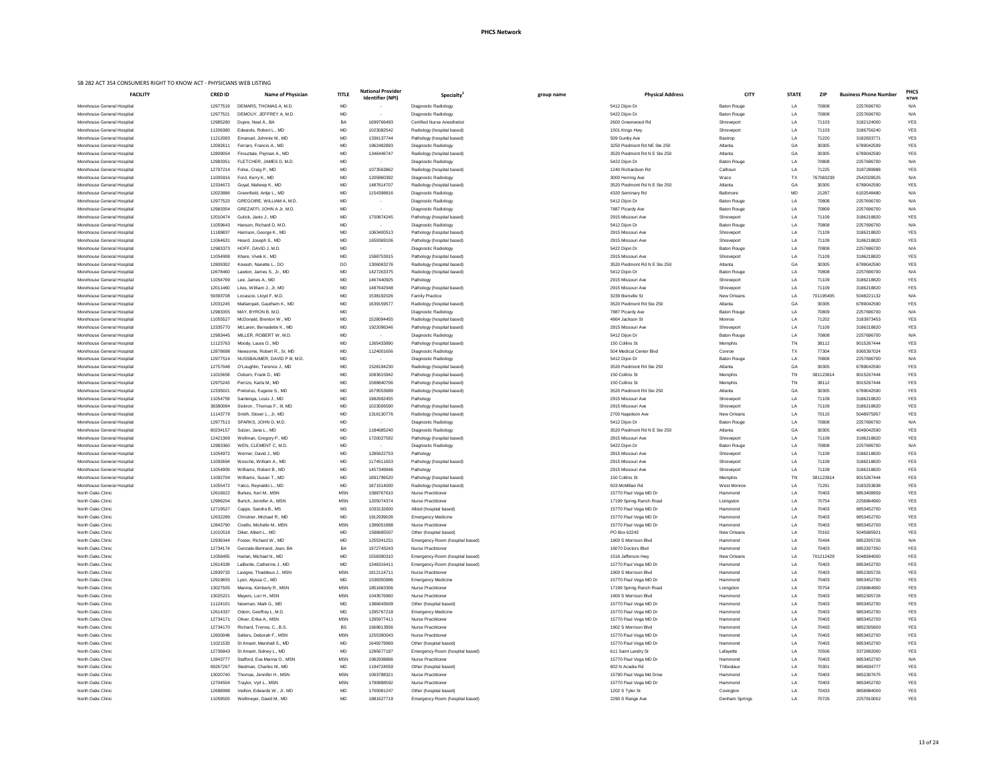|                                                          | FAC |
|----------------------------------------------------------|-----|
| Morehouse General Hospital                               |     |
| Morehouse General Hospital                               |     |
| Morehouse General Hospital<br>Morehouse General Hospital |     |
| Morehouse General Hospital                               |     |
| Morehouse General Hospital                               |     |
| Morehouse General Hospital                               |     |
| Morehouse General Hospital                               |     |
| Morehouse General Hospital                               |     |
| Morehouse General Hospital<br>Morehouse General Hospital |     |
| Morehouse General Hospital                               |     |
| Morehouse General Hospital                               |     |
| Morehouse General Hospital                               |     |
| Morehouse General Hospital                               |     |
| Morehouse General Hospital                               |     |
| Morehouse General Hospital<br>Morehouse General Hospital |     |
| Morehouse General Hospital                               |     |
| Morehouse General Hospital                               |     |
| Morehouse General Hospital                               |     |
| Morehouse General Hospital                               |     |
| Morehouse General Hospital<br>Morehouse General Hospital |     |
| Morehouse General Hospital                               |     |
| Morehouse General Hospital                               |     |
| Morehouse General Hospital                               |     |
| Morehouse General Hospital                               |     |
| Morehouse General Hospital                               |     |
| Morehouse General Hospital                               |     |
| Morehouse General Hospital<br>Morehouse General Hospital |     |
| Morehouse General Hospital                               |     |
| Morehouse General Hospital                               |     |
| Morehouse General Hospital                               |     |
| Morehouse General Hospital                               |     |
| Morehouse General Hospital<br>Morehouse General Hospital |     |
| Morehouse General Hospital                               |     |
| Morehouse General Hospital                               |     |
| Morehouse General Hospital                               |     |
| Morehouse General Hospital                               |     |
| Morehouse General Hospital<br>Morehouse General Hospital |     |
| Morehouse General Hospital                               |     |
| Morehouse General Hospital                               |     |
| Morehouse General Hospital                               |     |
| Morehouse General Hospital                               |     |
| Morehouse General Hospital                               |     |
| North Oaks Clinic<br><b>North Oaks Clinic</b>            |     |
| <b>North Oaks Clinic</b>                                 |     |
| North Oaks Clinic                                        |     |
| North Oaks Clinic                                        |     |
| <b>North Oaks Clinic</b>                                 |     |
| <b>North Oaks Clinic</b>                                 |     |
| North Oaks Clinic<br>North Oaks Clinic                   |     |
| North Oaks Clinic                                        |     |
| North Oaks Clinic                                        |     |
| North Oaks Clinic                                        |     |
| North Oaks Clinic                                        |     |
| North Oaks Clinic                                        |     |
| North Oaks Clinic<br>North Oaks Clinic                   |     |
| North Oaks Clinic                                        |     |
| North Oaks Clinic                                        |     |
| North Oaks Clinic                                        |     |
| North Oaks Clinic                                        |     |
| North Oaks Clinic                                        |     |
| North Oaks Clinic<br>North Oaks Clinic                   |     |
| North Oaks Clinic                                        |     |
| North Oaks Clinic                                        |     |
| North Oaks Clinic                                        |     |
| North Oaks Clinic                                        |     |

| <b>FACILITY</b>            | <b>CRED ID</b>       | <b>Name of Physician</b>     | <b>TITLE</b> | <b>National Provider</b><br>Identifier (NPI) | Specialty                          | group name | <b>Physical Address</b>               | <b>CITY</b>        | <b>STATE</b> | <b>ZIP</b> | <b>Business Phone Number</b> | <b>PHCS</b><br><b>NTWK</b> |
|----------------------------|----------------------|------------------------------|--------------|----------------------------------------------|------------------------------------|------------|---------------------------------------|--------------------|--------------|------------|------------------------------|----------------------------|
| Morehouse General Hospital | 12977519             | DEMARS, THOMAS A, M.D.       | <b>MD</b>    |                                              | Diagnostic Radiology               |            | 5412 Dijon Dr                         | Baton Rouge        | LA           | 70808      | 2257696700                   | N/A                        |
| Morehouse General Hospital | 12977521             | DEMOUY, JEFFREY A, M.D.      | MD           |                                              | Diagnostic Radiology               |            | 5422 Dijon Dr                         | <b>Baton Rouge</b> | LA           | 70808      | 2257696700                   | N/A                        |
| Morehouse General Hospital | 12985280             | Dupre, Neal A., BA           | BA           | 1699766493                                   | <b>Certified Nurse Anesthetist</b> |            | 2600 Greenwood Rd                     | Shreveport         | LA           | 71103      | 3182124000                   | <b>YES</b>                 |
| Morehouse General Hospital | 11206380             | Edwards, Robert L., MD       | MD           | 1023082542                                   | Radiology (hospital based)         |            | 1501 Kings Hwy                        | Shreveport         | LA           | 71103      | 3186756240                   | <b>YES</b>                 |
| Morehouse General Hospital | 11212083             | Emanuel, Johnnie M., MD      | MD           | 1336137744                                   | Pathology (hospital based)         |            | 509 Gunby Ave                         | Bastrop            | LA           | 71220      | 3182833771                   | YES                        |
| Morehouse General Hospital | 1209261 <sup>-</sup> | Ferraro, Francis A., MD      | MD           | 1962482893                                   | Diagnostic Radiology               |            | 3250 Piedmont Rd NE Ste 250           | Atlanta            | GA           | 30305      | 6789042599                   | <b>YES</b>                 |
| Morehouse General Hospital | 12809054             | Firouztale, Pejman A., MD    | MD           | 1346446747                                   | Radiology (hospital based)         |            | 3520 Piedmont Rd N E Ste 250          | Atlanta            | GA           | 30305      | 6789042590                   | <b>YES</b>                 |
| Morehouse General Hospital | 12983351             | FLETCHER, JAMES D, M.D.      | MD           |                                              | Diagnostic Radiology               |            | 5422 Dijon Dr                         | <b>Baton Rouge</b> | LA           | 70808      | 2257696700                   | N/A                        |
| Morehouse General Hospital | 12797214             | Folse, Craig P., MD          | MD           | 1073563862                                   | Radiology (hospital based)         |            | 1240 Richardson Rd                    | Calhoun            | LA           | 71225      | 3187289988                   | <b>YES</b>                 |
| Morehouse General Hospital | 11005916             | Ford, Kerry K., MD           | MD           | 1205860392                                   | Diagnostic Radiology               |            | 3000 Herring Ave                      | Waco               | TX           | 767083239  | 2542028525                   | N/A                        |
| Morehouse General Hospital | 12334672             | Goyal, Maheep K., MD         | MD           | 1487614707                                   | Radiology (hospital based)         |            | 3520 Piedmont Rd N E Ste 250          | Atlanta            | GA           | 30305      | 6789042590                   | <b>YES</b>                 |
| Morehouse General Hospital | 12023886             | Greenfield, Antje L., MD     | MD           | 1154398816                                   | Diagnostic Radiology               |            | 4320 Seminary Rd                      | <b>Baltimore</b>   | MD           | 21287      | 6102548480                   | N/A                        |
| Morehouse General Hospital | 12977523             | GREGOIRE, WILLIAM A, M.D.    | MD           |                                              | Diagnostic Radiology               |            | 5412 Dijon Dr                         | <b>Baton Rouge</b> | LA           | 70808      | 2257696700                   | N/A                        |
| Morehouse General Hospital | 12983354             | GREZAFFI, JOHN A Jr, M.D.    | MD           |                                              | Diagnostic Radiology               |            | 7887 Picardy Ave                      | <b>Baton Rouge</b> | LA           | 70809      | 2257696700                   | N/A                        |
| Morehouse General Hospital | 12010474             | Gulick, Janis J., MD         | MD           | 1700874245                                   | Pathology (hospital based)         |            | 2915 Missouri Ave                     | Shreveport         | LA           | 71109      | 3186218820                   | ${\tt YES}$                |
| Morehouse General Hospital | 11059643             | Hanson, Richard D. M.D.      | MD           | $\sim$                                       | Diagnostic Radiology               |            | 5412 Dijon Dr                         | <b>Baton Rouge</b> | LA           | 70808      | 2257696700                   | N/A                        |
| Morehouse General Hospital | 11189837             | Harrison, George K., MD      | MD           | 1063400513                                   | Pathology (hospital based)         |            | 2915 Missouri Ave                     | Shreveport         | LA           | 71109      | 3186218820                   | <b>YES</b>                 |
| Morehouse General Hospital | 11064631             | Heard, Joseph S., MD         | MD           | 1659369106                                   | Pathology (hospital based)         |            | 2915 Missouri Ave                     | Shreveport         | LA           | 71109      | 3186218820                   | <b>YES</b>                 |
| Morehouse General Hospital | 12983373             | HOFF, DAVID J. M.D.          | MD           |                                              | Diagnostic Radiology               |            | 5422 Dijon Dr                         | <b>Baton Rouge</b> | LA           | 70808      | 2257696700                   | N/A                        |
| Morehouse General Hospital | 11054908             | Khare, Vivek K., MD          | MD           | 1598753915                                   | Pathology (hospital based)         |            | 2915 Missouri Ave                     | Shreveport         | LA           | 71109      | 3186218820                   | ${\tt YES}$                |
| Morehouse General Hospital | 12809302             | Kovash, Nanette L., DO       | DO           | 1306063276                                   | Radiology (hospital based)         |            | 3520 Piedmont Rd N E Ste 250          | Atlanta            | GA           | 30305      | 6789042590                   | <b>YES</b>                 |
| Morehouse General Hospital | 12678460             | Lawton, James S., Jr., MD    | MD           | 1427263375                                   | Radiology (hospital based)         |            | 5412 Dijon Dr                         | <b>Baton Rouge</b> | LA           | 70808      | 2257696700                   | N/A                        |
|                            |                      |                              | MD           |                                              |                                    |            | 2915 Missouri Ave                     |                    | LA           | 71109      |                              |                            |
| Morehouse General Hospital | 11054769             | Lee, James A., MD            |              | 1467440925                                   | Pathology                          |            |                                       | Shreveport         |              |            | 3186218820                   | <b>YES</b>                 |
| Morehouse General Hospital | 12011460             | Liles, William J., Jr, MD    | MD           | 1487642948                                   | Pathology (hospital based)         |            | 2915 Missouri Ave                     | Shreveport         | LA           | 71109      | 3186218820                   | ${\tt YES}$                |
| Morehouse General Hospital | 59393708             | Locascio, Lloyd F, M.D.      | MD           | 1538192026                                   | <b>Family Practice</b>             |            | 3239 Bienville St                     | New Orleans        | LA           | 701195405  | 5048221132                   | N/A                        |
| Morehouse General Hospital | 12031245             | Mallampati, Gautham K., MD   | MD           | 1639159577                                   | Radiology (hospital based)         |            | 3520 Piedmont Rd Ste 250              | Atlanta            | GA           | 30305      | 6789042590                   | <b>YES</b>                 |
| Morehouse General Hospital | 12983355             | MAY, BYRON B, M.D.           | MD           | $\sim$ $-$                                   | Diagnostic Radiology               |            | 7887 Picardy Ave                      | <b>Baton Rouge</b> | LA           | 70809      | 2257696700                   | N/A                        |
| Morehouse General Hospital | 11055527             | McDonald, Brenton W., MD     | MD           | 1528094455                                   | Radiology (hospital based)         |            | 4864 Jackson St                       | Monroe             | LA           | 71202      | 3183873453                   | <b>YES</b>                 |
| Morehouse General Hospital | 12335770             | McLaren, Bernadette K., MD   | MD           | 1922096346                                   | Pathology (hospital based)         |            | 2915 Missouri Ave                     | Shreveport         | LA           | 71109      | 3186218820                   | <b>YES</b>                 |
| Morehouse General Hospital | 12983445             | MILLER, ROBERT W, M.D.       | <b>MD</b>    |                                              | Diagnostic Radiology               |            | 5412 Dijon Dr                         | <b>Baton Rouge</b> | LA           | 70808      | 2257696700                   | N/A                        |
| Morehouse General Hospital | 11123763             | Moody, Laura O., MD          | MD           | 1265433890                                   | Pathology (hospital based)         |            | 150 Collins St                        | Memphis            | TN           | 38112      | 9015267444                   | <b>YES</b>                 |
| Morehouse General Hospital | 12878698             | Newsome, Robert R., Sr, MD   | MD           | 1124001656                                   | Diagnostic Radiology               |            | 504 Medical Center Blvd               | Conroe             | ТX           | 77304      | 9365397024                   | <b>YES</b>                 |
| Morehouse General Hospital | 12977514             | NUSSBAUMER, DAVID P III, M.D | MD           |                                              | Diagnostic Radiology               |            | 5412 Dijon Dr                         | <b>Baton Rouge</b> | LA           | 70808      | 2257696700                   | N/A                        |
| Morehouse General Hospital | 12757648             | O'Loughlin, Terence J., MD   | MD           | 1528194230                                   | Radiology (hospital based)         |            | 3520 Piedmont Rd Ste 250              | Atlanta            | GA           | 30305      | 6789042590                   | <b>YES</b>                 |
| Morehouse General Hospital | 11015658             | Osborn, Frank D., MD         | MD           | 1083615942                                   | Pathology (hospital based)         |            | 150 Collins St                        | Memphis            | TN           | 381123814  | 9015267444                   | <b>YES</b>                 |
| Morehouse General Hospital | 12975243             | Perrizo, Karla M., MD        | MD           | 1588840706                                   | Pathology (hospital based)         |            | 150 Collins St                        | Memphis            | TN           | 38112      | 9015267444                   | YES                        |
| Morehouse General Hospital | 12335021             | Pretorius, Eugene S., MD     | MD           | 1679553689                                   | Radiology (hospital based)         |            | 3520 Piedmont Rd Ste 250              | Atlanta            | GA           | 30305      | 6789042590                   | <b>YES</b>                 |
| Morehouse General Hospital | 11054759             | Sardenga, Louis J., MD       | MD           | 1982692455                                   | Pathology                          |            | 2915 Missouri Ave                     | Shreveport         | LA           | 71109      | 3186218820                   | <b>YES</b>                 |
| Morehouse General Hospital | 38380084             | Siskron, Thomas F., III, MD  | MD           | 1023006590                                   | Pathology (hospital based)         |            | 2915 Missouri Ave                     | Shreveport         | LA           | 71109      | 3186218820                   | <b>YES</b>                 |
| Morehouse General Hospital | 11143779             | Smith, Stover L., Jr, MD     | MD           | 1316130776                                   | Radiology (hospital based)         |            | 2700 Napoleon Ave                     | New Orleans        | LA           | 70115      | 5048975957                   | YES                        |
| Morehouse General Hospital | 12977513             | SPARKS, JOHN D, M.D.         | MD           |                                              | Diagnostic Radiology               |            | 5412 Dijon Dr                         | <b>Baton Rouge</b> | LA           | 70808      | 2257696700                   | N/A                        |
| Morehouse General Hospital | 60234157             | Sulzer, Jana L., MD          | MD           | 1184685240                                   | Diagnostic Radiology               |            | 3520 Piedmont Rd N E Ste 250          | Atlanta            | GA           | 30305      | 4049042590                   | <b>YES</b>                 |
| Morehouse General Hospital | 12421369             | Wellman, Gregory P., MD      | MD           | 1720027592                                   | Pathology (hospital based)         |            | 2915 Missouri Ave                     | Shreveport         | LA           | 71109      | 3186218820                   | <b>YES</b>                 |
| Morehouse General Hospital | 12983360             | WEN, CLEMENT C, M.D.         | MD           |                                              | Diagnostic Radiology               |            | 5422 Dijon Dr                         | <b>Baton Rouge</b> | LA           | 70808      | 2257696700                   | N/A                        |
| Morehouse General Hospital | 11054972             | Werner, David J., MD         | MD           | 1285622753                                   | Pathology                          |            | 2915 Missouri Ave                     | Shreveport         | LA           | 71109      | 3186218820                   | <b>YES</b>                 |
| Morehouse General Hospital | 11092694             | Wesche, William A., MD       | MD           | 1174511653                                   | Pathology (hospital based)         |            | 2915 Missouri Ave                     | Shreveport         | LA           | 71109      | 3186218820                   | YES                        |
| Morehouse General Hospital | 11054909             | Williams, Robert B., MD      | MD           | 1457349946                                   | Pathology                          |            | 2915 Missouri Ave                     | Shreveport         | LA           | 71109      | 3186218820                   | <b>YES</b>                 |
| Morehouse General Hospital | 11092704             | Williams, Susan T., MD       | MD           | 1891796520                                   | Pathology (hospital based)         |            | 150 Collins St                        | Memphis            | <b>TN</b>    | 381123814  | 9015267444                   | <b>YES</b>                 |
| Morehouse General Hospital | 11055472             | Yatco, Reynaldo L., MD       | MD           | 1871514000                                   | Radiology (hospital based)         |            | 503 McMillan Rd                       | West Monroe        | LA           | 71291      | 3183253838                   | <b>YES</b>                 |
| North Oaks Clinic          | 12616022             | Burkes, Keri M., MSN         | <b>MSN</b>   | 1588767610                                   | <b>Nurse Practitioner</b>          |            | 15770 Paul Vega MD Dr                 | Hammond            | LA           | 70403      | 9853408959                   | <b>YES</b>                 |
| North Oaks Clinic          | 12996204             | Burtch, Jennifer A., MSN     | <b>MSN</b>   | 1205074374                                   | <b>Nurse Practitioner</b>          |            | 17199 Spring Ranch Road               | Livingston         | LA           | 70754      | 2256864900                   | <b>YES</b>                 |
| North Oaks Clinic          | 12719527             | Capps, Sandra B., MS         | MS           | 1033132600                                   | Allied (hospital based)            |            | 15770 Paul Vega MD Dr                 | Hammond            | LA           | 70403      | 9853452700                   | YES                        |
| North Oaks Clinic          | 12632289             | Christner, Michael R., MD    | MD           | 1912939026                                   | <b>Emergency Medicine</b>          |            | 15770 Paul Vega MD Dr                 | Hammond            | LA           | 70403      | 9853452700                   | <b>YES</b>                 |
| North Oaks Clinic          | 12843790             | Civello, Michelle M., MSN    | <b>MSN</b>   | 1396051868                                   | <b>Nurse Practitioner</b>          |            |                                       | Hammond            | LA           | 70403      | 9853452700                   | <b>YES</b>                 |
| North Oaks Clinic          | 11010518             | Diket, Albert L., MD         | MD           | 1588685507                                   | Other (hospital based)             |            | 15770 Paul Vega MD Dr<br>PO Box 62243 | <b>New Orleans</b> | LA           | 70162      | 5045685921                   |                            |
| North Oaks Clinic          |                      | Foster, Richard W., MD       | MD           | 1255341251                                   |                                    |            | 1900 S Morrison Blvd                  |                    | LA           | 70404      | 9852305726                   | <b>YES</b>                 |
|                            | 12936344             |                              |              |                                              | Emergency Room (hospital based)    |            |                                       | Hammond            |              |            |                              | N/A                        |
| North Oaks Clinic          | 12734174             | Genzale-Bertrand, Jean, BA   | BA           | 1972743243                                   | <b>Nurse Practitioner</b>          |            | 16070 Doctors Blvd                    | Hammond            | LA           | 70403      | 9852307350                   | YES                        |
| North Oaks Clinic          | 11058455             | Harlan, Michael N., MD       | MD           | 1558390310                                   | Emergency Room (hospital based)    |            | 1516 Jefferson Hwy                    | <b>New Orleans</b> | LA           | 701212429  | 5048384000                   | <b>YES</b>                 |
| North Oaks Clinic          | 12614339             | LaBorde, Catherine J., MD    | MD           | 1346316411                                   | Emergency Room (hospital based)    |            | 15770 Paul Vega MD Dr                 | Hammond            | LA           | 70403      | 9853452700                   | ${\tt YES}$                |
| North Oaks Clinic          | 12839733             | Lavigne, Thaddeus J., MSN    | <b>MSN</b>   | 1912114711                                   | <b>Nurse Practitioner</b>          |            | 1900 S Morrison Blvd                  | Hammond            | LA           | 70403      | 9852305726                   | <b>YES</b>                 |
| North Oaks Clinic          | 12919655             | Lyon, Alyssa C., MD          | MD           | 1538350996                                   | <b>Emergency Medicine</b>          |            | 15770 Paul Vega MD Dr                 | Hammond            | LA           | 70403      | 9853452700                   | <b>YES</b>                 |
| North Oaks Clinic          | 13027505             | Manina, Kimberly R., MSN     | <b>MSN</b>   | 1851663306                                   | <b>Nurse Practitioner</b>          |            | 17199 Spring Ranch Road               | Livingston         | I A          | 70754      | 2256864900                   | <b>YES</b>                 |
| North Oaks Clinic          | 13025221             | Mayers, Lori H., MSN         | <b>MSN</b>   | 1043576960                                   | <b>Nurse Practitioner</b>          |            | 1900 S Morrison Blvd                  | Hammond            | LA           | 70403      | 9852305726                   | <b>YES</b>                 |
| North Oaks Clinic          | 11124101             | Newman, Mark G., MD          | MD           | 1386643609                                   | Other (hospital based)             |            | 15770 Paul Vega MD Dr                 | Hammond            | LA           | 70403      | 9853452700                   | <b>YES</b>                 |
| North Oaks Clinic          | 12614337             | Odom, Geoffrey L, M.D        | MD           | 1295767218                                   | <b>Emergency Medicine</b>          |            | 15770 Paul Vega MD Dr                 | Hammond            | LA           | 70403      | 9853452700                   | <b>YES</b>                 |
| North Oaks Clinic          | 12734171             | Oliver, Erika A., MSN        | <b>MSN</b>   | 1295977411                                   | <b>Nurse Practitioner</b>          |            | 15770 Paul Vega MD Dr                 | Hammond            | LA           | 70403      | 9853452700                   | <b>YES</b>                 |
| North Oaks Clinic          | 12734170             | Richard, Trenna, C., B.S.    | BS           | 1669613956                                   | <b>Nurse Practitioner</b>          |            | 1902 S Morrison Blvd                  | Hammond            | LA           | 70403      | 9852305800                   | YES                        |
| North Oaks Clinic          | 12600048             | Sellers, Deborah F., MSN     | <b>MSN</b>   | 1255390043                                   | <b>Nurse Practitioner</b>          |            | 15770 Paul Vega MD Dr                 | Hammond            | LA           | 70403      | 9853452700                   | ${\tt YES}$                |
| North Oaks Clinic          | 11021533             | St Amant, Marshall S., MD    | MD           | 1649279969                                   | Other (hospital based)             |            | 15770 Paul Vega MD Dr                 | Hammond            | LA           | 70403      | 9853452700                   | <b>YES</b>                 |
| North Oaks Clinic          | 12736943             | St Amant, Sidney L., MD      | MD           | 1285677187                                   | Emergency Room (hospital based)    |            | 611 Saint Landry St                   | Lafayette          | LA           | 70506      | 3372892000                   | <b>YES</b>                 |
| North Oaks Clinic          | 12843777             | Stafford, Eva Marina O., MSN | <b>MSN</b>   | 1982938866                                   | <b>Nurse Practitioner</b>          |            | 15770 Paul Vega MD Dr                 | Hammond            | LA           | 70403      | 9853452700                   | N/A                        |
| North Oaks Clinic          | 69267267             | Stedman, Charles M., MD      | MD           | 1194724559                                   | Other (hospital based)             |            | 602 N Acadia Rd                       | Thibodaux          | LA           | 70301      | 9854934777                   | YES                        |
| North Oaks Clinic          | 13020740             | Thomas, Jennifer H., MSN     | <b>MSN</b>   | 1063788321                                   | <b>Nurse Practitioner</b>          |            | 15790 Paul Vega Md Drive              | Hammond            | LA           | 70403      | 9852307675                   | <b>YES</b>                 |
| North Oaks Clinic          | 12704504             | Traylor, Vyrl L., MSN        | <b>MSN</b>   | 1790888592                                   | <b>Nurse Practitioner</b>          |            | 15770 Paul Vega MD Dr                 | Hammond            | LA           | 70403      | 9853452700                   | <b>YES</b>                 |
| North Oaks Clinic          | 12688998             | Veillon, Edwards W., Jr, MD  | MD           | 1700081247                                   | Other (hospital based)             |            | 1202 S Tyler St                       | Covington          | LA           | 70433      | 9858984000                   | <b>YES</b>                 |
| $M = M = 0$                | 1100000              |                              |              | 00100774                                     |                                    |            |                                       |                    |              | 7070c      | 0057010000                   | $V = 0$                    |

| <b>FACILITY</b>                                          | <b>CRED ID</b>       | Name of Physician                                    | <b>TITLE</b>             | <b>National Provider</b><br><b>Identifier (NPI)</b> | Specialty <sup>2</sup>                                       | group name | <b>Physical Address</b>                           | <b>CITY</b>                   | <b>STATE</b> | ZIP                | <b>Business Phone Number</b> | <b>PHC</b><br><b>NTW</b> |
|----------------------------------------------------------|----------------------|------------------------------------------------------|--------------------------|-----------------------------------------------------|--------------------------------------------------------------|------------|---------------------------------------------------|-------------------------------|--------------|--------------------|------------------------------|--------------------------|
| Morehouse General Hospital                               | 12977519             | DEMARS. THOMAS A. M.D.                               | <b>MD</b>                |                                                     | Diagnostic Radiology                                         |            | 5412 Dijon Dr                                     | <b>Baton Rouge</b>            | LA           | 70808              | 2257696700                   | N/A                      |
| Morehouse General Hospital                               | 12977521             | DEMOUY, JEFFREY A, M.D.                              | <b>MD</b>                |                                                     | Diagnostic Radiology                                         |            | 5422 Dijon Dr                                     | Baton Rouge                   | LA           | 70808              | 2257696700                   | N/A                      |
| Morehouse General Hospital                               | 12985280             | Dupre, Neal A., BA                                   | <b>BA</b>                | 1699766493                                          | <b>Certified Nurse Anesthetist</b>                           |            | 2600 Greenwood Rd                                 | Shreveport                    | LA           | 71103              | 3182124000                   | <b>YES</b>               |
| Morehouse General Hospital                               | 11206380             | Edwards, Robert L., MD                               | MD                       | 1023082542                                          | Radiology (hospital based)                                   |            | 1501 Kings Hwy                                    | Shreveport                    | LA           | 71103              | 3186756240                   | <b>YES</b>               |
| Morehouse General Hospital                               | 11212083             | Emanuel, Johnnie M., MD                              | MD                       | 1336137744                                          | Pathology (hospital based)                                   |            | 509 Gunby Ave                                     | Bastrop                       | LA           | 71220              | 3182833771                   | <b>YES</b>               |
| Morehouse General Hospital                               | 1209261 <sup>-</sup> | Ferraro, Francis A., MD                              | <b>MD</b>                | 1962482893                                          | Diagnostic Radiology                                         |            | 3250 Piedmont Rd NE Ste 250                       | Atlanta                       | GA           | 30305              | 6789042599                   | YES                      |
| Morehouse General Hospital<br>Morehouse General Hospital | 12809054<br>12983351 | Firouztale, Pejman A., MD<br>FLETCHER, JAMES D, M.D. | <b>MD</b>                | 1346446747                                          | Radiology (hospital based)                                   |            | 3520 Piedmont Rd N E Ste 250                      | Atlanta                       | GA           | 30305<br>70808     | 6789042590                   | <b>YES</b>               |
| Morehouse General Hospital                               | 12797214             | Folse, Craig P., MD                                  | МD<br><b>MD</b>          | $\sim$<br>1073563862                                | Diagnostic Radiology<br>Radiology (hospital based)           |            | 5422 Dijon Dr<br>1240 Richardson Rd               | <b>Baton Rouge</b><br>Calhoun | LA<br>LA     | 71225              | 2257696700<br>3187289988     | N/A<br><b>YES</b>        |
| Morehouse General Hospital                               | 11005916             | Ford, Kerry K., MD                                   | <b>MD</b>                | 1205860392                                          | Diagnostic Radiology                                         |            | 3000 Herring Ave                                  | Waco                          | TX           | 767083239          | 2542028525                   | N/A                      |
| Morehouse General Hospital                               | 12334672             | Goyal, Maheep K., MD                                 | MD                       | 1487614707                                          | Radiology (hospital based)                                   |            | 3520 Piedmont Rd N E Ste 250                      | Atlanta                       | GA           | 30305              | 6789042590                   | YES                      |
| Morehouse General Hospital                               | 12023886             | Greenfield, Antje L., MD                             | MD                       | 1154398816                                          | Diagnostic Radiology                                         |            | 4320 Seminary Rd                                  | <b>Baltimore</b>              | MD           | 21287              | 6102548480                   | N/A                      |
| Morehouse General Hospital                               | 12977523             | <b>GREGOIRE, WILLIAM A, M.D</b>                      | <b>MD</b>                | $\overline{\phantom{a}}$                            | Diagnostic Radiology                                         |            | 5412 Dijon Dr                                     | <b>Baton Rouge</b>            | LA           | 70808              | 2257696700                   | N/A                      |
| Morehouse General Hospital                               | 12983354             | GREZAFFI, JOHN A Jr, M.D                             | MD                       | $\sim$                                              | Diagnostic Radiology                                         |            | 7887 Picardy Ave                                  | <b>Baton Rouge</b>            | LA           | 70809              | 2257696700                   | N/A                      |
| Morehouse General Hospital                               | 12010474             | Gulick, Janis J., MD                                 | MD                       | 1700874245                                          | Pathology (hospital based)                                   |            | 2915 Missouri Ave                                 | Shreveport                    | LA           | 71109              | 3186218820                   | <b>YES</b>               |
| Morehouse General Hospital                               | 11059643             | Hanson, Richard D, M.D.                              | <b>MD</b>                | $\sim$                                              | Diagnostic Radiology                                         |            | 5412 Dijon Dr                                     | Baton Rouge                   | LA           | 70808              | 2257696700                   | N/A                      |
| Morehouse General Hospital                               | 11189837             | Harrison, George K., MD                              | <b>MD</b>                | 1063400513                                          | Pathology (hospital based)                                   |            | 2915 Missouri Ave                                 | Shreveport                    | LA           | 71109              | 3186218820                   | YES                      |
| Morehouse General Hospital                               | 11064631             | Heard, Joseph S., MD                                 | MD                       | 1659369106                                          | Pathology (hospital based)                                   |            | 2915 Missouri Ave                                 | Shreveport                    | LA           | 71109              | 3186218820                   | <b>YES</b>               |
| Morehouse General Hospital                               | 12983373             | HOFF, DAVID J, M.D.                                  | MD                       | $\sim$                                              | Diagnostic Radiology                                         |            | 5422 Dijon Dr                                     | <b>Baton Rouge</b>            | LA           | 70808              | 2257696700                   | N/A                      |
| Morehouse General Hospital                               | 11054908             | Khare, Vivek K., MD                                  | MD                       | 1598753915                                          | Pathology (hospital based)                                   |            | 2915 Missouri Ave                                 | Shreveport                    | LA           | 71109              | 3186218820                   | <b>YES</b>               |
| Morehouse General Hospital                               | 12809302             | Kovash, Nanette L., DO                               | DO                       | 1306063276                                          | Radiology (hospital based)                                   |            | 3520 Piedmont Rd N E Ste 250                      | Atlanta                       | GA           | 30305              | 6789042590                   | <b>YES</b>               |
| Morehouse General Hospital                               | 12678460             | Lawton, James S., Jr., MD                            | MD                       | 1427263375                                          | Radiology (hospital based)                                   |            | 5412 Dijon Dr                                     | <b>Baton Rouge</b>            | LA           | 70808              | 2257696700                   | N/A                      |
| Morehouse General Hospital                               | 11054769             | Lee, James A., MD                                    | MD                       | 1467440925                                          | Pathology                                                    |            | 2915 Missouri Ave                                 | Shreveport                    | LA           | 71109              | 3186218820                   | <b>YES</b>               |
| Morehouse General Hospital<br>Morehouse General Hospital | 12011460<br>59393708 | Liles, William J., Jr, MD<br>Locascio, Lloyd F, M.D. | MD<br>MD                 | 1487642948<br>1538192026                            | Pathology (hospital based)<br><b>Family Practice</b>         |            | 2915 Missouri Ave<br>3239 Bienville St            | Shreveport<br>New Orleans     | LA<br>LA     | 71109<br>701195405 | 3186218820<br>5048221132     | YES<br>N/A               |
| Morehouse General Hospital                               | 12031245             | Mallampati, Gautham K., MD                           | MD                       | 1639159577                                          | Radiology (hospital based)                                   |            | 3520 Piedmont Rd Ste 250                          | Atlanta                       | GA           | 30305              | 6789042590                   | <b>YES</b>               |
| Morehouse General Hospital                               | 12983355             | MAY, BYRON B, M.D                                    | MD                       | $\overline{\phantom{a}}$                            | Diagnostic Radiology                                         |            | 7887 Picardy Ave                                  | Baton Rouge                   | LA           | 70809              | 2257696700                   | N/A                      |
| Morehouse General Hospital                               | 11055527             | McDonald, Brenton W., MD                             | MD                       | 1528094455                                          | Radiology (hospital based)                                   |            | 4864 Jackson St                                   | Monroe                        | LA           | 71202              | 3183873453                   | YES                      |
| Morehouse General Hospital                               | 12335770             | McLaren, Bernadette K., MD                           | <b>MD</b>                | 1922096346                                          | Pathology (hospital based)                                   |            | 2915 Missouri Ave                                 | Shreveport                    | LA           | 71109              | 3186218820                   | <b>YES</b>               |
| Morehouse General Hospital                               | 12983445             | MILLER. ROBERT W. M.D.                               | <b>MD</b>                |                                                     | Diagnostic Radiology                                         |            | 5412 Dijon Dr                                     | Baton Rouge                   | ΙA           | 70808              | 2257696700                   | N/A                      |
| Morehouse General Hospital                               | 11123763             | Moody, Laura O., MD                                  | MD                       | 1265433890                                          | Pathology (hospital based)                                   |            | 150 Collins St                                    | Memphis                       | TN           | 38112              | 9015267444                   | YES                      |
| Morehouse General Hospital                               | 12878698             | Newsome, Robert R., Sr, MD                           | <b>MD</b>                | 1124001656                                          | Diagnostic Radiology                                         |            | 504 Medical Center Blvd                           | Conroe                        | TX           | 77304              | 9365397024                   | <b>YES</b>               |
| Morehouse General Hospital                               | 12977514             | NUSSBAUMER, DAVID P III, M.D.                        | MD                       | $\sim$                                              | Diagnostic Radiology                                         |            | 5412 Dijon Dr                                     | <b>Baton Rouge</b>            | LA           | 70808              | 2257696700                   | N/A                      |
| Morehouse General Hospital                               | 12757648             | O'Loughlin, Terence J., MD                           | MD                       | 1528194230                                          | Radiology (hospital based)                                   |            | 3520 Piedmont Rd Ste 250                          | Atlanta                       | GA           | 30305              | 6789042590                   | <b>YES</b>               |
| Morehouse General Hospital                               | 11015658             | Osborn, Frank D., MD                                 | <b>MD</b>                | 1083615942                                          | Pathology (hospital based)                                   |            | 150 Collins St                                    | Memphis                       | TN           | 381123814          | 9015267444                   | <b>YES</b>               |
| Morehouse General Hospital                               | 12975243             | Perrizo, Karla M., MD                                | MD                       | 1588840706                                          | Pathology (hospital based)                                   |            | 150 Collins St                                    | Memphis                       | TN           | 38112              | 9015267444                   | <b>YES</b>               |
| Morehouse General Hospital                               | 12335021             | Pretorius, Eugene S., MD                             | MD                       | 1679553689                                          | Radiology (hospital based)                                   |            | 3520 Piedmont Rd Ste 250                          | Atlanta                       | GA           | 30305              | 6789042590                   | <b>YES</b>               |
| Morehouse General Hospital                               | 11054759             | Sardenga, Louis J., MD                               | MD                       | 1982692455                                          | Pathology                                                    |            | 2915 Missouri Ave                                 | Shreveport                    | LA           | 71109              | 3186218820                   | <b>YES</b>               |
| Morehouse General Hospital                               | 38380084             | Siskron, Thomas F., III, MD                          | <b>MD</b>                | 1023006590                                          | Pathology (hospital based)                                   |            | 2915 Missouri Ave                                 | Shreveport                    | LA           | 71109              | 3186218820                   | <b>YES</b>               |
| Morehouse General Hospital                               | 11143779             | Smith, Stover L., Jr, MD                             | MD                       | 1316130776                                          | Radiology (hospital based)                                   |            | 2700 Napoleon Ave                                 | New Orleans                   | LA           | 70115              | 5048975957                   | <b>YES</b>               |
| Morehouse General Hospital                               | 12977513             | SPARKS, JOHN D, M.D.                                 | MD                       | $\sim$                                              | Diagnostic Radiology<br>Diagnostic Radiology                 |            | 5412 Dijon Dr                                     | <b>Baton Rouge</b>            | LA           | 70808              | 2257696700                   | N/A                      |
| Morehouse General Hospital<br>Morehouse General Hospital | 60234157<br>12421369 | Sulzer, Jana L., MD<br>Wellman, Gregory P., MD       | MD<br><b>MD</b>          | 1184685240<br>1720027592                            | Pathology (hospital based)                                   |            | 3520 Piedmont Rd N E Ste 250<br>2915 Missouri Ave | Atlanta<br>Shreveport         | GA<br>LA     | 30305<br>71109     | 4049042590<br>3186218820     | <b>YES</b><br><b>YES</b> |
| Morehouse General Hospital                               | 12983360             | WEN, CLEMENT C, M.D.                                 | MD                       | $\sim$                                              | Diagnostic Radiology                                         |            | 5422 Dijon Dr                                     | <b>Baton Rouge</b>            | LA           | 70808              | 2257696700                   | N/A                      |
| Morehouse General Hospital                               | 11054972             | Werner, David J., MD                                 | <b>MD</b>                | 1285622753                                          | Pathology                                                    |            | 2915 Missouri Ave                                 | Shreveport                    | LA           | 71109              | 3186218820                   | <b>YES</b>               |
| Morehouse General Hospital                               | 11092694             | Wesche, William A., MD                               | MD                       | 1174511653                                          | Pathology (hospital based)                                   |            | 2915 Missouri Ave                                 | Shreveport                    | LA           | 71109              | 3186218820                   | <b>YES</b>               |
| Morehouse General Hospital                               | 11054909             | Williams, Robert B., MD                              | MD                       | 1457349946                                          | Pathology                                                    |            | 2915 Missouri Ave                                 | Shreveport                    | LA           | 71109              | 3186218820                   | YES                      |
| Morehouse General Hospital                               | 11092704             | Williams, Susan T., MD                               | MD                       | 1891796520                                          | Pathology (hospital based)                                   |            | 150 Collins St                                    | Memphis                       | TN           | 381123814          | 9015267444                   | <b>YES</b>               |
| Morehouse General Hospital                               | 11055472             | Yatco, Reynaldo L., MD                               | MD                       | 1871514000                                          | Radiology (hospital based)                                   |            | 503 McMillan Rd                                   | West Monroe                   | LA           | 71291              | 3183253838                   | <b>YES</b>               |
| North Oaks Clinic                                        | 12616022             | Burkes, Keri M., MSN                                 | <b>MSN</b>               | 1588767610                                          | <b>Nurse Practitioner</b>                                    |            | 15770 Paul Vega MD Dr                             | Hammond                       | LA           | 70403              | 9853408959                   | <b>YES</b>               |
| North Oaks Clinic                                        | 12996204             | Burtch, Jennifer A., MSN                             | <b>MSN</b>               | 1205074374                                          | <b>Nurse Practitioner</b>                                    |            | 17199 Spring Ranch Road                           | Livingston                    | LA           | 70754              | 2256864900                   | <b>YES</b>               |
| North Oaks Clinic                                        | 12719527             | Capps, Sandra B., MS                                 | <b>MS</b>                | 1033132600                                          | Allied (hospital based)                                      |            | 15770 Paul Vega MD Dr                             | Hammond                       | LA           | 70403              | 9853452700                   | <b>YES</b>               |
| North Oaks Clinic                                        | 12632289             | Christner, Michael R., MD                            | MD                       | 1912939026                                          | <b>Emergency Medicine</b>                                    |            | 15770 Paul Vega MD Dr                             | Hammond                       | LA           | 70403              | 9853452700                   | <b>YES</b>               |
| North Oaks Clinic                                        | 12843790             | Civello, Michelle M., MSN                            | <b>MSN</b>               | 1396051868                                          | <b>Nurse Practitioner</b>                                    |            | 15770 Paul Vega MD Dr                             | Hammond                       | LA           | 70403              | 9853452700                   | <b>YES</b>               |
| North Oaks Clinic                                        | 11010518             | Diket, Albert L., MD                                 | MD                       | 1588685507                                          | Other (hospital based)                                       |            | PO Box 62243                                      | <b>New Orleans</b>            | LA           | 70162              | 5045685921                   | YES                      |
| North Oaks Clinic<br>North Oaks Clinic                   | 12936344<br>12734174 | Foster, Richard W., MD<br>Genzale-Bertrand, Jean, BA | MD<br><b>BA</b>          | 1255341251<br>1972743243                            | Emergency Room (hospital based)<br><b>Nurse Practitioner</b> |            | 1900 S Morrison Blvd<br>16070 Doctors Blvd        | Hammond<br>Hammond            | LA<br>LA     | 70404<br>70403     | 9852305726<br>9852307350     | N/A<br><b>YES</b>        |
| North Oaks Clinic                                        | 11058455             | Harlan, Michael N., MD                               | <b>MD</b>                | 1558390310                                          | Emergency Room (hospital based)                              |            | 1516 Jefferson Hwy                                | <b>New Orleans</b>            | LA           | 701212429          | 5048384000                   | <b>YES</b>               |
| North Oaks Clinic                                        | 12614339             | LaBorde, Catherine J., MD                            | MD                       | 1346316411                                          | Emergency Room (hospital based)                              |            | 15770 Paul Vega MD Dr                             | Hammond                       | LA           | 70403              | 9853452700                   | <b>YES</b>               |
| North Oaks Clinic                                        | 12839733             | Lavigne, Thaddeus J., MSN                            | <b>MSN</b>               | 1912114711                                          | <b>Nurse Practitioner</b>                                    |            | 1900 S Morrison Blvd                              | Hammond                       | LA           | 70403              | 9852305726                   | <b>YES</b>               |
| North Oaks Clinic                                        | 12919655             | Lyon, Alyssa C., MD                                  | <b>MD</b>                | 1538350996                                          | <b>Emergency Medicine</b>                                    |            | 15770 Paul Vega MD Dr                             | Hammond                       | LA           | 70403              | 9853452700                   | <b>YES</b>               |
| North Oaks Clinic                                        | 13027505             | Manina, Kimberly R., MSN                             | <b>MSN</b>               | 1851663306                                          | <b>Nurse Practitioner</b>                                    |            | 17199 Spring Ranch Road                           | Livingston                    |              | 70754              | 2256864900                   | <b>YES</b>               |
| North Oaks Clinic                                        | 13025221             | Mayers, Lori H., MSN                                 | <b>MSN</b>               | 1043576960                                          | <b>Nurse Practitioner</b>                                    |            | 1900 S Morrison Blvd                              | Hammond                       | LA           | 70403              | 9852305726                   | <b>YES</b>               |
| North Oaks Clinic                                        | 11124101             | Newman, Mark G., MD                                  | <b>MD</b>                | 1386643609                                          | Other (hospital based)                                       |            | 15770 Paul Vega MD Dr                             | Hammond                       | LA           | 70403              | 9853452700                   | <b>YES</b>               |
| North Oaks Clinic                                        | 12614337             | Odom, Geoffrey L, M.D.                               | MD                       | 1295767218                                          | <b>Emergency Medicine</b>                                    |            | 15770 Paul Vega MD Dr                             | Hammond                       | LA           | 70403              | 9853452700                   | <b>YES</b>               |
| North Oaks Clinic                                        | 12734171             | Oliver, Erika A., MSN                                | <b>MSN</b>               | 1295977411                                          | <b>Nurse Practitioner</b>                                    |            | 15770 Paul Vega MD Dr                             | Hammond                       | LA           | 70403              | 9853452700                   | <b>YES</b>               |
| North Oaks Clinic                                        | 12734170             | Richard, Trenna, C., B.S.                            | <b>BS</b>                | 1669613956                                          | <b>Nurse Practitioner</b>                                    |            | 1902 S Morrison Blvd                              | Hammond                       | LA           | 70403              | 9852305800                   | <b>YES</b>               |
| North Oaks Clinic                                        | 12600048             | Sellers, Deborah F., MSN                             | <b>MSN</b>               | 1255390043                                          | <b>Nurse Practitioner</b>                                    |            | 15770 Paul Vega MD Dr                             | Hammond                       | LA           | 70403              | 9853452700                   | <b>YES</b>               |
| North Oaks Clinic                                        | 11021533             | St Amant, Marshall S., MD                            | MD                       | 1649279969                                          | Other (hospital based)                                       |            | 15770 Paul Vega MD Dr                             | Hammond                       | LA           | 70403              | 9853452700                   | YES                      |
| North Oaks Clinic                                        | 12736943             | St Amant, Sidney L., MD                              | <b>MD</b>                | 1285677187                                          | Emergency Room (hospital based)                              |            | 611 Saint Landry St                               | Lafayette                     | LA           | 70506              | 3372892000                   | <b>YES</b>               |
| North Oaks Clinic                                        | 12843777             | Stafford, Eva Marina O., MSN                         | <b>MSN</b>               | 1982938866                                          | <b>Nurse Practitioner</b>                                    |            | 15770 Paul Vega MD Dr                             | Hammond                       | LA           | 70403              | 9853452700                   | N/A                      |
| North Oaks Clinic                                        | 69267267             | Stedman, Charles M., MD                              | <b>MD</b>                | 1194724559                                          | Other (hospital based)                                       |            | 602 N Acadia Rd                                   | Thibodaux                     | LA           | 70301              | 9854934777                   | <b>YES</b>               |
| North Oaks Clinic<br>North Oaks Clinic                   | 13020740<br>12704504 | Thomas, Jennifer H., MSN<br>Traylor, Vyrl L., MSN    | <b>MSN</b><br><b>MSN</b> | 1063788321<br>1790888592                            | <b>Nurse Practitioner</b><br><b>Nurse Practitioner</b>       |            | 15790 Paul Vega Md Drive<br>15770 Paul Vega MD Dr | Hammond<br>Hammond            | LA<br>LA     | 70403<br>70403     | 9852307675<br>9853452700     | <b>YES</b><br><b>YES</b> |
| North Oaks Clinic                                        | 12688998             | Veillon, Edwards W., Jr, MD                          | MD                       | 1700081247                                          | Other (hospital based)                                       |            | 1202 S Tyler St                                   | Covington                     | LA           | 70433              | 9858984000                   | <b>YES</b>               |
| North Oaks Clinic                                        | 11059505             | Wellmeyer, David M., MD                              | <b>MD</b>                | 1881627719                                          | Emergency Room (hospital based)                              |            | 2290 S Range Ave                                  | Denham Springs                | LA           | 70726              | 2257910002                   | <b>YES</b>               |
|                                                          |                      |                                                      |                          |                                                     |                                                              |            |                                                   |                               |              |                    |                              |                          |

| Specialty <sup>2</sup> |
|------------------------|
|------------------------|

| ziayhostic Isaulology                                                                                                                                                     |
|---------------------------------------------------------------------------------------------------------------------------------------------------------------------------|
| Diagnostic Radiology                                                                                                                                                      |
| Certified Nurse Anesthetist                                                                                                                                               |
| adiology (hospital based)                                                                                                                                                 |
| athology (hospital based)                                                                                                                                                 |
| Diagnostic Radiology                                                                                                                                                      |
| adiology (hospital based)                                                                                                                                                 |
| Viagnostic Radiology                                                                                                                                                      |
| adiology (hospital based)                                                                                                                                                 |
| Diagnostic Radiology                                                                                                                                                      |
| Radiology (hospital based)                                                                                                                                                |
| liagnostic Radiology                                                                                                                                                      |
|                                                                                                                                                                           |
| Diagnostic Radiology                                                                                                                                                      |
| liagnostic Radiology                                                                                                                                                      |
| athology (hospital based)                                                                                                                                                 |
| Diagnostic Radiology                                                                                                                                                      |
| athology (hospital based)                                                                                                                                                 |
| athology (hospital based)                                                                                                                                                 |
| Diagnostic Radiology                                                                                                                                                      |
| athology (hospital based)                                                                                                                                                 |
| Radiology (hospital based)                                                                                                                                                |
| Radiology (hospital based)                                                                                                                                                |
| athology <sup></sup>                                                                                                                                                      |
| athology (hospital based)                                                                                                                                                 |
| amily Practice                                                                                                                                                            |
| adiology (hospital based)                                                                                                                                                 |
|                                                                                                                                                                           |
| Diagnostic Radiology                                                                                                                                                      |
| Radiology (hospital based)                                                                                                                                                |
| athology (hospital based)                                                                                                                                                 |
| Diagnostic Radiology                                                                                                                                                      |
| athology (hospital based)                                                                                                                                                 |
| liagnostic Radiology                                                                                                                                                      |
| Diagnostic Radiology                                                                                                                                                      |
| Radiology (hospital based)                                                                                                                                                |
| athology (hospital based)                                                                                                                                                 |
| athology (hospital based)                                                                                                                                                 |
| adiology (hospital based)                                                                                                                                                 |
| athology                                                                                                                                                                  |
| athology (hospital based)                                                                                                                                                 |
| Radiology (hospital based)                                                                                                                                                |
| Diagnostic Radiology                                                                                                                                                      |
| liagnostic Radiology                                                                                                                                                      |
| athology (hospital based)                                                                                                                                                 |
| Diagnostic Radiology                                                                                                                                                      |
| athology?                                                                                                                                                                 |
| athology (hospital based)                                                                                                                                                 |
| athology <sup></sup>                                                                                                                                                      |
| athology (hospital based)                                                                                                                                                 |
| adiology (hospital based)                                                                                                                                                 |
| <b>Jurse Practitioner</b>                                                                                                                                                 |
|                                                                                                                                                                           |
| <b>Jurse Practitioner</b>                                                                                                                                                 |
| Ilied (hospital based)                                                                                                                                                    |
| mergency Medicine                                                                                                                                                         |
| <b>Jurse Practitioner</b>                                                                                                                                                 |
| Other (hospital based)                                                                                                                                                    |
| mergency Room (hospital based)                                                                                                                                            |
| Jurse Practitioner                                                                                                                                                        |
| mergency Room (hospital based)                                                                                                                                            |
| mergency Room (hospital based)                                                                                                                                            |
| Jurse Practitioner                                                                                                                                                        |
| mergency Medicine:                                                                                                                                                        |
| <b>Jurse Practitioner</b>                                                                                                                                                 |
| <b>Jurse Practitioner</b>                                                                                                                                                 |
| Other (hospital based)                                                                                                                                                    |
| mergency Medicine                                                                                                                                                         |
| <b>Jurse Practitioner</b>                                                                                                                                                 |
|                                                                                                                                                                           |
|                                                                                                                                                                           |
|                                                                                                                                                                           |
|                                                                                                                                                                           |
|                                                                                                                                                                           |
|                                                                                                                                                                           |
|                                                                                                                                                                           |
| <b>Jurse Practitioner</b><br><b>Jurse Practitioner</b><br>Other (hospital based)<br>mergency Room (hospital based)<br><b>Jurse Practitioner</b><br>Other (hospital based) |
| <b>Jurse Practitioner</b>                                                                                                                                                 |
| <b>Jurse Practitioner</b>                                                                                                                                                 |
| Other (hospital based)<br>margancy Room (hoepital based)                                                                                                                  |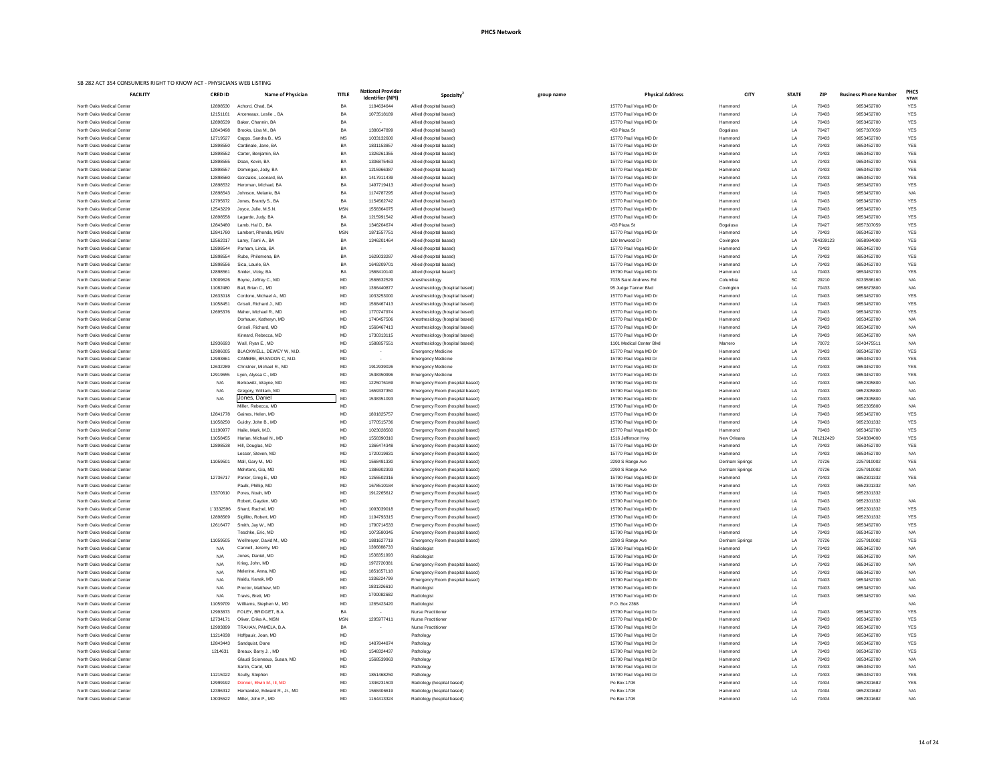| group name | <b>Physical Address</b>                        | <b>CITY</b>            | <b>STATE</b> | <b>ZIP</b>         | <b>Business Phone Number</b> | <b>PHCS</b><br><b>NTWK</b> |
|------------|------------------------------------------------|------------------------|--------------|--------------------|------------------------------|----------------------------|
|            | 15770 Paul Vega MD Dr                          | Hammond                | LA           | 70403              | 9853452700                   | YES                        |
|            | 15770 Paul Vega MD Dr                          | Hammond                | LA           | 70403              | 9853452700                   | <b>YES</b>                 |
|            | 15770 Paul Vega MD Dr                          | Hammond                | LA           | 70403              | 9853452700                   | <b>YES</b>                 |
|            | 433 Plaza St                                   | Bogalusa               | LA           | 70427              | 9857307059                   | <b>YES</b>                 |
|            | 15770 Paul Vega MD Dr                          | Hammond                | LA           | 70403              | 9853452700                   | <b>YES</b>                 |
|            | 15770 Paul Vega MD Dr                          | Hammond                | LA           | 70403              | 9853452700                   | <b>YES</b>                 |
|            | 15770 Paul Vega MD Dr                          | Hammond                | LA           | 70403              | 9853452700                   | <b>YES</b>                 |
|            | 15770 Paul Vega MD Dr                          | Hammond                | LA           | 70403              | 9853452700                   | <b>YES</b>                 |
|            | 15770 Paul Vega MD Dr                          | Hammond                | LA           | 70403              | 9853452700                   | <b>YES</b>                 |
|            | 15770 Paul Vega MD Dr                          | Hammond                | LA           | 70403              | 9853452700                   | <b>YES</b>                 |
|            | 15770 Paul Vega MD Dr<br>15770 Paul Vega MD Dr | Hammond<br>Hammond     | LA<br>LA     | 70403<br>70403     | 9853452700<br>9853452700     | <b>YES</b><br>N/A          |
|            | 15770 Paul Vega MD Dr                          | Hammond                | LA           | 70403              | 9853452700                   | <b>YES</b>                 |
|            | 15770 Paul Vega MD Dr                          | Hammond                | LA           | 70403              | 9853452700                   | <b>YES</b>                 |
|            | 15770 Paul Vega MD Dr                          | Hammond                | LA           | 70403              | 9853452700                   | <b>YES</b>                 |
|            | 433 Plaza St                                   | Bogalusa               | LA           | 70427              | 9857307059                   | <b>YES</b>                 |
|            | 15770 Paul Vega MD Dr                          | Hammond                | LA           | 70403              | 9853452700                   | <b>YES</b>                 |
|            | 120 Innwood Dr                                 | Covington              | LA           | 704339123          | 9858984000                   | <b>YES</b>                 |
|            | 15770 Paul Vega MD Dr                          | Hammond                | LA           | 70403              | 9853452700                   | <b>YES</b>                 |
|            | 15770 Paul Vega MD Dr                          | Hammond                | LA           | 70403              | 9853452700                   | <b>YES</b>                 |
|            | 15770 Paul Vega MD Dr                          | Hammond                | LA           | 70403              | 9853452700                   | <b>YES</b>                 |
|            | 15790 Paul Vega MD Dr                          | Hammond                | LA           | 70403              | 9853452700                   | <b>YES</b>                 |
|            | 7035 Saint Andrews Rd                          | Columbia               | SC           | 29210              | 8033586160                   | N/A                        |
|            | 95 Judge Tanner Blvd                           | Covington              | LA           | 70433              | 9858673800                   | N/A                        |
|            | 15770 Paul Vega MD Dr                          | Hammond                | LA           | 70403              | 9853452700                   | <b>YES</b>                 |
|            | 15770 Paul Vega MD Dr                          | Hammond                | LA           | 70403              | 9853452700                   | <b>YES</b>                 |
|            | 15770 Paul Vega MD Dr<br>15770 Paul Vega MD Dr | Hammond<br>Hammond     | LA<br>LA     | 70403<br>70403     | 9853452700<br>9853452700     | <b>YES</b><br>N/A          |
|            | 15770 Paul Vega MD Dr                          | Hammond                | LA           | 70403              | 9853452700                   | N/A                        |
|            | 15770 Paul Vega MD Dr                          | Hammond                | LA           | 70403              | 9853452700                   | N/A                        |
|            | 1101 Medical Center Blvd                       | Marrero                | LA           | 70072              | 5043475511                   | N/A                        |
|            | 15770 Paul Vega MD Dr                          | Hammond                | LA           | 70403              | 9853452700                   | <b>YES</b>                 |
|            | 15790 Paul Vega Md Dr                          | Hammond                | LA           | 70403              | 9853452700                   | <b>YES</b>                 |
|            | 15770 Paul Vega MD Dr                          | Hammond                | LA           | 70403              | 9853452700                   | <b>YES</b>                 |
|            | 15770 Paul Vega MD Dr                          | Hammond                | LA           | 70403              | 9853452700                   | <b>YES</b>                 |
|            | 15790 Paul Vega MD Dr                          | Hammond                | LA           | 70403              | 9852305800                   | N/A                        |
|            | 15790 Paul Vega MD Dr                          | Hammond                | LA           | 70403              | 9852305800                   | N/A                        |
|            | 15790 Paul Vega MD Dr                          | Hammond                | LA           | 70403              | 9852305800                   | N/A                        |
|            | 15790 Paul Vega MD Dr                          | Hammond                | LA           | 70403              | 9852305800                   | N/A                        |
|            | 15770 Paul Vega MD Dr                          | Hammond                | LA           | 70403              | 9853452700                   | <b>YES</b>                 |
|            | 15790 Paul Vega MD Dr                          | Hammond                | LA           | 70403              | 9852301332                   | <b>YES</b>                 |
|            | 15770 Paul Vega MD Dr                          | Hammond                | LA           | 70403              | 9853452700                   | <b>YES</b>                 |
|            | 1516 Jefferson Hwy<br>15770 Paul Vega MD Dr    | New Orleans<br>Hammond | LA<br>LA     | 701212429<br>70403 | 5048384000<br>9853452700     | <b>YES</b><br><b>YES</b>   |
|            | 15770 Paul Vega MD Dr                          | Hammond                | LA           | 70403              | 9853452700                   | N/A                        |
|            | 2290 S Range Ave                               | Denham Springs         | LA           | 70726              | 2257910002                   | <b>YES</b>                 |
|            | 2290 S Range Ave                               | Denham Springs         | LA           | 70726              | 2257910002                   | N/A                        |
|            | 15790 Paul Vega MD Dr                          | Hammond                | LA           | 70403              | 9852301332                   | <b>YES</b>                 |
|            | 15790 Paul Vega MD Dr                          | Hammond                | LA           | 70403              | 9852301332                   | N/A                        |
|            | 15790 Paul Vega MD Dr                          | Hammond                | LA           | 70403              | 9852301332                   |                            |
|            | 15790 Paul Vega MD Dr                          | Hammond                | LA           | 70403              | 9852301332                   | N/A                        |
|            | 15790 Paul Vega MD Dr                          | Hammond                | LA           | 70403              | 9852301332                   | <b>YES</b>                 |
|            | 15790 Paul Vega MD Dr                          | Hammond                | LA           | 70403              | 9852301332                   | <b>YES</b>                 |
|            | 15790 Paul Vega MD Dr                          | Hammond                | LA           | 70403              | 9853452700                   | <b>YES</b>                 |
|            | 15790 Paul Vega MD Dr                          | Hammond                | LA           | 70403              | 9853452700                   | N/A                        |
|            | 2290 S Range Ave                               | Denham Springs         | LA           | 70726              | 2257910002                   | <b>YES</b>                 |
|            | 15790 Paul Vega MD Dr                          | Hammond                | LA           | 70403              | 9853452700                   | N/A                        |
|            | 15790 Paul Vega MD Dr                          | Hammond                | LA           | 70403              | 9853452700                   | N/A                        |
|            | 15790 Paul Vega MD Dr                          | Hammond                | LA           | 70403              | 9853452700                   | N/A                        |
|            | 15790 Paul Vega MD Dr                          | Hammond                | LA           | 70403              | 9853452700                   | N/A                        |
|            | 15790 Paul Vega MD Dr                          | Hammond                | LA           | 70403              | 9853452700                   | N/A                        |
|            | 15790 Paul Vega MD Dr<br>15790 Paul Vega MD Dr | Hammond<br>Hammond     | LA<br>LA     | 70403<br>70403     | 9853452700<br>9853452700     | N/A<br>N/A                 |
|            | P.O. Box 2368                                  | Hammond                | LA           |                    |                              | N/A                        |
|            | 15790 Paul Vega Md Dr                          | Hammond                | LA           | 70403              | 9853452700                   | <b>YES</b>                 |
|            | 15770 Paul Vega MD Dr                          | Hammond                | LA           | 70403              | 9853452700                   | <b>YES</b>                 |
|            | 15790 Paul Vega Md Dr                          | Hammond                | LA           | 70403              | 9853452700                   | <b>YES</b>                 |
|            | 15790 Paul Vega Md Dr                          | Hammond                | LA           | 70403              | 9853452700                   | <b>YES</b>                 |
|            | 15790 Paul Vega Md Dr                          | Hammond                | LA           | 70403              | 9853452700                   | <b>YES</b>                 |
|            | 15790 Paul Vega Md Dr                          | Hammond                | LA           | 70403              | 9853452700                   | <b>YES</b>                 |
|            | 15790 Paul Vega Md Dr                          | Hammond                | LA           | 70403              | 9853452700                   | N/A                        |
|            | 15790 Paul Vega Md Dr                          | Hammond                | LA           | 70403              | 9853452700                   | N/A                        |
|            | 15790 Paul Vega Md Dr                          | Hammond                | LA           | 70403              | 9853452700                   | <b>YES</b>                 |
|            | Po Box 1708                                    | Hammond                | LA           | 70404              | 9852301682                   | <b>YES</b>                 |
|            | Po Box 1708                                    | Hammond                | LA           | 70404              | 9852301682                   | N/A                        |

| <b>FACILITY</b>                                        | <b>CRED ID</b>       | <b>Name of Physician</b>                    | <b>TITLE</b>    | <b>National Provider</b><br>Identifier (NPI) | Specialty <sup>4</sup>                                             | group name | <b>Physical Address</b>                        | <b>CITY</b>          | <b>STATE</b>    | <b>ZIP</b>         | <b>Business Phone Number</b> | <b>PHC</b><br><b>NTW</b> |
|--------------------------------------------------------|----------------------|---------------------------------------------|-----------------|----------------------------------------------|--------------------------------------------------------------------|------------|------------------------------------------------|----------------------|-----------------|--------------------|------------------------------|--------------------------|
| North Oaks Medical Center                              | 12898530             | Achord, Chad, BA                            | BA              | 1184634644                                   | Allied (hospital based)                                            |            | 15770 Paul Vega MD Dr                          | Hammond              | LA              | 70403              | 9853452700                   | YES                      |
| North Oaks Medical Center                              | 12151161             | Arceneaux, Leslie ., BA                     | BA              | 1073518189                                   | Allied (hospital based)                                            |            | 15770 Paul Vega MD Dr                          | Hammond              | LA              | 70403              | 9853452700                   | <b>YES</b>               |
| North Oaks Medical Center                              | 12898539             | Baker, Channin, BA                          | BA              | $\sim$                                       | Allied (hospital based)                                            |            | 15770 Paul Vega MD Dr                          | Hammond              | LA              | 70403              | 9853452700                   | <b>YES</b>               |
| North Oaks Medical Center                              | 12843498             | Brooks, Lisa M., BA                         | BA              | 1386647899                                   | Allied (hospital based)                                            |            | 433 Plaza St                                   | Bogalusa             | LA              | 70427              | 9857307059                   | <b>YES</b>               |
| North Oaks Medical Center                              | 12719527             | Capps, Sandra B., MS                        | MS              | 1033132600                                   | Allied (hospital based)                                            |            | 15770 Paul Vega MD Dr                          | Hammond              | LA              | 70403              | 9853452700                   | <b>YES</b>               |
| North Oaks Medical Center                              | 12898550             | Cardinale, Jane, BA                         | BA              | 1831153857                                   | Allied (hospital based)                                            |            | 15770 Paul Vega MD Dr                          | Hammond              | LA              | 70403              | 9853452700                   | <b>YES</b>               |
| North Oaks Medical Center<br>North Oaks Medical Center | 12898552<br>12898555 | Carter, Benjamin, BA<br>Doan, Kevin, BA     | BA<br>BA        | 1326261355<br>1306875463                     | Allied (hospital based)<br>Allied (hospital based)                 |            | 15770 Paul Vega MD Dr<br>15770 Paul Vega MD Dr | Hammond<br>Hammond   | LA              | 70403<br>70403     | 9853452700<br>9853452700     | <b>YES</b><br><b>YES</b> |
| North Oaks Medical Center                              | 12898557             | Domingue, Jody, BA                          | BA              | 1215966387                                   | Allied (hospital based)                                            |            | 15770 Paul Vega MD Dr                          | Hammond              |                 | 70403              | 9853452700                   | <b>YES</b>               |
| North Oaks Medical Center                              | 12898560             | Gonzales, Leonard, BA                       | BA              | 1417911439                                   | Allied (hospital based)                                            |            | 15770 Paul Vega MD Dr                          | Hammond              | LA              | 70403              | 9853452700                   | <b>YES</b>               |
| North Oaks Medical Center                              | 12898532             | Heroman, Michael, BA                        | $B$ A           | 1497719413                                   | Allied (hospital based)                                            |            | 15770 Paul Vega MD Dr                          | Hammond              | LA              | 70403              | 9853452700                   | <b>YES</b>               |
| North Oaks Medical Center                              | 12898543             | Johnson, Melanie, BA                        | BA              | 1174787295                                   | Allied (hospital based)                                            |            | 15770 Paul Vega MD Dr                          | Hammond              | LA              | 70403              | 9853452700                   | N/A                      |
| North Oaks Medical Center                              | 12795672             | Jones, Brandy S., BA                        | BA              | 1154562742                                   | Allied (hospital based)                                            |            | 15770 Paul Vega MD Dr                          | Hammond              | LA              | 70403              | 9853452700                   | <b>YES</b>               |
| North Oaks Medical Center                              | 12543229             | Joyce, Julie, M.S.N.                        | <b>MSN</b>      | 1558364075                                   | Allied (hospital based)                                            |            | 15770 Paul Vega MD Dr                          | Hammond              |                 | 70403              | 9853452700                   | <b>YES</b>               |
| North Oaks Medical Center                              | 12898558             | Lagarde, Judy, BA                           | BA              | 1215991542                                   | Allied (hospital based)                                            |            | 15770 Paul Vega MD Dr                          | Hammond              | LA              | 70403              | 9853452700                   | YES                      |
| North Oaks Medical Center                              | 12843480             | Lamb, Hal D., BA                            | BA              | 1346204674                                   | Allied (hospital based)                                            |            | 433 Plaza St                                   | Bogalusa             |                 | 70427              | 9857307059                   | <b>YES</b>               |
| North Oaks Medical Center                              | 12841780             | Lambert, Rhonda, MSN                        | <b>MSN</b>      | 1871557751                                   | Allied (hospital based)                                            |            | 15770 Paul Vega MD Dr                          | Hammond              | LA              | 70403              | 9853452700                   | <b>YES</b>               |
| North Oaks Medical Center                              | 12562017             | Lamy, Tami A., BA                           | BA              | 1346201464                                   | Allied (hospital based)                                            |            | 120 Innwood Dr                                 | Covington            | LA              | 704339123          | 9858984000                   | <b>YES</b>               |
| North Oaks Medical Center                              | 12898544             | Parham, Linda, BA                           | BA              | $\sim$ $-$                                   | Allied (hospital based)                                            |            | 15770 Paul Vega MD Dr                          | Hammond              | LA              | 70403              | 9853452700                   | YES                      |
| North Oaks Medical Center                              | 12898554             | Rube, Philomena, BA                         | BA              | 1629033287                                   | Allied (hospital based)                                            |            | 15770 Paul Vega MD Dr                          | Hammond              |                 | 70403              | 9853452700                   | <b>YES</b>               |
| North Oaks Medical Center                              | 12898556             | Sica, Laurie, BA                            | BA              | 164920970                                    | Allied (hospital based)                                            |            | 15770 Paul Vega MD Dr                          | Hammond              | LA              | 70403              | 9853452700                   | <b>YES</b>               |
| North Oaks Medical Center                              | 12898561             | Snider, Vicky, BA                           | BΑ              | 1568410140                                   | Allied (hospital based)                                            |            | 15790 Paul Vega MD Dr                          | Hammond              | LA              | 70403              | 9853452700                   | <b>YES</b>               |
| North Oaks Medical Center<br>North Oaks Medical Center | 13009626<br>11082480 | Boyne, Jeffrey C., MD<br>Ball, Brian C., MD | MD<br>MD        | 1568632529<br>1366440877                     | Anesthesiology                                                     |            | 7035 Saint Andrews Rd                          | Columbia             | <b>SC</b><br>LA | 29210<br>70433     | 8033586160<br>9858673800     | N/A<br>N/A               |
| North Oaks Medical Center                              | 12633018             | Cordone, Michael A., MD                     | MD              | 1033253000                                   | Anesthesiology (hospital based)<br>Anesthesiology (hospital based) |            | 95 Judge Tanner Blvd<br>15770 Paul Vega MD Dr  | Covington<br>Hammond |                 | 70403              | 9853452700                   | <b>YES</b>               |
| North Oaks Medical Center                              | 11058451             | Grisoli, Richard J., MD                     | MD              | 1568467413                                   | Anesthesiology (hospital based)                                    |            | 15770 Paul Vega MD Dr                          | Hammond              | LA              | 70403              | 9853452700                   | <b>YES</b>               |
| North Oaks Medical Center                              | 12695376             | Maher, Michael R., MD                       | MD              | 1770747974                                   | Anesthesiology (hospital based)                                    |            | 15770 Paul Vega MD Dr                          | Hammond              |                 | 70403              | 9853452700                   | <b>YES</b>               |
| North Oaks Medical Center                              |                      | Dorhauer, Katheryn, MD                      | MD              | 1740457506                                   | Anesthesiology (hospital based)                                    |            | 15770 Paul Vega MD Dr                          | Hammond              |                 | 70403              | 9853452700                   | N/A                      |
| North Oaks Medical Center                              |                      | Grisoli, Richard, MD                        | MD              | 1568467413                                   | Anesthesiology (hospital based)                                    |            | 15770 Paul Vega MD Dr                          | Hammond              |                 | 70403              | 9853452700                   | N/A                      |
| North Oaks Medical Center                              |                      | Kinnard, Rebecca, MD                        | <b>MD</b>       | 1730313115                                   | Anesthesiology (hospital based)                                    |            | 15770 Paul Vega MD Dr                          | Hammond              |                 | 70403              | 9853452700                   |                          |
| North Oaks Medical Center                              | 12936693             | Wall, Ryan E., MD                           | MD              | 1588857551                                   | Anesthesiology (hospital based)                                    |            | 1101 Medical Center Blvd                       | Marrero              |                 | 70072              | 5043475511                   | N/A                      |
| North Oaks Medical Center                              | 12986005             | BLACKWELL, DEWEY W, M.D.                    | MD              |                                              | <b>Emergency Medicine</b>                                          |            | 15770 Paul Vega MD Dr                          | Hammond              | LA              | 70403              | 9853452700                   | <b>YES</b>               |
| North Oaks Medical Center                              | 12993861             | CAMBRE, BRANDON C, M.D.                     | MD              | $\sim$                                       | <b>Emergency Medicine</b>                                          |            | 15790 Paul Vega Md Dr                          | Hammond              | LA              | 70403              | 9853452700                   | <b>YES</b>               |
| North Oaks Medical Center                              | 12632289             | Christner, Michael R., MD                   | <b>MD</b>       | 1912939026                                   | <b>Emergency Medicine</b>                                          |            | 15770 Paul Vega MD Dr                          | Hammond              | I A             | 70403              | 9853452700                   | <b>YES</b>               |
| North Oaks Medical Center                              | 12919655             | Lyon, Alyssa C., MD                         | <b>MD</b>       | 1538350996                                   | <b>Emergency Medicine</b>                                          |            | 15770 Paul Vega MD Dr                          | Hammond              | I A             | 70403              | 9853452700                   | <b>YES</b>               |
| North Oaks Medical Center                              | N/A                  | Berkowitz, Wayne, MD                        | MD              | 1225076169                                   | Emergency Room (hospital based)                                    |            | 15790 Paul Vega MD Dr                          | Hammond              |                 | 70403              | 9852305800                   | N/A                      |
| North Oaks Medical Center                              | N/A                  | Gregory, William, MD                        | MD              | 1659337350                                   | Emergency Room (hospital based)                                    |            | 15790 Paul Vega MD Dr                          | Hammond              | LA              | 70403              | 9852305800                   | N/A                      |
| North Oaks Medical Center                              | N/A                  | Jones, Daniel                               | MD              | 1538351093                                   | Emergency Room (hospital based)                                    |            | 15790 Paul Vega MD Dr                          | Hammond              | I A             | 70403              | 9852305800                   | N/A                      |
| North Oaks Medical Center                              |                      | Miller, Rebecca, MD                         | MD              |                                              | Emergency Room (hospital based)                                    |            | 15790 Paul Vega MD Dr                          | Hammond              | LA              | 70403              | 9852305800                   | N/A                      |
| North Oaks Medical Center                              | 12841778             | Gaines, Helen, MD                           | MD              | 1801825757                                   | Emergency Room (hospital based)                                    |            | 15770 Paul Vega MD Dr                          | Hammond              | LA              | 70403              | 9853452700                   | YES                      |
| North Oaks Medical Center                              | 11058250             | Guidry, John B., MD                         | MD              | 1770515736                                   | Emergency Room (hospital based)                                    |            | 15790 Paul Vega MD Dr                          | Hammond              |                 | 70403              | 9852301332                   | <b>YES</b>               |
| North Oaks Medical Center                              | 11190977             | Haile, Mark, M.D.                           | MD              | 1023028560                                   | Emergency Room (hospital based)                                    |            | 15770 Paul Vega MD Dr                          | Hammond              |                 | 70403              | 9853452700                   | <b>YES</b>               |
| North Oaks Medical Center                              | 11058455             | Harlan, Michael N., MD                      | MD<br><b>MD</b> | 1558390310                                   | Emergency Room (hospital based)                                    |            | 1516 Jefferson Hwy                             | New Orleans          | LA<br>LA        | 701212429<br>70403 | 5048384000                   | <b>YES</b>               |
| North Oaks Medical Center<br>North Oaks Medical Center | 12898538             | Hill, Douglas, MD<br>Lesser, Steven, MD     | MD              | 1366474348<br>1720019831                     | Emergency Room (hospital based)<br>Emergency Room (hospital based) |            | 15770 Paul Vega MD Dr<br>15770 Paul Vega MD Dr | Hammond<br>Hammond   |                 | 70403              | 9853452700<br>9853452700     | <b>YES</b><br>N/A        |
| North Oaks Medical Center                              | 11059501             | Mall, Gary M., MD                           | MD              | 1568491330                                   | Emergency Room (hospital based)                                    |            | 2290 S Range Ave                               | Denham Springs       | LA              | 70726              | 2257910002                   | <b>YES</b>               |
| North Oaks Medical Center                              |                      | Mehrtens, Gia, MD                           | MD              | 1386902393                                   | Emergency Room (hospital based)                                    |            | 2290 S Range Ave                               | Denham Springs       | LA              | 70726              | 2257910002                   | N/A                      |
| North Oaks Medical Center                              | 12736717             | Parker, Greg E., MD                         | MD              | 1255502316                                   | Emergency Room (hospital based)                                    |            | 15790 Paul Vega MD Dr                          | Hammond              | LA              | 70403              | 9852301332                   | <b>YES</b>               |
| North Oaks Medical Center                              |                      | Paulk, Phillip, MD                          | <b>MD</b>       | 1678510184                                   | Emergency Room (hospital based)                                    |            | 15790 Paul Vega MD Dr                          | Hammond              | LA              | 70403              | 9852301332                   | N/A                      |
| North Oaks Medical Center                              | 13370610             | Pores, Noah, MD                             | MD              | 1912265612                                   | Emergency Room (hospital based)                                    |            | 15790 Paul Vega MD Dr                          | Hammond              | LA              | 70403              | 9852301332                   |                          |
| North Oaks Medical Center                              |                      | Robert, Gayden, MD                          | MD              |                                              | Emergency Room (hospital based)                                    |            | 15790 Paul Vega MD Dr                          | Hammond              | LA              | 70403              | 9852301332                   | N/A                      |
| North Oaks Medical Center                              | 1`3332596            | Shard, Rachel, MD                           | <b>MD</b>       | 1093039018                                   | Emergency Room (hospital based)                                    |            | 15790 Paul Vega MD Dr                          | Hammond              | I A             | 70403              | 9852301332                   | <b>YES</b>               |
| North Oaks Medical Center                              | 12898569             | Sigillito, Robert, MD                       | MD              | 1194793315                                   | Emergency Room (hospital based)                                    |            | 15790 Paul Vega MD Dr                          | Hammond              |                 | 70403              | 9852301332                   | <b>YES</b>               |
| North Oaks Medical Center                              | 12616477             | Smith, Jay W., MD                           | MD              | 1790714533                                   | Emergency Room (hospital based)                                    |            | 15790 Paul Vega MD Dr                          | Hammond              | LA              | 70403              | 9853452700                   | <b>YES</b>               |
| North Oaks Medical Center                              |                      | Teschke, Eric, MD                           | <b>MD</b>       | 1073580345                                   | Emergency Room (hospital based)                                    |            | 15790 Paul Vega MD Dr                          | Hammond              | I A             | 70403              | 9853452700                   | N/A                      |
| North Oaks Medical Center                              | 11059505             | Wellmeyer, David M., MD                     | <b>MD</b>       | 1881627719                                   | Emergency Room (hospital based)                                    |            | 2290 S Range Ave                               | Denham Springs       | I A             | 70726              | 2257910002                   | <b>YES</b>               |
| North Oaks Medical Center                              | N/A                  | Cannell, Jeremy, MD                         | MD              | 1386888733                                   | Radiologist                                                        |            | 15790 Paul Vega MD Dr                          | Hammond              | LA              | 70403              | 9853452700                   | N/A                      |
| North Oaks Medical Center                              | N/A                  | Jones, Daniel, MD                           | <b>MD</b>       | 1538351093                                   | Radiologist                                                        |            | 15790 Paul Vega MD Dr                          | Hammond              | LA              | 70403              | 9853452700                   | N/A                      |
| North Oaks Medical Center                              | N/A                  | Krieg, John, MD                             | <b>MD</b>       | 1972720381<br>1851657118                     | Emergency Room (hospital based)                                    |            | 15790 Paul Vega MD Dr                          | Hammond              | I A             | 70403              | 9853452700                   | N/A                      |
| North Oaks Medical Center                              | N/A                  | Melerine, Anna, MD<br>Naidu, Kanak, MD      | MD              | 1336224799                                   | Emergency Room (hospital based)                                    |            | 15790 Paul Vega MD Dr                          | Hammond              |                 | 70403              | 9853452700                   | N/A                      |
| North Oaks Medical Center                              | N/A                  |                                             | <b>MD</b>       | 1831326610                                   | Emergency Room (hospital based)                                    |            | 15790 Paul Vega MD Dr                          | Hammond<br>Hammond   |                 | 70403              | 9853452700                   | N/A                      |
| North Oaks Medical Center<br>North Oaks Medical Center | N/A<br>N/A           | Proctor, Matthew, MD<br>Travis, Brett, MD   | MD<br><b>MD</b> | 1700082682                                   | Radiologist<br>Radiologist                                         |            | 15790 Paul Vega MD Dr<br>15790 Paul Vega MD Dr | Hammond              | LA<br>LA        | 70403<br>70403     | 9853452700<br>9853452700     | N/A<br>N/A               |
| North Oaks Medical Center                              | 11059709             | Williams, Stephen M., MD                    | MD              | 1265423420                                   | Radiologist                                                        |            | P.O. Box 2368                                  | Hammond              | LA              |                    |                              | N/A                      |
| North Oaks Medical Center                              | 12993873             | FOLEY, BRIDGET, B.A.                        | BA              | $\sim$                                       | <b>Nurse Practitioner</b>                                          |            | 15790 Paul Vega Md Dr                          | Hammond              | LA              | 70403              | 9853452700                   | <b>YES</b>               |
| North Oaks Medical Center                              | 12734171             | Oliver, Erika A., MSN                       | <b>MSN</b>      | 1295977411                                   | <b>Nurse Practitioner</b>                                          |            | 15770 Paul Vega MD Dr                          | Hammond              | LA              | 70403              | 9853452700                   | <b>YES</b>               |
| North Oaks Medical Center                              | 12993899             | TRAHAN, PAMELA, B.A.                        | BA              |                                              | <b>Nurse Practitioner</b>                                          |            | 15790 Paul Vega Md Dr                          | Hammond              | LA              | 70403              | 9853452700                   | <b>YES</b>               |
| North Oaks Medical Center                              | 11214938             | Hoffpauir, Joan, MD                         | MD              |                                              | Pathology                                                          |            | 15790 Paul Vega Md Dr                          | Hammond              | LA              | 70403              | 9853452700                   | <b>YES</b>               |
| North Oaks Medical Center                              | 12843443             | Sandquist, Dane                             | MD              | 1487844874                                   | Pathology                                                          |            | 15790 Paul Vega Md Dr                          | Hammond              | LA              | 70403              | 9853452700                   | <b>YES</b>               |
| North Oaks Medical Center                              | 1214631              | Breaux, Barry J., MD                        | MD              | 1548324437                                   | Pathology                                                          |            | 15790 Paul Vega Md Dr                          | Hammond              | LA              | 70403              | 9853452700                   | YES                      |
| North Oaks Medical Center                              |                      | Glaudi Scioneaux, Susan, MD                 | MD              | 1568539963                                   | Pathology                                                          |            | 15790 Paul Vega Md Dr                          | Hammond              | LA              | 70403              | 9853452700                   | N/A                      |
| North Oaks Medical Center                              |                      | Sartin, Carol, MD                           | MD              |                                              | Pathology                                                          |            | 15790 Paul Vega Md Dr                          | Hammond              | LA              | 70403              | 9853452700                   | N/A                      |
| North Oaks Medical Center                              | 11215022             | Scully, Stephen                             | MD              | 1851468250                                   | Pathology                                                          |            | 15790 Paul Vega Md Dr                          | Hammond              | LA              | 70403              | 9853452700                   | <b>YES</b>               |
| North Oaks Medical Center                              | 12999192             | Donner, Elwin M., III, MD                   | MD              | 1346231503                                   | Radiology (hospital based)                                         |            | Po Box 1708                                    | Hammond              | LA              | 70404              | 9852301682                   | <b>YES</b>               |
| North Oaks Medical Center                              | 12396312             | Hernandez, Edward R., Jr., MD               | MD              | 1568406619                                   | Radiology (hospital based)                                         |            | Po Box 1708                                    | Hammond              | LA              | 70404              | 9852301682                   | N/A                      |
| North Oaks Medical Center                              | 13035522             | Miller, John P., MD                         | MD              | 1164413324                                   | Radiology (hospital based)                                         |            | Po Box 1708                                    | Hammond              | LA              | 70404              | 9852301682                   | N/A                      |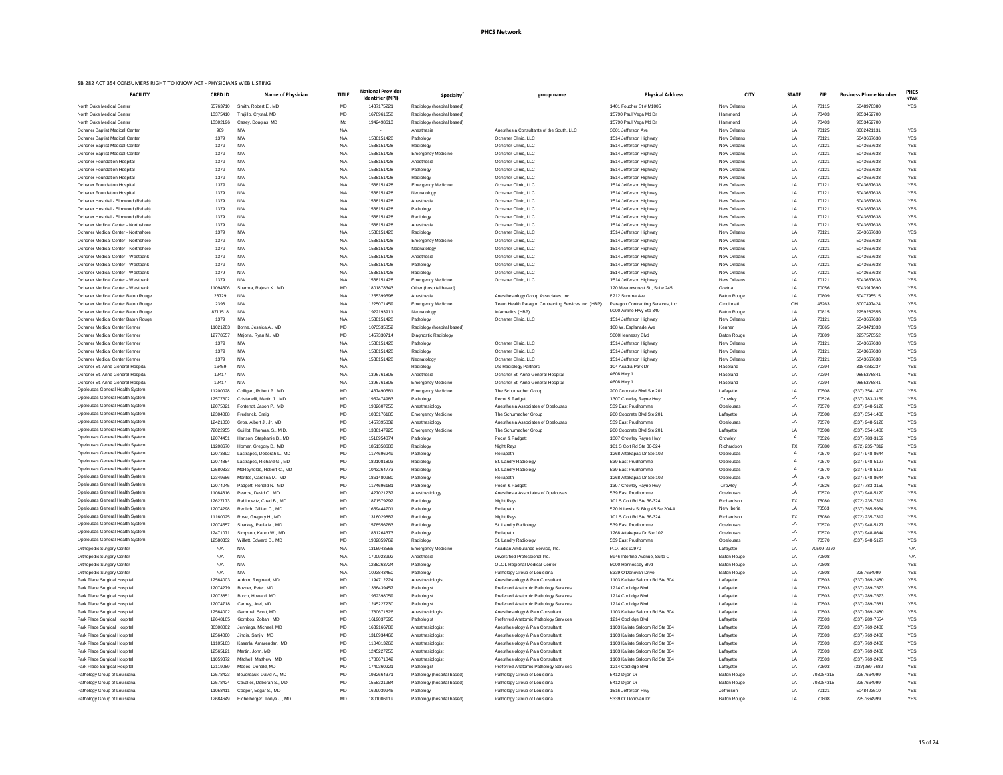|                                                                             | <b>FACILITY</b> |
|-----------------------------------------------------------------------------|-----------------|
| North Oaks Medical Center                                                   |                 |
| North Oaks Medical Center                                                   |                 |
| North Oaks Medical Center                                                   |                 |
| Ochsner Baptist Medical Center                                              |                 |
| Ochsner Baptist Medical Center                                              |                 |
| Ochsner Baptist Medical Center                                              |                 |
| <b>Ochsner Baptist Medical Center</b><br><b>Ochsner Foundation Hospital</b> |                 |
| <b>Ochsner Foundation Hospital</b>                                          |                 |
| <b>Ochsner Foundation Hospital</b>                                          |                 |
| <b>Ochsner Foundation Hospital</b>                                          |                 |
| <b>Ochsner Foundation Hospital</b>                                          |                 |
| Ochsner Hospital - Elmwood (Rehab)                                          |                 |
| Ochsner Hospital - Elmwood (Rehab)                                          |                 |
| Ochsner Hospital - Elmwood (Rehab)                                          |                 |
| Ochsner Medical Center - Northshore                                         |                 |
| Ochsner Medical Center - Northshore<br>Ochsner Medical Center - Northshore  |                 |
| Ochsner Medical Center - Northshore                                         |                 |
| Ochsner Medical Center - Westbank                                           |                 |
| Ochsner Medical Center - Westbank                                           |                 |
| Ochsner Medical Center - Westbank                                           |                 |
| Ochsner Medical Center - Westbank                                           |                 |
| Ochsner Medical Center - Westbank                                           |                 |
| Ochsner Medical Center Baton Rouge                                          |                 |
| Ochsner Medical Center Baton Rouge<br>Ochsner Medical Center Baton Rouge    |                 |
| Ochsner Medical Center Baton Rouge                                          |                 |
| Ochsner Medical Center Kenner                                               |                 |
| Ochsner Medical Center Kenner                                               |                 |
| Ochsner Medical Center Kenner                                               |                 |
| Ochsner Medical Center Kenner                                               |                 |
| Ochsner Medical Center Kenner                                               |                 |
| Ochsner St. Anne General Hospital<br>Ochsner St. Anne General Hospital      |                 |
| Ochsner St. Anne General Hospital                                           |                 |
| Opelousas General Health System                                             |                 |
| Opelousas General Health System                                             |                 |
| Opelousas General Health System<br>Opelousas General Health System          |                 |
| Opelousas General Health System                                             |                 |
| Opelousas General Health System                                             |                 |
| Opelousas General Health System                                             |                 |
| Opelousas General Health System                                             |                 |
| Opelousas General Health System<br>Opelousas General Health System          |                 |
| Opelousas General Health System                                             |                 |
| Opelousas General Health System                                             |                 |
| Opelousas General Health System                                             |                 |
| Opelousas General Health System                                             |                 |
| Opelousas General Health System<br>Opelousas General Health System          |                 |
| Opelousas General Health System                                             |                 |
| Opelousas General Health System                                             |                 |
| Opelousas General Health System                                             |                 |
| Opelousas General Health System                                             |                 |
| Orthopedic Surgery Center                                                   |                 |
| Orthopedic Surgery Center<br><b>Orthopedic Surgery Center</b>               |                 |
| <b>Orthopedic Surgery Center</b>                                            |                 |
| Park Place Surgical Hospital                                                |                 |
| Park Place Surgical Hospital                                                |                 |
| Park Place Surgical Hospital                                                |                 |
| Park Place Surgical Hospital                                                |                 |
| Park Place Surgical Hospital<br>Park Place Surgical Hospital                |                 |
| Park Place Surgical Hospital                                                |                 |
| Park Place Surgical Hospital                                                |                 |
| Park Place Surgical Hospital                                                |                 |
| Park Place Surgical Hospital                                                |                 |
| Park Place Surgical Hospital                                                |                 |
| Park Place Surgical Hospital<br>Pathology Group of Louisiana                |                 |
| Pathology Group of Louisiana                                                |                 |
| Pathology Group of Louisiana                                                |                 |
| Pathology Group of Louisiana                                                |                 |

| FACILITY                 | <b>CRED ID</b>       | <b>Name of Physician</b>                      | <b>TITLE</b> |
|--------------------------|----------------------|-----------------------------------------------|--------------|
|                          | 65763710             | Smith, Robert E., MD                          | MD           |
|                          | 13375410             | Trujillo, Crystal, MD                         | МD           |
|                          | 13302196             | Casey, Douglas, MD                            | Md           |
| enter                    | 969                  | N/A                                           | N/A          |
| enter                    | 1379                 | N/A                                           | N/A          |
| enter                    | 1379                 | N/A                                           | N/A          |
| enter                    | 1379                 | N/A                                           | N/A          |
| tal                      | 1379                 | N/A                                           | N/A          |
| tal                      | 1379                 | N/A                                           | N/A          |
| tal                      | 1379                 | N/A                                           | N/A          |
| tal                      | 1379                 | N/A                                           | N/A          |
| tal                      | 1379                 | N/A                                           | N/A          |
| d (Rehab)                | 1379                 | N/A                                           | N/A          |
| od (Rehab)               | 1379                 | N/A                                           | N/A          |
| od (Rehab)<br>Northshore | 1379<br>1379         | N/A<br>N/A                                    | N/A<br>N/A   |
| Northshore               | 1379                 | N/A                                           | N/A          |
| Northshore               | 1379                 | N/A                                           | N/A          |
| Northshore               | 1379                 | N/A                                           | N/A          |
| Westbank                 | 1379                 | N/A                                           | N/A          |
| Westbank                 | 1379                 | N/A                                           | N/A          |
| Westbank                 | 1379                 | N/A                                           | N/A          |
| Westbank                 | 1379                 | N/A                                           | N/A          |
| Westbank                 | 11094306             | Sharma, Rajesh K., MD                         | МD           |
| aton Rouge               | 23729                | N/A                                           | N/A          |
| aton Rouge               | 2393                 | N/A                                           | N/A          |
| aton Rouge               | 8711518              | N/A                                           | N/A          |
| aton Rouge               | 1379                 | N/A                                           | N/A          |
| enner                    | 11021283             | Borne, Jessica A., MD                         | МD           |
| enner                    | 12778557             | Majoria, Ryan N., MD                          | МD           |
| enner                    | 1379                 | N/A                                           | N/A          |
| enner                    | 1379                 | N/A                                           | N/A          |
| enner                    | 1379                 | N/A                                           | N/A          |
| Hospital                 | 16459                | N/A                                           | N/A          |
| Hospital                 | 12417                | N/A                                           | N/A          |
| Hospital                 | 12417                | N/A                                           | N/A          |
| System                   | 11200028             | Colligan, Robert P., MD                       | MD           |
| System                   | 12577602             | Cristanelli, Martin J., MD                    | MD           |
| System                   | 12075021             | Fontenot, Jason P., MD                        | МD           |
| System                   | 12304088             | Frederick, Craig                              | МD           |
| System                   | 12421030             | Gros, Albert J., Jr, MD                       | МD           |
| System                   | 72022955             | Guillot, Thomas, S., M.D.                     | MD           |
| System                   | 12074451             | Hanson, Stephanie B., MD                      | MD           |
| System                   | 11208670             | Homer, Gregory D., MD                         | MD           |
| System                   | 12073892             | Lastrapes, Deborah L., MD                     | MD           |
| System                   | 12074854             | Lastrapes, Richard G., MD                     | MD.          |
| System                   | 12580333             | McReynolds, Robert C., MD                     | MD           |
| System                   | 12349686             | Montes, Carolina M., MD                       | MD           |
| System<br>System         | 12074045             | Padgett, Ronald N., MD                        | MD.          |
| System                   | 11084316             | Pearce, David C., MD                          | МD           |
| System                   | 12627173             | Rabinowitz, Chad B., MD                       | MD           |
| System                   | 12074298             | Redlich, Gillian C., MD                       | MD<br>MD     |
| System                   | 11160025<br>12074557 | Rose, Gregory H., MD<br>Sharkey, Paula M., MD | MD           |
| System                   | 12471071             | Simpson, Karen W., MD                         | MD           |
| System                   | 12580332             | Willett, Edward D., MD                        | MD           |
|                          | N/A                  | N/A                                           | N/A          |
|                          | N/A                  | N/A                                           | N/A          |
|                          | N/A                  | N/A                                           | N/A          |
|                          | N/A                  | N/A                                           | N/A          |
| al                       | 12564003             | Ardoin, Reginald, MD                          | МD           |
| al                       | 12074279             | Bozner, Peter, MD                             | MD           |
| al                       | 12073851             | Burch, Howard, MD                             | MD           |
| al                       | 12074718             | Carney, Joel, MD                              | MD           |
| al                       | 12564002             | Gammel, Scott, MD                             | MD           |
| al                       | 12648105             | Gombos, Zoltan MD                             | MD           |
| al                       | 36308002             | Jennings, Michael, MD                         | MD           |
| al                       | 12564000             | Jindia, Sanjiv MD                             | MD           |
| al                       | 11105103             | Kasarla, Amarendar, MD                        | MD           |
| al                       | 12565121             | Martin, John, MD                              | MD           |
| al                       | 11059372             | Mitchell, Matthew MD                          | MD.          |
| al                       | 12119089             | Moses, Donald, MD                             | MD           |
| ına                      | 12578423             | Boudreaux, David A., MD                       | MD           |
| ına                      | 12578424             | Cavalier, Deborah S., MD                      | MD           |
| ına                      | 11058411             | Cooper, Edgar S., MD                          | MD.          |
| ına                      | 12684649             | Eichelberger, Tonya J., MD                    | МD           |

| TITLE      | National Provider<br>Identifier (NPI) | Specialty <sup>2</sup>                      |
|------------|---------------------------------------|---------------------------------------------|
| МD         | 1437175221                            | Radiology (hospital based)                  |
| MD         | 1678961658                            | Radiology (hospital based)                  |
| Md         | 1942498613                            | Radiology (hospital based)                  |
| N/A        |                                       | Anesthesia                                  |
| N/A<br>N/A | 1538151428<br>1538151428              | Pathology                                   |
| N/A        | 1538151428                            | Radiology<br><b>Emergency Medicine</b>      |
| N/A        | 1538151428                            | Anesthesia                                  |
| N/A        | 1538151428                            | Pathology                                   |
| N/A        | 1538151428                            | Radiology                                   |
| N/A        | 1538151428                            | Emergency Medicine                          |
| N/A        | 1538151428                            | Neonatology                                 |
| N/A<br>N/A | 1538151428<br>1538151428              | Anesthesia<br>Pathology                     |
| N/A        | 1538151428                            | Radiology                                   |
| N/A        | 1538151428                            | Anesthesia                                  |
| N/A        | 1538151428                            | Radiology                                   |
| N/A        | 1538151428                            | <b>Emergency Medicine</b>                   |
| N/A        | 1538151428                            | Neonatology                                 |
| N/A<br>N/A | 1538151428<br>1538151428              | Anesthesia<br>Pathology                     |
| N/A        | 1538151428                            | Radiology                                   |
| N/A        | 1538151428                            | <b>Emergency Medicine</b>                   |
| MD         | 1801878343                            | Other (hospital based)                      |
| N/A        | 1255399598                            | Anesthesia                                  |
| N/A        | 1225071459                            | <b>Emergency Medicine</b>                   |
| N/A<br>N/A | 1922193911<br>1538151428              | Neonatology                                 |
| МD         | 1073535852                            | Pathology<br>Radiology (hospital based)     |
| МD         | 1457330714                            | Diagnostic Radiology                        |
| N/A        | 1538151428                            | Pathology                                   |
| N/A        | 1538151428                            | Radiology                                   |
| N/A        | 1538151428                            | Neonatology                                 |
| N/A<br>N/A | 1396761805                            | Radiology<br>Anesthesia                     |
| N/A        | 1396761805                            | <b>Emergency Medicine</b>                   |
| <b>MD</b>  | 1467490581                            | <b>Emergency Medicine</b>                   |
| МD         | 1952474983                            | Pathology                                   |
| МD         | 1982607255                            | Anesthesiology                              |
| МD         | 1033176185                            | <b>Emergency Medicine</b>                   |
| МD<br>МD   | 1457395832<br>1336147925              | Anesthesiology<br><b>Emergency Medicine</b> |
| МD         | 1518954874                            | Pathology                                   |
| МD         | 1851358683                            | Radiology                                   |
| МD         | 1174696249                            | Pathology                                   |
| МD         | 1821081803                            | Radiology                                   |
| МD         | 1043264773                            | Radiology                                   |
| МD<br>МD   | 1861480980<br>1174696181              | Pathology<br>Pathology                      |
| МD         | 1427021237                            | Anesthesiology                              |
| МD         | 1871579292                            | Radiology                                   |
| МD         | 1659444701                            | Pathology                                   |
| МD         | 1316029887                            | Radiology                                   |
| МD         | 1578556783                            | Radiology                                   |
| МD<br>МD   | 1831264373<br>1902859762              | Pathology<br>Radiology                      |
| N/A        | 1316943566                            | <b>Emergency Medicine</b>                   |
| N/A        | 1700923992                            | Anesthesia                                  |
| N/A        | 1235263724                            | Pathology                                   |
| N/A        | 1093843450                            | Pathology                                   |
| <b>MD</b>  | 1194712224                            | Anesthesiologist                            |
| МD<br>МD   | 1366439457<br>1952398059              | Pathologist<br>Pathologist                  |
| МD         | 1245227230                            | Pathologist                                 |
| МD         | 1780671826                            | Anesthesiologist                            |
| МD         | 1619037595                            | Pathologist                                 |
| <b>MD</b>  | 1639166788                            | Anesthesiologist                            |
| МD         | 1316934466                            | Anesthesiologist                            |
| МD<br>МD   | 1104813260<br>1245227255              | Anesthesiologist<br>Anesthesiologist        |
| МD         | 1780671842                            | Anesthesiologist                            |
| МD         | 1740360221                            | Pathologist                                 |
| МD         | 1982664371                            | Pathology (hospital based)                  |
| МD         | 1558321984                            | Pathology (hospital based)                  |
| МD         | 1629039946                            | Pathology                                   |
| МD         | 1801006119                            | Pathology (hospital based)                  |

| <b>FACILITY</b>                                                      | <b>CRED ID</b>       | <b>Name of Physician</b>                              | <b>TITLE</b>    | <b>National Provider</b><br>Identifier (NPI) | Specialty                              | group name                                                                            | <b>Physical Address</b>                              | <b>CITY</b>                | <b>STATE</b> | <b>ZIP</b>     | <b>Business Phone Number</b>     | <b>PHCS</b><br><b>NTWK</b> |
|----------------------------------------------------------------------|----------------------|-------------------------------------------------------|-----------------|----------------------------------------------|----------------------------------------|---------------------------------------------------------------------------------------|------------------------------------------------------|----------------------------|--------------|----------------|----------------------------------|----------------------------|
| North Oaks Medical Center                                            | 65763710             | Smith, Robert E., MD                                  | MD              | 1437175221                                   | Radiology (hospital based)             |                                                                                       | 1401 Foucher St # M1005                              | <b>New Orleans</b>         | LA           | 70115          | 5048978380                       | <b>YES</b>                 |
| North Oaks Medical Center                                            | 13375410             | Trujillo, Crystal, MD                                 | MD              | 1678961658                                   | Radiology (hospital based)             |                                                                                       | 15790 Paul Vega Md Dr                                | Hammond                    | LA           | 70403          | 9853452700                       |                            |
| North Oaks Medical Center                                            | 13302196             | Casey, Douglas, MD                                    | Md              | 1942498613                                   | Radiology (hospital based)             |                                                                                       | 15790 Paul Vega Md Dr                                | Hammond                    | LA           | 70403          | 9853452700                       |                            |
| Ochsner Baptist Medical Center                                       | 969                  | N/A                                                   | N/A             |                                              | Anesthesia                             | Anesthesia Consultants of the South, LLC                                              | 3001 Jefferson Ave                                   | New Orleans                | LA           | 70125          | 8002421131                       | <b>YES</b>                 |
| Ochsner Baptist Medical Center                                       | 1379                 | N/A                                                   | N/A             | 1538151428                                   | Pathology                              | Ochsner Clinic, LLC                                                                   | 1514 Jefferson Highway                               | New Orleans                | LA           | 70121          | 5043667638                       | YES                        |
| Ochsner Baptist Medical Center                                       | 1379                 | N/A                                                   | N/A             | 1538151428                                   | Radiology                              | Ochsner Clinic, LLC                                                                   | 1514 Jefferson Highway                               | New Orleans                | LA           | 70121          | 5043667638                       | <b>YES</b>                 |
| Ochsner Baptist Medical Center                                       | 1379                 | N/A                                                   | N/A             | 1538151428                                   | <b>Emergency Medicine</b>              | Ochsner Clinic, LLC                                                                   | 1514 Jefferson Highway                               | New Orleans                | LA           | 70121          | 5043667638                       | <b>YES</b>                 |
| <b>Ochsner Foundation Hospital</b>                                   | 1379                 | N/A                                                   | N/A             | 1538151428                                   | Anesthesia                             | Ochsner Clinic, LLC                                                                   | 1514 Jefferson Highway                               | New Orleans                | LA           | 70121          | 5043667638                       | <b>YES</b>                 |
| Ochsner Foundation Hospital                                          | 1379                 | N/A                                                   | N/A             | 1538151428                                   | Pathology                              | Ochsner Clinic, LLC                                                                   | 1514 Jefferson Highway                               | New Orleans                | LA           | 70121          | 5043667638                       | <b>YES</b>                 |
| Ochsner Foundation Hospital                                          | 1379                 | N/A                                                   | N/A             | 1538151428                                   | Radiology                              | Ochsner Clinic, LLC                                                                   | 1514 Jefferson Highway                               | New Orleans                | LA           | 70121          | 5043667638                       | <b>YES</b>                 |
| Ochsner Foundation Hospital<br>Ochsner Foundation Hospital           | 1379<br>1379         | N/A<br>N/A                                            | N/A<br>N/A      | 1538151428<br>1538151428                     | <b>Emergency Medicine</b>              | Ochsner Clinic, LLC<br>Ochsner Clinic, LLC                                            | 1514 Jefferson Highway                               | New Orleans<br>New Orleans | LA<br>LA     | 70121<br>70121 | 5043667638<br>5043667638         | <b>YES</b><br>YES          |
| Ochsner Hospital - Elmwood (Rehab)                                   | 1379                 | N/A                                                   | N/A             | 1538151428                                   | Neonatology<br>Anesthesia              | Ochsner Clinic, LLC                                                                   | 1514 Jefferson Highway<br>1514 Jefferson Highway     | New Orleans                | LA           | 70121          | 5043667638                       | YES                        |
| Ochsner Hospital - Elmwood (Rehab)                                   | 1379                 | N/A                                                   | N/A             | 1538151428                                   | Pathology                              | Ochsner Clinic, LLC                                                                   | 1514 Jefferson Highway                               | New Orleans                | LA           | 70121          | 5043667638                       | <b>YES</b>                 |
| Ochsner Hospital - Elmwood (Rehab)                                   | 1379                 | N/A                                                   | N/A             | 1538151428                                   | Radiology                              | Ochsner Clinic, LLC                                                                   | 1514 Jefferson Highway                               | New Orleans                | LA           | 70121          | 5043667638                       | ${\tt YES}$                |
| Ochsner Medical Center - Northshore                                  | 1379                 | N/A                                                   | N/A             | 1538151428                                   | Anesthesia                             | Ochsner Clinic, LLC                                                                   | 1514 Jefferson Highway                               | New Orleans                | LA           | 70121          | 5043667638                       | ${\tt YES}$                |
| Ochsner Medical Center - Northshore                                  | 1379                 | N/A                                                   | N/A             | 1538151428                                   | Radiology                              | Ochsner Clinic, LLC                                                                   | 1514 Jefferson Highway                               | New Orleans                | LA           | 70121          | 5043667638                       | <b>YES</b>                 |
| Ochsner Medical Center - Northshore                                  | 1379                 | N/A                                                   | N/A             | 1538151428                                   | <b>Emergency Medicine</b>              | Ochsner Clinic, LLC                                                                   | 1514 Jefferson Highway                               | New Orleans                | LA           | 70121          | 5043667638                       | <b>YES</b>                 |
| Ochsner Medical Center - Northshore                                  | 1379                 | N/A                                                   | N/A             | 1538151428                                   | Neonatology                            | Ochsner Clinic, LLC                                                                   | 1514 Jefferson Highway                               | New Orleans                | LA           | 70121          | 5043667638                       | <b>YES</b>                 |
| Ochsner Medical Center - Westbank                                    | 1379                 | N/A                                                   | N/A             | 1538151428                                   | Anesthesia                             | Ochsner Clinic, LLC                                                                   | 1514 Jefferson Highway                               | New Orleans                | LA           | 70121          | 5043667638                       | YES                        |
| Ochsner Medical Center - Westbank                                    | 1379                 | N/A                                                   | N/A             | 1538151428                                   | Pathology                              | Ochsner Clinic, LLC                                                                   | 1514 Jefferson Highway                               | New Orleans                | LA           | 70121          | 5043667638                       | <b>YES</b>                 |
| Ochsner Medical Center - Westbank                                    | 1379                 | N/A                                                   | N/A             | 1538151428                                   | Radiology                              | Ochsner Clinic, LLC                                                                   | 1514 Jefferson Highway                               | New Orleans                | LA           | 70121          | 5043667638                       | YES                        |
| Ochsner Medical Center - Westbank                                    | 1379                 | N/A                                                   | N/A             | 1538151428                                   | <b>Emergency Medicine</b>              | Ochsner Clinic, LLC                                                                   | 1514 Jefferson Highway                               | New Orleans                | LA           | 70121          | 5043667638                       | <b>YES</b>                 |
| Ochsner Medical Center - Westbank                                    | 11094306             | Sharma, Rajesh K., MD                                 | MD              | 1801878343                                   | Other (hospital based)                 |                                                                                       | 120 Meadowcrest St., Suite 245                       | Gretna                     | LA           | 70056          | 5043917690                       | ${\tt YES}$                |
| Ochsner Medical Center Baton Rouge                                   | 23729                | N/A                                                   | N/A             | 1255399598                                   | Anesthesia                             | Anesthesiology Group Associates, Inc.                                                 | 8212 Summa Ave                                       | <b>Baton Rouge</b>         | LA           | 70809          | 5047795515                       | <b>YES</b>                 |
| Ochsner Medical Center Baton Rouge                                   | 2393                 | N/A                                                   | N/A             | 1225071459                                   | <b>Emergency Medicine</b>              | Team Health Paragon Contracting Services Inc. (HBP)                                   | Paragon Contracting Services, Inc.                   | Cincinnati                 | OH           | 45263          | 8007497424                       | <b>YES</b>                 |
| Ochsner Medical Center Baton Rouge                                   | 8711518              | N/A                                                   | N/A             | 1922193911                                   | Neonatology                            | Infamedics (HBP)                                                                      | 9000 Airline Hwy Ste 340                             | <b>Baton Rouge</b>         | LA           | 70815          | 2259282555                       | <b>YES</b>                 |
| Ochsner Medical Center Baton Rouge                                   | 1379                 | N/A                                                   | N/A             | 1538151428                                   | Pathology                              | Ochsner Clinic, LLC                                                                   | 1514 Jefferson Highway                               | New Orleans                | LA           | 70121          | 5043667638                       | <b>YES</b>                 |
| Ochsner Medical Center Kenner                                        | 11021283             | Borne, Jessica A., MD                                 | MD              | 1073535852                                   | Radiology (hospital based)             |                                                                                       | 108 W. Esplanade Ave                                 | Kenner                     | LA           | 70065          | 5043471333                       | <b>YES</b>                 |
| Ochsner Medical Center Kenner                                        | 12778557             | Majoria, Ryan N., MD                                  | MD              | 1457330714                                   | Diagnostic Radiology                   |                                                                                       | 5000Hennessy Blvd                                    | Baton Rouge                | LA           | 70809          | 2257570552                       | <b>YES</b>                 |
| Ochsner Medical Center Kenner                                        | 1379                 | N/A                                                   | N/A             | 1538151428                                   | Pathology                              | Ochsner Clinic. LLC                                                                   | 1514 Jefferson Highway                               | New Orleans                | LA           | 70121          | 5043667638                       | <b>YES</b>                 |
| Ochsner Medical Center Kenner                                        | 1379                 | N/A                                                   | N/A             | 1538151428                                   | Radiology                              | Ochsner Clinic, LLC                                                                   | 1514 Jefferson Highway                               | New Orleans                | LA           | 70121          | 5043667638                       | <b>YES</b>                 |
| Ochsner Medical Center Kenner                                        | 1379                 | N/A                                                   | N/A             | 1538151428                                   | Neonatology                            | Ochsner Clinic, LLC                                                                   | 1514 Jefferson Highway                               | New Orleans                | LA           | 70121          | 5043667638                       | YES                        |
| Ochsner St. Anne General Hospital                                    | 16459                | N/A                                                   | N/A             |                                              | Radiology                              | <b>US Radiology Partners</b>                                                          | 104 Acadia Park Dr<br>4608 Hwy 1                     | Raceland                   | LA           | 70394          | 3184283237                       | <b>YES</b>                 |
| Ochsner St. Anne General Hospital                                    | 12417                | N/A                                                   | N/A             | 1396761805                                   | Anesthesia                             | Ochsner St. Anne General Hospital                                                     | 4608 Hwy 1                                           | Raceland                   | LA           | 70394          | 9855376841                       | <b>YES</b>                 |
| Ochsner St. Anne General Hospital<br>Opelousas General Health System | 12417                | N/A                                                   | N/A             | 1396761805                                   | <b>Emergency Medicine</b>              | Ochsner St. Anne General Hospital                                                     |                                                      | Raceland                   | LA           | 70394          | 9855376841                       | <b>YES</b>                 |
| Opelousas General Health System                                      | 11200028<br>12577602 | Colligan, Robert P., MD<br>Cristanelli, Martin J., MD | MD<br>MD        | 1467490581<br>1952474983                     | <b>Emergency Medicine</b><br>Pathology | The Schumacher Group<br>Pecot & Padgett                                               | 200 Coporate Blvd Ste 201<br>1307 Crowley Rayne Hwy  | Lafayette                  | LA<br>LA     | 70508<br>70526 | (337) 354-1400<br>(337) 783-3159 | <b>YES</b><br><b>YES</b>   |
| Opelousas General Health System                                      | 12075021             | Fontenot, Jason P., MD                                | MD              | 1982607255                                   | Anesthesiology                         | Anesthesia Associates of Opelousas                                                    | 539 East Prudhomme                                   | Crowley<br>Opelousas       | LA           | 70570          | (337) 948-5120                   | <b>YES</b>                 |
| Opelousas General Health System                                      | 12304088             | Frederick, Craig                                      | MD              | 1033176185                                   | <b>Emergency Medicine</b>              | The Schumacher Group                                                                  | 200 Coporate Blvd Ste 201                            | Lafayette                  | LA           | 70508          | (337) 354-1400                   | YES                        |
| Opelousas General Health System                                      | 12421030             | Gros, Albert J., Jr, MD                               | MD              | 1457395832                                   | Anesthesiology                         | Anesthesia Associates of Opelousas                                                    | 539 East Prudhomme                                   | Opelousas                  | LA           | 70570          | (337) 948-5120                   | <b>YES</b>                 |
| Opelousas General Health System                                      | 72022955             | Guillot, Thomas, S., M.D.                             | MD              | 1336147925                                   | <b>Emergency Medicine</b>              | The Schumacher Group                                                                  | 200 Coporate Blvd Ste 201                            | Lafayette                  | LA           | 70508          | (337) 354-1400                   | <b>YES</b>                 |
| Opelousas General Health System                                      | 12074451             | Hanson, Stephanie B., MD                              | MD              | 1518954874                                   | Pathology                              | Pecot & Padgett                                                                       | 1307 Crowley Rayne Hwy                               | Crowley                    | LA           | 70526          | (337) 783-3159                   | <b>YES</b>                 |
| Opelousas General Health System                                      | 11208670             | Homer, Gregory D., MD                                 | MD              | 1851358683                                   | Radiology                              | <b>Night Rays</b>                                                                     | 101 S Coit Rd Ste 36-324                             | Richardson                 | TX           | 75080          | (972) 235-7312                   | YES                        |
| Opelousas General Health System                                      | 12073892             | Lastrapes, Deborah L., MD                             | MD              | 1174696249                                   | Pathology                              | Reliapath                                                                             | 1268 Attakapas Dr Ste 102                            | Opelousas                  | LA           | 70570          | (337) 948-8644                   | <b>YES</b>                 |
| Opelousas General Health System                                      | 12074854             | Lastrapes, Richard G., MD                             | MD              | 1821081803                                   | Radiology                              | St. Landry Radiology                                                                  | 539 East Prudhomme                                   | Opelousas                  | LA           | 70570          | (337) 948-5127                   | <b>YES</b>                 |
| Opelousas General Health System                                      | 12580333             | McReynolds, Robert C., MD                             | MD              | 1043264773                                   | Radiology                              | St. Landry Radiology                                                                  | 539 East Prudhomme                                   | Opelousas                  | LA           | 70570          | (337) 948-5127                   | <b>YES</b>                 |
| Opelousas General Health System                                      | 12349686             | Montes, Carolina M., MD                               | MD              | 1861480980                                   | Pathology                              | Reliapath                                                                             | 1268 Attakapas Dr Ste 102                            | Opelousas                  | LA           | 70570          | (337) 948-8644                   | <b>YES</b>                 |
| Opelousas General Health System                                      | 12074045             | Padgett, Ronald N., MD                                | MD              | 1174696181                                   | Pathology                              | Pecot & Padgett                                                                       | 1307 Crowley Rayne Hwy                               | Crowley                    | LA           | 70526          | (337) 783-3159                   | <b>YES</b>                 |
| Opelousas General Health System                                      | 11084316             | Pearce, David C., MD                                  | MD              | 1427021237                                   | Anesthesiology                         | Anesthesia Associates of Opelousas                                                    | 539 East Prudhomme                                   | Opelousas                  | LA           | 70570          | (337) 948-5120                   | <b>YES</b>                 |
| Opelousas General Health System                                      | 12627173             | Rabinowitz, Chad B., MD                               | MD              | 1871579292                                   | Radiology                              | <b>Night Rays</b>                                                                     | 101 S Coit Rd Ste 36-324                             | Richardson                 | TX           | 75080          | (972) 235-7312                   | YES                        |
| Opelousas General Health System                                      | 12074298             | Redlich, Gillian C., MD                               | MD              | 1659444701                                   | Pathology                              | Reliapath                                                                             | 520 N Lewis St Bldg #5 Se 204-A                      | New Iberia                 | LA           | 70563          | (337) 365-5934                   | YES                        |
| Opelousas General Health System                                      | 11160025             | Rose, Gregory H., MD                                  | MD              | 1316029887                                   | Radiology                              | <b>Night Rays</b>                                                                     | 101 S Coit Rd Ste 36-324                             | Richardson                 | TX           | 75080          | (972) 235-7312                   | <b>YES</b>                 |
| Opelousas General Health System                                      | 12074557             | Sharkey, Paula M., MD                                 | MD              | 1578556783                                   | Radiology                              | St. Landry Radiology                                                                  | 539 East Prudhomme                                   | Opelousas                  | LA           | 70570          | (337) 948-5127                   | <b>YES</b>                 |
| Opelousas General Health System                                      | 12471071             | Simpson, Karen W., MD                                 | MD              | 1831264373                                   | Pathology                              | Reliapath                                                                             | 1268 Attakapas Dr Ste 102                            | Opelousas                  | LA           | 70570          | (337) 948-8644                   | <b>YES</b>                 |
| Opelousas General Health System                                      | 12580332             | Willett, Edward D., MD                                | MD              | 1902859762                                   | Radiology                              | St. Landry Radiology                                                                  | 539 East Prudhomme                                   | Opelousas                  | LA           | 70570          | (337) 948-5127                   | <b>YES</b>                 |
| Orthopedic Surgery Center                                            | N/A                  | N/A                                                   | N/A             | 1316943566                                   | <b>Emergency Medicine</b>              | Acadian Ambulance Service, Inc.                                                       | P.O. Box 92970                                       | Lafayette                  | LA           | 70509-2970     |                                  | N/A                        |
| <b>Orthopedic Surgery Center</b>                                     | N/A                  | N/A                                                   | N/A             | 1700923992                                   | Anesthesia                             | Diversified Professional Inc.                                                         | 8946 Interline Avenue, Suite C                       | <b>Baton Rouge</b>         | LA           | 70808          |                                  | N/A                        |
| Orthopedic Surgery Center                                            | N/A                  | N/A                                                   | N/A             | 1235263724                                   | Pathology                              | <b>OLOL Regional Medical Center</b>                                                   | 5000 Hennessey Blvd                                  | <b>Baton Rouge</b>         | LA           | 70808          |                                  | <b>YES</b>                 |
| Orthopedic Surgery Center                                            | N/A                  | N/A                                                   | N/A             | 1093843450                                   | Pathology                              | Pathology Group of Louisiana                                                          | 5339 O'Donovan Drive                                 | <b>Baton Rouge</b>         | LA           | 70808          | 2257664999                       | <b>YES</b>                 |
| Park Place Surgical Hospital                                         | 12564003             | Ardoin, Reginald, MD                                  | MD              | 1194712224                                   | Anesthesiologist                       | Anesthesiology & Pain Consultant                                                      | 1103 Kaliste Saloom Rd Ste 304                       | Lafayette                  | LA           | 70503          | (337) 769-2480                   | <b>YES</b>                 |
| Park Place Surgical Hospital                                         | 12074279             | Bozner, Peter, MD                                     | <b>MD</b>       | 1366439457                                   | Pathologist                            | <b>Preferred Anatomic Pathology Services</b>                                          | 1214 Coolidge Blvd                                   | Lafavette                  | I A          | 70503          | (337) 289-7673                   | <b>YES</b>                 |
| Park Place Surgical Hospital                                         | 12073851             | Burch, Howard, MD                                     | MD              | 1952398059                                   | Pathologist                            | Preferred Anatomic Pathology Services<br><b>Preferred Anatomic Pathology Services</b> | 1214 Coolidge Blvd                                   | Lafayette                  | LA           | 70503          | (337) 289-7673                   | <b>YES</b>                 |
| Park Place Surgical Hospital                                         | 12074718             | Carney, Joel, MD                                      | MD              | 1245227230                                   | Pathologist                            |                                                                                       | 1214 Coolidge Blvd                                   | Lafayette                  | LA           | 70503          | (337) 289-7681                   | <b>YES</b>                 |
| Park Place Surgical Hospital<br>Park Place Surgical Hospital         | 12564002<br>12648105 | Gammel, Scott, MD<br>Gombos, Zoltan MD                | MD<br><b>MD</b> | 1780671826<br>1619037595                     | Anesthesiologist<br>Pathologist        | Anesthesiology & Pain Consultant<br><b>Preferred Anatomic Pathology Services</b>      | 1103 Kaliste Saloom Rd Ste 304<br>1214 Coolidge Blvd | Lafayette                  | LA<br>LA     | 70503<br>70503 | (337) 769-2480<br>(337) 289-7654 | <b>YES</b><br><b>YES</b>   |
| Park Place Surgical Hospital                                         | 36308002             | Jennings, Michael, MD                                 | MD              | 1639166788                                   | Anesthesiologist                       | Anesthesiology & Pain Consultant                                                      | 1103 Kaliste Saloom Rd Ste 304                       | Lafayette<br>Lafayette     | LA           | 70503          | (337) 769-2480                   | YES                        |
| Park Place Surgical Hospital                                         | 12564000             | Jindia, Sanjiv MD                                     | MD              | 1316934466                                   | Anesthesiologist                       | Anesthesiology & Pain Consultant                                                      | 1103 Kaliste Saloom Rd Ste 304                       | Lafayette                  | LA           | 70503          | (337) 769-2480                   | YES                        |
| Park Place Surgical Hospital                                         | 11105103             | Kasarla, Amarendar, MD                                | MD              | 1104813260                                   | Anesthesiologist                       | Anesthesiology & Pain Consultant                                                      | 1103 Kaliste Saloom Rd Ste 304                       | Lafayette                  | LA           | 70503          | (337) 769-2480                   | <b>YES</b>                 |
| Park Place Surgical Hospital                                         | 12565121             | Martin, John, MD                                      | MD              | 1245227255                                   | Anesthesiologist                       | Anesthesiology & Pain Consultant                                                      | 1103 Kaliste Saloom Rd Ste 304                       | Lafayette                  | LA           | 70503          | (337) 769-2480                   | YES                        |
| Park Place Surgical Hospital                                         | 11059372             | Mitchell, Matthew MD                                  | <b>MD</b>       | 1780671842                                   | Anesthesiologist                       | Anesthesiology & Pain Consultant                                                      | 1103 Kaliste Saloom Rd Ste 304                       | Lafayette                  | LA           | 70503          | (337) 769-2480                   | YES                        |
| Park Place Surgical Hospital                                         | 12119089             | Moses, Donald, MD                                     | MD              | 1740360221                                   | Pathologist                            | <b>Preferred Anatomic Pathology Services</b>                                          | 1214 Coolidge Blvd                                   | Lafayette                  | LA           | 70503          | (337)289-7682                    | <b>YES</b>                 |
| Pathology Group of Louisiana                                         | 12578423             | Boudreaux, David A., MD                               | MD              | 1982664371                                   | Pathology (hospital based)             | Pathology Group of Louisiana                                                          | 5412 Dijon Dr                                        | <b>Baton Rouge</b>         | LA           | 708084315      | 2257664999                       | <b>YES</b>                 |
| Pathology Group of Louisiana                                         | 12578424             | Cavalier, Deborah S., MD                              | <b>MD</b>       | 1558321984                                   | Pathology (hospital based)             | Pathology Group of Louisiana                                                          | 5412 Dijon Dr                                        | <b>Baton Rouge</b>         | LA           | 708084315      | 2257664999                       | <b>YES</b>                 |
| Pathology Group of Louisiana                                         | 1105841              | Cooper, Edgar S., MD                                  | MD              | 1629039946                                   | Pathology                              | Pathology Group of Louisiana                                                          | 1516 Jefferson Hwy                                   | Jefferson                  | LA           | 70121          | 5048423510                       | <b>YES</b>                 |
| Pathology Group of Louisiana                                         | 12684649             | Eichelberger, Tonya J., MD                            | MD              | 1801006119                                   | Pathology (hospital based)             | Pathology Group of Louisiana                                                          | 5339 O' Donovan Dr                                   | <b>Baton Rouge</b>         | LA           | 70808          | 2257664999                       | YES                        |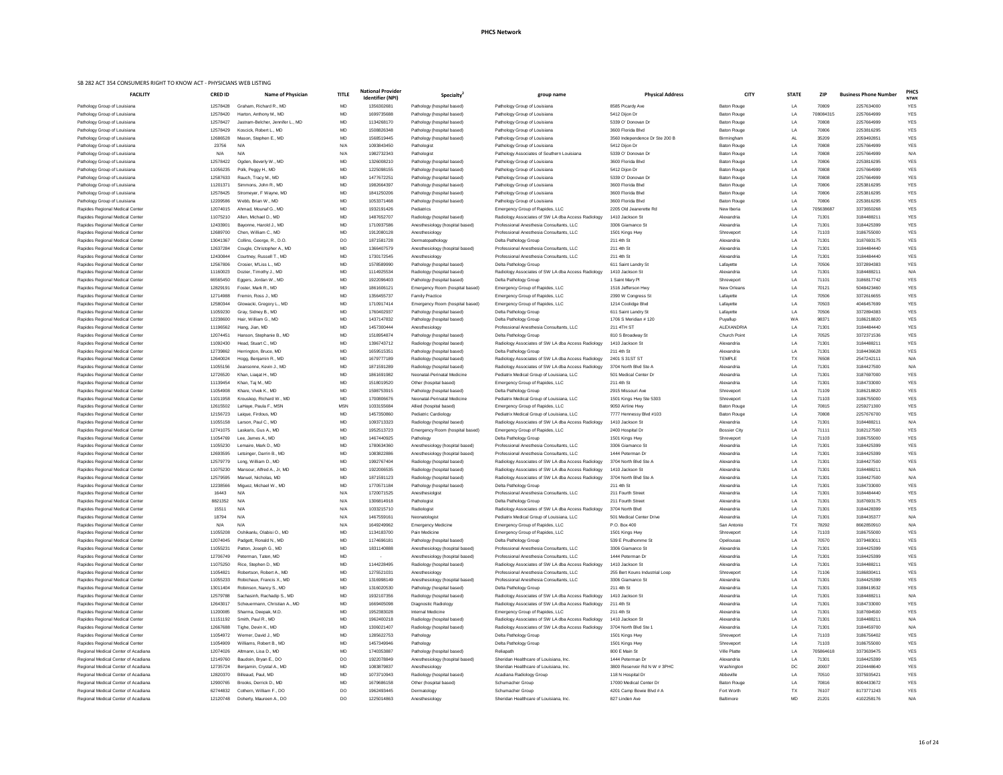| <b>FACILITY</b>                                                            | <b>CRED ID</b>       | <b>Name of Physician</b>                       | <b>TITLE</b> | <b>National Provider</b><br><b>Identifier (NPI)</b> | <b>Specialty</b>                                         | group name                                                                  | <b>Physical Address</b>                           | <b>CITY</b>                              | <b>STATE</b>    | <b>ZIP</b>     | <b>Business Phone Number</b> | <b>PHCS</b><br><b>NTWK</b> |
|----------------------------------------------------------------------------|----------------------|------------------------------------------------|--------------|-----------------------------------------------------|----------------------------------------------------------|-----------------------------------------------------------------------------|---------------------------------------------------|------------------------------------------|-----------------|----------------|------------------------------|----------------------------|
| Pathology Group of Louisiana                                               | 12578428             | Graham, Richard R., MD                         | MD           | 1356302681                                          | Pathology (hospital based)                               | Pathology Group of Louisiana                                                | 8585 Picardy Ave                                  | <b>Baton Rouge</b>                       | LA              | 70809          | 2257634000                   | <b>YES</b>                 |
| Pathology Group of Louisiana                                               | 12578420             | Harton, Anthony M., MD                         | MD           | 1699735688                                          | Pathology (hospital based)                               | Pathology Group of Louisiana                                                | 5412 Dijon Dr                                     | <b>Baton Rouge</b>                       | LA              | 708084315      | 2257664999                   | <b>YES</b>                 |
| Pathology Group of Louisiana                                               | 12578427             | Jastram-Belcher, Jennifer L., MD               | MD           | 1134268170                                          | Pathology (hospital based)                               | Pathology Group of Louisiana                                                | 5339 O' Donovan Dr                                | <b>Baton Rouge</b>                       | LA              | 70808          | 2257664999                   | <b>YES</b>                 |
| Pathology Group of Louisiana                                               | 12578429             | Koscick, Robert L., MD                         | <b>MD</b>    | 1508826348                                          | Pathology (hospital based)                               | Pathology Group of Louisiana                                                | 3600 Florida Blvd                                 | <b>Baton Rouge</b>                       | LA              | 70806          | 2253816295                   | <b>YES</b>                 |
| Pathology Group of Louisiana                                               | 12686528             | Mason, Stephen E., MD                          | MD           | 1568519445                                          | Pathology (hospital based)                               | Pathology Group of Louisiana                                                | 3560 Independence Dr Ste 200 B                    | Birmingham                               |                 | 35209          | 2059492851                   | <b>YES</b>                 |
| Pathology Group of Louisiana                                               | 23756                | N/A                                            | N/A          | 1093843450                                          | Pathologist                                              | Pathology Group of Louisiana                                                | 5412 Dijon Dr                                     | <b>Baton Rouge</b>                       | <b>LA</b>       | 70808          | 2257664999                   | <b>YES</b>                 |
| Pathology Group of Louisiana                                               | N/A<br>12578422      | N/A                                            | N/A<br>MD    | 1982732343<br>1326008210                            | Pathologist                                              | Pathology Associates of Southern Louisiana                                  | 5339 O' Donovan Dr<br>3600 Florida Blvd           | <b>Baton Rouge</b><br><b>Baton Rouge</b> | <b>LA</b><br>LA | 70808<br>70806 | 2257664999<br>2253816295     | N/A<br><b>YES</b>          |
| Pathology Group of Louisiana<br>Pathology Group of Louisiana               | 11056235             | Ogden, Beverly W., MD<br>Polk, Peggy H., MD    | MD           | 1225098155                                          | Pathology (hospital based)<br>Pathology (hospital based) | Pathology Group of Louisiana<br>Pathology Group of Louisiana                | 5412 Dijon Dr                                     | <b>Baton Rouge</b>                       | LA              | 70808          | 2257664999                   | <b>YES</b>                 |
| Pathology Group of Louisiana                                               | 12587633             | Rauch, Tracy M., MD                            | MD           | 1477672251                                          | Pathology (hospital based)                               | Pathology Group of Louisiana                                                | 5339 O' Donovan Dr                                | <b>Baton Rouge</b>                       | LA              | 70808          | 2257664999                   | <b>YES</b>                 |
| Pathology Group of Louisiana                                               | 11201371             | Simmons, John R., MD                           | MD           | 1982664397                                          | Pathology (hospital based)                               | Pathology Group of Louisiana                                                | 3600 Florida Blvd                                 | <b>Baton Rouge</b>                       | LA              | 70806          | 2253816295                   | <b>YES</b>                 |
| Pathology Group of Louisiana                                               | 12578425             | Stromeyer, F Wayne, MD                         | <b>MD</b>    | 1841250206                                          | Pathology (hospital based)                               | Pathology Group of Louisiana                                                | 3600 Florida Blvd                                 | <b>Baton Rouge</b>                       | <b>LA</b>       | 70806          | 2253816295                   | <b>YES</b>                 |
| Pathology Group of Louisiana                                               | 12209586             | Webb, Brian W., MD                             | MD           | 1053371468                                          | Pathology (hospital based)                               | Pathology Group of Louisiana                                                | 3600 Florida Blvd                                 | <b>Baton Rouge</b>                       | <b>LA</b>       | 70806          | 2253816295                   | <b>YES</b>                 |
| Rapides Regional Medical Center                                            | 12074015             | Ahmad, Mounaf G., MD                           | MD           | 1932191426                                          | Pediatrics                                               | Emergency Group of Rapides, LLC                                             | 2205 Old Jeanerette Rd                            | New Iberia                               | LA              | 705638687      | 3373650268                   | <b>YES</b>                 |
| Rapides Regional Medical Center                                            | 11075210             | Allen, Michael D., MD                          | MD           | 1487652707                                          | Radiology (hospital based)                               | Radiology Associates of SW LA dba Access Radiology                          | 1410 Jackson St                                   | Alexandria                               | <b>LA</b>       | 71301          | 3184488211                   | <b>YES</b>                 |
| Rapides Regional Medical Center                                            | 12433901             | Bayonne, Harold J., MD                         | MD           | 1710937586                                          | Anesthesiology (hospital based)                          | Professional Anesthesia Consultants, LLC                                    | 3306 Giamanco St                                  | Alexandria                               | LA              | 71301          | 3184425399                   | <b>YES</b>                 |
| Rapides Regional Medical Center                                            | 12689700             | Chen, William C., MD                           | MD           | 1912080128                                          | Anesthesiology                                           | Professional Anesthesia Consultants, LLC                                    | 1501 Kings Hwy                                    | Shreveport                               | LA              | 71103          | 3186755000                   | <b>YES</b>                 |
| Rapides Regional Medical Center                                            | 13041367             | Collins, George, R., D.O.                      | DO           | 1871581728                                          | Dermatopathology                                         | Delta Pathology Group                                                       | 211 4th St                                        | Alexandria                               | <b>LA</b>       | 71301          | 3187693175                   | <b>YES</b>                 |
| Rapides Regional Medical Center                                            | 12637284             | Cougle, Christopher A., MD                     | <b>MD</b>    | 1366407579                                          | Anesthesiology (hospital based)                          | Professional Anesthesia Consultants, LLC                                    | 211 4th St                                        | Alexandria                               | LA              | 71301          | 3184484440                   | <b>YES</b>                 |
| Rapides Regional Medical Center                                            | 12430844             | Courtney, Russell T., MD                       | MD           | 1730172545                                          | Anesthesiology                                           | Professional Anesthesia Consultants, LLC                                    | 211 4th St                                        | Alexandria                               | LA              | 71301          | 3184484440                   | <b>YES</b>                 |
| Rapides Regional Medical Center                                            | 12567806             | Crosier, M'Liss L., MD                         | MD           | 1578589990                                          | Pathology (hospital based)                               | Delta Pathology Group                                                       | 611 Saint Landry St                               | Lafayette                                | <b>LA</b>       | 70506          | 3372894383                   | <b>YES</b>                 |
| Rapides Regional Medical Center                                            | 11160023             | Dozier, Timothy J., MD                         | MD           | 1114925534                                          | Radiology (hospital based)                               | Radiology Associates of SW LA dba Access Radiology                          | 1410 Jackson St                                   | Alexandria                               | LA              | 71301          | 3184488211                   | N/A                        |
| Rapides Regional Medical Center                                            | 66565450             | Eggers, Jordan W., MD                          | <b>MD</b>    | 1922096403                                          | Pathology (hospital based)                               | Delta Pathology Group                                                       | 1 Saint Mary Pl                                   | Shreveport                               | <b>LA</b>       | 71101          | 3186817742                   | <b>YES</b>                 |
| Rapides Regional Medical Center                                            | 12829191             | Foster, Mark R., MD                            | MD           | 1861606121                                          | Emergency Room (hospital based)                          | Emergency Group of Rapides, LLC                                             | 1516 Jefferson Hwy                                | New Orleans                              | <b>LA</b>       | 70121          | 5048423460                   | <b>YES</b>                 |
| Rapides Regional Medical Center                                            | 12714988             | Fremin, Ross J., MD                            | MD           | 1356455737                                          | <b>Family Practice</b>                                   | Emergency Group of Rapides, LLC                                             | 2390 W Congress St                                | Lafayette                                | LA              | 70506          | 3372616655                   | <b>YES</b>                 |
| Rapides Regional Medical Center                                            | 12580344             | Glowacki, Gregory L., MD                       | MD           | 1710917414<br>1760402937                            | Emergency Room (hospital based)                          | Emergency Group of Rapides, LLC                                             | 1214 Coolidge Blvd<br>611 Saint Landry St         | Lafayette                                | LA<br>LA        | 70503<br>70506 | 4046457699<br>3372894383     | <b>YES</b><br><b>YES</b>   |
| Rapides Regional Medical Center<br>Rapides Regional Medical Center         | 11059230<br>12238600 | Gray, Sidney B., MD<br>Hair, William G., MD    | MD<br>MD     | 1437147832                                          | Pathology (hospital based)<br>Pathology (hospital based) | Delta Pathology Group<br>Delta Pathology Group                              | 1706 S Meridian # 120                             | Lafayette<br>Puyallup                    | W A             | 98371          | 3186218820                   | <b>YES</b>                 |
| Rapides Regional Medical Center                                            | 11196562             | Hang, Jian, MD                                 | <b>MD</b>    | 1457300444                                          | Anesthesiology                                           | Professional Anesthesia Consultants, LLC                                    | 211 4TH ST                                        | ALEXANDRIA                               | $\overline{A}$  | 71301          | 3184484440                   | <b>YES</b>                 |
| Rapides Regional Medical Center                                            | 12074451             | Hanson, Stephanie B., MD                       | <b>MD</b>    | 1518954874                                          | Pathology (hospital based)                               | Delta Pathology Group                                                       | 810 S Broadway St                                 | <b>Church Point</b>                      | ΙA              | 70525          | 3372371536                   | <b>YES</b>                 |
| Rapides Regional Medical Center                                            | 11092430             | Head, Stuart C., MD                            | MD           | 1396743712                                          | Radiology (hospital based)                               | Radiology Associates of SW LA dba Access Radiology                          | 1410 Jackson St                                   | Alexandria                               | LA              | 71301          | 318448821                    | <b>YES</b>                 |
| Rapides Regional Medical Center                                            | 12739862             | Herrington, Bruce, MD                          | MD           | 1659515351                                          | Pathology (hospital based)                               | Delta Pathology Group                                                       | 211 4th St                                        | Alexandria                               | <b>LA</b>       | 71301          | 3184436628                   | <b>YES</b>                 |
| Rapides Regional Medical Center                                            | 12640024             | Hogg, Benjamin R., MD                          | MD           | 1679777189                                          | Radiology (hospital based)                               | Radiology Associates of SW LA dba Access Radiology                          | 2401 S 31ST ST                                    | <b>TEMPLE</b>                            | TX              | 76508          | 2547242111                   | N/A                        |
| Rapides Regional Medical Center                                            | 11055156             | Jeansonne, Kevin J., MD                        | MD           | 1871591289                                          | Radiology (hospital based)                               | Radiology Associates of SW LA dba Access Radiology                          | 3704 North Blvd Ste A                             | Alexandria                               | <b>LA</b>       | 71301          | 3184427500                   | N/A                        |
| Rapides Regional Medical Center                                            | 12726520             | Khan, Liagat H., MD                            | MD           | 1861691982                                          | Neonatal-Perinatal Medicine                              | Pediatrix Medical Group of Louisiana, LLC                                   | 501 Medical Center Dr                             | Alexandria                               | <b>LA</b>       | 71301          | 3187697000                   | <b>YES</b>                 |
| Rapides Regional Medical Center                                            | 11139454             | Khan, Taj M., MD                               | MD           | 1518019520                                          | Other (hospital based)                                   | Emergency Group of Rapides, LLC                                             | 211 4th St                                        | Alexandria                               | <b>LA</b>       | 71301          | 3184733000                   | <b>YES</b>                 |
| Rapides Regional Medical Center                                            | 11054908             | Khare, Vivek K., MD                            | MD           | 1598753915                                          | Pathology (hospital based)                               | Delta Pathology Group                                                       | 2915 Missouri Ave                                 | Shreveport                               | <b>LA</b>       | 71109          | 3186218820                   | <b>YES</b>                 |
| Rapides Regional Medical Center                                            | 11011958             | Krouskop, Richard W., MD                       | MD           | 1700806676                                          | Neonatal-Perinatal Medicine                              | Pediatrix Medical Group of Louisiana, LLC                                   | 1501 Kings Hwy Ste 5303                           | Shreveport                               | LA              | 71103          | 3186755000                   | <b>YES</b>                 |
| Rapides Regional Medical Center                                            | 12615502             | LaHaye, Paula F., MSN                          | <b>MSN</b>   | 1033155684                                          | Allied (hospital based)                                  | Emergency Group of Rapides, LLC                                             | 9050 Airline Hwy                                  | <b>Baton Rouge</b>                       | <b>LA</b>       | 70815          | 2259271300                   | <b>YES</b>                 |
| Rapides Regional Medical Center                                            | 12156723             | Laigue, Firdous, MD                            | MD           | 1457350860                                          | <b>Pediatric Cardiology</b>                              | Pediatrix Medical Group of Louisiana, LLC                                   | 7777 Hennessy Blvd #103                           | <b>Baton Rouge</b>                       | LA              | 70808          | 2257676700                   | <b>YES</b>                 |
| Rapides Regional Medical Center                                            | 11055158             | Larson, Paul C., MD                            | MD           | 1093713323                                          | Radiology (hospital based)                               | Radiology Associates of SW LA dba Access Radiology                          | 1410 Jackson St                                   | Alexandria                               | LA              | 71301          | 3184488211                   | N/A                        |
| Rapides Regional Medical Center                                            | 12741075             | Laskaris, Gus A., MD                           | MD           | 1952513723                                          | Emergency Room (hospital based)                          | Emergency Group of Rapides, LLC                                             | 2400 Hospital Dr                                  | <b>Bossier City</b>                      | LA              | 71111          | 3182127500                   | <b>YES</b>                 |
| Rapides Regional Medical Center                                            | 11054769             | Lee, James A., MD                              | MD           | 1467440925                                          | Pathology                                                | Delta Pathology Group                                                       | 1501 Kings Hwy                                    | Shreveport                               | <b>LA</b>       | 71103          | 3186755000                   | <b>YES</b>                 |
| Rapides Regional Medical Center                                            | 11055230             | Lemaire, Mark D., MD                           | MD           | 1780634360                                          | Anesthesiology (hospital based)                          | Professional Anesthesia Consultants, LLC                                    | 3306 Giamanco St                                  | Alexandria                               | LA              | 71301          | 3184425399                   | <b>YES</b>                 |
| Rapides Regional Medical Center                                            | 12693595             | Letsinger, Darrin B., MD                       | MD           | 1083822886                                          | Anesthesiology (hospital based)                          | Professional Anesthesia Consultants, LLC                                    | 1444 Peterman Dr                                  | Alexandria                               | <b>LA</b>       | 71301          | 3184425399                   | <b>YES</b>                 |
| Rapides Regional Medical Center                                            | 12579779             | Long, William D., MD                           | MD           | 1992767404                                          | Radiology (hospital based)                               | Radiology Associates of SW LA dba Access Radiology                          | 3704 North Blvd Ste A                             | Alexandria                               | <b>LA</b>       | 71301          | 3184427500                   | <b>YES</b>                 |
| Rapides Regional Medical Center                                            | 11075230             | Mansour, Alfred A., Jr, MD                     | MD           | 1922006535                                          | Radiology (hospital based)                               | Radiology Associates of SW LA dba Access Radiology                          | 1410 Jackson St                                   | Alexandria                               | <b>LA</b>       | 71301          | 3184488211                   | N/A                        |
| Rapides Regional Medical Center                                            | 12579595<br>12238566 | Manuel, Nicholas, MD<br>Miguez, Michael W., MD | MD<br>MD     | 1871591123<br>1770571184                            | Radiology (hospital based)                               | Radiology Associates of SW LA dba Access Radiology<br>Delta Pathology Group | 3704 North Blvd Ste A<br>211 4th St               | Alexandria<br>Alexandria                 | <b>LA</b><br>LA | 71301<br>71301 | 3184427500<br>3184733000     | N/A<br><b>YES</b>          |
| Rapides Regional Medical Center<br>Rapides Regional Medical Center         | 16443                | N/A                                            | N/A          | 1720071525                                          | Pathology (hospital based)<br>Anesthesiolgist            | Professional Anesthesia Consultants, LLC                                    | 211 Fourth Street                                 | Alexandria                               | <b>LA</b>       | 71301          | 3184484440                   | <b>YES</b>                 |
| Rapides Regional Medical Center                                            | 8821352              | N/A                                            | N/A          | 1306814918                                          | Pathologist                                              | Delta Pathology Group                                                       | 211 Fourth Street                                 | Alexandria                               | <b>LA</b>       | 71301          | 3187693175                   | <b>YES</b>                 |
| Rapides Regional Medical Center                                            | 15511                | N/A                                            | N/A          | 1033215710                                          | Radiologist                                              | Radiology Associates of SW LA dba Access Radiology                          | 3704 North Blvd                                   | Alexandria                               | LA              | 71301          | 3184428399                   | <b>YES</b>                 |
| Rapides Regional Medical Center                                            | 18794                | N/A                                            | N/A          | 1467559161                                          | Neonatologist                                            | Pediatrix Medical Group of Louisiana, LLC                                   | 501 Medical Center Drive                          | Alexandria                               | <b>LA</b>       | 71301          | 3184435377                   | N/A                        |
| Rapides Regional Medical Center                                            | N/A                  | N/A                                            | N/A          | 1649249962                                          | <b>Emergency Medicine</b>                                | Emergency Group of Rapides, LLC                                             | P.O. Box 400                                      | San Antonio                              | <b>TX</b>       | 78292          | 8662850910                   | N/A                        |
| Rapides Regional Medical Center                                            | 11055208             | Oshikanlu, Olabisi O., MD                      | MD           | 1134183700                                          | Pain Medicine                                            | Emergency Group of Rapides, LLC                                             | 1501 Kings Hwy                                    | Shreveport                               | LA              | 71103          | 3186755000                   | <b>YES</b>                 |
| Rapides Regional Medical Center                                            | 12074045             | Padgett, Ronald N., MD                         | MD           | 1174696181                                          | Pathology (hospital based)                               | Delta Pathology Group                                                       | 539 E Prudhomme St                                | Opelousas                                | <b>LA</b>       | 70570          | 3379483011                   | <b>YES</b>                 |
| Rapides Regional Medical Center                                            | 11055231             | Patton, Joseph G., MD                          | MD           | 1831140888                                          | Anesthesiology (hospital based)                          | Professional Anesthesia Consultants, LLC                                    | 3306 Giamanco St                                  | Alexandria                               | LA              | 71301          | 3184425399                   | <b>YES</b>                 |
| Rapides Regional Medical Center                                            | 12706749             | Peterman, Taten, MD                            | MD           | $\sim$                                              | Anesthesiology (hospital based)                          | Professional Anesthesia Consultants, LLC                                    | 1444 Peterman Dr                                  | Alexandria                               | LA              | 71301          | 3184425399                   | <b>YES</b>                 |
| Rapides Regional Medical Center                                            | 11075250             | Rice, Stephen D., MD                           | MD           | 1144228495                                          | Radiology (hospital based)                               | Radiology Associates of SW LA dba Access Radiology                          | 1410 Jackson St                                   | Alexandria                               | <b>LA</b>       | 71301          | 3184488211                   | <b>YES</b>                 |
| Rapides Regional Medical Center                                            | 11054821             | Robertson, Robert A., MD                       | MD           | 1275521031                                          | Anesthesiology                                           | Professional Anesthesia Consultants, LLC                                    | 255 Bert Kouns Industrial Loop                    | Shreveport                               | LA              | 71106          | 3186830411                   | <b>YES</b>                 |
| Rapides Regional Medical Center                                            | 11055233             | Robichaux, Francis X., MD                      | MD           | 1316998149                                          | Anesthesiology (hospital based)                          | Professional Anesthesia Consultants, LLC                                    | 3306 Giamanco St                                  | Alexandria                               | <b>LA</b>       | 71301          | 3184425399                   | <b>YES</b>                 |
| Rapides Regional Medical Center                                            | 13011404             | Robinson, Nancy S., MD                         | <b>MD</b>    | 1316020530                                          | Pathology (hospital based)                               | Delta Pathology Group                                                       | 211 4th St                                        | Alexandria                               |                 | 71301          | 3188419532                   | <b>YFS</b>                 |
| Rapides Regional Medical Center                                            | 12579788             | Sachasinh, Rachadip S., MD                     | MD           | 1932107356                                          | Radiology (hospital based)                               | Radiology Associates of SW LA dba Access Radiology                          | 1410 Jackson St                                   | Alexandria                               | LA              | 71301          | 318448821                    | N/A                        |
| Rapides Regional Medical Center                                            | 12643017             | Scheuermann, Christian A., MD                  | MD           | 1669405098                                          | Diagnostic Radiology                                     | Radiology Associates of SW LA dba Access Radiology                          | 211 4th St                                        | Alexandria                               | LA              | 71301          | 3184733000                   | <b>YES</b>                 |
| Rapides Regional Medical Center                                            | 11200085             | Sharma, Deepak, M.D.                           | MD           | 1952383028                                          | <b>Internal Medicine</b>                                 | Emergency Group of Rapides, LLC                                             | 211 4th St                                        | Alexandria                               | LA              | 71301          | 3187694500                   | <b>YES</b>                 |
| Rapides Regional Medical Center                                            | 11151192             | Smith, Paul R., MD                             | MD           | 1962400218                                          | Radiology (hospital based)                               | Radiology Associates of SW LA dba Access Radiology                          | 1410 Jackson St                                   | Alexandria                               | LA              | 71301          | 3184488211                   | N/A                        |
| Rapides Regional Medical Center                                            | 12667688             | Tighe, Devin K., MD                            | MD           | 1306021407                                          | Radiology (hospital based)                               | Radiology Associates of SW LA dba Access Radiology                          | 3704 North Blvd Ste 1                             | Alexandria                               | LA              | 71301          | 3184459700                   | N/A                        |
| Rapides Regional Medical Center                                            | 11054972             | Werner, David J., MD                           | MD           | 1285622753                                          | Pathology                                                | Delta Pathology Group                                                       | 1501 Kings Hwy                                    | Shreveport                               | LA              | 71103          | 3186756402                   | <b>YES</b>                 |
| Rapides Regional Medical Center                                            | 11054909             | Williams, Robert B., MD                        | MD           | 1457349946                                          | Pathology                                                | Delta Pathology Group                                                       | 1501 Kings Hwy                                    | Shreveport                               | LA              | 71103          | 3186755000                   | <b>YES</b>                 |
| Regional Medical Center of Acadiana                                        | 12074026             | Altmann, Lisa D., MD                           | MD           | 1740353887                                          | Pathology (hospital based)                               | Reliapath                                                                   | 800 E Main St                                     | <b>Ville Platte</b>                      | LA              | 705864618      | 3373639475                   | <b>YES</b>                 |
| Regional Medical Center of Acadiana                                        | 12149760             | Baudoin, Bryan E., DO                          | DO           | 1922078849                                          | Anesthesiology (hospital based)                          | Sheridan Healthcare of Louisiana, Inc.                                      | 1444 Peterman Dr                                  | Alexandria                               | LA              | 71301          | 3184425399                   | <b>YES</b>                 |
| Regional Medical Center of Acadiana<br>Regional Medical Center of Acadiana | 12735724<br>12820370 | Benjamin, Crystal A., MD<br>Billeaud, Paul, MD | MD<br>MD     | 1083879837<br>1073710943                            | Anesthesiology<br>Radiology (hospital based)             | Sheridan Healthcare of Louisiana, Inc.<br>Acadiana Radiology Group          | 3800 Reservoir Rd N W # 3PHC<br>118 N Hospital Dr | Washington<br>Abbeville                  | DC<br>LA        | 20007<br>70510 | 2024448640<br>3375935421     | <b>YES</b><br><b>YES</b>   |
| Regional Medical Center of Acadiana                                        | 12900765             | Brooks, Derrick D., MD                         | MD           | 1679686158                                          | Other (hospital based)                                   | Schumacher Group                                                            | 17000 Medical Center Dr                           | <b>Baton Rouge</b>                       | LA              | 70816          | 8004433672                   | <b>YES</b>                 |
| Regional Medical Center of Acadiana                                        | 62744832             | Cothern, William F., DO                        | DO           | 1962493445                                          | Dermatology                                              | Schumacher Group                                                            | 4201 Camp Bowie Blvd # A                          | Fort Worth                               | TX              | 76107          | 8173771243                   | <b>YES</b>                 |
| Regional Medical Center of Acadiana                                        | 12120748             | Doherty, Maureen A., DO                        | DO           | 1225014863                                          | Anesthesiology                                           | Sheridan Healthcare of Louisiana, Inc.                                      | 827 Linden Ave                                    | Baltimore                                | <b>MD</b>       | 21201          | 4102258176                   | N/A                        |
|                                                                            |                      |                                                |              |                                                     |                                                          |                                                                             |                                                   |                                          |                 |                |                              |                            |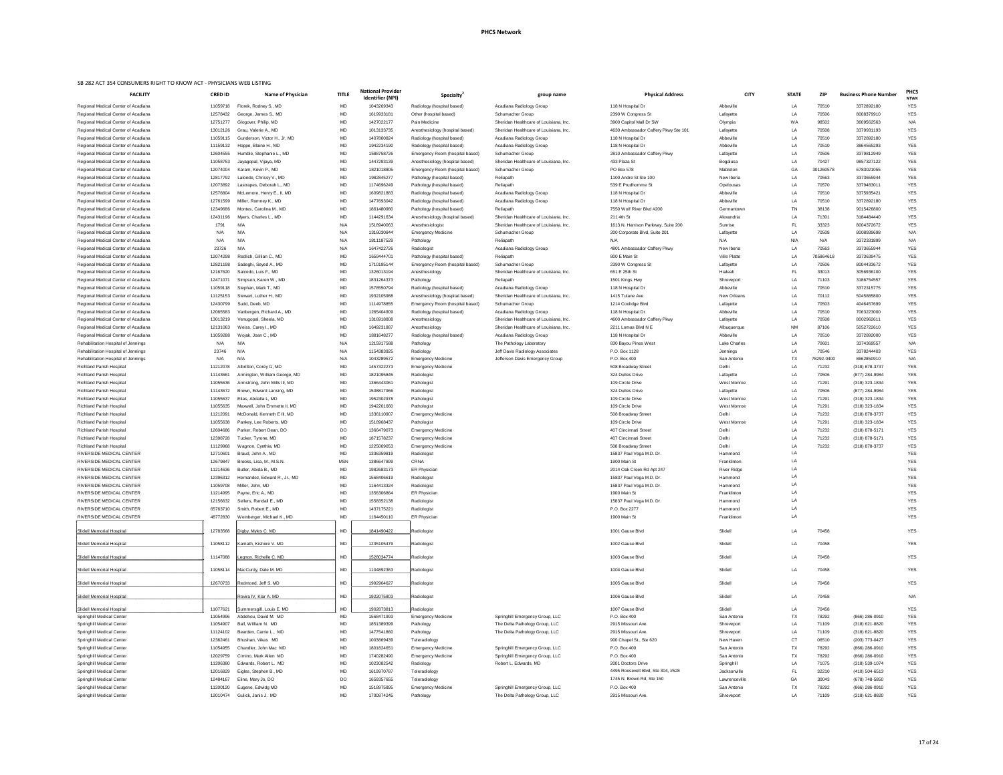| אווונטם שם אי טאואטטורות הודי אי איטאוא טוויווטואו טאווטטאוטט <del>וי</del> כט וטא צטט<br><b>FACILITY</b> | <b>CRED ID</b>       | <b>Name of Physician</b>                                   | <b>TITLE</b>    | <b>National Provider</b><br>Identifier (NPI) | <b>Specialty</b>                                         | group name                                               | <b>Physical Address</b>                        | <b>CITY</b>               | <b>STATE</b> | <b>ZIP</b>     | <b>Business Phone Number</b>     | <b>PHCS</b><br><b>NTWK</b> |
|-----------------------------------------------------------------------------------------------------------|----------------------|------------------------------------------------------------|-----------------|----------------------------------------------|----------------------------------------------------------|----------------------------------------------------------|------------------------------------------------|---------------------------|--------------|----------------|----------------------------------|----------------------------|
| Regional Medical Center of Acadiana                                                                       | 11059718             | Florek, Rodney S., MD                                      | MD              | 1043269343                                   | Radiology (hospital based)                               | Acadiana Radiology Group                                 | 118 N Hospital Dr                              | Abbeville                 | LA           | 70510          | 3372892180                       | <b>YES</b>                 |
| Regional Medical Center of Acadiana                                                                       | 12578432             | George, James S., MD                                       | <b>MD</b>       | 1619933181                                   | Other (hospital based)                                   | Schumacher Group                                         | 2390 W Congress St                             | Lafayette                 | LA           | 70506          | 8008379910                       | <b>YES</b>                 |
| Regional Medical Center of Acadiana                                                                       | 12751277             | Glogover, Philip, MD                                       | MD              | 1427022177                                   | Pain Medicine                                            | Sheridan Healthcare of Louisiana, Inc.                   | 3900 Capitol Mall Dr SW                        | Olympia                   | <b>WA</b>    | 98502          | 3609562563                       | N/A                        |
| Regional Medical Center of Acadiana                                                                       | 13012126             | Grau, Valerie A., MD                                       | MD              | 1013133735                                   | Anesthesiology (hospital based)                          | Sheridan Healthcare of Louisiana, Inc.                   | 4630 Ambassador Caffery Pkwy Ste 101           | Lafayette                 | LA           | 70508          | 3379931193                       | YES                        |
| Regional Medical Center of Acadiana                                                                       | 11059115             | Gunderson, Victor H., Jr, MD                               | MD              | 1407800824                                   | Radiology (hospital based)                               | Acadiana Radiology Group                                 | 118 N Hospital Dr                              | Abbeville                 | LA           | 70510          | 3372892180                       | YES                        |
| Regional Medical Center of Acadiana                                                                       | 11159132             | Hoppe, Blaine H., MD                                       | MD              | 1942234190                                   | Radiology (hospital based)                               | Acadiana Radiology Group                                 | 118 N Hospital Dr                              | Abbeville                 | LA           | 70510          | 3864565293                       | YES                        |
| Regional Medical Center of Acadiana                                                                       | 12604555             | Humble, Stephanie L., MD                                   | MD              | 1588758726                                   | Emergency Room (hospital based)                          | Schumacher Group                                         | 2810 Ambassador Caffery Pkwy                   | Lafayette                 | LA           | 70506          | 3379812949                       | <b>YES</b>                 |
| Regional Medical Center of Acadiana                                                                       | 11058753             | Jayagopal, Vijaya, MD                                      | <b>MD</b>       | 1447293139                                   | Anesthesiology (hospital based)                          | Sheridan Healthcare of Louisiana, Inc.                   | 433 Plaza St                                   | Bogalusa                  | LA           | 70427          | 9857327122                       | <b>YES</b>                 |
| Regional Medical Center of Acadiana                                                                       | 12074004             | Karam, Kevin P., MD                                        | <b>MD</b>       | 1821018805                                   | Emergency Room (hospital based)                          | Schumacher Group                                         | PO Box 578                                     | Mableton                  | GA           | 301260578      | 6783021055                       | YES                        |
| Regional Medical Center of Acadiana                                                                       | 12817792             | Lalonde, Chrissy V., MD                                    | MD              | 1982845277                                   | Pathology (hospital based)                               | Reliapath                                                | 1100 Andre St Ste 100                          | New Iberia                | LA           | 70563          | 3373655944                       | <b>YES</b>                 |
| Regional Medical Center of Acadiana                                                                       | 12073892             | Lastrapes, Deborah L., MD                                  | MD              | 1174696249                                   | Pathology (hospital based)                               | Reliapath                                                | 539 E Prudhomme St                             | Opelousas                 | LA           | 70570          | 3379483011                       | YES                        |
| Regional Medical Center of Acadiana                                                                       | 12576804             | McLemore, Henry E., II, MD                                 | MD              | 1609821883                                   | Radiology (hospital based)                               | Acadiana Radiology Group                                 | 118 N Hospital Dr                              | Abbeville                 | LA           | 70510          | 3375935421                       | <b>YES</b>                 |
| Regional Medical Center of Acadiana<br>Regional Medical Center of Acadiana                                | 12761599<br>12349686 | Miller, Romney K., MD<br>Montes, Carolina M., MD           | MD<br>MD        | 1477693042<br>1861480980                     | Radiology (hospital based)<br>Pathology (hospital based) | Acadiana Radiology Group<br>Reliapath                    | 118 N Hospital Dr<br>7550 Wolf River Blvd #200 | Abbeville<br>Germantown   | LA<br>TN     | 70510<br>38138 | 3372892180<br>9015426800         | <b>YES</b><br><b>YES</b>   |
| Regional Medical Center of Acadiana                                                                       | 12431196             | Myers, Charles L., MD                                      | MD              | 1144291634                                   | Anesthesiology (hospital based)                          | Sheridan Healthcare of Louisiana, Inc.                   | 211 4th St                                     | Alexandria                | LA           | 71301          | 3184484440                       | <b>YES</b>                 |
| Regional Medical Center of Acadiana                                                                       | 1791                 | N/A                                                        | N/A             | 1518940063                                   | Anesthesiologist                                         | Sheridan Healthcare of Louisiana, Inc.                   | 1613 N. Harrison Parkway, Suite 200            | Sunrise                   | FL.          | 33323          | 8004372672                       | <b>YES</b>                 |
| Regional Medical Center of Acadiana                                                                       | N/A                  | N/f                                                        | N/A             | 1316030844                                   | <b>Emergency Medicine</b>                                | Schumacher Group                                         | 200 Corporate Blvd, Suite 201                  | Lafayette                 | LA           | 70508          | 8008939698                       | N/A                        |
| Regional Medical Center of Acadiana                                                                       | N/A                  | N/A                                                        | N/A             | 1811187529                                   | Pathology                                                | Reliapath                                                | N/A                                            | N/A                       | N/A          | N/A            | 3372331899                       | N/A                        |
| Regional Medical Center of Acadiana                                                                       | 23726                | N/A                                                        | N/A             | 1647422726                                   | Radiologist                                              | Acadiana Radiology Group                                 | 4801 Ambassador Caffery Pkwy                   | New Iberia                | LA           | 70563          | 3373655944                       | YES                        |
| Regional Medical Center of Acadiana                                                                       | 12074298             | Redlich, Gillian C., MD                                    | MD              | 1659444701                                   | Pathology (hospital based)                               | Reliapath                                                | 800 E Main St                                  | Ville Platte              | LA           | 705864618      | 3373639475                       | YES                        |
| Regional Medical Center of Acadiana                                                                       | 12821198             | Sadeghi, Seyed A., MD                                      | MD              | 1710195144                                   | Emergency Room (hospital based)                          | Schumacher Group                                         | 2390 W Congress St                             | Lafayette                 | LA           | 70506          | 8004433672                       | YES                        |
| Regional Medical Center of Acadiana                                                                       | 12167620             | Salcedo, Luis F., MD                                       | MD              | 1326013194                                   | Anesthesiology                                           | Sheridan Healthcare of Louisiana, Inc.                   | 651 E 25th St                                  | Hialeah                   | FL           | 33013          | 3056936100                       | <b>YES</b>                 |
| Regional Medical Center of Acadiana                                                                       | 12471071             | Simpson, Karen W., MD                                      | MD              | 1831264373                                   | Pathology                                                | Reliapath                                                | 1501 Kings Hwy                                 | Shreveport                | LA           | 71103          | 3186754557                       | YES                        |
| Regional Medical Center of Acadiana                                                                       | 11059118             | Stephan, Mark T., MD                                       | MD              | 1578550794                                   | Radiology (hospital based)                               | Acadiana Radiology Group                                 | 118 N Hospital Dr                              | Abbeville                 | LA           | 70510          | 3372315775                       | <b>YES</b>                 |
| Regional Medical Center of Acadiana                                                                       | 11125153             | Stewart, Luther H., MD                                     | MD              | 1932105988                                   | Anesthesiology (hospital based)                          | Sheridan Healthcare of Louisiana, Inc.                   | 1415 Tulane Ave                                | New Orleans               | LA           | 70112          | 5045885800                       | <b>YES</b>                 |
| Regional Medical Center of Acadiana                                                                       | 12430799             | Sudd, Deeb, MD                                             | MD              | 1114978855                                   | Emergency Room (hospital based)                          | Schumacher Group                                         | 1214 Coolidge Blvd                             | Lafayette                 | LA           | 70503          | 4046457699                       | <b>YES</b>                 |
| Regional Medical Center of Acadiana                                                                       | 12065583             | Vanbergen, Richard A., MD                                  | <b>MD</b>       | 1265404909                                   | Radiology (hospital based)                               | Acadiana Radiology Group                                 | 118 N Hospital Dr                              | Abbeville                 | LA           | 70510          | 7063223000                       | YES                        |
| Regional Medical Center of Acadiana                                                                       | 13013219             | Venugopal, Sheela, MD                                      | MD              | 1316918808                                   | Anesthesiology                                           | Sheridan Healthcare of Louisiana, Inc.                   | 4600 Ambassador Caffery Pkwy                   | Lafayette                 | LA           | 70508          | 8002962611                       | YES                        |
| Regional Medical Center of Acadiana                                                                       | 12131063             | Weiss, Carey I., MD                                        | MD              | 1649231887                                   | Anesthesiology                                           | Sheridan Healthcare of Louisiana, Inc.                   | 2211 Lomas Blvd N E                            | Albuquerque               | <b>NM</b>    | 87106          | 5052722610                       | <b>YES</b>                 |
| Regional Medical Center of Acadiana                                                                       | 11059288             | Wojak, Joan C., MD                                         | <b>MD</b>       | 1881648277                                   | Radiology (hospital based)                               | Acadiana Radiology Group                                 | 118 N Hospital Dr                              | Abbeville                 | LA           | 70510          | 3372892000                       | YES                        |
| Rehabilitation Hospital of Jennings                                                                       | N/A                  | N/A                                                        | N/A             | 1215917588                                   | Pathology                                                | The Pathology Laboratory                                 | 830 Bayou Pines West                           | <b>Lake Charles</b>       | LA           | 70601          | 3374369557                       | N/A                        |
| Rehabilitation Hospital of Jennings                                                                       | 23746                | N/A                                                        | N/A             | 1154383925                                   | Radiology                                                | Jeff Davis Radiology Associates                          | P.O. Box 1128                                  | Jennings                  | LA           | 70546          | 3378244403                       | <b>YES</b>                 |
| Rehabilitation Hospital of Jennings                                                                       | N/A                  | N/A                                                        | N/A             | 1043289572                                   | <b>Emergency Medicine</b>                                | Jefferson Davis Emergency Group                          | P.O. Box 400                                   | San Antonio               | TX           | 78292-0400     | 8662850910                       | N/A                        |
| <b>Richland Parish Hospital</b>                                                                           | 11212078             | Albritton, Corey G, MD                                     | <b>MD</b>       | 1457322273                                   | <b>Emergency Medicine</b>                                |                                                          | 508 Broadway Street                            | Delhi                     | LA           | 71232          | (318) 878-3737                   | <b>YES</b>                 |
| <b>Richland Parish Hospital</b>                                                                           | 11143661             | Armington, William George, MD                              | MD              | 1821095845                                   | Radiologist                                              |                                                          | 324 Dulles Drive                               | Lafayette                 | LA           | 70506          | (877) 284-9984                   | <b>YES</b>                 |
| <b>Richland Parish Hospital</b><br><b>Richland Parish Hospital</b>                                        | 11055636<br>11143672 | Armstrong, John Mills III, MD<br>Brown, Edward Lansing, MD | MD<br><b>MD</b> | 1366443061<br>1508817966                     | Pathologist<br>Radiologist                               |                                                          | 109 Circle Drive<br>324 Dulles Drive           | West Monroe<br>Lafayette  | LA<br>LA     | 71291<br>70506 | (318) 323-1834<br>(877) 284-9984 | <b>YES</b><br>YES          |
| <b>Richland Parish Hospital</b>                                                                           | 11055637             | Elias, Abdalla L, MD                                       | <b>MD</b>       | 1952302978                                   | Pathologist                                              |                                                          | 109 Circle Drive                               | West Monroe               | LA           | 71291          | (318) 323-1834                   | <b>YES</b>                 |
| <b>Richland Parish Hospital</b>                                                                           | 11055635             | Maxwell, John Emmette II, MD                               | MD              | 1942201660                                   | Pathologist                                              |                                                          | 109 Circle Drive                               | West Monroe               | LA           | 71291          | (318) 323-1834                   | YES                        |
| <b>Richland Parish Hospital</b>                                                                           | 11212091             | McDonald, Kenneth E III, MD                                | <b>MD</b>       | 1336110907                                   | <b>Emergency Medicine</b>                                |                                                          | 508 Broadway Street                            | Delhi                     | LA           | 71232          | (318) 878-3737                   | <b>YES</b>                 |
| <b>Richland Parish Hospital</b>                                                                           | 11055638             | Pankey, Lee Roberts, MD                                    | <b>MD</b>       | 1518968437                                   | Pathologist                                              |                                                          | 109 Circle Drive                               | West Monroe               | LA           | 71291          | (318) 323-1834                   | YES                        |
| <b>Richland Parish Hospital</b>                                                                           | 12604686             | Parker, Robert Dean, DO                                    | DO              | 1366479073                                   | <b>Emergency Medicine</b>                                |                                                          | 407 Cincinnati Street                          | Delhi                     | LA           | 71232          | (318) 878-5171                   | <b>YES</b>                 |
| <b>Richland Parish Hospital</b>                                                                           | 12398728             | Tucker, Tyrone, MD                                         | MD              | 1871578237                                   | <b>Emergency Medicine</b>                                |                                                          | 407 Cincinnati Street                          | Delhi                     | LA           | 71232          | (318) 878-5171                   | YES                        |
| <b>Richland Parish Hospital</b>                                                                           | 11129968             | Wagnon, Cynthia, MD                                        | MD              | 1225009053                                   | <b>Emergency Medicine</b>                                |                                                          | 508 Broadway Street                            | Delhi                     | LA           | 71232          | (318) 878-3737                   | YES                        |
| RIVERSIDE MEDICAL CENTER                                                                                  | 12710601             | Braud, John A., MD                                         | MD              | 1336359819                                   | Radiologist                                              |                                                          | 15837 Paul Vega M.D. Dr.                       | Hammond                   | LA           |                |                                  | YES                        |
| RIVERSIDE MEDICAL CENTER                                                                                  | 12679847             | Brooks, Lisa, M., M.S.N.                                   | <b>MSN</b>      | 1386647899                                   | CRNA                                                     |                                                          | 1900 Main St                                   | Franklinton               | LA           |                |                                  | <b>YES</b>                 |
| RIVERSIDE MEDICAL CENTER                                                                                  | 11214636             | Butler, Abida B., MD                                       | MD              | 1982683173                                   | <b>ER Physician</b>                                      |                                                          | 2014 Oak Creek Rd Apt 247                      | <b>River Ridge</b>        | LA           |                |                                  | <b>YES</b>                 |
| RIVERSIDE MEDICAL CENTER                                                                                  | 12396312             | Hernandez, Edward R., Jr., MD                              | MD              | 1568406619                                   | Radiologist                                              |                                                          | 15837 Paul Vega M.D. Dr.                       | Hammond                   | LA           |                |                                  | <b>YES</b>                 |
| RIVERSIDE MEDICAL CENTER                                                                                  | 11059708             | Miller, John, MD                                           | <b>MD</b>       | 1164413324                                   | Radiologist                                              |                                                          | 15837 Paul Vega M.D. Dr.                       | Hammond                   | LA           |                |                                  | YES                        |
| RIVERSIDE MEDICAL CENTER                                                                                  | 11214995             | Payne, Eric A., MD                                         | MD              | 1356306864                                   | <b>ER Physician</b>                                      |                                                          | 1900 Main St                                   | Franklinton               | LA           |                |                                  | <b>YES</b>                 |
| RIVERSIDE MEDICAL CENTER                                                                                  | 12156632             | Sellers, Randall E., MD                                    | <b>MD</b>       | 1558352138                                   | Radiologist                                              |                                                          | 15837 Paul Vega M.D. Dr.                       | Hammond                   | LA           |                |                                  | <b>YES</b>                 |
| RIVERSIDE MEDICAL CENTER                                                                                  | 65763710             | Smith, Robert E., MD                                       | <b>MD</b>       | 1437175221                                   | Radiologist                                              |                                                          | P.O. Box 2277                                  | Hammond                   | LA           |                |                                  | YES                        |
| RIVERSIDE MEDICAL CENTER                                                                                  | 48772830             | Weinberger, Michael K., MD                                 | MD              | 1164450110                                   | <b>ER Physician</b>                                      |                                                          | 1900 Main St                                   | Franklinton               | LA           |                |                                  | YES                        |
| Slidell Memorial Hospital                                                                                 | 12783568             | Digby, Myles C. MD                                         | MD              | 1841490422                                   | Radiologist                                              |                                                          | 1001 Gause Blvd                                | Slidell                   | LA           | 70458          |                                  | <b>YES</b>                 |
| Slidell Memorial Hospital                                                                                 | 11058112             | Kamath, Kishore V. MD                                      | MD              | 1235105479                                   | Radiologist                                              |                                                          | 1002 Gause Blvd                                | Slidell                   | LA           | 70458          |                                  | YES                        |
| Slidell Memorial Hospital                                                                                 | 11147088             | Legnon, Richelle C. MD                                     | MD              | 1528034774                                   | Radiologist                                              |                                                          | 1003 Gause Blvd                                | Slidell                   | LA           | 70458          |                                  | <b>YES</b>                 |
| Slidell Memorial Hospital                                                                                 | 11058114             | MacCurdy, Dale M. MD                                       | MD              | 1104892363                                   | Radiologist                                              |                                                          | 1004 Gause Blvd                                | Slidell                   | LA           | 70458          |                                  | YES                        |
| Slidell Memorial Hospital                                                                                 | 12670733             | Redmond, Jeff S. MD                                        | MD              | 1992904627                                   | Radiologist                                              |                                                          | 1005 Gause Blvd                                | Slidell                   | ΙA           | 70458          |                                  | <b>YES</b>                 |
| Slidell Memorial Hospital                                                                                 |                      | Rovira IV, Klar A. MD                                      | <b>MD</b>       | 1922075803                                   | Radiologist                                              |                                                          | 1006 Gause Blvd                                | Slidell                   | LA           | 70458          |                                  | N/A                        |
| Slidell Memorial Hospital                                                                                 | 11077621             | Summersgill, Louis E. MD                                   | <b>MD</b>       | 1902873813                                   | Radiologist                                              |                                                          | 1007 Gause Blvd                                | Slidell                   | LA           | 70458          |                                  | YES                        |
| Springhill Medical Center                                                                                 | 11054996             | Abdehou, David M. MD                                       | MD              | 1568471993                                   | <b>Emergency Medicine</b>                                | Springhill Emergency Group, LLC                          | P.O. Box 400                                   | San Antonio               | TX           | 78292          | (866) 286-0910                   | YES                        |
| <b>Springhill Medical Center</b>                                                                          | 11054907             | Ball, William N. MD                                        | MD              | 1851389399                                   | Pathology                                                | The Delta Pathology Group, LLC                           | 2915 Missouri Ave.                             | Shreveport                | LA           | 71109          | (318) 621-8820                   | YES                        |
| Springhill Medical Center                                                                                 | 11124102             | Bearden, Carrie L., MD                                     | MD              | 1477541860                                   | Pathology                                                | The Delta Pathology Group, LLC                           | 2915 Missouri Ave.                             | Shreveport                | LA           | 71109          | (318) 621-8820                   | YES                        |
| Springhill Medical Center                                                                                 | 12362461             | Bhushan, Vikas MD                                          | MD              | 1003869439                                   | Teleradiology                                            |                                                          | 900 Chapel St., Ste 620                        | New Haven                 | CT           | 06510          | (203) 773-0427                   | YES                        |
| Springhill Medical Center                                                                                 | 11054955             | Chandler, John Mac MD                                      | MD              | 1801824651                                   | <b>Emergency Medicine</b>                                | Springhill Emergency Group, LLC                          | P.O. Box 400                                   | San Antonio               | TX           | 78292          | (866) 286-0910                   | <b>YES</b>                 |
| Springhill Medical Center<br><b>Springhill Medical Center</b>                                             | 12029759<br>11206380 | Cimino, Mark Allen MD<br>Edwards, Robert L. MD             | MD<br>MD        | 1740282490<br>1023082542                     | <b>Emergency Medicine</b><br>Radiology                   | Springhill Emergency Group, LLC<br>Robert L. Edwards, MD | P.O. Box 400<br>2001 Doctors Drive             | San Antonio<br>Springhill | TX<br>LA     | 78292<br>71075 | (866) 286-0910<br>(318) 539-1074 | <b>YES</b><br>YES          |
| Springhill Medical Center                                                                                 | 12016829             | Eigles, Stephen B., MD                                     | MD              | 1619970787                                   | Teleradiology                                            |                                                          | 4495 Roosevelt Blvd, Ste 304, #528             | Jacksonville              | FL.          | 32210          | (410) 504-6513                   | YES                        |
| <b>Springhill Medical Center</b>                                                                          | 12484167             | Eline, Mary Jo, DO                                         | DO              | 1659357655                                   | Teleradiology                                            |                                                          | 1745 N. Brown Rd, Ste 150                      | Lawrenceville             | GA           | 30043          | (678) 748-5850                   | YES                        |
| <b>Springhill Medical Center</b>                                                                          | 11200120             | Eugene, Edwidg MD                                          | MD              | 1518975895                                   | <b>Emergency Medicine</b>                                | Springhill Emergency Group, LLC                          | P.O. Box 400                                   | San Antonio               | TX           | 78292          | (866) 286-0910                   | YES                        |
| Springhill Medical Center                                                                                 | 12010474             | Gulick, Janis J. MD                                        | MD              | 1700874245                                   | Pathology                                                | The Delta Pathology Group, LLC                           | 2915 Missouri Ave.                             | Shreveport                | LA           | 71109          | (318) 621-8820                   | YES                        |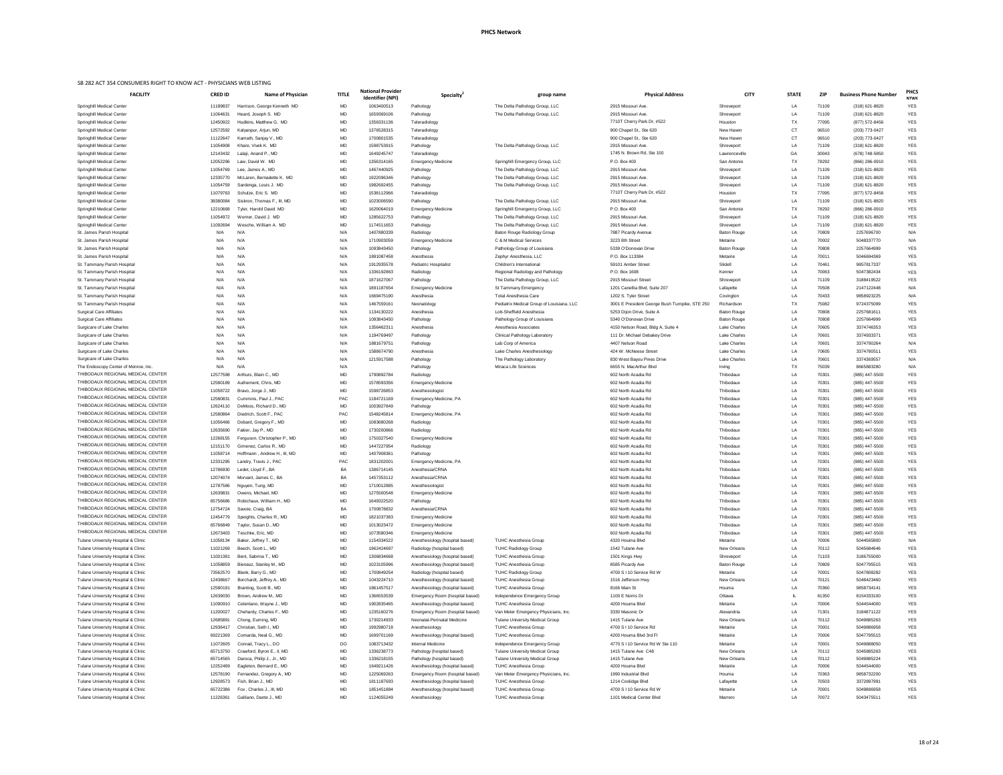| <b>FACILITY</b>                      | <b>CRED ID</b> | <b>Name of Physician</b>     | <b>TITLE</b> | <b>National Provider</b><br><b>Identifier (NPI)</b> | <b>Specialty</b>                | group name                                | <b>Physical Address</b>                                                     | <b>CITY</b>         | <b>STATE</b> | <b>ZIP</b> | <b>Business Phone Number</b> | <b>PHCS</b><br><b>NTWK</b> |
|--------------------------------------|----------------|------------------------------|--------------|-----------------------------------------------------|---------------------------------|-------------------------------------------|-----------------------------------------------------------------------------|---------------------|--------------|------------|------------------------------|----------------------------|
| <b>Springhill Medical Center</b>     | 11189837       | Harrison, George Kenneth MD  | MD           | 1063400513                                          | Pathology                       | The Delta Pathology Group, LLC            | 2915 Missouri Ave.                                                          | Shreveport          | LA           | 71109      | (318) 621-8820               | <b>YES</b>                 |
| Springhill Medical Center            | 11064631       | Heard, Joseph S. MD          | MD           | 1659369106                                          | Pathology                       | The Delta Pathology Group, LLC            | 2915 Missouri Ave.                                                          | Shreveport          | LA           | 71109      | (318) 621-8820               | <b>YES</b>                 |
| Springhill Medical Center            | 12450922       | Hudkins, Matthew G. MD       | MD           | 1356331136                                          | Teleradiology                   |                                           | 7710T Cherry Park Dr, #522                                                  | Houston             | TX           | 77095      | (877) 572-8456               | <b>YES</b>                 |
| <b>Springhill Medical Center</b>     | 12572592       | Kalyanpur, Arjun, MD         | MD           | 1376528315                                          | Teleradiology                   |                                           | 900 Chapel St., Ste 620                                                     | New Haven           | <b>CT</b>    | 06510      | (203) 773-0427               | <b>YES</b>                 |
| Springhill Medical Center            | 11122647       | Kamath, Sanjay V., MD        | MD           | 1700801535                                          | Teleradiology                   |                                           | 900 Chapel St., Ste 620                                                     | New Haven           | <b>CT</b>    | 06510      | (203) 773-0427               | <b>YES</b>                 |
| <b>Springhill Medical Center</b>     | 11054908       | Khare, Vivek K. MD           | MD           | 1598753915                                          | Pathology                       | The Delta Pathology Group, LLC            | 2915 Missouri Ave.                                                          | Shreveport          | LA           | 71109      | (318) 621-8820               | <b>YES</b>                 |
| <b>Springhill Medical Center</b>     | 12143432       | Lalaji, Anand P., MD         | MD           | 1649245747                                          | Teleradiology                   |                                           | 1745 N. Brown Rd, Ste 150                                                   | Lawrenceville       | GA           | 30043      | (678) 748-5850               | <b>YES</b>                 |
| Springhill Medical Center            | 12052296       | Law, David W. MD             | MD           | 1356314165                                          | <b>Emergency Medicine</b>       | Springhill Emergency Group, LLC           | P.O. Box 400                                                                | San Antonio         | TX           | 78292      | (866) 286-0910               | <b>YES</b>                 |
| Springhill Medical Center            | 11054769       | Lee, James A., MD            | MD           | 1467440925                                          | Pathology                       | The Delta Pathology Group, LLC            | 2915 Missouri Ave.                                                          | Shreveport          | LA           | 71109      | (318) 621-8820               | <b>YES</b>                 |
| Springhill Medical Center            | 12335770       | McLaren, Bernadette K. MD    | MD           | 1922096346                                          | Pathology                       | The Delta Pathology Group, LLC            | 2915 Missouri Ave.                                                          | Shreveport          | LA           | 71109      | (318) 621-8820               | <b>YES</b>                 |
| <b>Springhill Medical Center</b>     | 11054759       | Sardenga, Louis J. MD        | MD           | 1982692455                                          | Pathology                       | The Delta Pathology Group, LLC            | 2915 Missouri Ave.                                                          | Shreveport          | LA           | 71109      | (318) 621-8820               | <b>YES</b>                 |
| Springhill Medical Center            | 11079763       | Schulze, Eric S. MD          | MD           | 1538112966                                          | Teleradiology                   |                                           | 7710T Cherry Park Dr, #522                                                  | Houston             | <b>TX</b>    | 77095      | (877) 572-8456               | <b>YES</b>                 |
| <b>Springhill Medical Center</b>     | 38380084       | Siskron, Thomas F., III, MD  | MD           | 1023006590                                          | Pathology                       | The Delta Pathology Group, LLC            | 2915 Missouri Ave.                                                          | Shreveport          | LA           | 71109      | (318) 621-8820               | <b>YES</b>                 |
| Springhill Medical Center            | 12210668       | Tyler, Harold David MD       | MD           | 1629064019                                          | <b>Emergency Medicine</b>       | Springhill Emergency Group, LLC           | P.O. Box 400                                                                | San Antonio         | TX           | 78292      | (866) 286-0910               | <b>YES</b>                 |
| Springhill Medical Center            | 11054972       | Werner, David J. MD          | MD           | 1285622753                                          | Pathology                       | The Delta Pathology Group, LLC            | 2915 Missouri Ave.                                                          | Shreveport          | <b>LA</b>    | 71109      | (318) 621-8820               | <b>YES</b>                 |
| <b>Springhill Medical Center</b>     | 11092694       | Wesche, William A. MD        | MD           | 1174511653                                          | Pathology                       | The Delta Pathology Group, LLC            | 2915 Missouri Ave.                                                          | Shreveport          | LA           | 71109      | (318) 621-8820               | <b>YES</b>                 |
| St. James Parish Hospita             | N/A            | N/A                          | N/A          | 1407880339                                          | Radiology                       | Baton Rouge Radiology Group               | 7887 Picardy Avenue                                                         | <b>Baton Rouge</b>  | LA           | 70809      | 2257696700                   | N/A                        |
| St. James Parish Hospital            | N/A            | N/A                          | N/A          | 1710903059                                          | <b>Emergency Medicine</b>       | C & M Medical Services                    | 3223 8th Street                                                             | Metairie            | <b>LA</b>    | 70002      | 5048337770                   | N/A                        |
| St. James Parish Hospital            | N/A            | N/A                          | N/A          | 1093843450                                          | Pathology                       | Pathology Group of Louisiana              | 5339 O'Donovan Drive                                                        | <b>Baton Rouge</b>  | LA           | 70808      | 2257664999                   | <b>YES</b>                 |
| St. James Parish Hospital            | N/A            | N/A                          | N/A          | 1891087458                                          | Anesthesia                      | Zephyr Anesthesia, LLC                    | P.O. Box 113384                                                             | Metairie            | LA           | 70011      | 5046694369                   | <b>YES</b>                 |
| St. Tammany Parish Hospital          | N/A            | N/A                          | N/A          | 1912935578                                          | <b>Pediatric Hospitalist</b>    | Children's International                  | 59101 Amber Street                                                          | Slidell             | LA           | 70461      | 9857817337                   | <b>YES</b>                 |
| St. Tammany Parish Hospital          | N/A            | N/A                          | N/A          | 1336192863                                          | Radiology                       | Regional Radiology and Pathology          | P.O. Box 1608                                                               | Kenner              | LA           | 70063      | 5047382434                   | <b>YES</b>                 |
| St. Tammany Parish Hospital          | N/A            | N/A                          | N/A          | 1871627067                                          | Pathology                       | The Delta Pathology Group, LLC            | 2915 Missouri Street                                                        | Shreveport          | LA           | 71109      | 3188419522                   | <b>YES</b>                 |
| St. Tammany Parish Hospital          | N/A            | N/A                          | N/A          | 1891187654                                          | <b>Emergency Medicine</b>       | St Tammany Emergency                      | 1201 Canellia Blvd, Suite 207                                               | Lafayette           | LA           | 70508      | 2147122448                   | N/A                        |
| St. Tammany Parish Hospital          | N/A            | N/A                          | N/A          | 1669475190                                          | Anesthesia                      | <b>Total Anesthesia Care</b>              | 1202 S. Tyler Street                                                        | Covington           | LA           | 70433      | 9858923225                   | N/A                        |
|                                      | N/A            | N/A                          |              | 1467559161                                          |                                 | Pediatrix Medical Group of Louisiana, LLC |                                                                             | Richardson          | TX           | 75082      | 9724375099                   | <b>YES</b>                 |
| St. Tammany Parish Hospital          |                | N/A                          | N/A<br>N/A   | 1134130222                                          | Neonatology<br>Anesthesia       | Lott-Sheffield Anesthesia                 | 3001 E President George Bush Turnpike, STE 250<br>5253 Dijon Drive, Suite A | <b>Baton Rouge</b>  | LA           | 70808      | 2257681611                   | <b>YES</b>                 |
| <b>Surgical Care Affiliates</b>      | N/A            |                              |              |                                                     |                                 |                                           |                                                                             |                     |              |            |                              |                            |
| <b>Surgical Care Affiliates</b>      | N/A            | N/A                          | N/A          | 1093843450                                          | Pathology                       | Pathology Group of Louisiana              | 5340 O'Donovan Drive                                                        | <b>Baton Rouge</b>  | LA           | 70808      | 2257664999                   | <b>YES</b>                 |
| Surgicare of Lake Charles            | N/A            | N/A                          | N/A          | 1356462311                                          | Anesthesia                      | Anesthesia Associates                     | 4150 Nelson Road, Bldg A, Suite 4                                           | <b>Lake Charles</b> | LA           | 70605      | 3374746353                   | <b>YES</b>                 |
| Surgicare of Lake Charles            | N/A            | N/A                          | N/A          | 1194769497                                          | Pathology                       | <b>Clinical Pathology Laboratory</b>      | 111 Dr. Michael Debakey Drive                                               | <b>Lake Charles</b> | LA           | 70601      | 3374933371                   | <b>YES</b>                 |
| Surgicare of Lake Charles            | N/A            | N/A                          | N/A          | 1881679751                                          | Pathology                       | Lab Corp of America                       | 4407 Nelson Road                                                            | <b>Lake Charles</b> | LA           | 70601      | 3374790264                   | N/A                        |
| Surgicare of Lake Charles            | N/A            | N/A                          | N/A          | 1588674790                                          | Anesthesia                      | Lake Charles Anesthesiology               | 424 W. McNeese Street                                                       | <b>Lake Charles</b> | LA           | 70605      | 3374780511                   | <b>YES</b>                 |
| Surgicare of Lake Charles            | N/A            | N/A                          | N/A          | 1215917588                                          | Pathology                       | The Pathology Laboratory                  | 830 West Bayou Pines Drive                                                  | <b>Lake Charles</b> | LA           | 70601      | 3374369557                   | N/A                        |
| The Endoscopy Center of Monroe, Inc. | N/A            | N/A                          | N/A          |                                                     | Pathology                       | Miraca Life Sciences                      | 6655 N. MacArthur Blvd                                                      | Irving              | TX           | 75039      | 8665883280                   | N/A                        |
| THIBODAUX REGIONAL MEDICAL CENTER    | 12577598       | Arthurs, Blain C., MD        | MD           | 1790892784                                          | Radiology                       |                                           | 602 North Acadia Rd                                                         | Thibodaux           | LA           | 70301      | (985) 447-5500               | <b>YES</b>                 |
| THIBODAUX REGIONAL MEDICAL CENTER    | 12580189       | Authement, Chris, MD         | MD           | 1578593356                                          | <b>Emergency Medicine</b>       |                                           | 602 North Acadia Rd                                                         | Thibodaux           | LA           | 70301      | (985) 447-5500               | <b>YES</b>                 |
| THIBODAUX REGIONAL MEDICAL CENTER    | 11058722       | Bravo, Jorge J., MD          | MD           | 1598726853                                          | Anesthesiologist                |                                           | 602 North Acadia Rd                                                         | Thibodaux           | <b>LA</b>    | 70301      | (985) 447-5500               | <b>YES</b>                 |
| THIBODAUX REGIONAL MEDICAL CENTER    | 12580831       | Cummins, Paul J., PAC        | PAC          | 1184721169                                          | Emergency Medicine, PA          |                                           | 602 North Acadia Rd                                                         | Thibodaux           | LA           | 70301      | (985) 447-5500               | <b>YES</b>                 |
| THIBODAUX REGIONAL MEDICAL CENTER    | 12624110       | DeMoss, Richard D., MD       | MD           | 1003927849                                          | Pathology                       |                                           | 602 North Acadia Rd                                                         | Thibodaux           | LA           | 70301      | (985) 447-5500               | <b>YES</b>                 |
| THIBODAUX REGIONAL MEDICAL CENTER    | 12580864       | Diedrich, Scott F., PAC      | PAC          | 1548245814                                          | Emergency Medicine, PA          |                                           | 602 North Acadia Rd                                                         | Thibodaux           | LA           | 70301      | (985) 447-5500               | YES                        |
| THIBODAUX REGIONAL MEDICAL CENTER    | 11056466       | Dobard, Gregory F., MD       | MD           | 1083680268                                          | Radiology                       |                                           | 602 North Acadia Rd                                                         | Thibodaux           | <b>LA</b>    | 70301      | (985) 447-5500               | <b>YES</b>                 |
| THIBODAUX REGIONAL MEDICAL CENTER    | 12635690       | Fakier, Jay P., MD           | MD           | 1730200866                                          | Radiology                       |                                           | 602 North Acadia Rd                                                         | Thibodaux           | LA           | 70301      | (985) 447-5500               | <b>YES</b>                 |
| THIBODAUX REGIONAL MEDICAL CENTER    | 12268155       | Ferguson, Christopher P., MD | MD           | 1750327540                                          | <b>Emergency Medicine</b>       |                                           | 602 North Acadia Rd                                                         | Thibodaux           | <b>LA</b>    | 70301      | (985) 447-5500               | <b>YES</b>                 |
| THIBODAUX REGIONAL MEDICAL CENTER    | 12151170       | Gimenez, Carlos R., MD       | MD           | 1447227954                                          | Radiology                       |                                           | 602 North Acadia Rd                                                         | Thibodaux           | LA           | 70301      | (985) 447-5500               | <b>YES</b>                 |
| THIBODAUX REGIONAL MEDICAL CENTER    | 11058714       | Hoffmann, Andrew H., III, MD | MD           | 1407908361                                          | Pathology                       |                                           | 602 North Acadia Rd                                                         | Thibodaux           | LA           | 70301      | (985) 447-5500               | <b>YES</b>                 |
| THIBODAUX REGIONAL MEDICAL CENTER    | 12331295       | Landry, Travis J., PAC       | PAC          | 1831202001                                          | Emergency Medicine, PA          |                                           | 602 North Acadia Rd                                                         | Thibodaux           | LA           | 70301      | (985) 447-5500               | <b>YES</b>                 |
| THIBODAUX REGIONAL MEDICAL CENTER    | 12786930       | Ledet, Lloyd F., BA          | BA           | 1386714145                                          | Anesthesia/CRNA                 |                                           | 602 North Acadia Rd                                                         | Thibodaux           | LA           | 70301      | (985) 447-5500               | <b>YES</b>                 |
| THIBODAUX REGIONAL MEDICAL CENTER    | 12074074       | Morvant, James C., BA        | BA           | 1457353112                                          | Anesthesia/CRNA                 |                                           | 602 North Acadia Rd                                                         | Thibodaux           | <b>LA</b>    | 70301      | (985) 447-5500               | <b>YES</b>                 |
| THIBODAUX REGIONAL MEDICAL CENTER    | 12787586       | Nguyen, Tung, MD             | MD           | 1710012885                                          | Anesthesiologist                |                                           | 602 North Acadia Rd                                                         | Thibodaux           | LA           | 70301      | (985) 447-5500               | <b>YES</b>                 |
| THIBODAUX REGIONAL MEDICAL CENTER    | 12639831       | Owens, Michael, MD           | MD           | 1275500548                                          | <b>Emergency Medicine</b>       |                                           | 602 North Acadia Rd                                                         | Thibodaux           | LA           | 70301      | (985) 447-5500               | <b>YES</b>                 |
| THIBODAUX REGIONAL MEDICAL CENTER    | 65756686       | Robichaux, William H., MD    | MD           | 1649322520                                          | Pathology                       |                                           | 602 North Acadia Rd                                                         | Thibodaux           | LA           | 70301      | (985) 447-5500               | YES                        |
| THIBODAUX REGIONAL MEDICAL CENTER    | 12754724       | Savoie, Craig, BA            | BA           | 1700878832                                          | Anesthesia/CRNA                 |                                           | 602 North Acadia Rd                                                         | Thibodaux           | LA           | 70301      | (985) 447-5500               | <b>YES</b>                 |
| THIBODAUX REGIONAL MEDICAL CENTER    | 12454779       | Speights, Charles R., MD     | MD           | 1821037383                                          | <b>Emergency Medicine</b>       |                                           | 602 North Acadia Rd                                                         | Thibodaux           | LA           | 70301      | (985) 447-5500               | <b>YES</b>                 |
| THIBODAUX REGIONAL MEDICAL CENTER    | 65766849       | Taylor, Susan D., MD         | MD           | 1013023472                                          | <b>Emergency Medicine</b>       |                                           | 602 North Acadia Rd                                                         | Thibodaux           | <b>LA</b>    | 70301      | (985) 447-5500               | <b>YES</b>                 |
| THIBODAUX REGIONAL MEDICAL CENTER    | 12673403       | Teschke, Eric, MD            | MD           | 1073580346                                          | <b>Emergency Medicine</b>       |                                           | 602 North Acadia Rd                                                         | Thibodaux           | <b>LA</b>    | 70301      | (985) 447-5500               | <b>YES</b>                 |
| Tulane University Hospital & Clinic  | 11058134       | Baker, Jeffrey T., MD        | MD           | 1154334522                                          | Anesthesiology (hospital based) | <b>TUHC Anesthesia Group</b>              | 4320 Houma Blvd                                                             | Metairie            | <b>LA</b>    | 70006      | 5044565800                   | N/A                        |
| Tulane University Hospital & Clinic  | 11021269       | Beech, Scott L., MD          | MD           | 1962424697                                          | Radiology (hospital based)      | <b>TUHC Radiology Group</b>               | 1542 Tulane Ave                                                             | New Orleans         | LA           | 70112      | 5045684646                   | <b>YES</b>                 |
| Tulane University Hospital & Clinic  | 11001381       | Bent, Sabrina T., MD         | MD           | 1306834668                                          | Anesthesiology (hospital based) | <b>TUHC Anesthesia Group</b>              | 1501 Kings Hwy                                                              | Shreveport          | LA           | 71103      | 3186755000                   | <b>YES</b>                 |
| Tulane University Hospital & Clinic  | 11058859       | Bienasz, Stanley M., MD      | MD           | 1023105996                                          | Anesthesiology (hospital based) | <b>TUHC Anesthesia Group</b>              | 8585 Picardy Ave                                                            | <b>Baton Rouge</b>  | <b>LA</b>    | 70809      | 5047795515                   | <b>YES</b>                 |
| Tulane University Hospital & Clinic  | 73562570       | Blank, Barry G., MD          | MD           | 1700849254                                          | Radiology (hospital based)      | <b>TUHC Radiology Group</b>               | 4700 S I 10 Service Rd W                                                    | Metairie            | LA           | 70001      | 5047808282                   | <b>YES</b>                 |
| Tulane University Hospital & Clinic  | 12438667       | Borchardt, Jeffrey A., MD    | MD           | 1043224710                                          | Anesthesiology (hospital based) | <b>TUHC Anesthesia Group</b>              | 1516 Jefferson Hwy                                                          | <b>New Orleans</b>  | LA           | 70121      | 5048423460                   | <b>YES</b>                 |
| Tulane University Hospital & Clinic  | 12580191       | Branting, Scott B., MD       | MD           | 1861457517                                          | Anesthesiology (hospital based) | TUHC Anesthesia Group                     | 8166 Main St                                                                | Houma               |              | 70360      | 9858734141                   | <b>YES</b>                 |
| Tulane University Hospital & Clinic  | 12639030       | Brown, Andrew M., MD         | MD           | 1366553539                                          | Emergency Room (hospital based) | Independence Emergency Group              | 1100 E Norris Dr                                                            | Ottawa              |              | 61350      | 8154333100                   | YES                        |
| Tulane University Hospital & Clinic  | 11090910       | Celentano, Wayne J., MD      | MD           | 1902835465                                          | Anesthesiology (hospital based) | <b>TUHC Anesthesia Group</b>              | 4200 Houma Blvd                                                             | Metairie            | LA           | 70006      | 5044544000                   | <b>YES</b>                 |
| Tulane University Hospital & Clinic  | 11200027       | Chehardy, Charles F., MD     | MD           | 1235160276                                          | Emergency Room (hospital based) | Van Meter Emergency Physicians, Inc.      | 3330 Masonic Dr                                                             | Alexandria          | LA           | 71301      | 3184871122                   | <b>YES</b>                 |
| Tulane University Hospital & Clinic  | 12685891       | Chong, Euming, MD            | MD           | 1730214933                                          | Neonatal-Perinatal Medicine     | <b>Tulane University Medical Group</b>    | 1415 Tulane Ave                                                             | New Orleans         | LA           | 70112      | 5049885263                   | YES                        |
|                                      |                |                              |              |                                                     |                                 | <b>TUHC Anesthesia Group</b>              |                                                                             |                     |              |            | 5049886958                   |                            |
| Tulane University Hospital & Clinic  | 12936417       | Christian, Seth I., MD       | MD           | 1992980718                                          | Anesthesiology                  |                                           | 4700 S I 10 Service Rd                                                      | Metairie            | LA           | 70001      |                              | <b>YES</b>                 |
| Tulane University Hospital & Clinic  | 69221369       | Comarda, Neal G., MD         | MD           | 1699701169                                          | Anesthesiology (hospital based) | <b>TUHC Anesthesia Group</b>              | 4200 Houma Blvd 3rd Fl                                                      | Metairie            | LA           | 70006      | 5047795515                   | <b>YES</b>                 |
| Tulane University Hospital & Clinic  | 11072605       | Conrad, Tracy L., DO         | DO           | 1083713432                                          | Internal Medicine               | Independence Emergency Group              | 4770 S I 10 Service Rd W Ste 110                                            | Metairie            | LA           | 70001      | 5049888050                   | <b>YES</b>                 |
| Tulane University Hospital & Clinic  | 65713750       | Crawford, Byron E., II, MD   | MD           | 1336238773                                          | Pathology (hospital based)      | <b>Tulane University Medical Group</b>    | 1415 Tulane Ave C48                                                         | New Orleans         | LA           | 70112      | 5045885263                   | <b>YES</b>                 |
| Tulane University Hospital & Clinic  | 65714565       | Daroca, Philip J., Jr., MD   | MD           | 1336218155                                          | Pathology (hospital based)      | <b>Tulane University Medical Group</b>    | 1415 Tulane Ave                                                             | New Orleans         | LA           | 70112      | 5049885224                   | <b>YES</b>                 |
| Tulane University Hospital & Clinic  | 12252489       | Eagleton, Bernard E., MD     | MD           | 1649211426                                          | Anesthesiology (hospital based) | <b>TUHC Anesthesia Group</b>              | 4200 Houma Blvd                                                             | Metairie            | LA           | 70006      | 5044544000                   | <b>YES</b>                 |
| Tulane University Hospital & Clinic  | 12578190       | Fernandez, Gregory A., MD    | MD           | 1225069263                                          | Emergency Room (hospital based) | Van Meter Emergency Physicians, Inc.      | 1990 Industrial Blvd                                                        | Houma               | LA           | 70363      | 9858732200                   | <b>YES</b>                 |
| Tulane University Hospital & Clinic  | 12928573       | Fish, Brian J., MD           | MD           | 1811187693                                          | Anesthesiology (hospital based) | <b>TUHC Anesthesia Group</b>              | 1214 Coolidge Blvd                                                          | Lafayette           | LA           | 70503      | 3372897991                   | <b>YES</b>                 |
| Tulane University Hospital & Clinic  | 65722386       | Fox, Charles J., III, MD     | MD           | 1851451884                                          | Anesthesiology (hospital based) | <b>TUHC Anesthesia Group</b>              | 4700 S I 10 Service Rd W                                                    | Metairie            | L            | 70001      | 5049886958                   | <b>YES</b>                 |
| Tulane University Hospital & Clinic  | 11226361       | Galliano, Dante J., MD       | MD           | 1124055249                                          | Anesthesiology                  | <b>TUHC Anesthesia Group</b>              | 1101 Medical Center Blvd                                                    | Marrero             | LA           | 70072      | 5043475511                   | <b>YES</b>                 |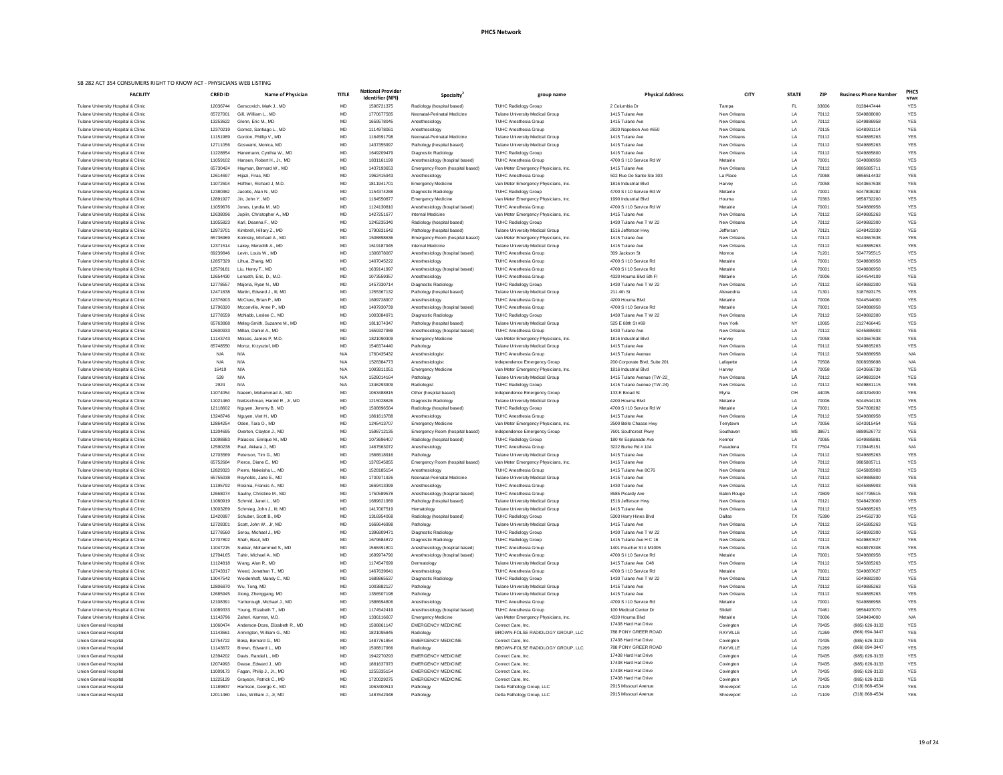| <b>FACILITY</b>                                                                       | <b>CRED ID</b>       | Name of Physician                                    | <b>TITLE</b>           | <b>National Provider</b><br>Identifier (NPI) | Specialty <sup>4</sup>                                 | group name                                                                     | <b>Physical Address</b>                          | <b>CITY</b>                | <b>STATE</b>    | ZIP            | <b>Business Phone Number</b>     | <b>PHCS</b><br><b>NTWK</b> |
|---------------------------------------------------------------------------------------|----------------------|------------------------------------------------------|------------------------|----------------------------------------------|--------------------------------------------------------|--------------------------------------------------------------------------------|--------------------------------------------------|----------------------------|-----------------|----------------|----------------------------------|----------------------------|
| Tulane University Hospital & Clinic                                                   | 12036744             | Gerscovich, Mark J., MD                              | MD                     | 1598721375                                   | Radiology (hospital based)                             | <b>TUHC Radiology Group</b>                                                    | 2 Columbia Dr                                    | Tampa                      | <b>FL</b>       | 33606          | 8138447444                       | <b>YES</b>                 |
| Tulane University Hospital & Clinic                                                   | 65727001             | Gill, William L., MD                                 | <b>MD</b>              | 1770677585                                   | Neonatal-Perinatal Medicine                            | Tulane University Medical Group                                                | 1415 Tulane Ave                                  | New Orleans                | LA              | 70112          | 5049888000                       | <b>YES</b>                 |
| Tulane University Hospital & Clinic                                                   | 13253622             | Glenn, Eric M., MD                                   | <b>MD</b>              | 1659578045                                   | Anesthesiology                                         | <b>TUHC Anesthesia Group</b>                                                   | 1415 Tulane Ave                                  | New Orleans                | LA              | 70112          | 5049886958                       | <b>YES</b>                 |
| Tulane University Hospital & Clinic                                                   | 12370219             | Gomez, Santiago L., MD                               | <b>MD</b>              | 1114978061                                   | Anesthesiology                                         | <b>TUHC Anesthesia Group</b>                                                   | 2820 Napoleon Ave #650                           | New Orleans                | LA              | 70115          | 5048991114                       | <b>YES</b>                 |
| Tulane University Hospital & Clinic                                                   | 11151989             | Gordon, Phillip V., MD                               | <b>MD</b>              | 1164591798                                   | Neonatal-Perinatal Medicine                            | <b>Tulane University Medical Group</b>                                         | 1415 Tulane Ave                                  | New Orleans                | LA              | 70112          | 5049885263                       | <b>YES</b>                 |
| Tulane University Hospital & Clinic                                                   | 12711056             | Goswami, Monica, MD                                  | <b>MD</b>              | 1437355997                                   | Pathology (hospital based)                             | <b>Tulane University Medical Group</b>                                         | 1415 Tulane Ave                                  | New Orleans                | LA              | 70112          | 5049885263                       | <b>YES</b>                 |
| Tulane University Hospital & Clinic                                                   | 11228854             | Hanemann, Cynthia W., MD                             | <b>MD</b>              | 1649209479                                   | Diagnostic Radiology                                   | <b>TUHC Radiology Group</b>                                                    | 1415 Tulane Ave                                  | New Orleans                | LA              | 70112          | 5049885800                       | <b>YES</b>                 |
| Tulane University Hospital & Clinic                                                   | 11059102             | Hansen, Robert H., Jr., MD                           | <b>MD</b>              | 1831161199                                   | Anesthesiology (hospital based)                        | <b>TUHC Anesthesia Group</b>                                                   | 4700 S I 10 Service Rd W                         | Metairie                   | $\perp$         | 70001          | 5049886958                       | <b>YES</b>                 |
| Tulane University Hospital & Clinic                                                   | 65730424             | Hayman, Bernard W., MD                               | <b>MD</b>              | 1437193653                                   | Emergency Room (hospital based)                        | Van Meter Emergency Physicians, Inc.                                           | 1415 Tulane Ave                                  | New Orleans                | LA              | 70112          | 9885885711                       | <b>YES</b>                 |
| Tulane University Hospital & Clinic                                                   | 12614697             | Hijazi, Firas, MD                                    | <b>MD</b>              | 1962415943                                   | Anesthesiology                                         | <b>TUHC Anesthesia Group</b>                                                   | 502 Rue De Sante Ste 303<br>1816 Industrial Blvd | La Place                   | L<br>LA         | 70068          | 9856514432<br>5043667638         | <b>YES</b><br><b>YES</b>   |
| Tulane University Hospital & Clinic<br>Tulane University Hospital & Clinic            | 11072604<br>12380362 | Hoffner, Richard J, M.D.<br>Jacobs, Alan N., MD      | <b>MD</b><br>MD        | 1811941701<br>1154374288                     | <b>Emergency Medicine</b><br>Diagnostic Radiology      | Van Meter Emergency Physicians, Inc.<br><b>TUHC Radiology Group</b>            | 4700 S I 10 Service Rd W                         | Harvey<br>Metairie         | LA              | 70058<br>70001 | 5047808282                       | <b>YES</b>                 |
| Tulane University Hospital & Clinic                                                   | 12891927             | Jin, John Y., MD                                     | MD                     | 1164550877                                   | <b>Emergency Medicine</b>                              | Van Meter Emergency Physicians, Inc.                                           | 1990 Industrial Blvd                             | Houma                      | LA              | 70363          | 9858732200                       | <b>YES</b>                 |
| Tulane University Hospital & Clinic                                                   | 11059676             | Jones, Lyndia M., MD                                 | <b>MD</b>              | 1124130810                                   | Anesthesiology (hospital based)                        | <b>TUHC Anesthesia Group</b>                                                   | 4700 S I 10 Service Rd W                         | Metairie                   | LA              | 70001          | 5049886958                       | <b>YES</b>                 |
| Tulane University Hospital & Clinic                                                   | 12638096             | Joplin, Christopher A., MD                           | <b>MD</b>              | 1427251677                                   | Internal Medicine                                      | Van Meter Emergency Physicians, Inc.                                           | 1415 Tulane Ave                                  | New Orleans                | LA              | 70112          | 5049885263                       | <b>YES</b>                 |
| Tulane University Hospital & Clinic                                                   | 11055823             | Karl, Deanna F., MD                                  | MD                     | 1245235340                                   | Radiology (hospital based)                             | <b>TUHC Radiology Group</b>                                                    | 1430 Tulane Ave T W 22                           | New Orleans                | <b>LA</b>       | 70112          | 5049882300                       | <b>YES</b>                 |
| Tulane University Hospital & Clinic                                                   | 12973701             | Kimbrell, Hillary Z., MD                             | <b>MD</b>              | 1790831642                                   | Pathology (hospital based)                             | <b>Tulane University Medical Group</b>                                         | 1516 Jefferson Hwy                               | Jefferson                  | LA              | 70121          | 5048423330                       | <b>YES</b>                 |
| Tulane University Hospital & Clinic                                                   | 65736969             | Kolinsky, Michael A., MD                             | <b>MD</b>              | 1508898636                                   | Emergency Room (hospital based)                        | Van Meter Emergency Physicians, Inc.                                           | 1415 Tulane Ave                                  | New Orleans                | LA              | 70112          | 5043667638                       | <b>YES</b>                 |
| Tulane University Hospital & Clinic                                                   | 12371514             | Lakey, Meredith A., MD                               | MD                     | 1619187945                                   | Internal Medicine                                      | <b>Tulane University Medical Group</b>                                         | 1415 Tulane Ave                                  | New Orleans                | <b>LA</b>       | 70112          | 5049885263                       | <b>YES</b>                 |
| Tulane University Hospital & Clinic                                                   | 69239846             | Levin, Louis W., MD                                  | MD                     | 1306878087                                   | Anesthesiology (hospital based)                        | <b>TUHC Anesthesia Group</b>                                                   | 309 Jackson St                                   | Monroe                     | $\perp$         | 71201          | 5047795515                       | <b>YES</b>                 |
| Tulane University Hospital & Clinic                                                   | 12857329             | Lihua, Zhang, MD                                     | <b>MD</b>              | 1407045222                                   | Anesthesiology                                         | <b>TUHC Anesthesia Group</b>                                                   | 4700 S I 10 Service Rd                           | Metairie                   | LA              | 70001          | 5049886958                       | <b>YES</b>                 |
| Tulane University Hospital & Clinic                                                   | 12579181             | Liu, Henry T., MD                                    | <b>MD</b>              | 1639141997                                   | Anesthesiology (hospital based)                        | <b>TUHC Anesthesia Group</b>                                                   | 4700 S I 10 Service Rd                           | Metairie                   | <b>LA</b>       | 70001          | 5049886958                       | <b>YES</b>                 |
| Tulane University Hospital & Clinic                                                   | 12654430             | Lonseth, Eric, D., M.D.                              | <b>MD</b>              | 1073559357                                   | Anesthesiology                                         | <b>TUHC Anesthesia Group</b>                                                   | 4320 Houma Blvd 5th Fl                           | Metairie                   | LA              | 70006          | 5044544109                       | <b>YES</b>                 |
| Tulane University Hospital & Clinic                                                   | 12778557             | Majoria, Ryan N., MD                                 | <b>MD</b>              | 1457330714                                   | Diagnostic Radiology                                   | <b>TUHC Radiology Group</b>                                                    | 1430 Tulane Ave T W 22                           | New Orleans                | LA              | 70112          | 5049882300                       | <b>YES</b>                 |
| Tulane University Hospital & Clinic                                                   | 12471838             | Martin, Edward J., III, MD                           | <b>MD</b>              | 1255367132                                   | Pathology (hospital based)                             | <b>Tulane University Medical Group</b>                                         | 211 4th St                                       | Alexandria                 | <b>LA</b>       | 71301          | 3187693175                       | <b>YES</b>                 |
| Tulane University Hospital & Clinic                                                   | 12376903             | McClure, Brian P., MD                                | MD                     | 1699728907                                   | Anesthesiology                                         | <b>TUHC Anesthesia Group</b>                                                   | 4200 Houma Blvd                                  | Metairie                   | LA              | 70006          | 5044544000                       | <b>YES</b>                 |
| Tulane University Hospital & Clinic                                                   | 12796320             | Mcconville, Anne P., MD                              | <b>MD</b>              | 1497930739                                   | Anesthesiology (hospital based)                        | <b>TUHC Anesthesia Group</b>                                                   | 4700 S I 10 Service Rd                           | Metairie                   | L               | 70001          | 5049886958                       | <b>YES</b>                 |
| Tulane University Hospital & Clinic                                                   | 12778559             | McNabb, Leslee C., MD                                | <b>MD</b>              | 1003084971                                   | Diagnostic Radiology                                   | <b>TUHC Radiology Group</b>                                                    | 1430 Tulane Ave T W 22                           | New Orleans                | LA              | 70112          | 5049882300                       | <b>YES</b>                 |
| Tulane University Hospital & Clinic                                                   | 65763868             | Meleg-Smith, Suzanne M., MD                          | <b>MD</b>              | 1811074347                                   | Pathology (hospital based)                             | <b>Tulane University Medical Group</b>                                         | 525 E 68th St #69                                | New York                   | NY              | 10065          | 2127466445                       | <b>YES</b>                 |
| Tulane University Hospital & Clinic                                                   | 12600933             | Millan, Daniel A., MD                                | MD                     | 1659327989                                   | Anesthesiology (hospital based)                        | <b>TUHC Anesthesia Group</b>                                                   | 1430 Tulane Ave                                  | <b>New Orleans</b>         | LA              | 70112          | 5045885903                       | <b>YES</b>                 |
| <b>Tulane University Hospital &amp; Clinic</b><br>Tulane University Hospital & Clinic | 11143743<br>65748550 | Moises, James P, M.D<br>Moroz, Krzysztof, MD         | МC<br><b>MD</b>        | 1821090309<br>1548374440                     | <b>Emergency Medicine</b><br>Pathology                 | Van Meter Emergency Physicians, Inc.<br><b>Tulane University Medical Group</b> | 1816 Industrial Blvd<br>1415 Tulane Ave          | Harvey<br>New Orleans      | LA<br>LA        | 70058<br>70112 | 5043667638<br>5049885263         | YES<br><b>YES</b>          |
| Tulane University Hospital & Clinic                                                   | N/A                  | N/A                                                  | N/A                    | 1760435432                                   | Anesthesiologist                                       | <b>TUHC Anesthesia Group</b>                                                   | 1415 Tulane Avenue                               | New Orleans                | LA              | 70112          | 5049886958                       | N/A                        |
| Tulane University Hospital & Clinic                                                   | N/A                  | N/A                                                  | N/A                    | 1528384773                                   | Anesthesiologist                                       | Independence Emergency Group                                                   | 200 Corporate Blvd, Suite 201                    | Lafayette                  | LA              | 70508          | 8008939698                       | N/A                        |
| Tulane University Hospital & Clinic                                                   | 1641                 | N/A                                                  | N/A                    | 1093811051                                   | <b>Emergency Medicine</b>                              | Van Meter Emergency Physicians, Inc.                                           | 1816 Industrial Blvd                             | Harvey                     | <b>LA</b>       | 70058          | 5043666738                       | <b>YES</b>                 |
| Tulane University Hospital & Clinic                                                   | 539                  | N/A                                                  | N/A                    | 1528014164                                   | Pathology                                              | <b>Tulane University Medical Group</b>                                         | 1415 Tulane Avenue (TW-22                        | New Orleans                |                 | 70112          | 5049883324                       | <b>YES</b>                 |
| Tulane University Hospital & Clinic                                                   | 2924                 | N/A                                                  | N/A                    | 1346293909                                   | Radiologist                                            | <b>TUHC Radiology Group</b>                                                    | 1415 Tulane Avenue (TW-24)                       | New Orleans                | LA              | 70112          | 5049881115                       | <b>YES</b>                 |
| Tulane University Hospital & Clinic                                                   | 11074054             | Naeem, Mohammad A., MD                               | <b>MD</b>              | 1063488815                                   | Other (hospital based)                                 | Independence Emergency Group                                                   | 133 E Broad St                                   | Elyria                     | OH              | 44035          | 4403294930                       | <b>YES</b>                 |
| Tulane University Hospital & Clinic                                                   | 11021460             | Neitzschman, Harold R., Jr, MD                       | <b>MD</b>              | 1215028626                                   | Diagnostic Radiology                                   | <b>Tulane University Medical Group</b>                                         | 4200 Houma Blvd                                  | Metairie                   | LA              | 70006          | 5044544133                       | <b>YES</b>                 |
| Tulane University Hospital & Clinic                                                   | 12118602             | Nguyen, Jeremy B., MD                                | <b>MD</b>              | 1508896564                                   | Radiology (hospital based)                             | <b>TUHC Radiology Group</b>                                                    | 4700 S I 10 Service Rd W                         | Metairie                   | LA              | 70001          | 5047808282                       | <b>YES</b>                 |
| Tulane University Hospital & Clinic                                                   | 13248746             | Nguyen, Viet H., MD                                  | MD                     | 1861613788                                   | Anesthesiology                                         | <b>TUHC Anesthesia Group</b>                                                   | 1415 Tulane Ave                                  | New Orleans                | <b>LA</b>       | 70112          | 5049886958                       | <b>YES</b>                 |
| Tulane University Hospital & Clinic                                                   | 12864254             | Oden, Tara O., MD                                    | MD                     | 1245413707                                   | <b>Emergency Medicine</b>                              | Van Meter Emergency Physicians, Inc.                                           | 2500 Belle Chasse Hwy                            | Terrytown                  | LA              | 70056          | 5043915454                       | <b>YES</b>                 |
| Tulane University Hospital & Clinic                                                   | 11204695             | Overton, Clayton J., MD                              | <b>MD</b>              | 1598712135                                   | Emergency Room (hospital based)                        | Independence Emergency Group                                                   | 7601 Southcrest Pkwy                             | Southaven                  | <b>MS</b>       | 38671          | 8889526772                       | <b>YES</b>                 |
| Tulane University Hospital & Clinic                                                   | 11098883             | Palacios, Enrique M., MD                             | <b>MD</b>              | 1073696407                                   | Radiology (hospital based)                             | <b>TUHC Radiology Group</b>                                                    | 180 W Esplanade Ave                              | Kenner                     | <b>LA</b>       | 70065          | 5049885881                       | YES                        |
| Tulane University Hospital & Clinic                                                   | 12590238             | Paul, Akkara J., MD                                  | <b>MD</b>              | 1467563072                                   | Anesthesiology                                         | <b>TUHC Anesthesia Group</b>                                                   | 3222 Burke Rd # 104                              | Pasadena                   | TX              | 77504          | 7139445151                       | N/A                        |
| Tulane University Hospital & Clinic                                                   | 12703569             | Peterson, Tim G., MD                                 | <b>MD</b>              | 1568618916                                   | Pathology                                              | <b>Tulane University Medical Group</b>                                         | 1415 Tulane Ave                                  | New Orleans                | <b>LA</b>       | 70112          | 5049885263                       | YES                        |
| Tulane University Hospital & Clinic                                                   | 65752684             | Pierce, Diane E., MD                                 | MD                     | 1376545855                                   | Emergency Room (hospital based)                        | Van Meter Emergency Physicians, Inc.                                           | 1415 Tulane Ave                                  | New Orleans                | <b>LA</b>       | 70112          | 9885885711                       | <b>YES</b>                 |
| Tulane University Hospital & Clinic                                                   | 12829323             | Pierre, Nakeisha L., MD                              | MD                     | 1528185154                                   | Anesthesiology                                         | <b>TUHC Anesthesia Group</b>                                                   | 1415 Tulane Ave 8C76                             | New Orleans                | LA              | 70112          | 5045885903                       | <b>YES</b>                 |
| Tulane University Hospital & Clinic                                                   | 65755038             | Reynolds, Jane E., MD                                | <b>MD</b>              | 1700971926                                   | Neonatal-Perinatal Medicine                            | Tulane University Medical Group                                                | 1415 Tulane Ave                                  | New Orleans                | LA              | 70112          | 5049885800                       | <b>YES</b>                 |
| Tulane University Hospital & Clinic                                                   | 11195792             | Rosinia, Francis A., MD                              | <b>MD</b>              | 1669413399                                   | Anesthesiology                                         | <b>TUHC Anesthesia Group</b>                                                   | 1430 Tulane Ave                                  | New Orleans                | LA              | 70112          | 5045885903                       | <b>YES</b>                 |
| Tulane University Hospital & Clinic                                                   | 12668074             | Saulny, Christine M., MD                             | <b>MD</b>              | 1750589578                                   | Anesthesiology (hospital based)                        | <b>TUHC Anesthesia Group</b>                                                   | 8585 Picardy Ave                                 | <b>Baton Rouge</b>         | LA              | 70809          | 5047795515                       | <b>YES</b>                 |
| Tulane University Hospital & Clinic                                                   | 11080919<br>13003289 | Schmid, Janet L., MD                                 | <b>MD</b><br><b>MD</b> | 1689621989<br>1417007519                     | Pathology (hospital based)                             | <b>Tulane University Medical Group</b>                                         | 1516 Jefferson Hwy<br>1415 Tulane Ave            | New Orleans<br>New Orleans | <b>LA</b><br>LA | 70121<br>70112 | 5048423000<br>5049885263         | <b>YES</b><br><b>YES</b>   |
| Tulane University Hospital & Clinic<br>Tulane University Hospital & Clinic            | 12420997             | Schmieg, John J., III, MD<br>Schuber, Scott B., MD   | <b>MD</b>              | 1316954068                                   | Hematology<br>Radiology (hospital based)               | <b>Tulane University Medical Group</b><br><b>TUHC Radiology Group</b>          | 5303 Harry Hines Blvd                            | Dallas                     | TX              | 75390          | 2144562730                       | <b>YES</b>                 |
| Tulane University Hospital & Clinic                                                   | 12728301             | Scott, John W., Jr, MD                               | <b>MD</b>              | 1669646998                                   | Pathology                                              | <b>Tulane University Medical Group</b>                                         | 1415 Tulane Ave                                  | New Orleans                | LA              | 70112          | 5045885263                       | <b>YES</b>                 |
| Tulane University Hospital & Clinic                                                   | 12778560             | Serou, Michael J., MD                                | <b>MD</b>              | 1396809471                                   | Diagnostic Radiology                                   | <b>TUHC Radiology Group</b>                                                    | 1430 Tulane Ave T W 22                           | New Orleans                | LA              | 70112          | 5048992300                       | <b>YES</b>                 |
| Tulane University Hospital & Clinic                                                   | 12707802             | Shah, Basil, MD                                      | <b>MD</b>              | 1679684872                                   | Diagnostic Radiology                                   | <b>TUHC Radiology Group</b>                                                    | 1415 Tulane Ave H C 16                           | New Orleans                | <b>LA</b>       | 70112          | 5049887627                       | <b>YES</b>                 |
| Tulane University Hospital & Clinic                                                   | 11047215             | Sukkar, Mohammed S., MD                              | <b>MD</b>              | 1568491801                                   | Anesthesiology (hospital based)                        | <b>TUHC Anesthesia Group</b>                                                   | 1401 Foucher St # M1005                          | New Orleans                | <b>LA</b>       | 70115          | 5048978308                       | <b>YES</b>                 |
| Tulane University Hospital & Clinic                                                   | 12704165             | Tahir, Michael A., MD                                | MD                     | 1699974790                                   | Anesthesiology (hospital based)                        | <b>TUHC Anesthesia Group</b>                                                   | 4700 S I 10 Service Rd                           | Metairie                   | LA              | 70001          | 5049886958                       | <b>YES</b>                 |
| Tulane University Hospital & Clinic                                                   | 11124818             | Wang, Alun R., MD                                    | MD                     | 1174547699                                   | Dermatology                                            | <b>Tulane University Medical Group</b>                                         | 1415 Tulane Ave C48                              | New Orleans                | <b>LA</b>       | 70112          | 5045885263                       | <b>YES</b>                 |
| Tulane University Hospital & Clinic                                                   | 12743317             | Weed, Jonathan T., MD                                | <b>MD</b>              | 1467639641                                   | Anesthesiology                                         | <b>TUHC Anesthesia Group</b>                                                   | 4700 S I 10 Service Rd                           | Metairie                   | LA              | 70001          | 5049887627                       | <b>YES</b>                 |
| Tulane University Hospital & Clinic                                                   | 13047542             | Weidenhaft, Mandy C., MD                             | <b>MD</b>              | 1689865537                                   | Diagnostic Radiology                                   | <b>TUHC Radiology Group</b>                                                    | 1430 Tulane Ave T W 22                           | New Orleans                | LA              | 70112          | 5049882300                       | <b>YES</b>                 |
| Tulane University Hospital & Clinic                                                   | 12806870             | Wu, Tong, MD                                         | <b>MD</b>              | 1003882127                                   | Pathology                                              | Tulane University Medical Group                                                | 1415 Tulane Ave                                  | New Orleans                |                 | 70112          | 5049885263                       | <b>YES</b>                 |
| Tulane University Hospital & Clinic                                                   | 12685945             | Xiong, Zhenggang, MD                                 | <b>MD</b>              | 1356507198                                   | Pathology                                              | <b>Tulane University Medical Group</b>                                         | 1415 Tulane Ave                                  | New Orleans                | LA              | 70112          | 5049885263                       | YES                        |
| Tulane University Hospital & Clinic                                                   | 12108391             | Yarborough, Michael J., MD                           | <b>MD</b>              | 1588694806                                   | Anesthesiology                                         | <b>TUHC Anesthesia Group</b>                                                   | 4700 S I 10 Service Rd                           | Metairie                   | LA              | 70001          | 5049886958                       | <b>YES</b>                 |
| Tulane University Hospital & Clinic                                                   | 11089333             | Young, Elizabeth T., MD                              | <b>MD</b>              | 1174542419                                   | Anesthesiology (hospital based)                        | <b>TUHC Anesthesia Group</b>                                                   | 100 Medical Center Dr                            | Slidell                    | LA              | 70461          | 9856497070                       | <b>YES</b>                 |
| Tulane University Hospital & Clinic                                                   | 11143796             | Zaheri, Kamran, M.D.                                 | <b>MD</b>              | 1336116607                                   | <b>Emergency Medicine</b>                              | Van Meter Emergency Physicians, Inc.                                           | 4320 Houma Blvd                                  | Metairie                   | LA              | 70006          | 5048494000                       | N/A                        |
| Union General Hospital                                                                | 11060474             | Anderson-Doze, Elizabeth R., MD                      | <b>MD</b>              | 1508861147                                   | <b>EMERGENCY MEDICINE</b>                              | Correct Care, Inc.                                                             | 17438 Hard Hat Drive                             | Covington                  | LA              | 70435          | (985) 626-3133                   | <b>YES</b>                 |
| Union General Hospital                                                                | 11143661             | Armington, William G., MD                            | MD                     | 1821095845                                   | Radiology                                              | BROWN-FOLSE RADIOLOGY GROUP, LLC                                               | 788 PONY GREER ROAD                              | RAYVILLE                   | LA              | 71269          | (866) 694-3447                   | <b>YES</b>                 |
| Union General Hospital                                                                | 12754722             | Boka, Bernard G., MD                                 | <b>MD</b>              | 1487761854                                   | <b>EMERGENCY MEDICINE</b>                              | Correct Care, Inc.                                                             | 17438 Hard Hat Drive                             | Covington                  | LA              | 70435          | (985) 626-3133                   | <b>YES</b>                 |
| Union General Hospital                                                                | 11143672             | Brown, Edward L., MD                                 | <b>MD</b>              | 1508817966                                   | Radiology                                              | BROWN-FOLSE RADIOLOGY GROUP, LLC                                               | 788 PONY GREER ROAD                              | RAYVILLE                   | LA              | 71269          | (866) 694-3447                   | <b>YES</b>                 |
| Union General Hospital                                                                | 12394202             | Davis, Randal L., MD                                 | <b>MD</b>              | 1942270293                                   | <b>EMERGENCY MEDICINE</b>                              | Correct Care, Inc.                                                             | 17438 Hard Hat Drive                             | Covington                  | LA              | 70435          | (985) 626-3133                   | <b>YES</b>                 |
| Union General Hospital                                                                | 12074993             | Dease, Edward J., MD                                 | <b>MD</b>              | 1881637973                                   | <b>EMERGENCY MEDICINE</b>                              | Correct Care, Inc.                                                             | 17438 Hard Hat Drive<br>17438 Hard Hat Drive     | Covington                  | LA              | 70435          | (985) 626-3133                   | YES                        |
| Union General Hospital                                                                | 11009173             | Fagan, Philip J., Jr., MD<br>Grayson, Patrick C., MD | <b>MD</b>              | 1255335154                                   | <b>EMERGENCY MEDICINE</b><br><b>EMERGENCY MEDICINE</b> | Correct Care, Inc.<br>Correct Care, Inc.                                       | 17438 Hard Hat Drive                             | Covington                  | LA              | 70435<br>70435 | (985) 626-3133                   | <b>YES</b><br><b>YES</b>   |
| Union General Hospital<br><b>Union General Hospital</b>                               | 11225129<br>11189837 | Harrison, George K., MD                              | <b>MD</b><br><b>MD</b> | 1720029275<br>1063400513                     | Pathology                                              | Delta Pathology Group, LLC                                                     | 2915 Missouri Avenue                             | Covington<br>Shreveport    | LA<br>LA        | 71109          | (985) 626-3133<br>(318) 868-4534 | <b>YES</b>                 |
| <b>Union General Hospital</b>                                                         | 12011460             | Liles, William J., Jr, MD                            | MD                     | 1487642948                                   | Pathology                                              | Delta Pathology Group, LLC                                                     | 2915 Missouri Avenue                             | Shreveport                 | LA              | 71109          | (318) 868-4534                   | <b>YES</b>                 |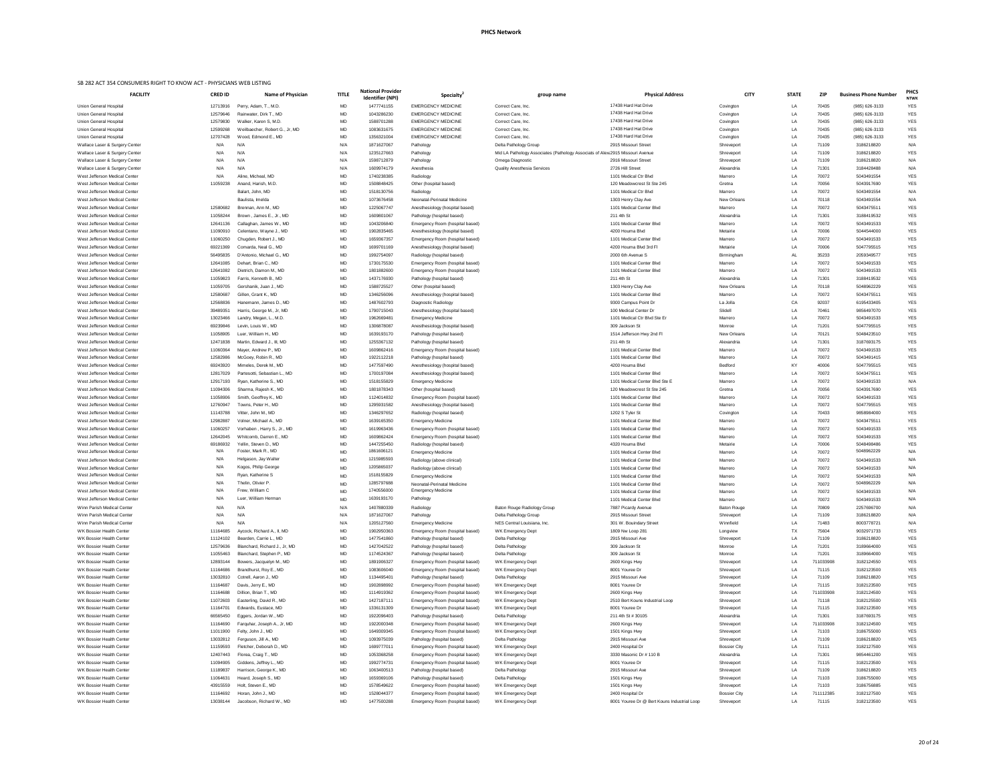### **PHCS Network**

### SB 282 ACT 354 CONSUMERS RIGHT TO KNOW ACT - PHYSICIANS WEB LISTING

| <b>FACILITY</b>                 |
|---------------------------------|
| Union General Hospital          |
| Union General Hospital          |
| Union General Hospital          |
| <b>Union General Hospital</b>   |
| Union General Hospital          |
| Wallace Laser & Surgery Center  |
| Wallace Laser & Surgery Center  |
| Wallace Laser & Surgery Center  |
| Wallace Laser & Surgery Center  |
| West Jefferson Medical Center   |
| West Jefferson Medical Center   |
| West Jefferson Medical Center   |
| West Jefferson Medical Center   |
| West Jefferson Medical Center   |
|                                 |
| West Jefferson Medical Center   |
| West Jefferson Medical Center   |
| West Jefferson Medical Center   |
| West Jefferson Medical Center   |
| West Jefferson Medical Center   |
| West Jefferson Medical Center   |
| West Jefferson Medical Center   |
| West Jefferson Medical Center   |
| West Jefferson Medical Center   |
| West Jefferson Medical Center   |
| West Jefferson Medical Center   |
| West Jefferson Medical Center   |
| West Jefferson Medical Center   |
| West Jefferson Medical Center   |
| West Jefferson Medical Center   |
| West Jefferson Medical Center   |
| West Jefferson Medical Center   |
|                                 |
| West Jefferson Medical Center   |
| West Jefferson Medical Center   |
| West Jefferson Medical Center   |
| West Jefferson Medical Center   |
| West Jefferson Medical Center   |
| West Jefferson Medical Center   |
| West Jefferson Medical Center   |
| West Jefferson Medical Center   |
| West Jefferson Medical Center   |
| West Jefferson Medical Center   |
| West Jefferson Medical Center   |
| West Jefferson Medical Center   |
| West Jefferson Medical Center   |
| West Jefferson Medical Center   |
| West Jefferson Medical Center   |
| West Jefferson Medical Center   |
| West Jefferson Medical Center   |
| West Jefferson Medical Center   |
| West Jefferson Medical Center   |
| West Jefferson Medical Center   |
| Winn Parish Medical Center      |
| Winn Parish Medical Center      |
| Winn Parish Medical Center      |
| WK Bossier Health Center        |
| <b>WK Bossier Health Center</b> |
| <b>WK Bossier Health Center</b> |
| WK Bossier Health Center        |
| <b>WK Bossier Health Center</b> |
| <b>WK Bossier Health Center</b> |
| <b>WK Bossier Health Center</b> |
| WK Bossier Health Center        |
| WK Bossier Health Center        |
|                                 |
| WK Bossier Health Center        |
| WK Bossier Health Center        |
| <b>WK Bossier Health Center</b> |
| WK Bossier Health Center        |
| WK Bossier Health Center        |
| WK Bossier Health Center        |
| <b>WK Bossier Health Center</b> |
| WK Bossier Health Center        |
| WK Bossier Health Center        |
| WK Bossier Health Center        |
| <b>WK Bossier Health Center</b> |
| WK Bossier Health Center        |
| <b>WK Bossier Health Center</b> |
| <b>WK Rocciar Haalth Cantar</b> |

| ED ID | <b>Name of Physician</b>       | <b>TITLE</b> | <b>National Provider</b><br><b>Identifier (NPI)</b> | Specialty <sup>2</sup>        |
|-------|--------------------------------|--------------|-----------------------------------------------------|-------------------------------|
| 13916 | Perry, Adam, T., M.D.          | МD           | 1477741155                                          | <b>EMERGENCY MEDICINE</b>     |
| 79646 | Rainwater, Dirk T., MD         | МD           | 1043286230                                          | <b>EMERGENCY MEDICINE</b>     |
| 79830 | Walker, Karen S, M.D.          | MD           | 1588701288                                          | <b>EMERGENCY MEDICINE</b>     |
| 99268 | Weilbaecher, Robert G., Jr, MD | МD           | 1083631675                                          | <b>EMERGENCY MEDICINE</b>     |
| 07428 | Wood, Edmond E., MD            | MD           | 1356321004                                          | <b>EMERGENCY MEDICINE</b>     |
| J/A   | N/A                            | N/A          | 1871627067                                          | Pathology                     |
| J/A   | N/A                            | N/A          | 1235127663                                          | Pathology                     |
| J/A   | N/A                            | N/A          | 1598712879                                          | Pathology                     |
| J/A   | N/A                            | N/A          | 1609974179                                          | Anesthesia                    |
| J/A   | Aline, Micheal, MD             | МD           | 1740238385                                          | Radiology                     |
| 59238 | Anand, Harish, M.D.            | МD           | 1508848425                                          | Other (hospital based)        |
|       | Balart, John, MD               | МD           | 1518130756                                          | Radiology                     |
|       | Baulista, Imelda               | МD           | 1073676458                                          | Neonatal-Perinatal Medicine   |
| 80682 | Brennan, Ann M., MD            | МD           | 1225067747                                          | Anesthesiology (hospital base |
| 58244 | Brown, James E., Jr., MD       | МD           | 1609801067                                          | Pathology (hospital based)    |
| 41136 | Callaghan, James W., MD        | МD           | 1043206840                                          | Emergency Room (hospital ba   |
| 90910 | Celentano, Wayne J., MD        | МD           | 1902835465                                          | Anesthesiology (hospital base |
| 60250 | Chugden, Robert J., MD         | МD           | 1659367357                                          | Emergency Room (hospital ba   |
| 21369 | Comarda, Neal G., MD           | МD           | 1699701169                                          | Anesthesiology (hospital base |
| 95835 | D'Antonio, Michael G., MD      | МD           | 1992754097                                          | Radiology (hospital based)    |
| 41085 | Dehart, Brian C., MD           | МD           | 1730175530                                          | Emergency Room (hospital ba   |
| 41082 | Dietrich, Damon M., MD         | МD           | 1801882600                                          | Emergency Room (hospital ba   |
|       |                                | МD           |                                                     |                               |
| 59823 | Farris, Kenneth B., MD         |              | 1437176930                                          | Pathology (hospital based)    |
| 59705 | Gershanik, Juan J., MD         | МD           | 1588725527                                          | Other (hospital based)        |
| 80687 | Gillen, Grant K., MD           | МD           | 1346256096                                          | Anesthesiology (hospital base |
| 68836 | Hanemann, James D., MD         | МD           | 1487602793                                          | Diagnostic Radiology          |
| 89351 | Harris, George M., Jr, MD      | MD           | 1790715043                                          | Anesthesiology (hospital base |
| 23466 | Landry, Megan, L., M.D.        | МD           | 1962669481                                          | <b>Emergency Medicine</b>     |
| 39846 | Levin, Louis W., MD            | МD           | 1306878087                                          | Anesthesiology (hospital base |
| 58905 | Luer, William H., MD           | МD           | 1639193170                                          | Pathology (hospital based)    |
| 71838 | Martin, Edward J., III, MD     | МD           | 1255367132                                          | Pathology (hospital based)    |
| 60364 | Mayer, Andrew P., MD           | МD           | 1609862416                                          | Emergency Room (hospital ba   |
| 82986 | McGoey, Robin R., MD           | МD           | 1922112218                                          | Pathology (hospital based)    |
| 43920 | Mimeles, Derek M., MD          | MD           | 1477597490                                          | Anesthesiology (hospital base |
| 17029 | Partesotti, Sebastian L., MD   | МD           | 1700197084                                          | Anesthesiology (hospital base |
| 17193 | Ryan, Katherine S., MD         | МD           | 1518155829                                          | <b>Emergency Medicine</b>     |
| 94306 | Sharma, Rajesh K., MD          | МD           | 1801878343                                          | Other (hospital based)        |
| 58906 | Smith, Geoffrey K., MD         | МD           | 1124014832                                          | Emergency Room (hospital ba   |
| 60947 | Towns, Peter H., MD            | МD           | 1295931582                                          | Anesthesiology (hospital base |
| 43788 | Vitter, John M., MD            | MD           | 1346297652                                          | Radiology (hospital based)    |
| 82887 | Volner, Michael A., MD         | МD           | 1639165350                                          | <b>Emergency Medicine</b>     |
| 60257 | Vorhaben, Harry S., Jr., MD    | МD           | 1619963436                                          | Emergency Room (hospital ba   |
| 42045 | Whitcomb, Darren E., MD        | МD           | 1609862424                                          | Emergency Room (hospital ba   |
| 86932 | Yellin, Steven D., MD          | МD           | 1447255450                                          | Radiology (hospital based)    |
| J/A   | Foster, Mark R., MD            | MD           | 1861606121                                          | <b>Emergency Medicine</b>     |
| J/A   | Helgason, Jay Walter           | МD           | 1215985593                                          | Radiology (above clinical)    |
| J/A   | Kogos, Philip George           | МD           | 1205865037                                          | Radiology (above clinical)    |
| J/A   | Ryan, Katherine S              | МD           | 1518155829                                          | <b>Emergency Medicine</b>     |
| J/A   | Thelin, Olivier P.             | МD           | 1285797688                                          | Neonatal-Perinatal Medicine   |
| J/A   | Frew, William C                | МD           | 1740556000                                          | <b>Emergency Medicine</b>     |
| J/A   | Luer, William Herman           | МD           | 1639193170                                          | Pathology                     |
|       |                                | N/A          |                                                     |                               |
| J/A   | N/A                            |              | 1407880339                                          | Radiology                     |
| J/A   | N/A                            | N/A          | 1871627067                                          | Pathology                     |
| J/A   | N/A                            | N/A          | 1205127560                                          | Emergency Medicine            |
| 64685 | Aycock, Richard A., II, MD     | МD           | 1902950363                                          | Emergency Room (hospital ba   |
| 24102 | Bearden, Carrie L., MD         | MD           | 1477541860                                          | Pathology (hospital based)    |
| 79636 | Blanchard, Richard J., Jr, MD  | МD           | 1427042522                                          | Pathology (hospital based)    |
| 55463 | Blanchard, Stephen P., MD      | МD           | 1174524367                                          | Pathology (hospital based)    |
| 93144 | Bowers, Jacquelyn M., MD       | МD           | 1891906327                                          | Emergency Room (hospital ba   |
| 64686 | Brandhurst, Roy E., MD         | МD           | 1083606040                                          | Emergency Room (hospital ba   |
| 32810 | Cotrell, Aaron J., MD          | МD           | 1134495401                                          | Pathology (hospital based)    |
| 64687 | Davis, Jerry E., MD            | МD           | 1902898992                                          | Emergency Room (hospital ba   |
| 64688 | Dillion, Brian T., MD          | МD           | 1114919362                                          | Emergency Room (hospital ba   |
| 72603 | Easterling, David R., MD       | MD           | 1427187111                                          | Emergency Room (hospital ba   |
| 64701 | Edwards, Eustace, MD           | MD           | 1336131309                                          | Emergency Room (hospital ba   |
| 65450 | Eggers, Jordan W., MD          | MD           | 1922096403                                          | Pathology (hospital based)    |
| 64690 | Farquhar, Joseph A., Jr, MD    | MD           | 1922000348                                          | Emergency Room (hospital ba   |
| 11900 | Felty, John J., MD             | МD           | 1649309345                                          | Emergency Room (hospital ba   |
| 32812 | Ferguson, Jill A., MD          | MD           | 1093975039                                          | Pathology (hospital based)    |
| 59593 | Fletcher, Deborah D., MD       | МD           | 1699777011                                          | Emergency Room (hospital ba   |
| 07443 | Florea, Craig T., MD           | МD           | 1053368258                                          | Emergency Room (hospital ba   |
| 94905 | Giddens, Jeffrey L., MD        | MD           | 1992774731                                          | Emergency Room (hospital ba   |
| 89837 | Harrison, George K., MD        | MD           | 1063400513                                          | Pathology (hospital based)    |
| 64631 | Heard, Joseph S., MD           | MD           | 1659369106                                          | Pathology (hospital based)    |
| 15559 | Holt, Steven E., MD            | MD           | 1578549622                                          | Emergency Room (hospital ba   |
| 64692 | Horan, John J., MD             | MD           | 1528044377                                          | Emergency Room (hospital ba   |
| 38144 | Jacobson, Richard W., MD       | MD           | 1477500288                                          | Emergency Room (hospital ba   |
|       |                                |              |                                                     |                               |

| <b>FACILITY</b>                                                | <b>CRED ID</b>       | <b>Name of Physician</b>                                | <b>TITLE</b>    | <b>National Provider</b><br><b>Identifier (NPI)</b> | Specialty                                                     | group name                                                                    | <b>Physical Address</b>                              | <b>CITY</b>                   | <b>STATE</b> | <b>ZIP</b>         | <b>Business Phone Number</b>     | <b>PHCS</b><br><b>NTWK</b> |
|----------------------------------------------------------------|----------------------|---------------------------------------------------------|-----------------|-----------------------------------------------------|---------------------------------------------------------------|-------------------------------------------------------------------------------|------------------------------------------------------|-------------------------------|--------------|--------------------|----------------------------------|----------------------------|
| Union General Hospital                                         | 12713916             | Perry, Adam, T., M.D.                                   | MD              | 1477741155                                          | <b>EMERGENCY MEDICINE</b>                                     | Correct Care, Inc.                                                            | 17438 Hard Hat Drive                                 | Covington                     | LA           | 70435              | (985) 626-3133                   | <b>YES</b>                 |
| Union General Hospital                                         | 12579646             | Rainwater, Dirk T., MD                                  | MD              | 1043286230                                          | <b>EMERGENCY MEDICINE</b>                                     | Correct Care, Inc.                                                            | 17438 Hard Hat Drive<br>17438 Hard Hat Drive         | Covington                     | LA           | 70435              | (985) 626-3133                   | <b>YES</b>                 |
| Union General Hospital<br>Union General Hospital               | 12579830<br>12599268 | Walker, Karen S, M.D.<br>Weilbaecher, Robert G., Jr, MD | MD<br>MD        | 1588701288<br>1083631675                            | <b>EMERGENCY MEDICINE</b><br><b>EMERGENCY MEDICINE</b>        | Correct Care, Inc.<br>Correct Care, Inc.                                      | 17438 Hard Hat Drive                                 | Covington<br>Covington        | LA<br>LA     | 70435<br>70435     | (985) 626-3133<br>(985) 626-3133 | <b>YES</b><br>${\tt YES}$  |
| Union General Hospital                                         | 12707428             | Wood, Edmond E., MD                                     | MD              | 1356321004                                          | <b>EMERGENCY MEDICINE</b>                                     | Correct Care, Inc.                                                            | 17438 Hard Hat Drive                                 | Covington                     | LA           | 70435              | (985) 626-3133                   | <b>YES</b>                 |
| Wallace Laser & Surgery Center                                 | N/A                  | N/A                                                     | N/A             | 1871627067                                          | Pathology                                                     | Delta Pathology Group                                                         | 2915 Missouri Street                                 | Shreveport                    | LA           | 71109              | 3186218820                       | N/A                        |
| Wallace Laser & Surgery Center                                 | N/A                  | N/A                                                     | N/A             | 1235127663                                          | Pathology                                                     | Mid LA Pathology Associates (Pathology Associats of Alex 2915 Missouri Avenue |                                                      | Shreveport                    | LA           | 71109              | 3186218820                       | <b>YES</b>                 |
| Wallace Laser & Surgery Center                                 | N/A                  | N/A                                                     | N/A             | 1598712879                                          | Pathology                                                     | Omega Diagnostic                                                              | 2916 Missouri Street                                 | Shreveport                    | LA           | 71109              | 3186218820                       | N/A                        |
| Wallace Laser & Surgery Center                                 | N/A                  | N/A                                                     | N/A             | 1609974179                                          | Anesthesia                                                    | <b>Quality Anesthesia Services</b>                                            | 2726 Hill Street                                     | Alexandria                    | LA           | 71301              | 3184428488                       | N/A                        |
| West Jefferson Medical Center                                  | N/A                  | Aline, Micheal, MD                                      | MD              | 1740238385                                          | Radiology                                                     |                                                                               | 1101 Medical Ctr Blvd                                | Marrero                       | LA           | 70072              | 5043491554                       | <b>YES</b>                 |
| West Jefferson Medical Center                                  | 11059238             | Anand, Harish, M.D.                                     | MD              | 1508848425                                          | Other (hospital based)                                        |                                                                               | 120 Meadowcrest St Ste 245                           | Gretna                        | LA           | 70056              | 5043917690                       | <b>YES</b>                 |
| West Jefferson Medical Center<br>West Jefferson Medical Center |                      | Balart, John, MD<br>Baulista, Imelda                    | MD<br>MD        | 1518130756<br>1073676458                            | Radiology<br>Neonatal-Perinatal Medicine                      |                                                                               | 1101 Medical Ctr Blvd<br>1303 Henry Clay Ave         | Marrero<br><b>New Orleans</b> | LA<br>LA     | 70072<br>70118     | 5043491554<br>5043491554         | N/A<br>N/A                 |
| West Jefferson Medical Center                                  | 12580682             | Brennan, Ann M., MD                                     | MD              | 1225067747                                          | Anesthesiology (hospital based)                               |                                                                               | 1101 Medical Center Blvd                             | Marrero                       | LA           | 70072              | 5043475511                       | <b>YES</b>                 |
| West Jefferson Medical Center                                  | 11058244             | Brown, James E., Jr., MD                                | MD              | 1609801067                                          | Pathology (hospital based)                                    |                                                                               | 211 4th St                                           | Alexandria                    | LA           | 71301              | 3188419532                       | <b>YES</b>                 |
| West Jefferson Medical Center                                  | 12641136             | Callaghan, James W., MD                                 | MD              | 1043206840                                          | Emergency Room (hospital based)                               |                                                                               | 1101 Medical Center Blvd                             | Marrero                       | LA           | 70072              | 5043491533                       | <b>YES</b>                 |
| West Jefferson Medical Center                                  | 11090910             | Celentano, Wayne J., MD                                 | MD              | 1902835465                                          | Anesthesiology (hospital based)                               |                                                                               | 4200 Houma Blvd                                      | Metairie                      | LA           | 70006              | 5044544000                       | <b>YES</b>                 |
| West Jefferson Medical Center                                  | 11060250             | Chugden, Robert J., MD                                  | MD              | 1659367357                                          | Emergency Room (hospital based)                               |                                                                               | 1101 Medical Center Blvd                             | Marrero                       | LA           | 70072              | 5043491533                       | <b>YES</b>                 |
| West Jefferson Medical Center                                  | 69221369             | Comarda, Neal G., MD                                    | MD              | 1699701169                                          | Anesthesiology (hospital based)                               |                                                                               | 4200 Houma Blvd 3rd Fl                               | Metairie                      | LA           | 70006              | 5047795515                       | <b>YES</b>                 |
| West Jefferson Medical Center                                  | 56495835             | D'Antonio, Michael G., MD                               | MD              | 1992754097                                          | Radiology (hospital based)                                    |                                                                               | 2000 6th Avenue S                                    | Birmingham                    | AL           | 35233              | 2059349577                       | <b>YES</b>                 |
| West Jefferson Medical Center                                  | 12641085             | Dehart, Brian C., MD                                    | MD              | 1730175530                                          | Emergency Room (hospital based)                               |                                                                               | 1101 Medical Center Blvd                             | Marrero                       | LA           | 70072              | 5043491533                       | <b>YES</b>                 |
| West Jefferson Medical Center<br>West Jefferson Medical Center | 12641082<br>11059823 | Dietrich, Damon M., MD<br>Farris, Kenneth B., MD        | MD<br>MD        | 1801882600<br>1437176930                            | Emergency Room (hospital based)<br>Pathology (hospital based) |                                                                               | 1101 Medical Center Blvd<br>211 4th St               | Marrero<br>Alexandria         | LA<br>LA     | 70072<br>71301     | 5043491533<br>3188419532         | <b>YES</b><br><b>YES</b>   |
| West Jefferson Medical Center                                  | 11059705             | Gershanik, Juan J., MD                                  | MD              | 1588725527                                          | Other (hospital based)                                        |                                                                               | 1303 Henry Clay Ave                                  | <b>New Orleans</b>            | LA           | 70118              | 5048962229                       | <b>YES</b>                 |
| West Jefferson Medical Center                                  | 12580687             | Gillen, Grant K., MD                                    | MD              | 1346256096                                          | Anesthesiology (hospital based)                               |                                                                               | 1101 Medical Center Blvd                             | Marrero                       | LA           | 70072              | 5043475511                       | <b>YES</b>                 |
| West Jefferson Medical Center                                  | 12568836             | Hanemann, James D., MD                                  | MD              | 1487602793                                          | Diagnostic Radiology                                          |                                                                               | 9300 Campus Point Dr                                 | La Jolla                      | CA           | 92037              | 6195433405                       | <b>YES</b>                 |
| West Jefferson Medical Center                                  | 39489351             | Harris, George M., Jr, MD                               | MD              | 1790715043                                          | Anesthesiology (hospital based)                               |                                                                               | 100 Medical Center Dr                                | Slidell                       | LA           | 70461              | 9856497070                       | <b>YES</b>                 |
| West Jefferson Medical Center                                  | 13023466             | Landry, Megan, L., M.D.                                 | MD              | 1962669481                                          | <b>Emergency Medicine</b>                                     |                                                                               | 1101 Medical Ctr Blvd Ste Er                         | Marrero                       | LA           | 70072              | 5043491533                       | <b>YES</b>                 |
| West Jefferson Medical Center                                  | 69239846             | Levin, Louis W., MD                                     | MD              | 1306878087                                          | Anesthesiology (hospital based)                               |                                                                               | 309 Jackson St                                       | Monroe                        | LA           | 71201              | 5047795515                       | <b>YES</b>                 |
| West Jefferson Medical Center                                  | 11058905             | Luer, William H., MD                                    | <b>MD</b>       | 1639193170                                          | Pathology (hospital based)                                    |                                                                               | 1514 Jefferson Hwy 2nd Fl                            | <b>New Orleans</b>            | LA           | 70121              | 5048423510                       | <b>YES</b>                 |
| West Jefferson Medical Center<br>West Jefferson Medical Center | 12471838<br>11060364 | Martin, Edward J., III, MD<br>Mayer, Andrew P., MD      | MD<br>MD        | 1255367132<br>1609862416                            | Pathology (hospital based)                                    |                                                                               | 211 4th St<br>1101 Medical Center Blvd               | Alexandria<br>Marrero         | LA<br>LA     | 71301<br>70072     | 3187693175<br>5043491533         | <b>YES</b><br><b>YES</b>   |
| West Jefferson Medical Center                                  | 12582986             | McGoey, Robin R., MD                                    | MD              | 1922112218                                          | Emergency Room (hospital based)<br>Pathology (hospital based) |                                                                               | 1101 Medical Center Blvd                             | Marrero                       | LA           | 70072              | 5043491415                       | <b>YES</b>                 |
| West Jefferson Medical Center                                  | 69243920             | Mimeles, Derek M., MD                                   | MD              | 1477597490                                          | Anesthesiology (hospital based)                               |                                                                               | 4200 Houma Blvd                                      | Bedford                       | KY           | 40006              | 5047795515                       | <b>YES</b>                 |
| West Jefferson Medical Center                                  | 12817029             | Partesotti, Sebastian L., MD                            | MD              | 1700197084                                          | Anesthesiology (hospital based)                               |                                                                               | 1101 Medical Center Blvd                             | Marrero                       | LA           | 70072              | 5043475511                       | <b>YES</b>                 |
| West Jefferson Medical Center                                  | 12917193             | Ryan, Katherine S., MD                                  | MD              | 1518155829                                          | <b>Emergency Medicine</b>                                     |                                                                               | 1101 Medical Center Blvd Ste E                       | Marrero                       | LA           | 70072              | 5043491533                       | N/A                        |
| West Jefferson Medical Center                                  | 11094306             | Sharma, Rajesh K., MD                                   | MD              | 1801878343                                          | Other (hospital based)                                        |                                                                               | 120 Meadowcrest St Ste 245                           | Gretna                        | LA           | 70056              | 5043917690                       | <b>YES</b>                 |
| West Jefferson Medical Center                                  | 11058906             | Smith, Geoffrey K., MD                                  | MD              | 1124014832                                          | Emergency Room (hospital based)                               |                                                                               | 1101 Medical Center Blvd                             | Marrero                       | LA           | 70072              | 5043491533                       | <b>YES</b>                 |
| West Jefferson Medical Center                                  | 12760947             | Towns. Peter H., MD                                     | MD              | 1295931582                                          | Anesthesiology (hospital based)                               |                                                                               | 1101 Medical Center Blvd                             | Marrero                       | LA           | 70072              | 5047795515                       | <b>YES</b>                 |
| West Jefferson Medical Center                                  | 11143788             | Vitter, John M., MD                                     | MD              | 1346297652                                          | Radiology (hospital based)                                    |                                                                               | 1202 S Tyler St                                      | Covington                     | LA           | 70433              | 9858984000                       | <b>YES</b>                 |
| West Jefferson Medical Center<br>West Jefferson Medical Center | 12982887<br>11060257 | Volner, Michael A., MD<br>Vorhaben, Harry S., Jr., MD   | MD<br>MD        | 1639165350<br>1619963436                            | <b>Emergency Medicine</b><br>Emergency Room (hospital based)  |                                                                               | 1101 Medical Center Blvd<br>1101 Medical Center Blvd | Marrero<br>Marrero            | LA<br>LA     | 70072<br>70072     | 5043475511<br>5043491533         | <b>YES</b><br><b>YES</b>   |
| West Jefferson Medical Center                                  | 12642045             | Whitcomb, Darren E., MD                                 | MD              | 1609862424                                          | Emergency Room (hospital based)                               |                                                                               | 1101 Medical Center Blvd                             | Marrero                       | LA           | 70072              | 5043491533                       | <b>YES</b>                 |
| West Jefferson Medical Center                                  | 69186932             | Yellin, Steven D., MD                                   | MD              | 1447255450                                          | Radiology (hospital based)                                    |                                                                               | 4320 Houma Blvd                                      | Metairie                      | LA           | 70006              | 5048498486                       | <b>YES</b>                 |
| West Jefferson Medical Center                                  | N/A                  | Foster, Mark R., MD                                     | MD              | 1861606121                                          | <b>Emergency Medicine</b>                                     |                                                                               | 1101 Medical Center Blvd                             | Marrero                       | LA           | 70072              | 5048962229                       | N/A                        |
| West Jefferson Medical Center                                  | N/A                  | Helgason, Jay Walter                                    | MD              | 1215985593                                          | Radiology (above clinical)                                    |                                                                               | 1101 Medical Center Blvd                             | Marrero                       | LA           | 70072              | 5043491533                       | N/A                        |
| West Jefferson Medical Center                                  | N/A                  | Kogos, Philip George                                    | MD              | 1205865037                                          | Radiology (above clinical)                                    |                                                                               | 1101 Medical Center Blvd                             | Marrero                       | LA           | 70072              | 5043491533                       | N/A                        |
| West Jefferson Medical Center                                  | N/A                  | Ryan, Katherine S                                       | MD              | 1518155829                                          | <b>Emergency Medicine</b>                                     |                                                                               | 1101 Medical Center Blvd                             | Marrero                       | LA           | 70072              | 5043491533                       | N/A                        |
| West Jefferson Medical Center<br>West Jefferson Medical Center | N/A<br>N/A           | Thelin, Olivier P.<br>Frew, William C                   | <b>MD</b>       | 1285797688<br>1740556000                            | Neonatal-Perinatal Medicine<br><b>Emergency Medicine</b>      |                                                                               | 1101 Medical Center Blvd                             | Marrero                       | LA           | 70072              | 5048962229                       | N/A<br>N/A                 |
| West Jefferson Medical Center                                  | N/A                  | Luer. William Herman                                    | <b>MD</b><br>MD | 1639193170                                          | Pathology                                                     |                                                                               | 1101 Medical Center Blvd<br>1101 Medical Center Blvd | Marrero<br>Marrero            | LA<br>LA     | 70072<br>70072     | 5043491533<br>5043491533         | N/A                        |
| Winn Parish Medical Center                                     | N/A                  | N/A                                                     | N/A             | 1407880339                                          | Radiology                                                     | Baton Rouge Radiology Group                                                   | 7887 Picardy Avenue                                  | <b>Baton Rouge</b>            | LA           | 70809              | 2257696700                       | N/A                        |
| Winn Parish Medical Center                                     | N/A                  | N/A                                                     | N/A             | 1871627067                                          | Pathology                                                     | Delta Pathology Group                                                         | 2915 Missouri Street                                 | Shreveport                    | LA           | 71109              | 3186218820                       | N/A                        |
| Winn Parish Medical Center                                     | N/A                  | N/A                                                     | N/A             | 1205127560                                          | <b>Emergency Medicine</b>                                     | NES Central Louisiana, Inc.                                                   | 301 W. Bouindary Street                              | Winnfield                     | LA           | 71483              | 8003778721                       | N/A                        |
| WK Bossier Health Center                                       | 11164685             | Aycock, Richard A., II, MD                              | MD              | 1902950363                                          | Emergency Room (hospital based)                               | WK Emergency Dept                                                             | 1809 Nw Loop 281                                     | Longview                      | TX           | 75604              | 9032971733                       | <b>YES</b>                 |
| WK Bossier Health Center                                       | 11124102             | Bearden, Carrie L., MD                                  | MD              | 1477541860                                          | Pathology (hospital based)                                    | Delta Pathology                                                               | 2915 Missouri Ave                                    | Shreveport                    | LA           | 71109              | 3186218820                       | <b>YES</b>                 |
| WK Bossier Health Center                                       | 12579636             | Blanchard, Richard J., Jr, MD                           | MD              | 1427042522<br>1174524367                            | Pathology (hospital based)                                    | Delta Pathology                                                               | 309 Jackson St                                       | Monroe                        | LA           | 71201<br>71201     | 3189664000<br>3189664000         | <b>YES</b>                 |
| WK Bossier Health Center<br>WK Bossier Health Center           | 11055463<br>12893144 | Blanchard, Stephen P., MD<br>Bowers, Jacquelyn M., MD   | MD<br>MD        | 1891906327                                          | Pathology (hospital based)<br>Emergency Room (hospital based) | Delta Pathology<br>WK Emergency Dept                                          | 309 Jackson St<br>2600 Kings Hwy                     | Monroe<br>Shreveport          | LA<br>LA     | 711033908          | 3182124550                       | <b>YES</b><br><b>YES</b>   |
| WK Bossier Health Center                                       | 11164686             | Brandhurst, Roy E., MD                                  | MD              | 1083606040                                          | Emergency Room (hospital based)                               | WK Emergency Dept                                                             | 8001 Youree Dr                                       | Shreveport                    | LA           | 71115              | 3182123500                       | <b>YES</b>                 |
| WK Bossier Health Center                                       | 13032810             | Cotrell, Aaron J., MD                                   | MD              | 1134495401                                          | Pathology (hospital based)                                    | Delta Pathology                                                               | 2915 Missouri Ave                                    | Shreveport                    | LA           | 71109              | 3186218820                       | <b>YES</b>                 |
| WK Bossier Health Centeı                                       | 11164687             | Davis, Jerry E., MD                                     | MD              | 1902898992                                          | Emergency Room (hospital based)                               | WK Emergency Dept                                                             | 8001 Youree Dr                                       | Shreveport                    | LA           | 71115              | 3182123500                       | <b>YES</b>                 |
| WK Bossier Health Center                                       | 11164688             | Dillion, Brian T., MD                                   | MD              | 1114919362                                          | Emergency Room (hospital based)                               | WK Emergency Dept                                                             | 2600 Kings Hwy                                       | Shreveport                    | LA           | 711033908          | 3182124500                       | <b>YES</b>                 |
| WK Bossier Health Center                                       | 11072603             | Easterling, David R., MD                                | MD              | 1427187111                                          | Emergency Room (hospital based)                               | WK Emergency Dept                                                             | 2510 Bert Kouns Industrial Loop                      | Shreveport                    | LA           | 71118              | 3182125500                       | <b>YES</b>                 |
| WK Bossier Health Center                                       | 11164701             | Edwards, Eustace, MD                                    | MD              | 1336131309                                          | Emergency Room (hospital based)                               | WK Emergency Dept                                                             | 8001 Youree Dr                                       | Shreveport                    | LA           | 71115              | 3182123500                       | <b>YES</b>                 |
| WK Bossier Health Center<br>WK Bossier Health Center           | 66565450<br>11164690 | Eggers, Jordan W., MD<br>Farquhar, Joseph A., Jr, MD    | MD<br>MD        | 1922096403<br>1922000348                            | Pathology (hospital based)<br>Emergency Room (hospital based) | Delta Pathology<br>WK Emergency Dept                                          | 211 4th St # 30105<br>2600 Kings Hwy                 | Alexandria<br>Shreveport      | LA<br>LA     | 71301<br>711033908 | 3187693175<br>3182124500         | <b>YES</b><br><b>YES</b>   |
| WK Bossier Health Center                                       | 11011900             | Felty, John J., MD                                      | MD              | 1649309345                                          | Emergency Room (hospital based)                               | WK Emergency Dept                                                             | 1501 Kings Hwy                                       | Shreveport                    | LA           | 71103              | 3186755000                       | <b>YES</b>                 |
| WK Bossier Health Center                                       | 13032812             | Ferguson, Jill A., MD                                   | MD              | 1093975039                                          | Pathology (hospital based)                                    | Delta Pathology                                                               | 2915 Missouri Ave                                    | Shreveport                    | LA           | 71109              | 3186218820                       | <b>YES</b>                 |
| WK Bossier Health Center                                       | 11159593             | Fletcher, Deborah D., MD                                | MD              | 1699777011                                          | Emergency Room (hospital based)                               | WK Emergency Dept                                                             | 2400 Hospital Dr                                     | <b>Bossier City</b>           | LA           | 71111              | 3182127500                       | <b>YES</b>                 |
| WK Bossier Health Center                                       | 12407443             | Florea, Craig T., MD                                    | MD              | 1053368258                                          | Emergency Room (hospital based)                               | WK Emergency Dept                                                             | 3330 Masonic Dr # 110 B                              | Alexandria                    | LA           | 71301              | 9854461200                       | <b>YES</b>                 |
| WK Bossier Health Center                                       | 11094905             | Giddens, Jeffrey L., MD                                 | MD              | 1992774731                                          | Emergency Room (hospital based)                               | WK Emergency Dept                                                             | 8001 Youree Dr                                       | Shreveport                    | LA           | 71115              | 3182123500                       | <b>YES</b>                 |
| WK Bossier Health Center                                       | 11189837             | Harrison, George K., MD                                 | MD              | 1063400513                                          | Pathology (hospital based)                                    | Delta Pathology                                                               | 2915 Missouri Ave                                    | Shreveport                    | LA           | 71109              | 3186218820                       | <b>YES</b>                 |
| WK Bossier Health Center<br>WK Bossier Health Center           | 11064631<br>43915559 | Heard, Joseph S., MD<br>Holt. Steven E., MD             | MD<br>MD        | 1659369106<br>1578549622                            | Pathology (hospital based)<br>Emergency Room (hospital based) | Delta Pathology<br>WK Emergency Dept                                          | 1501 Kings Hwy<br>1501 Kings Hwy                     | Shreveport<br>Shreveport      | LA<br>LA     | 71103<br>71103     | 3186755000<br>3186756885         | <b>YES</b><br><b>YES</b>   |
| WK Bossier Health Center                                       | 11164692             | Horan, John J., MD                                      | MD              | 1528044377                                          | Emergency Room (hospital based)                               | WK Emergency Dept                                                             | 2400 Hospital Dr                                     | <b>Bossier City</b>           | LA           | 711112385          | 3182127500                       | <b>YES</b>                 |
| WK Bossier Health Center                                       | 13038144             | Jacobson, Richard W., MD                                | MD              | 1477500288                                          | Emergency Room (hospital based)                               | WK Emergency Dept                                                             | 8001 Youree Dr @ Bert Kouns Industrial Loop          | Shreveport                    | LA           | 71115              | 3182123500                       | YES                        |
|                                                                |                      |                                                         |                 |                                                     |                                                               |                                                                               |                                                      |                               |              |                    |                                  |                            |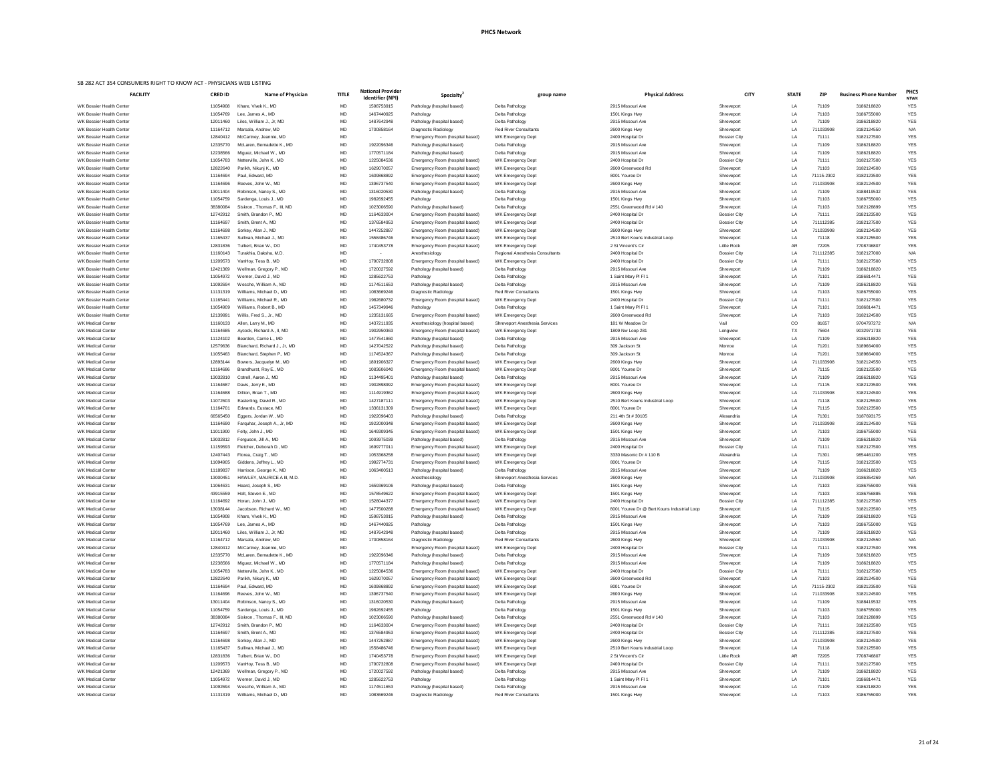| <b>FACILITY</b>                                             | <b>CRED ID</b>       | Name of Physician                                    | <b>TITLE</b>           | <b>National Provider</b><br>Identifier (NPI) | <b>Specialty</b>                                                   | group name                                           | <b>Physical Address</b>                           | <b>CITY</b>                                | <b>STATE</b> | <b>ZIP</b>         | <b>Business Phone Number</b> | PHC:<br><b>NTWK</b>      |
|-------------------------------------------------------------|----------------------|------------------------------------------------------|------------------------|----------------------------------------------|--------------------------------------------------------------------|------------------------------------------------------|---------------------------------------------------|--------------------------------------------|--------------|--------------------|------------------------------|--------------------------|
| WK Bossier Health Center                                    | 11054908             | Khare, Vivek K., MD                                  | MD                     | 1598753915                                   | Pathology (hospital based)                                         | Delta Pathology                                      | 2915 Missouri Ave                                 | Shreveport                                 | LA           | 71109              | 3186218820                   | <b>YES</b>               |
| WK Bossier Health Center                                    | 11054769             | Lee, James A., MD                                    | MD                     | 1467440925                                   | Pathology                                                          | Delta Pathology                                      | 1501 Kings Hwy                                    | Shreveport                                 | LA           | 71103              | 3186755000                   | <b>YES</b>               |
| WK Bossier Health Center                                    | 12011460             | Liles, William J., Jr, MD                            | MD                     | 1487642948                                   | Pathology (hospital based)                                         | Delta Pathology                                      | 2915 Missouri Ave                                 | Shreveport                                 | LA           | 71109              | 3186218820                   | <b>YES</b>               |
| WK Bossier Health Center<br>WK Bossier Health Center        | 11164712             | Marsala, Andrew, MD                                  | MD<br><b>MD</b>        | 1700858164                                   | Diagnostic Radiology                                               | <b>Red River Consultants</b>                         | 2600 Kings Hwy                                    | Shreveport                                 | LA           | 711033908<br>71111 | 3182124550<br>3182127500     | N/A<br><b>YES</b>        |
| WK Bossier Health Center                                    | 12840412<br>12335770 | McCartney, Jeannie, MD<br>McLaren, Bernadette K., MD | <b>MD</b>              | $\sim$<br>1922096346                         | Emergency Room (hospital based)<br>Pathology (hospital based)      | <b>WK Emergency Dept</b><br>Delta Pathology          | 2400 Hospital Dr<br>2915 Missouri Ave             | <b>Bossier City</b><br>Shreveport          | LA<br>LA     | 71109              | 3186218820                   | <b>YES</b>               |
| <b>WK Bossier Health Center</b>                             | 12238566             | Miguez, Michael W., MD                               | <b>MD</b>              | 1770571184                                   | Pathology (hospital based)                                         | Delta Pathology                                      | 2915 Missouri Ave                                 | Shreveport                                 | LA           | 71109              | 3186218820                   | <b>YES</b>               |
| <b>WK Bossier Health Center</b>                             | 11054783             | Netterville, John K., MD                             | MD                     | 1225084536                                   | Emergency Room (hospital based)                                    | <b>WK Emergency Dept</b>                             | 2400 Hospital Dr                                  | <b>Bossier City</b>                        | LA           | 71111              | 3182127500                   | <b>YES</b>               |
| WK Bossier Health Center                                    | 12822640             | Parikh, Nikunj K., MD                                | <b>MD</b>              | 1629070057                                   | Emergency Room (hospital based)                                    | WK Emergency Dept                                    | 2600 Greenwood Rd                                 | Shreveport                                 | LA           | 71103              | 3182124500                   | <b>YES</b>               |
| WK Bossier Health Center                                    | 11164694             | Paul, Edward, MD                                     | <b>MD</b>              | 1609868892                                   | Emergency Room (hospital based)                                    | WK Emergency Dept                                    | 8001 Youree Dr                                    | Shreveport                                 | LA           | 71115-2302         | 3182123500                   | <b>YES</b>               |
| WK Bossier Health Center                                    | 11164696             | Reeves, John W., MD                                  | <b>MD</b>              | 1396737540                                   | Emergency Room (hospital based)                                    | WK Emergency Dept                                    | 2600 Kings Hwy                                    | Shreveport                                 | LA           | 711033908          | 3182124500                   | <b>YES</b>               |
| WK Bossier Health Center<br><b>WK Bossier Health Center</b> | 13011404<br>11054759 | Robinson, Nancy S., MD<br>Sardenga, Louis J., MD     | <b>MD</b><br>MD        | 1316020530<br>1982692455                     | Pathology (hospital based)<br>Pathology                            | Delta Pathology<br>Delta Pathology                   | 2915 Missouri Ave<br>1501 Kings Hwy               | Shreveport<br>Shreveport                   | LA<br>LA     | 71109<br>71103     | 3188419532<br>3186755000     | <b>YES</b><br>YES        |
| WK Bossier Health Center                                    | 38380084             | Siskron, Thomas F., III, MD                          | <b>MD</b>              | 1023006590                                   | Pathology (hospital based)                                         | Delta Pathology                                      | 2551 Greenwood Rd # 140                           | Shreveport                                 | LA           | 71103              | 3182128899                   | <b>YES</b>               |
| WK Bossier Health Center                                    | 12742912             | Smith, Brandon P., MD                                | <b>MD</b>              | 1164633004                                   | Emergency Room (hospital based)                                    | <b>WK Emergency Dept</b>                             | 2400 Hospital Dr                                  | <b>Bossier City</b>                        | LA           | 71111              | 3182123500                   | <b>YES</b>               |
| WK Bossier Health Center                                    | 11164697             | Smith, Brent A., MD                                  | MD                     | 1376584953                                   | Emergency Room (hospital based)                                    | WK Emergency Dept                                    | 2400 Hospital Dr                                  | <b>Bossier City</b>                        | LA           | 711112385          | 3182127500                   | <b>YES</b>               |
| WK Bossier Health Center                                    | 11164698             | Sorkey, Alan J., MD                                  | <b>MD</b>              | 1447252887                                   | Emergency Room (hospital based)                                    | WK Emergency Dept                                    | 2600 Kings Hwy                                    | Shreveport                                 | LA           | 711033908          | 3182124500                   | <b>YES</b>               |
| WK Bossier Health Center                                    | 11165437             | Sullivan, Michael J., MD                             | <b>MD</b>              | 1558486746                                   | Emergency Room (hospital based)                                    | WK Emergency Dept                                    | 2510 Bert Kouns Industrial Loop                   | Shreveport                                 | LA           | 71118              | 3182125500                   | <b>YES</b>               |
| <b>WK Bossier Health Center</b>                             | 12831836             | Tulbert, Brian W., DO                                | MD                     | 1740453778                                   | Emergency Room (hospital based)                                    | WK Emergency Dept                                    | 2 St Vincent's Cir                                | <b>Little Rock</b>                         | AF           | 72205              | 7708746807                   | YES                      |
| WK Bossier Health Center<br>WK Bossier Health Center        | 11160143<br>11209573 | Turakhia, Daksha, M.D<br>VanHoy, Tess B., MD         | <b>MD</b><br><b>MD</b> | $\sim$<br>1790732808                         | Anesthesiology<br>Emergency Room (hospital based)                  | Regional Anesthesia Consultants<br>WK Emergency Dept | 2400 Hospital Dr<br>2400 Hospital Dr              | <b>Bossier City</b><br><b>Bossier City</b> | LA<br>LA     | 711112385<br>71111 | 3182127000<br>3182127500     | N/A<br><b>YES</b>        |
| <b>WK Bossier Health Center</b>                             | 12421369             | Wellman, Gregory P., MD                              | <b>MD</b>              | 1720027592                                   | Pathology (hospital based)                                         | Delta Pathology                                      | 2915 Missouri Ave                                 | Shreveport                                 | LA           | 71109              | 3186218820                   | <b>YES</b>               |
| WK Bossier Health Center                                    | 11054972             | Werner, David J., MD                                 | <b>MD</b>              | 1285622753                                   | Pathology                                                          | Delta Pathology                                      | 1 Saint Mary PI FI 1                              | Shreveport                                 | LA           | 71101              | 3186814471                   | <b>YES</b>               |
| WK Bossier Health Center                                    | 11092694             | Wesche, William A., MD                               | <b>MD</b>              | 1174511653                                   | Pathology (hospital based)                                         | Delta Pathology                                      | 2915 Missouri Ave                                 | Shreveport                                 | LA           | 71109              | 3186218820                   | <b>YES</b>               |
| <b>WK Bossier Health Center</b>                             | 11131319             | Williams, Michael D., MD                             | MD                     | 1083669246                                   | Diagnostic Radiology                                               | <b>Red River Consultants</b>                         | 1501 Kings Hwy                                    | Shreveport                                 | LA           | 71103              | 3186755000                   | <b>YES</b>               |
| WK Bossier Health Center                                    | 11165441             | Williams, Michael R., MD                             | MD                     | 1982680732                                   | Emergency Room (hospital based)                                    | WK Emergency Dept                                    | 2400 Hospital Dr                                  | <b>Bossier City</b>                        | LA           | 71111              | 3182127500                   | <b>YES</b>               |
| WK Bossier Health Center                                    | 11054909             | Williams, Robert B., MD                              | <b>MD</b>              | 1457349946                                   | Pathology                                                          | Delta Pathology                                      | 1 Saint Mary PI FI 1                              | Shreveport                                 | LA           | 71101              | 3186814471                   | <b>YES</b>               |
| WK Bossier Health Center                                    | 12139991             | Willis, Fred S., Jr., MD                             | <b>MD</b>              | 1235131665                                   | Emergency Room (hospital based)                                    | WK Emergency Dept                                    | 2600 Greenwood Rd                                 | Shreveport                                 | LA           | 71103              | 3182124500                   | <b>YES</b>               |
| <b>WK Medical Center</b>                                    | 11160133             | Allen, Larry M., MD                                  | <b>MD</b>              | 1437211935                                   | Anesthesiology (hospital based)                                    | <b>Shreveport Anesthesia Services</b>                | 181 W Meadow Dr                                   | Vail                                       | CO           | 81657              | 9704797272                   | N/A                      |
| <b>WK Medical Center</b><br><b>WK Medical Center</b>        | 11164685<br>11124102 | Aycock, Richard A., II, MD<br>Bearden, Carrie L., MD | MD<br>MD               | 1902950363<br>1477541860                     | Emergency Room (hospital based)<br>Pathology (hospital based)      | WK Emergency Dept<br>Delta Pathology                 | 1809 Nw Loop 281<br>2915 Missouri Ave             | Longview<br>Shrevepor                      | TX<br>LA     | 75604<br>71109     | 9032971733<br>3186218820     | <b>YES</b><br><b>YES</b> |
| <b>WK Medical Center</b>                                    | 12579636             | Blanchard, Richard J., Jr, MD                        | <b>MD</b>              | 1427042522                                   | Pathology (hospital based)                                         | Delta Pathology                                      | 309 Jackson St                                    | Monroe                                     | LA           | 71201              | 3189664000                   | <b>YES</b>               |
| <b>WK Medical Center</b>                                    | 11055463             | Blanchard, Stephen P., MD                            | <b>MD</b>              | 1174524367                                   | Pathology (hospital based)                                         | Delta Pathology                                      | 309 Jackson St                                    | Monroe                                     | LA           | 71201              | 3189664000                   | <b>YES</b>               |
| <b>WK Medical Center</b>                                    | 12893144             | Bowers, Jacquelyn M., MD                             | <b>MD</b>              | 1891906327                                   | Emergency Room (hospital based)                                    | WK Emergency Dept                                    | 2600 Kings Hwy                                    | Shreveport                                 | LA           | 711033908          | 3182124550                   | <b>YES</b>               |
| <b>WK Medical Center</b>                                    | 11164686             | Brandhurst, Roy E., MD                               | <b>MD</b>              | 1083606040                                   | Emergency Room (hospital based)                                    | WK Emergency Dept                                    | 8001 Youree Dr                                    | Shreveport                                 | LA           | 71115              | 3182123500                   | <b>YES</b>               |
| <b>WK Medical Center</b>                                    | 13032810             | Cotrell, Aaron J., MD                                | <b>MD</b>              | 1134495401                                   | Pathology (hospital based)                                         | Delta Pathology                                      | 2915 Missouri Ave                                 | Shrevepor                                  | LA           | 71109              | 3186218820                   | <b>YES</b>               |
| <b>WK Medical Center</b>                                    | 11164687             | Davis, Jerry E., MD                                  | <b>MD</b>              | 1902898992                                   | Emergency Room (hospital based)                                    | WK Emergency Dept                                    | 8001 Youree Dr                                    | Shreveport                                 | LA           | 71115              | 3182123500                   | <b>YES</b>               |
| <b>WK Medical Center</b>                                    | 11164688             | Dillion, Brian T., MD                                | <b>MD</b>              | 1114919362                                   | Emergency Room (hospital based)                                    | WK Emergency Dept                                    | 2600 Kings Hwy                                    | Shreveport                                 | LA           | 711033908          | 3182124500                   | <b>YES</b>               |
| <b>WK Medical Center</b><br><b>WK Medical Center</b>        | 11072603<br>11164701 | Easterling, David R., MD<br>Edwards, Eustace, MD     | <b>MD</b><br><b>MD</b> | 1427187111<br>1336131309                     | Emergency Room (hospital based)<br>Emergency Room (hospital based) | WK Emergency Dept<br>WK Emergency Dept               | 2510 Bert Kouns Industrial Loop<br>8001 Youree Dr | Shreveport<br>Shreveport                   | LA<br>_LA    | 71118<br>71115     | 3182125500<br>3182123500     | <b>YES</b><br><b>YES</b> |
| <b>WK Medical Center</b>                                    | 66565450             | Eggers, Jordan W., MD                                | MD                     | 1922096403                                   | Pathology (hospital based)                                         | Delta Pathology                                      | 211 4th St # 30105                                | Alexandria                                 | LA           | 71301              | 3187693175                   | <b>YES</b>               |
| <b>WK Medical Center</b>                                    | 11164690             | Farguhar, Joseph A., Jr, MD                          | <b>MD</b>              | 1922000348                                   | Emergency Room (hospital based)                                    | WK Emergency Dept                                    | 2600 Kings Hwy                                    | Shreveport                                 | LA           | 711033908          | 3182124500                   | <b>YES</b>               |
| <b>WK Medical Center</b>                                    | 11011900             | Felty, John J., MD                                   | <b>MD</b>              | 1649309345                                   | Emergency Room (hospital based)                                    | WK Emergency Dept                                    | 1501 Kings Hwy                                    | Shreveport                                 | LA           | 71103              | 3186755000                   | <b>YES</b>               |
| <b>WK Medical Center</b>                                    | 13032812             | Ferguson, Jill A., MD                                | <b>MD</b>              | 1093975039                                   | Pathology (hospital based)                                         | Delta Pathology                                      | 2915 Missouri Ave                                 | Shreveport                                 | LA           | 71109              | 3186218820                   | <b>YES</b>               |
| <b>WK Medical Center</b>                                    | 11159593             | Fletcher, Deborah D., MD                             | <b>MD</b>              | 1699777011                                   | Emergency Room (hospital based)                                    | WK Emergency Dept                                    | 2400 Hospital Dr                                  | <b>Bossier City</b>                        | LA           | 71111              | 3182127500                   | <b>YES</b>               |
| <b>WK Medical Center</b>                                    | 12407443             | Florea, Craig T., MD                                 | <b>MD</b>              | 1053368258                                   | Emergency Room (hospital based)                                    | WK Emergency Dept                                    | 3330 Masonic Dr # 110 B                           | Alexandria                                 | LA           | 71301              | 9854461200                   | <b>YES</b>               |
| <b>WK Medical Center</b><br><b>WK Medical Center</b>        | 11094905<br>11189837 | Giddens, Jeffrey L., MD<br>Harrison, George K., MD   | MD<br>MD               | 1992774731<br>1063400513                     | Emergency Room (hospital based)<br>Pathology (hospital based)      | WK Emergency Dept<br>Delta Pathology                 | 8001 Youree Dr<br>2915 Missouri Ave               | Shreveport<br>Shreveport                   | LA<br>LA     | 71115<br>71109     | 3182123500<br>3186218820     | <b>YES</b><br><b>YES</b> |
| <b>WK Medical Center</b>                                    | 1300045              | HAWLEY, MAURICE A III, M.D.                          | <b>MD</b>              | $\sim$                                       | Anesthesiology                                                     | <b>Shreveport Anesthesia Services</b>                | 2600 Kings Hwy                                    | Shreveport                                 | LA           | 711033908          | 3186354269                   | N/A                      |
| <b>WK Medical Center</b>                                    | 11064631             | Heard, Joseph S., MD                                 | <b>MD</b>              | 1659369106                                   | Pathology (hospital based)                                         | Delta Pathology                                      | 1501 Kings Hwy                                    | Shreveport                                 | LA           | 71103              | 3186755000                   | <b>YES</b>               |
| <b>WK Medical Center</b>                                    | 43915559             | Holt, Steven E., MD                                  | <b>MD</b>              | 1578549622                                   | Emergency Room (hospital based)                                    | WK Emergency Dept                                    | 1501 Kings Hwy                                    | Shreveport                                 | LA           | 71103              | 3186756885                   | <b>YES</b>               |
| <b>WK Medical Center</b>                                    | 11164692             | Horan, John J., MD                                   | MD                     | 1528044377                                   | Emergency Room (hospital based)                                    | WK Emergency Dept                                    | 2400 Hospital Dr                                  | <b>Bossier City</b>                        | LA           | 711112385          | 3182127500                   | <b>YES</b>               |
| <b>WK Medical Center</b>                                    | 13038144             | Jacobson, Richard W., MD                             | MD                     | 1477500288                                   | Emergency Room (hospital based)                                    | WK Emergency Dept                                    | 8001 Youree Dr @ Bert Kouns Industrial Loop       | Shreveport                                 | LA           | 71115              | 3182123500                   | <b>YES</b>               |
| <b>WK Medical Center</b>                                    | 11054908             | Khare, Vivek K., MD                                  | <b>MD</b>              | 1598753915                                   | Pathology (hospital based)                                         | Delta Pathology                                      | 2915 Missouri Ave                                 | Shreveport                                 | LA           | 71109              | 3186218820                   | <b>YES</b>               |
| <b>WK Medical Center</b>                                    | 11054769             | Lee, James A., MD                                    | MD                     | 1467440925                                   | Pathology                                                          | Delta Pathology                                      | 1501 Kings Hwy                                    | Shreveport                                 | LA           | 71103              | 3186755000                   | <b>YES</b>               |
| <b>WK Medical Center</b><br><b>WK Medical Center</b>        | 12011460<br>11164712 | Liles, William J., Jr, MD<br>Marsala, Andrew, MD     | MD<br><b>MD</b>        | 1487642948<br>1700858164                     | Pathology (hospital based)<br>Diagnostic Radiology                 | Delta Pathology<br><b>Red River Consultants</b>      | 2915 Missouri Ave<br>2600 Kings Hwy               | Shreveport<br>Shreveport                   | LA<br>LA     | 71109<br>711033908 | 3186218820<br>3182124550     | <b>YES</b><br>N/A        |
| <b>WK Medical Center</b>                                    | 12840412             | McCartney, Jeannie, MD                               | <b>MD</b>              | $\sim$ $-$                                   | Emergency Room (hospital based)                                    | WK Emergency Dept                                    | 2400 Hospital Dr                                  | <b>Bossier City</b>                        | LA           | 71111              | 3182127500                   | <b>YES</b>               |
| <b>WK Medical Center</b>                                    | 12335770             | McLaren, Bernadette K., MD                           | <b>MD</b>              | 1922096346                                   | Pathology (hospital based)                                         | Delta Pathology                                      | 2915 Missouri Ave                                 | Shreveport                                 | LA           | 71109              | 3186218820                   | <b>YES</b>               |
| <b>WK Medical Center</b>                                    | 12238566             | Miguez, Michael W., MD                               | MD                     | 1770571184                                   | Pathology (hospital based)                                         | Delta Pathology                                      | 2915 Missouri Ave                                 | Shreveport                                 | LA           | 71109              | 3186218820                   | <b>YES</b>               |
| <b>WK Medical Center</b>                                    | 11054783             | Netterville, John K., MD                             | <b>MD</b>              | 1225084536                                   | Emergency Room (hospital based)                                    | WK Emergency Dept                                    | 2400 Hospital Dr                                  | <b>Bossier City</b>                        | LA           | 71111              | 3182127500                   | <b>YES</b>               |
| <b>WK Medical Center</b>                                    | 12822640             | Parikh, Nikunj K., MD                                | MD                     | 1629070057                                   | Emergency Room (hospital based)                                    | WK Emergency Dept                                    | 2600 Greenwood Rd                                 | Shreveport                                 | LA           | 71103              | 3182124500                   | <b>YES</b>               |
| <b>WK Medical Center</b>                                    | 11164694             | Paul, Edward, MD                                     | <b>MD</b>              | 1609868892                                   | Emergency Room (hospital based)                                    | WK Emergency Dept                                    | 8001 Youree Dr                                    | Shrevepor                                  |              | 71115-2302         | 3182123500                   | YES                      |
| <b>WK Medical Center</b><br><b>WK Medical Center</b>        | 11164696<br>13011404 | Reeves, John W., MD<br>Robinson, Nancy S., MD        | <b>MD</b><br><b>MD</b> | 1396737540<br>1316020530                     | Emergency Room (hospital based)<br>Pathology (hospital based)      | <b>WK Emergency Dept</b><br>Delta Pathology          | 2600 Kings Hwy<br>2915 Missouri Ave               | Shreveport<br>Shreveport                   | LA<br>LA     | 711033908<br>71109 | 3182124500<br>3188419532     | <b>YES</b><br><b>YES</b> |
| <b>WK Medical Center</b>                                    | 11054759             | Sardenga, Louis J., MD                               | <b>MD</b>              | 1982692455                                   | Pathology                                                          | Delta Pathology                                      | 1501 Kings Hwy                                    | Shreveport                                 | LA           | 71103              | 3186755000                   | <b>YES</b>               |
| <b>WK Medical Center</b>                                    | 38380084             | Siskron, Thomas F., III, MD                          | <b>MD</b>              | 1023006590                                   | Pathology (hospital based)                                         | Delta Pathology                                      | 2551 Greenwood Rd # 140                           | Shreveport                                 | LA           | 71103              | 3182128899                   | <b>YES</b>               |
| <b>WK Medical Center</b>                                    | 12742912             | Smith, Brandon P., MD                                | <b>MD</b>              | 1164633004                                   | Emergency Room (hospital based)                                    | WK Emergency Dept                                    | 2400 Hospital Dr                                  | <b>Bossier City</b>                        | LA           | 71111              | 3182123500                   | <b>YES</b>               |
| WK Medical Center                                           | 11164697             | Smith, Brent A., MD                                  | <b>MD</b>              | 1376584953                                   | Emergency Room (hospital based)                                    | WK Emergency Dept                                    | 2400 Hospital Dr                                  | <b>Bossier City</b>                        | LA           | 711112385          | 3182127500                   | <b>YES</b>               |
| WK Medical Center                                           | 11164698             | Sorkey, Alan J., MD                                  | <b>MD</b>              | 1447252887                                   | Emergency Room (hospital based)                                    | WK Emergency Dept                                    | 2600 Kings Hwy                                    | Shreveport                                 | LA           | 711033908          | 3182124500                   | <b>YES</b>               |
| WK Medical Center                                           | 11165437             | Sullivan, Michael J., MD                             | <b>MD</b>              | 1558486746                                   | Emergency Room (hospital based)                                    | WK Emergency Dept                                    | 2510 Bert Kouns Industrial Loop                   | Shreveport                                 | LA           | 71118              | 3182125500                   | <b>YES</b>               |
| <b>WK Medical Center</b>                                    | 12831836             | Tulbert, Brian W., DO                                | <b>MD</b>              | 1740453778                                   | Emergency Room (hospital based)                                    | WK Emergency Dept                                    | 2 St Vincent's Cir                                | <b>Little Rock</b>                         | AR           | 72205              | 7708746807                   | <b>YES</b>               |
| <b>WK Medical Center</b><br><b>WK Medical Center</b>        | 11209573             | VanHoy, Tess B., MD                                  | <b>MD</b>              | 1790732808                                   | Emergency Room (hospital based)                                    | WK Emergency Dept                                    | 2400 Hospital Dr<br>2915 Missouri Ave             | <b>Bossier City</b>                        | LA           | 71111<br>71109     | 3182127500                   | YES                      |
| <b>WK Medical Center</b>                                    | 12421369<br>11054972 | Wellman, Gregory P., MD<br>Werner, David J., MD      | <b>MD</b><br><b>MD</b> | 1720027592<br>1285622753                     | Pathology (hospital based)<br>Pathology                            | Delta Pathology<br>Delta Pathology                   | 1 Saint Mary PI FI 1                              | Shreveport<br>Shreveport                   | LA<br>LA     | 71101              | 3186218820<br>3186814471     | <b>YES</b><br><b>YES</b> |
| <b>WK Medical Center</b>                                    | 11092694             | Wesche, William A., MD                               | <b>MD</b>              | 1174511653                                   | Pathology (hospital based)                                         | Delta Pathology                                      | 2915 Missouri Ave                                 | Shreveport                                 | LA           | 71109              | 3186218820                   | <b>YES</b>               |
| <b>WK Medical Center</b>                                    | 11131319             | Williams, Michael D., MD                             | <b>MD</b>              | 1083669246                                   | Diagnostic Radiology                                               | <b>Red River Consultants</b>                         | 1501 Kings Hwy                                    | Shreveport                                 | LA           | 71103              | 3186755000                   | <b>YES</b>               |
|                                                             |                      |                                                      |                        |                                              |                                                                    |                                                      |                                                   |                                            |              |                    |                              |                          |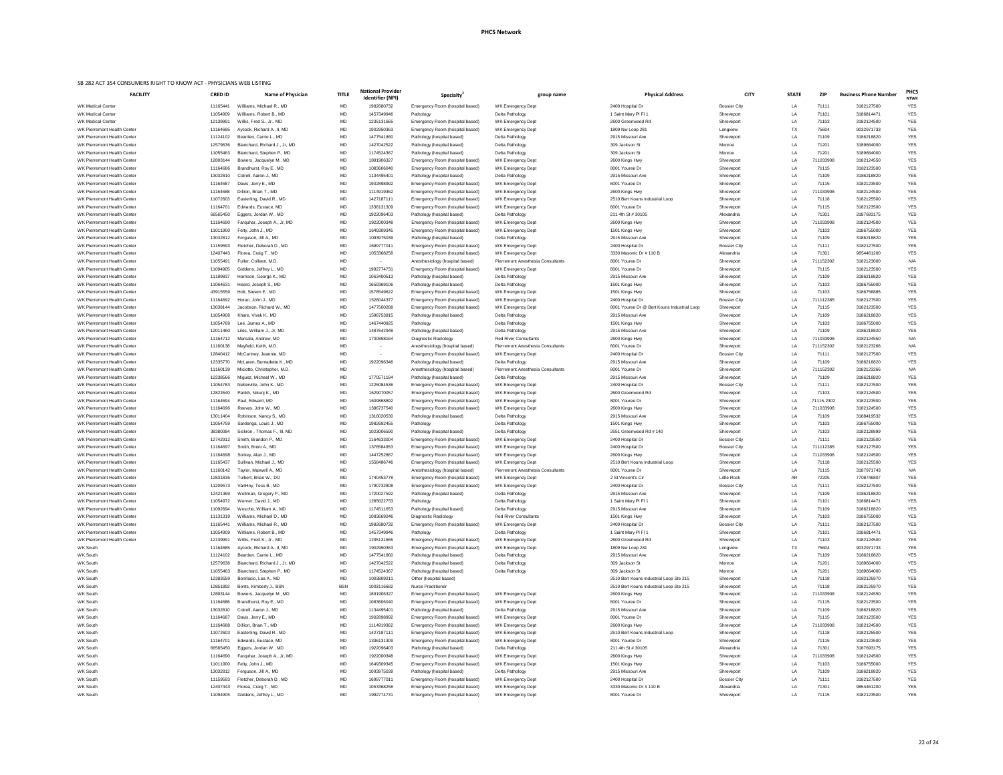|                                    |                |                               |              | <b>National Provider</b> |                                 |                                   |                                             |                     |              |            |                              | PHC:        |
|------------------------------------|----------------|-------------------------------|--------------|--------------------------|---------------------------------|-----------------------------------|---------------------------------------------|---------------------|--------------|------------|------------------------------|-------------|
| <b>FACILITY</b>                    | <b>CRED ID</b> | Name of Physician             | <b>TITLE</b> | <b>Identifier (NPI)</b>  | <b>Specialty</b>                | group name                        | <b>Physical Address</b>                     | <b>CITY</b>         | <b>STATE</b> | <b>ZIP</b> | <b>Business Phone Number</b> | <b>NTWI</b> |
| <b>WK Medical Center</b>           | 11165441       | Williams, Michael R., MD      | MD           | 1982680732               | Emergency Room (hospital based) | WK Emergency Dept                 | 2400 Hospital Dr                            | <b>Bossier City</b> | LA           | 71111      | 3182127500                   | <b>YES</b>  |
| <b>WK Medical Center</b>           | 11054909       | Williams, Robert B., MD       | <b>MD</b>    | 1457349946               | Pathology                       | Delta Pathology                   | 1 Saint Mary PI FI 1                        | Shreveport          | LA           | 71101      | 3186814471                   | <b>YES</b>  |
| <b>WK Medical Center</b>           | 12139991       | Willis, Fred S., Jr., MD      | MD           | 1235131665               | Emergency Room (hospital based) | WK Emergency Dept                 | 2600 Greenwood Ro                           | Shreveport          | LA           | 71103      | 3182124500                   | <b>YES</b>  |
| WK Pierremont Health Center        | 11164685       | Aycock, Richard A., II, MD    | <b>MD</b>    | 1902950363               | Emergency Room (hospital based) | WK Emergency Dept                 | 1809 Nw Loop 281                            | Longview            | TX           | 75604      | 9032971733                   | <b>YES</b>  |
| WK Pierremont Health Center        | 11124102       | Bearden, Carrie L., MD        | <b>MD</b>    | 1477541860               |                                 |                                   | 2915 Missouri Ave                           |                     | LA           | 71109      | 3186218820                   | <b>YES</b>  |
|                                    |                |                               |              |                          | Pathology (hospital based)      | Delta Pathology                   |                                             | Shreveport          |              |            |                              |             |
| WK Pierremont Health Center        | 12579636       | Blanchard, Richard J., Jr, MD | MD           | 1427042522               | Pathology (hospital based)      | Delta Pathology                   | 309 Jackson St                              | Monroe              | LA           | 71201      | 3189664000                   | YES         |
| WK Pierremont Health Center        | 11055463       | Blanchard, Stephen P., MD     | MD           | 1174524367               | Pathology (hospital based)      | Delta Pathology                   | 309 Jackson St                              | Monroe              | LA           | 71201      | 3189664000                   | <b>YES</b>  |
| WK Pierremont Health Center        | 12893144       | Bowers, Jacquelyn M., MD      | <b>MD</b>    | 1891906327               | Emergency Room (hospital based) | WK Emergency Dept                 | 2600 Kings Hwy                              | Shreveport          | LA           | 711033908  | 3182124550                   | <b>YES</b>  |
| <b>WK Pierremont Health Center</b> | 11164686       | Brandhurst, Roy E., MD        | <b>MD</b>    | 1083606040               | Emergency Room (hospital based) | WK Emergency Dept                 | 8001 Youree Dr                              | Shreveport          | LA           | 71115      | 3182123500                   | <b>YES</b>  |
| <b>WK Pierremont Health Center</b> | 13032810       | Cotrell, Aaron J., MD         | <b>MD</b>    | 1134495401               | Pathology (hospital based)      | Delta Pathology                   | 2915 Missouri Ave                           | Shreveport          | LA           | 71109      | 3186218820                   | <b>YES</b>  |
| WK Pierremont Health Center        | 11164687       | Davis, Jerry E., MD           | <b>MD</b>    | 1902898992               | Emergency Room (hospital based) | WK Emergency Dept                 | 8001 Youree Dr                              | Shreveport          | LA           | 71115      | 3182123500                   | <b>YES</b>  |
| WK Pierremont Health Center        | 11164688       | Dillion, Brian T., MD         | <b>MD</b>    | 1114919362               | Emergency Room (hospital based) | WK Emergency Dept                 | 2600 Kings Hwy                              | Shreveport          | LA           | 711033908  | 3182124500                   | <b>YES</b>  |
|                                    | 11072603       |                               | <b>MD</b>    | 1427187111               |                                 |                                   | 2510 Bert Kouns Industrial Loop             |                     | LA           | 71118      | 3182125500                   |             |
| WK Pierremont Health Center        |                | Easterling, David R., MD      |              |                          | Emergency Room (hospital based) | WK Emergency Dept                 |                                             | Shreveport          |              |            |                              | <b>YES</b>  |
| WK Pierremont Health Center        | 11164701       | Edwards, Eustace, MD          | MD           | 1336131309               | Emergency Room (hospital based) | WK Emergency Dept                 | 8001 Youree Dr                              | Shreveport          | LA           | 71115      | 3182123500                   | <b>YES</b>  |
| WK Pierremont Health Center        | 66565450       | Eggers, Jordan W., MD         | <b>MD</b>    | 1922096403               | Pathology (hospital based)      | Delta Pathology                   | 211 4th St # 30105                          | Alexandria          | LA           | 71301      | 3187693175                   | <b>YES</b>  |
| <b>WK Pierremont Health Center</b> | 11164690       | Farguhar, Joseph A., Jr, MD   | <b>MD</b>    | 1922000348               | Emergency Room (hospital based) | WK Emergency Dept                 | 2600 Kings Hwy                              | Shreveport          | LA           | 711033908  | 3182124500                   | <b>YES</b>  |
| <b>WK Pierremont Health Center</b> | 11011900       | Felty, John J., MD            | <b>MD</b>    | 1649309345               | Emergency Room (hospital based) | WK Emergency Dept                 | 1501 Kings Hwy                              | Shreveport          | LA           | 71103      | 3186755000                   | <b>YES</b>  |
| WK Pierremont Health Center        | 13032812       | Ferguson, Jill A., MD         | MD           | 1093975039               | Pathology (hospital based)      | Delta Pathology                   | 2915 Missouri Ave                           | Shreveport          | LA           | 71109      | 3186218820                   | <b>YES</b>  |
| WK Pierremont Health Center        | 11159593       | Fletcher, Deborah D., MD      | <b>MD</b>    | 1699777011               | Emergency Room (hospital based) | WK Emergency Dept                 | 2400 Hospital Dr                            | <b>Bossier City</b> | LA           | 71111      | 3182127500                   | <b>YES</b>  |
| WK Pierremont Health Center        | 12407443       | Florea, Craig T., MD          | <b>MD</b>    | 1053368258               | Emergency Room (hospital based) | WK Emergency Dept                 | 3330 Masonic Dr # 110 B                     | Alexandria          | LA           | 71301      | 9854461200                   | <b>YES</b>  |
|                                    |                |                               |              |                          |                                 |                                   |                                             |                     |              |            |                              |             |
| WK Pierremont Health Center        | 11055491       | Fuller, Colleen, M.D.         | <b>MD</b>    |                          | Anesthesiology (hospital based) | Pierremont Anesthesia Consultants | 8001 Youree Dr                              | Shreveport          | LA           | 711152302  | 3182123000                   | N/A         |
| <b>WK Pierremont Health Center</b> | 11094905       | Giddens, Jeffrey L., MD       | <b>MD</b>    | 1992774731               | Emergency Room (hospital based) | WK Emergency Dept                 | 8001 Youree Dr                              | Shreveport          | LA           | 71115      | 3182123500                   | YES         |
| WK Pierremont Health Center        | 11189837       | Harrison, George K., MD       | <b>MD</b>    | 1063400513               | Pathology (hospital based)      | Delta Pathology                   | 2915 Missouri Ave                           | Shreveport          | LA           | 71109      | 3186218820                   | <b>YES</b>  |
| WK Pierremont Health Center        | 11064631       | Heard, Joseph S., MD          | MD           | 1659369106               | Pathology (hospital based)      | Delta Pathology                   | 1501 Kings Hwy                              | Shreveport          | LA           | 71103      | 3186755000                   | <b>YES</b>  |
| <b>WK Pierremont Health Center</b> | 43915559       | Holt, Steven E., MD           | MD           | 1578549622               | Emergency Room (hospital based) | WK Emergency Dept                 | 1501 Kings Hwy                              | Shreveport          | LA           | 71103      | 3186756885                   | YES         |
| WK Pierremont Health Center        | 11164692       | Horan, John J., MD            | <b>MD</b>    | 1528044377               | Emergency Room (hospital based) | WK Emergency Dept                 | 2400 Hospital Dr                            | <b>Bossier City</b> | LA           | 711112385  | 3182127500                   | <b>YES</b>  |
| WK Pierremont Health Center        | 13038144       | Jacobson, Richard W., MD      | <b>MD</b>    | 1477500288               | Emergency Room (hospital based) | WK Emergency Dept                 | 8001 Youree Dr @ Bert Kouns Industrial Loop | Shreveport          | LA           | 71115      | 3182123500                   | <b>YES</b>  |
| WK Pierremont Health Center        | 11054908       | Khare, Vivek K., MD           | MD           | 1598753915               | Pathology (hospital based)      | Delta Pathology                   | 2915 Missouri Ave                           | Shreveport          | LA           | 71109      | 3186218820                   | YES         |
|                                    |                |                               |              |                          |                                 |                                   |                                             |                     |              |            |                              |             |
| <b>WK Pierremont Health Center</b> | 11054769       | Lee, James A., MD             | <b>MD</b>    | 1467440925               | Pathology                       | Delta Pathology                   | 1501 Kings Hwy                              | Shreveport          | LA           | 71103      | 3186755000                   | <b>YES</b>  |
| WK Pierremont Health Center        | 12011460       | Liles, William J., Jr, MD     | <b>MD</b>    | 1487642948               | Pathology (hospital based)      | Delta Pathology                   | 2915 Missouri Ave                           | Shreveport          | LA           | 71109      | 3186218820                   | YES         |
| WK Pierremont Health Center        | 11164712       | Marsala, Andrew, MD           | MD.          | 1700858164               | Diagnostic Radiology            | <b>Red River Consultants</b>      | 2600 Kings Hwy                              | Shreveport          | LA           | 711033908  | 3182124550                   | N/A         |
| <b>WK Pierremont Health Center</b> | 11160138       | Mayfield, Keith, M.D.         | MD           |                          | Anesthesiology (hospital based) | Pierremont Anesthesia Consultants | 8001 Youree Dr                              | Shreveport          | LA           | 711152302  | 3182123266                   | N/A         |
| <b>WK Pierremont Health Center</b> | 12840412       | McCartney, Jeannie, MD        | <b>MD</b>    |                          | Emergency Room (hospital based) | WK Emergency Dept                 | 2400 Hospital Dr                            | <b>Bossier City</b> | LA           | 71111      | 3182127500                   | YES         |
| WK Pierremont Health Center        | 12335770       | McLaren, Bernadette K., MD    | MD           | 1922096346               | Pathology (hospital based)      | Delta Pathology                   | 2915 Missouri Ave                           | Shreveport          | LA           | 71109      | 3186218820                   | YES         |
| <b>WK Pierremont Health Center</b> | 11160139       | Miciotto, Christopher, M.D.   | MD           | $\sim$ $-$               | Anesthesiology (hospital based) | Pierremont Anesthesia Consultants | 8001 Youree Dr                              | Shreveport          | LA           | 711152302  | 3182123266                   | N/A         |
| <b>WK Pierremont Health Center</b> | 12238566       | Miguez, Michael W., MD        | <b>MD</b>    | 1770571184               | Pathology (hospital based)      | Delta Pathology                   | 2915 Missouri Ave                           | Shreveport          | LA           | 71109      | 3186218820                   | YES         |
|                                    |                |                               |              |                          |                                 |                                   |                                             |                     |              |            |                              |             |
| <b>WK Pierremont Health Center</b> | 11054783       | Netterville, John K., MD      | <b>MD</b>    | 1225084536               | Emergency Room (hospital based) | WK Emergency Dept                 | 2400 Hospital Dr                            | <b>Bossier City</b> | LA           | 71111      | 3182127500                   | <b>YES</b>  |
| <b>WK Pierremont Health Center</b> | 12822640       | Parikh, Nikunj K., MD         | <b>MD</b>    | 1629070057               | Emergency Room (hospital based) | WK Emergency Dept                 | 2600 Greenwood Rd                           | Shreveport          | LA           | 71103      | 3182124500                   | YES         |
| <b>WK Pierremont Health Center</b> | 11164694       | Paul, Edward, MD              | MD           | 1609868892               | Emergency Room (hospital based) | WK Emergency Dept                 | 8001 Youree Dr                              | Shreveport          | LA           | 71115-2302 | 3182123500                   | YES         |
| <b>WK Pierremont Health Center</b> | 11164696       | Reeves, John W., MD           | MD           | 1396737540               | Emergency Room (hospital based) | WK Emergency Dept                 | 2600 Kings Hwy                              | Shreveport          | LA           | 711033908  | 3182124500                   | <b>YES</b>  |
| <b>WK Pierremont Health Center</b> | 13011404       | Robinson, Nancy S., MD        | <b>MD</b>    | 1316020530               | Pathology (hospital based)      | Delta Pathology                   | 2915 Missouri Ave                           | Shreveport          | LA           | 71109      | 3188419532                   | YES         |
| <b>WK Pierremont Health Center</b> | 11054759       | Sardenga, Louis J., MD        | <b>MD</b>    | 1982692455               | Pathology                       | Delta Pathology                   | 1501 Kings Hwy                              | Shreveport          | LA           | 71103      | 3186755000                   | <b>YES</b>  |
| WK Pierremont Health Center        | 38380084       | Siskron, Thomas F., III, MD   | <b>MD</b>    | 1023006590               | Pathology (hospital based)      | Delta Pathology                   | 2551 Greenwood Rd # 140                     | Shreveport          | LA           | 71103      | 3182128899                   | <b>YES</b>  |
|                                    |                |                               |              |                          |                                 |                                   |                                             |                     | LA           |            | 3182123500                   |             |
| <b>WK Pierremont Health Center</b> | 12742912       | Smith, Brandon P., MD         | <b>MD</b>    | 1164633004               | Emergency Room (hospital based) | WK Emergency Dept                 | 2400 Hospital Dr                            | <b>Bossier City</b> |              | 71111      |                              | YES         |
| <b>WK Pierremont Health Center</b> | 11164697       | Smith, Brent A., MD           | <b>MD</b>    | 1376584953               | Emergency Room (hospital based) | WK Emergency Dept                 | 2400 Hospital Dr                            | <b>Bossier City</b> | LA           | 711112385  | 3182127500                   | <b>YES</b>  |
| <b>WK Pierremont Health Center</b> | 11164698       | Sorkey, Alan J., MD           | MD           | 1447252887               | Emergency Room (hospital based) | WK Emergency Dept                 | 2600 Kings Hwy                              | Shreveport          | LA           | 711033908  | 3182124500                   | YES         |
| <b>WK Pierremont Health Center</b> | 11165437       | Sullivan, Michael J., MD      | MD           | 1558486746               | Emergency Room (hospital based) | WK Emergency Dept                 | 2510 Bert Kouns Industrial Loop             | Shreveport          | LA           | 71118      | 3182125500                   | YES         |
| <b>WK Pierremont Health Center</b> | 11160142       | Taylor, Maxwell A., MD        | <b>MD</b>    | $\sim$                   | Anesthesiology (hospital based) | Pierremont Anesthesia Consultants | 8001 Youree Dr                              | Shreveport          | LA           | 71115      | 3187971743                   | N/A         |
| <b>WK Pierremont Health Center</b> | 12831836       | Tulbert, Brian W., DO         | <b>MD</b>    | 1740453778               | Emergency Room (hospital based) | WK Emergency Dept                 | 2 St Vincent's Cir                          | <b>Little Rock</b>  | AF           | 72205      | 7708746807                   | <b>YES</b>  |
| WK Pierremont Health Center        | 11209573       | VanHoy, Tess B., MD           | <b>MD</b>    | 1790732808               | Emergency Room (hospital based) | WK Emergency Dept                 | 2400 Hospital Dr                            | <b>Bossier City</b> | LA           | 71111      | 3182127500                   | YES         |
| <b>WK Pierremont Health Center</b> | 12421369       | Wellman, Gregory P., MD       | <b>MD</b>    | 1720027592               | Pathology (hospital based)      | Delta Pathology                   | 2915 Missouri Ave                           | Shreveport          | LA           | 71109      | 3186218820                   | <b>YES</b>  |
|                                    |                |                               |              |                          |                                 |                                   |                                             |                     |              |            |                              |             |
| WK Pierremont Health Center        | 11054972       | Werner, David J., MD          | <b>MD</b>    | 1285622753               | Pathology                       | Delta Pathology                   | 1 Saint Mary PI FI 1                        | Shreveport          | LA           | 71101      | 3186814471                   | YES         |
| WK Pierremont Health Center        | 11092694       | Wesche, William A., MD        | MD           | 1174511653               | Pathology (hospital based)      | Delta Pathology                   | 2915 Missouri Ave                           | Shreveport          | LA           | 71109      | 3186218820                   | <b>YES</b>  |
| <b>WK Pierremont Health Center</b> | 11131319       | Williams, Michael D., MD      | MD           | 1083669246               | Diagnostic Radiology            | <b>Red River Consultants</b>      | 1501 Kings Hwy                              | Shreveport          | LA           | 71103      | 3186755000                   | <b>YES</b>  |
| <b>WK Pierremont Health Center</b> | 11165441       | Williams, Michael R., MD      | <b>MD</b>    | 1982680732               | Emergency Room (hospital based) | WK Emergency Dept                 | 2400 Hospital Dr                            | <b>Bossier City</b> | LA           | 71111      | 3182127500                   | <b>YES</b>  |
| <b>WK Pierremont Health Center</b> | 11054909       | Williams, Robert B., MD       | <b>MD</b>    | 1457349946               | Pathology                       | Delta Pathology                   | 1 Saint Mary PI FI 1                        | Shreveport          | LA           | 71101      | 3186814471                   | <b>YES</b>  |
| <b>WK Pierremont Health Center</b> | 12139991       | Willis, Fred S., Jr., MD      | <b>MD</b>    | 1235131665               | Emergency Room (hospital based) | WK Emergency Dept                 | 2600 Greenwood Rd                           | Shreveport          | LA           | 71103      | 3182124500                   | <b>YES</b>  |
| WK South                           | 11164685       | Aycock, Richard A., II, MD    | <b>MD</b>    | 1902950363               | Emergency Room (hospital based) | WK Emergency Dept                 | 1809 Nw Loop 281                            | Longview            | TX           | 75604      | 9032971733                   | <b>YES</b>  |
| WK South                           | 11124102       | Bearden, Carrie L., MD        | MD           | 1477541860               | Pathology (hospital based)      | Delta Pathology                   | 2915 Missouri Ave                           | Shreveport          | LA           | 71109      | 3186218820                   | <b>YES</b>  |
| <b>WK South</b>                    | 12579636       | Blanchard, Richard J., Jr, MD | MD           | 1427042522               | Pathology (hospital based)      | Delta Pathology                   | 309 Jackson St                              | Monroe              | LA           | 71201      | 3189664000                   | <b>YES</b>  |
|                                    |                |                               |              |                          |                                 |                                   |                                             |                     |              |            |                              |             |
| WK South                           | 11055463       | Blanchard, Stephen P., MD     | MD           | 1174524367               | Pathology (hospital based)      | Delta Pathology                   | 309 Jackson St                              | Monroe              | LA           | 71201      | 3189664000                   | <b>YES</b>  |
| <b>WK South</b>                    | 12383559       | Bonifacio, Lea A., MD         | <b>MD</b>    | 100380921                | Other (hospital based)          |                                   | 2510 Bert Kouns Industrial Loop Ste 215     | Shreveport          | LA           | 71118      | 3182125970                   | YES         |
| WK South                           | 12851892       | Bonts, Kimberly J., BSN       |              | 1003116682               | <b>Nurse Practitioner</b>       |                                   | 2510 Bert Kouns Industrial Loop Ste 215     | Shreveport          |              | 71118      | 3182125970                   | <b>YES</b>  |
| WK South                           | 12893144       | Bowers, Jacquelyn M., MD      | MD           | 1891906327               | Emergency Room (hospital based) | WK Emergency Dept                 | 2600 Kings Hwy                              | Shreveport          | LA           | 711033908  | 3182124550                   | YES         |
| WK South                           | 11164686       | Brandhurst, Roy E., MD        | <b>MD</b>    | 1083606040               | Emergency Room (hospital based) | WK Emergency Dept                 | 8001 Youree Dr                              | Shreveport          | LA           | 71115      | 3182123500                   | <b>YES</b>  |
| WK South                           | 13032810       | Cotrell, Aaron J., MD         | <b>MD</b>    | 1134495401               | Pathology (hospital based)      | Delta Pathology                   | 2915 Missouri Ave                           | Shreveport          | LA           | 71109      | 3186218820                   | <b>YES</b>  |
| WK South                           | 11164687       | Davis, Jerry E., MD           | <b>MD</b>    | 1902898992               | Emergency Room (hospital based) | WK Emergency Dept                 | 8001 Youree Dr                              | Shreveport          | LA           | 71115      | 3182123500                   | <b>YES</b>  |
| WK South                           | 11164688       | Dillion, Brian T., MD         | <b>MD</b>    | 1114919362               | Emergency Room (hospital based) | WK Emergency Dept                 | 2600 Kings Hwy                              | Shreveport          | LA           | 711033908  | 3182124500                   | <b>YES</b>  |
|                                    |                |                               |              |                          |                                 |                                   |                                             |                     |              |            |                              |             |
| WK South                           | 11072603       | Easterling, David R., MD      | <b>MD</b>    | 1427187111               | Emergency Room (hospital based) | WK Emergency Dept                 | 2510 Bert Kouns Industrial Loop             | Shreveport          | LA           | 71118      | 3182125500                   | YES         |
| WK South                           | 11164701       | Edwards, Eustace, MD          | <b>MD</b>    | 1336131309               | Emergency Room (hospital based) | WK Emergency Dept                 | 8001 Youree Dr                              | Shreveport          | LA           | 71115      | 3182123500                   | <b>YES</b>  |
| WK South                           | 66565450       | Eggers, Jordan W., MD         | <b>MD</b>    | 1922096403               | Pathology (hospital based)      | Delta Pathology                   | 211 4th St # 30105                          | Alexandria          | LA           | 71301      | 3187693175                   | <b>YES</b>  |
| WK South                           | 11164690       | Farquhar, Joseph A., Jr, MD   | MD           | 1922000348               | Emergency Room (hospital based) | WK Emergency Dept                 | 2600 Kings Hwy                              | Shreveport          | LA           | 711033908  | 3182124500                   | <b>YES</b>  |
| WK South                           | 11011900       | Felty, John J., MD            | <b>MD</b>    | 1649309345               | Emergency Room (hospital based) | WK Emergency Dept                 | 1501 Kings Hwy                              | Shreveport          | LA           | 71103      | 3186755000                   | <b>YES</b>  |
| WK South                           | 13032812       | Ferguson, Jill A., MD         | <b>MD</b>    | 1093975039               | Pathology (hospital based)      | Delta Pathology                   | 2915 Missouri Ave                           | Shreveport          | LA           | 71109      | 3186218820                   | <b>YES</b>  |
| WK South                           | 11159593       | Fletcher, Deborah D., MD      | <b>MD</b>    | 1699777011               | Emergency Room (hospital based) | WK Emergency Dept                 | 2400 Hospital Dr                            | <b>Bossier City</b> | LA           | 71111      | 3182127500                   | YES         |
| WK South                           | 12407443       | Florea, Craig T., MD          | MD           | 1053368258               | Emergency Room (hospital based) | WK Emergency Dept                 | 3330 Masonic Dr # 110 B                     | Alexandria          | LA           | 71301      | 9854461200                   | <b>YES</b>  |
| WK South                           | 11094905       | Giddens, Jeffrey L., MD       | MD           | 1992774731               | Emergency Room (hospital based) | WK Emergency Dept                 | 8001 Youree Dr                              | Shreveport          | LA           | 71115      | 3182123500                   | YES         |
|                                    |                |                               |              |                          |                                 |                                   |                                             |                     |              |            |                              |             |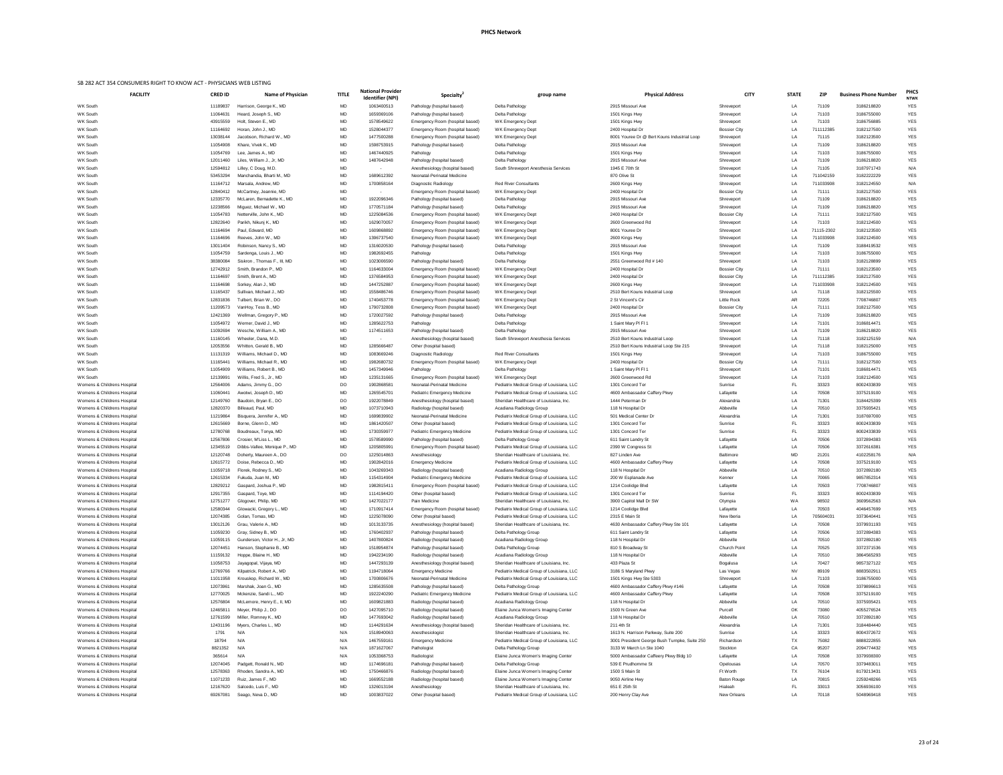| <b>FACILITY</b>             | <b>CRED ID</b> | <b>Name of Physician</b>     | <b>TITLE</b> | <b>National Provider</b><br><b>Identifier (NPI)</b> | Specialty <sup>®</sup>              | group name                                | <b>Physical Address</b>                       | <b>CITY</b>         | <b>STATE</b> | <b>ZIP</b> | <b>Business Phone Number</b> | PHCS<br><b>NTWK</b> |
|-----------------------------|----------------|------------------------------|--------------|-----------------------------------------------------|-------------------------------------|-------------------------------------------|-----------------------------------------------|---------------------|--------------|------------|------------------------------|---------------------|
| WK South                    | 11189837       | Harrison, George K., MD      | MD           | 1063400513                                          | Pathology (hospital based)          | Delta Pathology                           | 2915 Missouri Ave                             | Shreveport          | LA           | 71109      | 3186218820                   | <b>YES</b>          |
| WK South                    | 11064631       | Heard, Joseph S., MD         | MD           | 1659369106                                          | Pathology (hospital based)          | Delta Pathology                           | 1501 Kings Hwy                                | Shreveport          | LA           | 71103      | 3186755000                   | <b>YES</b>          |
| WK South                    | 43915559       | Holt, Steven E., MD          | MD           | 1578549622                                          | Emergency Room (hospital based)     | WK Emergency Dept                         | 1501 Kings Hwy                                | Shreveport          | LA           | 71103      | 3186756885                   | <b>YES</b>          |
| <b>WK South</b>             | 11164692       | Horan, John J., MD           | MD           | 1528044377                                          | Emergency Room (hospital based)     | WK Emergency Dept                         | 2400 Hospital Dr                              | <b>Bossier City</b> | LA           | 711112385  | 3182127500                   | <b>YES</b>          |
| WK South                    | 13038144       | Jacobson, Richard W., MD     | MD           | 1477500288                                          | Emergency Room (hospital based)     | WK Emergency Dept                         | 8001 Youree Dr @ Bert Kouns Industrial Loop   | Shreveport          | LA           | 71115      | 3182123500                   | <b>YES</b>          |
| WK South                    | 11054908       | Khare, Vivek K., MD          | MD           | 1598753915                                          | Pathology (hospital based)          | Delta Pathology                           | 2915 Missouri Ave                             | Shreveport          | LA           | 71109      | 3186218820                   | <b>YES</b>          |
| WK South                    | 11054769       | Lee, James A., MD            | MD           | 1467440925                                          | Pathology                           | Delta Pathology                           | 1501 Kings Hwy                                | Shreveport          | LA           | 71103      | 3186755000                   | <b>YES</b>          |
| <b>WK South</b>             | 12011460       | Liles, William J., Jr, MD    | MD           | 1487642948                                          | Pathology (hospital based)          | Delta Pathology                           | 2915 Missouri Ave                             | Shreveport          | LA           | 71109      | 3186218820                   | <b>YES</b>          |
| <b>WK South</b>             | 12594812       | Lilley, C Doug, M.D.         | MD           | $\sim$ $-$                                          | Anesthesiology (hospital based)     | South Shreveport Anesthesia Services      | 1945 E 70th St                                | Shreveport          | LA           | 71105      | 3187971743                   | N/A                 |
| <b>WK South</b>             | 53453294       | Manchandia, Bharti M., MD    | MD           | 1689612392                                          | Neonatal-Perinatal Medicine         |                                           | 870 Olive St                                  | Shreveport          | LA           | 711042159  | 3182222229                   | YES                 |
| WK South                    | 11164712       | Marsala, Andrew, MD          | MD           | 1700858164                                          | Diagnostic Radiology                | <b>Red River Consultants</b>              | 2600 Kings Hwy                                | Shreveport          | LA           | 711033908  | 3182124550                   | N/A                 |
| WK South                    | 12840412       | McCartney, Jeannie, MD       | MD           | $\sim$                                              | Emergency Room (hospital based)     | WK Emergency Dept                         | 2400 Hospital Dr                              | <b>Bossier City</b> | LA           | 71111      | 3182127500                   | <b>YES</b>          |
| <b>WK South</b>             | 12335770       | McLaren, Bernadette K., MD   | MD           | 1922096346                                          | Pathology (hospital based)          | Delta Pathology                           | 2915 Missouri Ave                             | Shreveport          | LA           | 71109      | 3186218820                   | YES                 |
| <b>WK South</b>             | 12238566       | Miguez, Michael W., MD       | MD           | 1770571184                                          | Pathology (hospital based)          | Delta Pathology                           | 2915 Missouri Ave                             | Shreveport          | LA           | 71109      | 3186218820                   | <b>YES</b>          |
| WK South                    | 11054783       | Netterville, John K., MD     | MD           | 1225084536                                          | Emergency Room (hospital based)     | WK Emergency Dept                         | 2400 Hospital Dr                              | <b>Bossier City</b> | LA           | 71111      | 3182127500                   | <b>YES</b>          |
| <b>WK South</b>             | 12822640       | Parikh, Nikunj K., MD        | MD           | 1629070057                                          | Emergency Room (hospital based)     | WK Emergency Dept                         | 2600 Greenwood Rd                             | Shreveport          | LA           | 71103      | 3182124500                   | <b>YES</b>          |
| WK South                    | 11164694       | Paul, Edward, MD             | MD           | 1609868892                                          | Emergency Room (hospital based)     | WK Emergency Dept                         | 8001 Youree Dr                                | Shreveport          | LA           | 71115-2302 | 3182123500                   | <b>YES</b>          |
| WK South                    | 11164696       | Reeves, John W., MD          | MD           | 1396737540                                          | Emergency Room (hospital based)     | WK Emergency Dept                         | 2600 Kings Hwy                                | Shreveport          | LA           | 711033908  | 3182124500                   | <b>YES</b>          |
| <b>WK South</b>             | 13011404       | Robinson, Nancy S., MD       | MD           | 1316020530                                          | Pathology (hospital based)          | Delta Pathology                           | 2915 Missouri Ave                             | Shreveport          | LA           | 71109      | 3188419532                   | <b>YES</b>          |
| <b>WK South</b>             | 11054759       | Sardenga, Louis J., MD       | MD           | 1982692455                                          | Pathology                           | Delta Pathology                           | 1501 Kings Hwy                                | Shreveport          | LA           | 71103      | 3186755000                   | <b>YES</b>          |
| WK South                    | 38380084       | Siskron, Thomas F., III, MD  | MD           | 1023006590                                          | Pathology (hospital based)          | Delta Pathology                           | 2551 Greenwood Rd # 140                       | Shreveport          | LA           | 71103      | 3182128899                   | <b>YES</b>          |
| WK South                    | 12742912       | Smith, Brandon P., MD        | MD           | 1164633004                                          | Emergency Room (hospital based)     | WK Emergency Dept                         | 2400 Hospital Dr                              | <b>Bossier City</b> | LA           | 71111      | 3182123500                   | <b>YES</b>          |
| WK South                    | 11164697       | Smith, Brent A., MD          | MD           | 1376584953                                          | Emergency Room (hospital based)     | WK Emergency Dept                         | 2400 Hospital Dr                              | <b>Bossier City</b> | LA           | 711112385  | 3182127500                   | YES                 |
| <b>WK South</b>             | 11164698       | Sorkey, Alan J., MD          | MD           | 1447252887                                          | Emergency Room (hospital based)     | WK Emergency Dept                         | 2600 Kings Hwy                                | Shreveport          | <b>LA</b>    | 711033908  | 3182124500                   | <b>YES</b>          |
| <b>WK South</b>             | 11165437       | Sullivan, Michael J., MD     | MD           | 1558486746                                          | Emergency Room (hospital based)     | WK Emergency Dept                         | 2510 Bert Kouns Industrial Loop               | Shreveport          | LA           | 71118      | 3182125500                   | <b>YES</b>          |
| <b>WK South</b>             | 12831836       | Tulbert, Brian W., DO        | MD           | 1740453778                                          | Emergency Room (hospital based)     | WK Emergency Dept                         | 2 St Vincent's Cir                            | Little Rock         | AR           | 72205      | 7708746807                   | <b>YES</b>          |
| <b>WK South</b>             | 11209573       | VanHoy, Tess B., MD          | MD           | 1790732808                                          | Emergency Room (hospital based)     | WK Emergency Dept                         | 2400 Hospital Dr                              | <b>Bossier City</b> | LA           | 71111      | 3182127500                   | <b>YES</b>          |
| WK South                    | 12421369       | Wellman, Gregory P., MD      | MD           | 1720027592                                          | Pathology (hospital based)          | Delta Pathology                           | 2915 Missouri Ave                             | Shreveport          | LA           | 71109      | 3186218820                   | <b>YES</b>          |
| WK South                    | 11054972       | Werner, David J., MD         | MD           | 1285622753                                          | Pathology                           | Delta Pathology                           | 1 Saint Mary PI FI 1                          | Shreveport          | LA           | 71101      | 3186814471                   | <b>YES</b>          |
| <b>WK South</b>             | 11092694       | Wesche, William A., MD       | <b>MD</b>    | 1174511653                                          | Pathology (hospital based)          | Delta Pathology                           | 2915 Missouri Ave                             | Shreveport          | LA           | 71109      | 3186218820                   | <b>YES</b>          |
| WK South                    | 11160145       | Wheeler, Dana, M.D.          |              |                                                     | Anesthesiology (hospital based)     | South Shreveport Anesthesia Services      | 2510 Bert Kouns Industrial Loop               | Shreveport          | LA           | 71118      | 3182125159                   | N/A                 |
| <b>WK South</b>             | 12053556       | Whitton, Gerald B., MD       | MD           | 1285666487                                          | Other (hospital based)              |                                           | 2510 Bert Kouns Industrial Loop Ste 215       | Shreveport          | LA           | 71118      | 3182125000                   | <b>YES</b>          |
| WK South                    | 11131319       | Williams, Michael D., MD     | MD           | 1083669246                                          | Diagnostic Radiology                | <b>Red River Consultants</b>              | 1501 Kings Hwy                                | Shreveport          | LA           | 71103      | 3186755000                   | <b>YES</b>          |
| WK South                    | 11165441       | Williams, Michael R., MD     | MD           | 1982680732                                          | Emergency Room (hospital based)     | <b>WK Emergency Dept</b>                  | 2400 Hospital Dr                              | <b>Bossier City</b> | LA           | 71111      | 3182127500                   | <b>YES</b>          |
| <b>WK South</b>             | 11054909       | Williams, Robert B., MD      | MD           | 1457349946                                          | Pathology                           | Delta Pathology                           | 1 Saint Mary PI FI 1                          | Shreveport          | LA           | 71101      | 3186814471                   | <b>YES</b>          |
| <b>WK South</b>             | 12139991       | Willis, Fred S., Jr., MD     | <b>MD</b>    | 1235131665                                          | Emergency Room (hospital based)     | WK Emergency Dept                         | 2600 Greenwood Rd                             | Shreveport          | <b>LA</b>    | 71103      | 3182124500                   | <b>YES</b>          |
| Womens & Childrens Hospital | 12564006       | Adams, Jimmy G., DO          | DO           | 190286858                                           | Neonatal-Perinatal Medicine         | Pediatrix Medical Group of Louisiana, LLC | 1301 Concord Ter                              | Sunrise             | <b>FL</b>    | 33323      | 8002433839                   | <b>YES</b>          |
| Womens & Childrens Hospital | 11060441       | Awotwi, Joseph D., MD        | MD           | 1265545701                                          | Pediatric Emergency Medicine        | Pediatrix Medical Group of Louisiana, LLC | 4600 Ambassador Caffery Pkwy                  | Lafayette           | LA           | 70508      | 3375219100                   | <b>YES</b>          |
| Womens & Childrens Hospital | 12149760       | Baudoin, Bryan E., DO        | DO           | 1922078849                                          | Anesthesiology (hospital based)     | Sheridan Healthcare of Louisiana, Inc.    | 1444 Peterman Dr                              | Alexandria          | LA           | 71301      | 3184425399                   | <b>YES</b>          |
| Womens & Childrens Hospital | 12820370       | Billeaud, Paul, MD           | MD           | 1073710943                                          | Radiology (hospital based)          | Acadiana Radiology Group                  | 118 N Hospital Dr                             | Abbeville           | LA           | 70510      | 3375935421                   | <b>YES</b>          |
| Womens & Childrens Hospital | 11219864       | Bisquera, Jennifer A., MD    | MD           | 1699839902                                          | Neonatal-Perinatal Medicine         | Pediatrix Medical Group of Louisiana, LLC | 501 Medical Center Dr                         | Alexandria          | LA           | 71301      | 3187697000                   | <b>YES</b>          |
| Womens & Childrens Hospital | 12615669       | Borne, Glenn D., MD          | MD           | 1861420507                                          | Other (hospital based)              | Pediatrix Medical Group of Louisiana, LLC | 1301 Concord Ter                              | Sunrise             | FL           | 33323      | 8002433839                   | <b>YES</b>          |
| Womens & Childrens Hospital | 12780768       | Boudreaux, Tonya, MD         | MD           | 1730359977                                          | <b>Pediatric Emergency Medicine</b> | Pediatrix Medical Group of Louisiana, LLC | 1301 Concord Ter                              | Sunrise             | FL           | 33323      | 8002433839                   | <b>YES</b>          |
| Womens & Childrens Hospital | 12567806       | Crosier, M'Liss L., MD       | MD           | 1578589990                                          | Pathology (hospital based)          | Delta Pathology Group                     | 611 Saint Landry St                           | Lafayette           | LA           | 70506      | 3372894383                   | <b>YES</b>          |
| Womens & Childrens Hospital | 12345519       | Dibbs-Vallee, Monique P., MD | MD           | 120580599                                           | Emergency Room (hospital based)     | Pediatrix Medical Group of Louisiana, LLC | 2390 W Congress St                            | Lafayette           | LA           | 70506      | 3372616381                   | <b>YES</b>          |
| Womens & Childrens Hospital | 12120748       | Doherty, Maureen A., DO      | DO           | 1225014863                                          | Anesthesiology                      | Sheridan Healthcare of Louisiana, Inc.    | 827 Linden Ave                                | <b>Baltimore</b>    | MD           | 21201      | 4102258176                   | N/A                 |
| Womens & Childrens Hospital | 12615772       | Doise, Rebecca D., MD        | MD           | 1902842016                                          | <b>Emergency Medicine</b>           | Pediatrix Medical Group of Louisiana, LLC | 4600 Ambassador Caffery Pkwy                  | Lafayette           | LA           | 70508      | 3375219100                   | <b>YES</b>          |
| Womens & Childrens Hospital | 11059718       | Florek, Rodney S., MD        | <b>MD</b>    | 1043269343                                          | Radiology (hospital based)          | Acadiana Radiology Group                  | 118 N Hospital Dr                             | Abbeville           | <b>LA</b>    | 70510      | 3372892180                   | <b>YES</b>          |
| Womens & Childrens Hospital | 12615334       | Fukuda, Juan M., MD          | <b>MD</b>    | 1154314904                                          | Pediatric Emergency Medicine        | Pediatrix Medical Group of Louisiana, LLC | 200 W Esplanade Ave                           | Kenner              | <b>LA</b>    | 70065      | 9857852314                   | <b>YES</b>          |
| Womens & Childrens Hospital | 12829212       | Gaspard, Joshua P., MD       | MD           | 1982815411                                          | Emergency Room (hospital based)     | Pediatrix Medical Group of Louisiana, LLC | 1214 Coolidge Blvd                            | Lafayette           | LA           | 70503      | 7708746807                   | <b>YES</b>          |
| Womens & Childrens Hospital | 12917355       | Gaspard, Toye, MD            | MD           | 1114194420                                          | Other (hospital based)              | Pediatrix Medical Group of Louisiana, LLC | 1301 Concord Ter                              | Sunrise             | <b>FL</b>    | 33323      | 8002433839                   | <b>YES</b>          |
| Womens & Childrens Hospital | 12751277       | Glogover, Philip, MD         | MD           | 1427022177                                          | Pain Medicine                       | Sheridan Healthcare of Louisiana, Inc.    | 3900 Capitol Mall Dr SW                       | Olympia             | W A          | 98502      | 3609562563                   | N/A                 |
| Womens & Childrens Hospital | 12580344       | Glowacki, Gregory L., MD     | <b>MD</b>    | 1710917414                                          | Emergency Room (hospital based)     | Pediatrix Medical Group of Louisiana, LLC | 1214 Coolidge Blvd                            | Lafayette           | LA           | 70503      | 4046457699                   | <b>YES</b>          |
| Womens & Childrens Hospital | 12074385       | Golan, Tomas, MD             | <b>MD</b>    | 1225078090                                          | Other (hospital based)              | Pediatrix Medical Group of Louisiana, LLC | 2315 E Main St                                | New Iberia          | <b>LA</b>    | 705604031  | 3373640441                   | <b>YES</b>          |
| Womens & Childrens Hospital | 13012126       | Grau, Valerie A., MD         | <b>MD</b>    | 1013133735                                          | Anesthesiology (hospital based)     | Sheridan Healthcare of Louisiana, Inc.    | 4630 Ambassador Caffery Pkwy Ste 101          | Lafayette           | <b>LA</b>    | 70508      | 3379931193                   | <b>YES</b>          |
| Womens & Childrens Hospital | 11059230       | Gray, Sidney B., MD          | MD           | 1760402937                                          | Pathology (hospital based)          | Delta Pathology Group                     | 611 Saint Landry St                           | Lafayette           | LA           | 70506      | 3372894383                   | <b>YES</b>          |
| Womens & Childrens Hospital | 11059115       | Gunderson, Victor H., Jr, MD | MD           | 1407800824                                          | Radiology (hospital based)          | Acadiana Radiology Group                  | 118 N Hospital Dr                             | Abbeville           | LA           | 70510      | 3372892180                   | <b>YES</b>          |
| Womens & Childrens Hospital | 12074451       | Hanson, Stephanie B., MD     | MD           | 1518954874                                          | Pathology (hospital based)          | Delta Pathology Group                     | 810 S Broadway St                             | <b>Church Point</b> | <b>LA</b>    | 70525      | 3372371536                   | <b>YES</b>          |
| Womens & Childrens Hospital | 11159132       | Hoppe, Blaine H., MD         | MD           | 1942234190                                          | Radiology (hospital based)          | Acadiana Radiology Group                  | 118 N Hospital Dr                             | Abbeville           | LA           | 70510      | 3864565293                   | <b>YES</b>          |
| Womens & Childrens Hospital | 11058753       | Jayagopal, Vijaya, MD        | MD           | 1447293139                                          | Anesthesiology (hospital based)     | Sheridan Healthcare of Louisiana, Inc.    | 433 Plaza St                                  | Bogalusa            | LA           | 70427      | 9857327122                   | <b>YES</b>          |
| Womens & Childrens Hospital | 12769766       | Kilpatrick, Robert A., MD    | MD           | 1194718064                                          | <b>Emergency Medicine</b>           | Pediatrix Medical Group of Louisiana, LLC | 3186 S Maryland Pkwy                          | Las Vegas           | <b>NV</b>    | 89109      | 8883502911                   | <b>YES</b>          |
| Womens & Childrens Hospital | 11011958       | Krouskop, Richard W., MD     | <b>MD</b>    | 1700806676                                          | Neonatal-Perinatal Medicine         | Pediatrix Medical Group of Louisiana, LLC | 1501 Kings Hwy Ste 5303                       | Shreveport          | <b>LA</b>    | 71103      | 3186755000                   | <b>YES</b>          |
| Womens & Childrens Hospital | 12073961       | Marshak, Joan G., MD         | <b>MD</b>    | 1285635508                                          | Pathology (hospital based)          | Delta Pathology Group                     | 4600 Ambassador Caffery Pkwy #146             | Lafayette           | ΙA           | 70508      | 337989661;                   | <b>YES</b>          |
| Womens & Childrens Hospital | 12770025       | Mckenzie, Sandi L., MD       | MD           | 1922240290                                          | Pediatric Emergency Medicine        | Pediatrix Medical Group of Louisiana, LLC | 4600 Ambassador Caffery Pkwy                  | Lafayette           | LA           | 70508      | 3375219100                   | <b>YES</b>          |
| Womens & Childrens Hospital | 12576804       | McLemore, Henry E., II, MD   | MD           | 1609821883                                          | Radiology (hospital based)          | Acadiana Radiology Group                  | 118 N Hospital Dr                             | Abbeville           | LA           | 70510      | 3375935421                   | <b>YES</b>          |
| Womens & Childrens Hospital | 12465811       | Meyer, Philip J., DO         | DO           | 1427095710                                          | Radiology (hospital based)          | Elaine Junca Women's Imaging Center       | 1500 N Green Ave                              | Purcell             | OK           | 73080      | 4055276524                   | <b>YES</b>          |
| Womens & Childrens Hospital | 12761599       | Miller, Romney K., MD        | MD           | 1477693042                                          | Radiology (hospital based)          | Acadiana Radiology Group                  | 118 N Hospital Dr                             | Abbeville           | LA           | 70510      | 3372892180                   | <b>YES</b>          |
| Womens & Childrens Hospital | 12431196       | Myers, Charles L., MD        | MD           | 1144291634                                          | Anesthesiology (hospital based)     | Sheridan Healthcare of Louisiana, Inc.    | 211 4th St                                    | Alexandria          | LA           | 71301      | 3184484440                   | <b>YES</b>          |
| Womens & Childrens Hospital | 1791           | N/A                          | N/A          | 1518940063                                          | Anesthesiologist                    | Sheridan Healthcare of Louisiana, Inc.    | 1613 N. Harrison Parkway, Suite 200           | Sunrise             | LA           | 33323      | 8004372672                   | <b>YES</b>          |
| Womens & Childrens Hospital | 18794          | N/A                          | N/A          | 1467559161                                          | <b>Emergency Medicine</b>           | Pediatrix Medical Group of Louisiana, LLC | 3001 President George Bush Turnpke, Suite 250 | Richardson          | TX           | 75082      | 8888222855                   | N/A                 |
| Womens & Childrens Hospital | 8821352        | N/A                          | N/A          | 1871627067                                          | Pathologist                         | Delta Pathology Group                     | 3133 W March Ln Ste 1040                      | Stockton            | CA           | 95207      | 2094774432                   | <b>YES</b>          |
| Womens & Childrens Hospital | 365614         | N/A                          | N/A          | 1053368753                                          | Radiologist                         | Elaine Junca Women's Imaging Center       | 5000 Ambassador Caffeery Pkwy Bldg 10         | Lafayette           | LA           | 70508      | 3379938300                   | <b>YES</b>          |
| Womens & Childrens Hospital | 12074045       | Padgett, Ronald N., MD       | MD           | 1174696181                                          | Pathology (hospital based)          | Delta Pathology Group                     | 539 E Prudhomme St                            | Opelousas           | LA           | 70570      | 3379483011                   | <b>YES</b>          |
| Womens & Childrens Hospital | 12578363       | Rhoden, Sandra A., MD        | <b>MD</b>    | 1750466876                                          | Radiology (hospital based)          | Elaine Junca Women's Imaging Center       | 1500 S Main St                                | Ft Worth            | TX           | 76104      | 8179213431                   | <b>YES</b>          |
| Womens & Childrens Hospital | 11071233       | Ruiz, James F., MD           | <b>MD</b>    | 1669552188                                          | Radiology (hospital based)          | Elaine Junca Women's Imaging Center       | 9050 Airline Hwy                              | <b>Baton Rouge</b>  | LA           | 70815      | 2259248266                   | <b>YES</b>          |
| Womens & Childrens Hospital | 12167620       | Salcedo, Luis F., MD         | MD           | 1326013194                                          | Anesthesiology                      | Sheridan Healthcare of Louisiana, Inc.    | 651 E 25th St                                 | Hialeah             |              | 33013      | 3056936100                   | <b>YES</b>          |
| Womens & Childrens Hospital | 69267081       | Seago, Neva D., MD           | MD           | 1003837022                                          | Other (hospital based)              | Pediatrix Medical Group of Louisiana, LLC | 200 Henry Clay Ave                            | New Orleans         | LA           | 70118      | 5048969418                   | <b>YES</b>          |